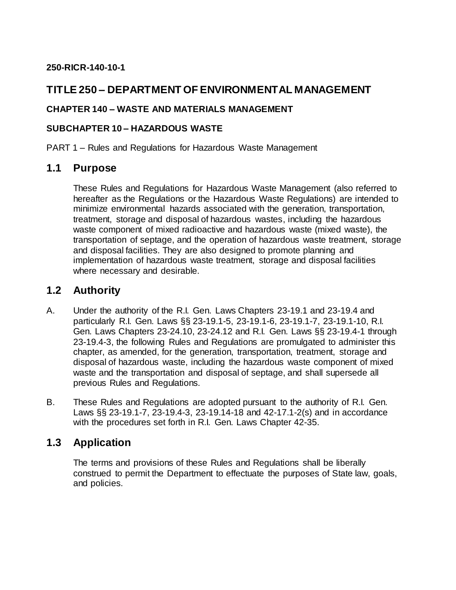### **250-RICR-140-10-1**

# **TITLE 250 – DEPARTMENT OF ENVIRONMENTAL MANAGEMENT**

### **CHAPTER 140 – WASTE AND MATERIALS MANAGEMENT**

#### **SUBCHAPTER 10 – HAZARDOUS WASTE**

PART 1 – Rules and Regulations for Hazardous Waste Management

## **1.1 Purpose**

These Rules and Regulations for Hazardous Waste Management (also referred to hereafter as the Regulations or the Hazardous Waste Regulations) are intended to minimize environmental hazards associated with the generation, transportation, treatment, storage and disposal of hazardous wastes, including the hazardous waste component of mixed radioactive and hazardous waste (mixed waste), the transportation of septage, and the operation of hazardous waste treatment, storage and disposal facilities. They are also designed to promote planning and implementation of hazardous waste treatment, storage and disposal facilities where necessary and desirable.

## **1.2 Authority**

- A. Under the authority of the R.I. Gen. Laws Chapters 23-19.1 and 23-19.4 and particularly R.I. Gen. Laws §§ 23-19.1-5, 23-19.1-6, 23-19.1-7, 23-19.1-10, R.I. Gen. Laws Chapters 23-24.10, 23-24.12 and R.I. Gen. Laws §§ 23-19.4-1 through 23-19.4-3, the following Rules and Regulations are promulgated to administer this chapter, as amended, for the generation, transportation, treatment, storage and disposal of hazardous waste, including the hazardous waste component of mixed waste and the transportation and disposal of septage, and shall supersede all previous Rules and Regulations.
- B. These Rules and Regulations are adopted pursuant to the authority of R.I. Gen. Laws §§ 23-19.1-7, 23-19.4-3, 23-19.14-18 and 42-17.1-2(s) and in accordance with the procedures set forth in R.I. Gen. Laws Chapter 42-35.

# **1.3 Application**

The terms and provisions of these Rules and Regulations shall be liberally construed to permit the Department to effectuate the purposes of State law, goals, and policies.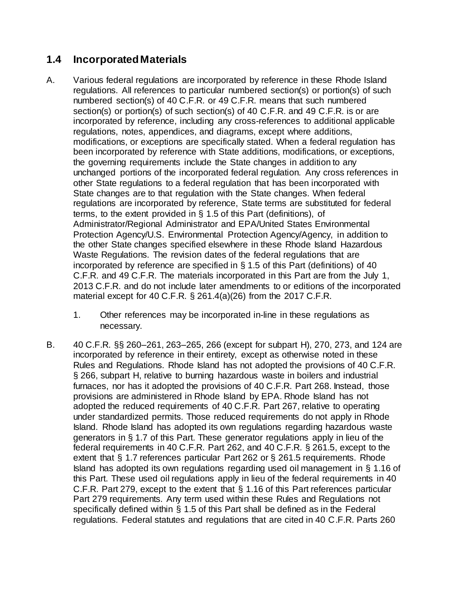# **1.4 Incorporated Materials**

- A. Various federal regulations are incorporated by reference in these Rhode Island regulations. All references to particular numbered section(s) or portion(s) of such numbered section(s) of 40 C.F.R. or 49 C.F.R. means that such numbered section(s) or portion(s) of such section(s) of 40 C.F.R. and 49 C.F.R. is or are incorporated by reference, including any cross-references to additional applicable regulations, notes, appendices, and diagrams, except where additions, modifications, or exceptions are specifically stated. When a federal regulation has been incorporated by reference with State additions, modifications, or exceptions, the governing requirements include the State changes in addition to any unchanged portions of the incorporated federal regulation. Any cross references in other State regulations to a federal regulation that has been incorporated with State changes are to that regulation with the State changes. When federal regulations are incorporated by reference, State terms are substituted for federal terms, to the extent provided in § 1.5 of this Part (definitions), of Administrator/Regional Administrator and EPA/United States Environmental Protection Agency/U.S. Environmental Protection Agency/Agency, in addition to the other State changes specified elsewhere in these Rhode Island Hazardous Waste Regulations. The revision dates of the federal regulations that are incorporated by reference are specified in § 1.5 of this Part (definitions) of 40 C.F.R. and 49 C.F.R. The materials incorporated in this Part are from the July 1, 2013 C.F.R. and do not include later amendments to or editions of the incorporated material except for 40 C.F.R. § 261.4(a)(26) from the 2017 C.F.R.
	- 1. Other references may be incorporated in-line in these regulations as necessary.
- B. 40 C.F.R. §§ 260–261, 263–265, 266 (except for subpart H), 270, 273, and 124 are incorporated by reference in their entirety, except as otherwise noted in these Rules and Regulations. Rhode Island has not adopted the provisions of 40 C.F.R. § 266, subpart H, relative to burning hazardous waste in boilers and industrial furnaces, nor has it adopted the provisions of 40 C.F.R. Part 268. Instead, those provisions are administered in Rhode Island by EPA. Rhode Island has not adopted the reduced requirements of 40 C.F.R. Part 267, relative to operating under standardized permits. Those reduced requirements do not apply in Rhode Island. Rhode Island has adopted its own regulations regarding hazardous waste generators in § 1.7 of this Part. These generator regulations apply in lieu of the federal requirements in 40 C.F.R. Part 262, and 40 C.F.R. § 261.5, except to the extent that § 1.7 references particular Part 262 or § 261.5 requirements. Rhode Island has adopted its own regulations regarding used oil management in § 1.16 of this Part. These used oil regulations apply in lieu of the federal requirements in 40 C.F.R. Part 279, except to the extent that § 1.16 of this Part references particular Part 279 requirements. Any term used within these Rules and Regulations not specifically defined within § 1.5 of this Part shall be defined as in the Federal regulations. Federal statutes and regulations that are cited in 40 C.F.R. Parts 260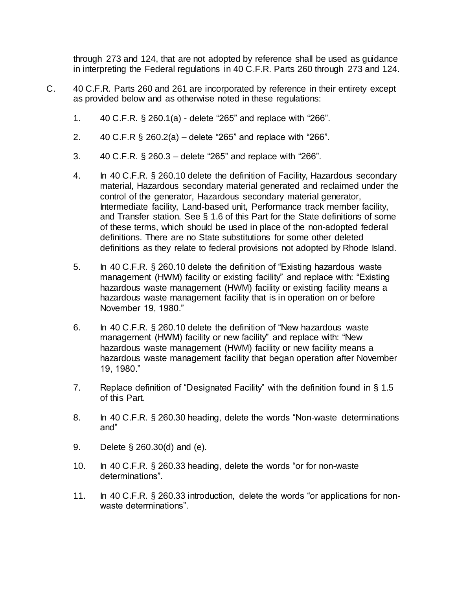through 273 and 124, that are not adopted by reference shall be used as guidance in interpreting the Federal regulations in 40 C.F.R. Parts 260 through 273 and 124.

- C. 40 C.F.R. Parts 260 and 261 are incorporated by reference in their entirety except as provided below and as otherwise noted in these regulations:
	- 1. 40 C.F.R. § 260.1(a) delete "265" and replace with "266".
	- 2. 40 C.F.R § 260.2(a) delete "265" and replace with "266".
	- 3. 40 C.F.R. § 260.3 delete "265" and replace with "266".
	- 4. In 40 C.F.R. § 260.10 delete the definition of Facility, Hazardous secondary material, Hazardous secondary material generated and reclaimed under the control of the generator, Hazardous secondary material generator, Intermediate facility, Land-based unit, Performance track member facility, and Transfer station. See § 1.6 of this Part for the State definitions of some of these terms, which should be used in place of the non-adopted federal definitions. There are no State substitutions for some other deleted definitions as they relate to federal provisions not adopted by Rhode Island.
	- 5. In 40 C.F.R. § 260.10 delete the definition of "Existing hazardous waste management (HWM) facility or existing facility" and replace with: "Existing hazardous waste management (HWM) facility or existing facility means a hazardous waste management facility that is in operation on or before November 19, 1980."
	- 6. In 40 C.F.R. § 260.10 delete the definition of "New hazardous waste management (HWM) facility or new facility" and replace with: "New hazardous waste management (HWM) facility or new facility means a hazardous waste management facility that began operation after November 19, 1980."
	- 7. Replace definition of "Designated Facility" with the definition found in § 1.5 of this Part.
	- 8. In 40 C.F.R. § 260.30 heading, delete the words "Non-waste determinations and"
	- 9. Delete § 260.30(d) and (e).
	- 10. In 40 C.F.R. § 260.33 heading, delete the words "or for non-waste determinations".
	- 11. In 40 C.F.R. § 260.33 introduction, delete the words "or applications for nonwaste determinations".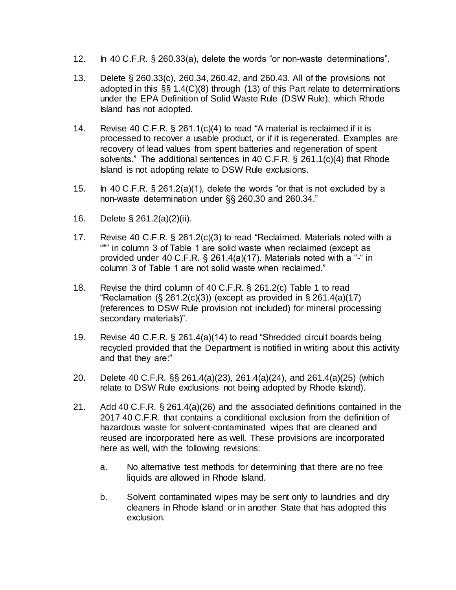- 12. In 40 C.F.R. § 260.33(a), delete the words "or non-waste determinations".
- 13. Delete § 260.33(c), 260.34, 260.42, and 260.43. All of the provisions not adopted in this §§ 1.4(C)(8) through (13) of this Part relate to determinations under the EPA Definition of Solid Waste Rule (DSW Rule), which Rhode Island has not adopted.
- 14. Revise 40 C.F.R. § 261.1(c)(4) to read "A material is reclaimed if it is processed to recover a usable product, or if it is regenerated. Examples are recovery of lead values from spent batteries and regeneration of spent solvents." The additional sentences in 40 C.F.R. § 261.1(c)(4) that Rhode Island is not adopting relate to DSW Rule exclusions.
- 15. In 40 C.F.R. § 261.2(a)(1), delete the words "or that is not excluded by a non-waste determination under §§ 260.30 and 260.34."
- 16. Delete § 261.2(a)(2)(ii).
- 17. Revise 40 C.F.R. § 261.2(c)(3) to read "Reclaimed. Materials noted with a "\*" in column 3 of Table 1 are solid waste when reclaimed (except as provided under 40 C.F.R. § 261.4(a)(17). Materials noted with a "-" in column 3 of Table 1 are not solid waste when reclaimed."
- 18. Revise the third column of 40 C.F.R. § 261.2(c) Table 1 to read "Reclamation  $(\S 261.2(c)(3))$  (except as provided in  $\S 261.4(a)(17)$ ) (references to DSW Rule provision not included) for mineral processing secondary materials)".
- 19. Revise 40 C.F.R. § 261.4(a)(14) to read "Shredded circuit boards being recycled provided that the Department is notified in writing about this activity and that they are:"
- 20. Delete 40 C.F.R. §§ 261.4(a)(23), 261.4(a)(24), and 261.4(a)(25) (which relate to DSW Rule exclusions not being adopted by Rhode Island).
- 21. Add 40 C.F.R. § 261.4(a)(26) and the associated definitions contained in the 2017 40 C.F.R. that contains a conditional exclusion from the definition of hazardous waste for solvent-contaminated wipes that are cleaned and reused are incorporated here as well. These provisions are incorporated here as well, with the following revisions:
	- a. No alternative test methods for determining that there are no free liquids are allowed in Rhode Island.
	- b. Solvent contaminated wipes may be sent only to laundries and dry cleaners in Rhode Island or in another State that has adopted this exclusion.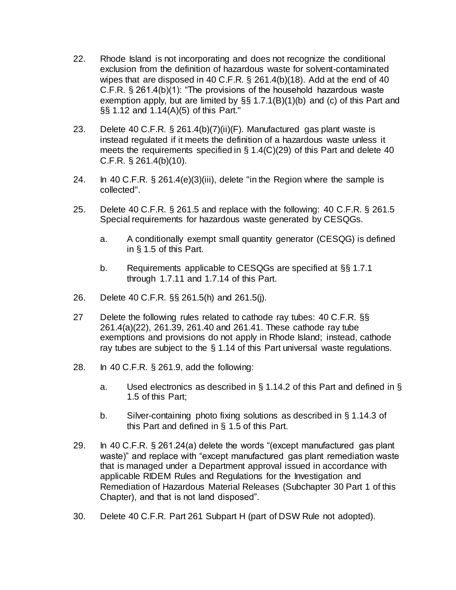- 22. Rhode Island is not incorporating and does not recognize the conditional exclusion from the definition of hazardous waste for solvent-contaminated wipes that are disposed in 40 C.F.R. § 261.4(b)(18). Add at the end of 40 C.F.R. § 261.4(b)(1): "The provisions of the household hazardous waste exemption apply, but are limited by §§ 1.7.1(B)(1)(b) and (c) of this Part and §§ 1.12 and 1.14(A)(5) of this Part."
- 23. Delete 40 C.F.R. § 261.4(b)(7)(ii)(F). Manufactured gas plant waste is instead regulated if it meets the definition of a hazardous waste unless it meets the requirements specified in § 1.4(C)(29) of this Part and delete 40 C.F.R. § 261.4(b)(10).
- 24. In 40 C.F.R. § 261.4(e)(3)(iii), delete "in the Region where the sample is collected".
- 25. Delete 40 C.F.R. § 261.5 and replace with the following: 40 C.F.R. § 261.5 Special requirements for hazardous waste generated by CESQGs.
	- a. A conditionally exempt small quantity generator (CESQG) is defined in § 1.5 of this Part.
	- b. Requirements applicable to CESQGs are specified at §§ 1.7.1 through 1.7.11 and 1.7.14 of this Part.
- 26. Delete 40 C.F.R. §§ 261.5(h) and 261.5(j).
- 27 Delete the following rules related to cathode ray tubes: 40 C.F.R. §§ 261.4(a)(22), 261.39, 261.40 and 261.41. These cathode ray tube exemptions and provisions do not apply in Rhode Island; instead, cathode ray tubes are subject to the § 1.14 of this Part universal waste regulations.
- 28. In 40 C.F.R. § 261.9, add the following:
	- a. Used electronics as described in § 1.14.2 of this Part and defined in § 1.5 of this Part;
	- b. Silver-containing photo fixing solutions as described in § 1.14.3 of this Part and defined in § 1.5 of this Part.
- 29. In 40 C.F.R. § 261.24(a) delete the words "(except manufactured gas plant waste)" and replace with "except manufactured gas plant remediation waste that is managed under a Department approval issued in accordance with applicable RIDEM Rules and Regulations for the Investigation and Remediation of Hazardous Material Releases (Subchapter 30 Part [1](https://rules.sos.ri.gov/regulations/part/250-140-30-1) of this Chapter), and that is not land disposed".
- 30. Delete 40 C.F.R. Part 261 Subpart H (part of DSW Rule not adopted).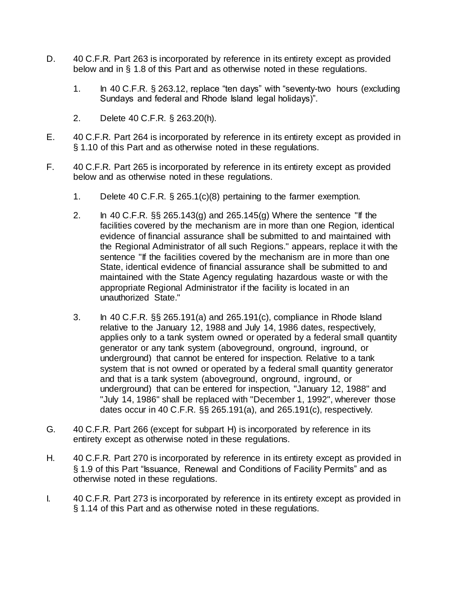- D. 40 C.F.R. Part 263 is incorporated by reference in its entirety except as provided below and in § 1.8 of this Part and as otherwise noted in these regulations.
	- 1. In 40 C.F.R. § 263.12, replace "ten days" with "seventy-two hours (excluding Sundays and federal and Rhode Island legal holidays)".
	- 2. Delete 40 C.F.R. § 263.20(h).
- E. 40 C.F.R. Part 264 is incorporated by reference in its entirety except as provided in § 1.10 of this Part and as otherwise noted in these regulations.
- F. 40 C.F.R. Part 265 is incorporated by reference in its entirety except as provided below and as otherwise noted in these regulations.
	- 1. Delete 40 C.F.R. § 265.1(c)(8) pertaining to the farmer exemption.
	- 2. In 40 C.F.R.  $\S$  265.143(g) and 265.145(g) Where the sentence "If the facilities covered by the mechanism are in more than one Region, identical evidence of financial assurance shall be submitted to and maintained with the Regional Administrator of all such Regions." appears, replace it with the sentence "If the facilities covered by the mechanism are in more than one State, identical evidence of financial assurance shall be submitted to and maintained with the State Agency regulating hazardous waste or with the appropriate Regional Administrator if the facility is located in an unauthorized State."
	- 3. In 40 C.F.R. §§ 265.191(a) and 265.191(c), compliance in Rhode Island relative to the January 12, 1988 and July 14, 1986 dates, respectively, applies only to a tank system owned or operated by a federal small quantity generator or any tank system (aboveground, onground, inground, or underground) that cannot be entered for inspection. Relative to a tank system that is not owned or operated by a federal small quantity generator and that is a tank system (aboveground, onground, inground, or underground) that can be entered for inspection, "January 12, 1988" and "July 14, 1986" shall be replaced with "December 1, 1992", wherever those dates occur in 40 C.F.R. §§ 265.191(a), and 265.191(c), respectively.
- G. 40 C.F.R. Part 266 (except for subpart H) is incorporated by reference in its entirety except as otherwise noted in these regulations.
- H. 40 C.F.R. Part 270 is incorporated by reference in its entirety except as provided in § 1.9 of this Part "Issuance, Renewal and Conditions of Facility Permits" and as otherwise noted in these regulations.
- I. 40 C.F.R. Part 273 is incorporated by reference in its entirety except as provided in § 1.14 of this Part and as otherwise noted in these regulations.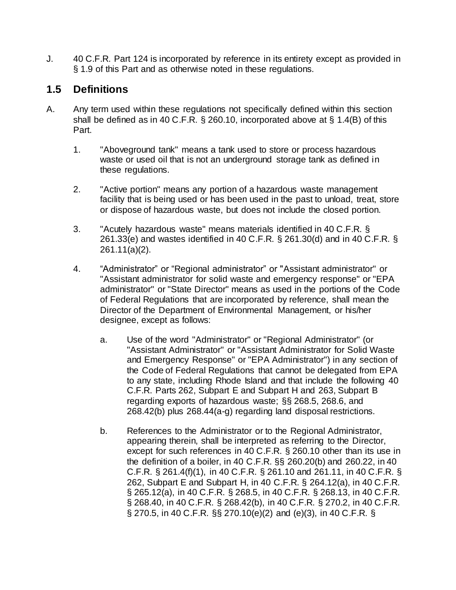J. 40 C.F.R. Part 124 is incorporated by reference in its entirety except as provided in § 1.9 of this Part and as otherwise noted in these regulations.

# **1.5 Definitions**

- A. Any term used within these regulations not specifically defined within this section shall be defined as in 40 C.F.R. § 260.10, incorporated above at § 1.4(B) of this Part.
	- 1. "Aboveground tank" means a tank used to store or process hazardous waste or used oil that is not an underground storage tank as defined in these regulations.
	- 2. "Active portion" means any portion of a hazardous waste management facility that is being used or has been used in the past to unload, treat, store or dispose of hazardous waste, but does not include the closed portion.
	- 3. "Acutely hazardous waste" means materials identified in 40 C.F.R. § 261.33(e) and wastes identified in 40 C.F.R. § 261.30(d) and in 40 C.F.R. § 261.11(a)(2).
	- 4. "Administrator" or "Regional administrator" or "Assistant administrator" or "Assistant administrator for solid waste and emergency response" or "EPA administrator" or "State Director" means as used in the portions of the Code of Federal Regulations that are incorporated by reference, shall mean the Director of the Department of Environmental Management, or his/her designee, except as follows:
		- a. Use of the word "Administrator" or "Regional Administrator" (or "Assistant Administrator" or "Assistant Administrator for Solid Waste and Emergency Response" or "EPA Administrator") in any section of the Code of Federal Regulations that cannot be delegated from EPA to any state, including Rhode Island and that include the following 40 C.F.R. Parts 262, Subpart E and Subpart H and 263, Subpart B regarding exports of hazardous waste; §§ 268.5, 268.6, and 268.42(b) plus 268.44(a-g) regarding land disposal restrictions.
		- b. References to the Administrator or to the Regional Administrator, appearing therein, shall be interpreted as referring to the Director, except for such references in 40 C.F.R. § 260.10 other than its use in the definition of a boiler, in 40 C.F.R. §§ 260.20(b) and 260.22, in 40 C.F.R. § 261.4(f)(1), in 40 C.F.R. § 261.10 and 261.11, in 40 C.F.R. § 262, Subpart E and Subpart H, in 40 C.F.R. § 264.12(a), in 40 C.F.R. § 265.12(a), in 40 C.F.R. § 268.5, in 40 C.F.R. § 268.13, in 40 C.F.R. § 268.40, in 40 C.F.R. § 268.42(b), in 40 C.F.R. § 270.2, in 40 C.F.R. § 270.5, in 40 C.F.R. §§ 270.10(e)(2) and (e)(3), in 40 C.F.R. §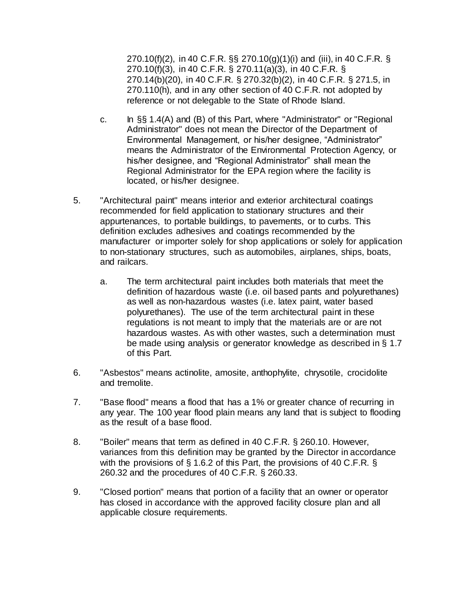270.10(f)(2), in 40 C.F.R. §§ 270.10(g)(1)(i) and (iii), in 40 C.F.R. § 270.10(f)(3), in 40 C.F.R. § 270.11(a)(3), in 40 C.F.R. § 270.14(b)(20), in 40 C.F.R. § 270.32(b)(2), in 40 C.F.R. § 271.5, in 270.110(h), and in any other section of 40 C.F.R. not adopted by reference or not delegable to the State of Rhode Island.

- c. In §§ 1.4(A) and (B) of this Part, where "Administrator" or "Regional Administrator" does not mean the Director of the Department of Environmental Management, or his/her designee, "Administrator" means the Administrator of the Environmental Protection Agency, or his/her designee, and "Regional Administrator" shall mean the Regional Administrator for the EPA region where the facility is located, or his/her designee.
- 5. "Architectural paint" means interior and exterior architectural coatings recommended for field application to stationary structures and their appurtenances, to portable buildings, to pavements, or to curbs. This definition excludes adhesives and coatings recommended by the manufacturer or importer solely for shop applications or solely for application to non-stationary structures, such as automobiles, airplanes, ships, boats, and railcars.
	- a. The term architectural paint includes both materials that meet the definition of hazardous waste (i.e. oil based pants and polyurethanes) as well as non-hazardous wastes (i.e. latex paint, water based polyurethanes). The use of the term architectural paint in these regulations is not meant to imply that the materials are or are not hazardous wastes. As with other wastes, such a determination must be made using analysis or generator knowledge as described in § 1.7 of this Part.
- 6. "Asbestos" means actinolite, amosite, anthophylite, chrysotile, crocidolite and tremolite.
- 7. "Base flood" means a flood that has a 1% or greater chance of recurring in any year. The 100 year flood plain means any land that is subject to flooding as the result of a base flood.
- 8. "Boiler" means that term as defined in 40 C.F.R. § 260.10. However, variances from this definition may be granted by the Director in accordance with the provisions of § 1.6.2 of this Part, the provisions of 40 C.F.R. § 260.32 and the procedures of 40 C.F.R. § 260.33.
- 9. "Closed portion" means that portion of a facility that an owner or operator has closed in accordance with the approved facility closure plan and all applicable closure requirements.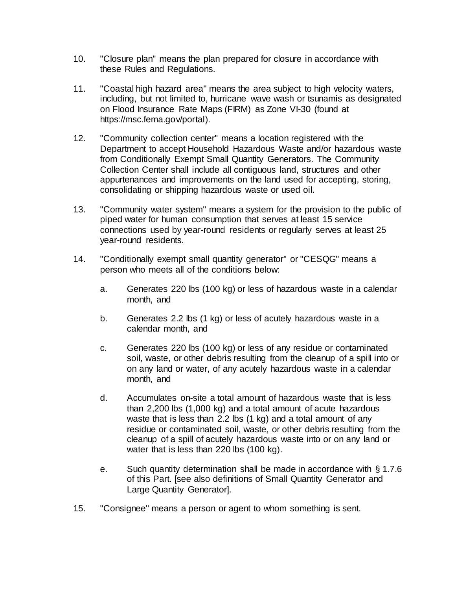- 10. "Closure plan" means the plan prepared for closure in accordance with these Rules and Regulations.
- 11. "Coastal high hazard area" means the area subject to high velocity waters, including, but not limited to, hurricane wave wash or tsunamis as designated on Flood Insurance Rate Maps (FIRM) as Zone VI-30 (found at [https://msc.fema.gov/portal\).](https://msc.fema.gov/portal)
- 12. "Community collection center" means a location registered with the Department to accept Household Hazardous Waste and/or hazardous waste from Conditionally Exempt Small Quantity Generators. The Community Collection Center shall include all contiguous land, structures and other appurtenances and improvements on the land used for accepting, storing, consolidating or shipping hazardous waste or used oil.
- 13. "Community water system" means a system for the provision to the public of piped water for human consumption that serves at least 15 service connections used by year-round residents or regularly serves at least 25 year-round residents.
- 14. "Conditionally exempt small quantity generator" or "CESQG" means a person who meets all of the conditions below:
	- a. Generates 220 lbs (100 kg) or less of hazardous waste in a calendar month, and
	- b. Generates 2.2 lbs (1 kg) or less of acutely hazardous waste in a calendar month, and
	- c. Generates 220 lbs (100 kg) or less of any residue or contaminated soil, waste, or other debris resulting from the cleanup of a spill into or on any land or water, of any acutely hazardous waste in a calendar month, and
	- d. Accumulates on-site a total amount of hazardous waste that is less than 2,200 lbs (1,000 kg) and a total amount of acute hazardous waste that is less than 2.2 lbs (1 kg) and a total amount of any residue or contaminated soil, waste, or other debris resulting from the cleanup of a spill of acutely hazardous waste into or on any land or water that is less than 220 lbs (100 kg).
	- e. Such quantity determination shall be made in accordance with § 1.7.6 of this Part. [see also definitions of Small Quantity Generator and Large Quantity Generator].
- 15. "Consignee" means a person or agent to whom something is sent.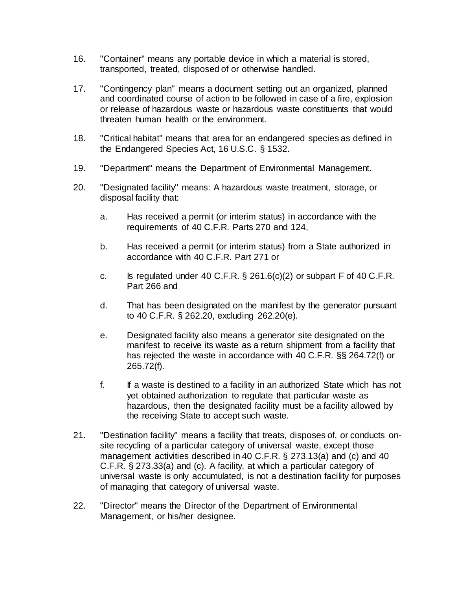- 16. "Container" means any portable device in which a material is stored, transported, treated, disposed of or otherwise handled.
- 17. "Contingency plan" means a document setting out an organized, planned and coordinated course of action to be followed in case of a fire, explosion or release of hazardous waste or hazardous waste constituents that would threaten human health or the environment.
- 18. "Critical habitat" means that area for an endangered species as defined in the Endangered Species Act, 16 U.S.C. § 1532.
- 19. "Department" means the Department of Environmental Management.
- 20. "Designated facility" means: A hazardous waste treatment, storage, or disposal facility that:
	- a. Has received a permit (or interim status) in accordance with the requirements of 40 C.F.R. Parts 270 and 124,
	- b. Has received a permit (or interim status) from a State authorized in accordance with 40 C.F.R. Part 271 or
	- c. Is regulated under 40 C.F.R.  $\S$  261.6(c)(2) or subpart F of 40 C.F.R. Part 266 and
	- d. That has been designated on the manifest by the generator pursuant to 40 C.F.R. § 262.20, excluding 262.20(e).
	- e. Designated facility also means a generator site designated on the manifest to receive its waste as a return shipment from a facility that has rejected the waste in accordance with 40 C.F.R. §§ 264.72(f) or 265.72(f).
	- f. If a waste is destined to a facility in an authorized State which has not yet obtained authorization to regulate that particular waste as hazardous, then the designated facility must be a facility allowed by the receiving State to accept such waste.
- 21. "Destination facility" means a facility that treats, disposes of, or conducts onsite recycling of a particular category of universal waste, except those management activities described in 40 C.F.R. § 273.13(a) and (c) and 40 C.F.R. § 273.33(a) and (c). A facility, at which a particular category of universal waste is only accumulated, is not a destination facility for purposes of managing that category of universal waste.
- 22. "Director" means the Director of the Department of Environmental Management, or his/her designee.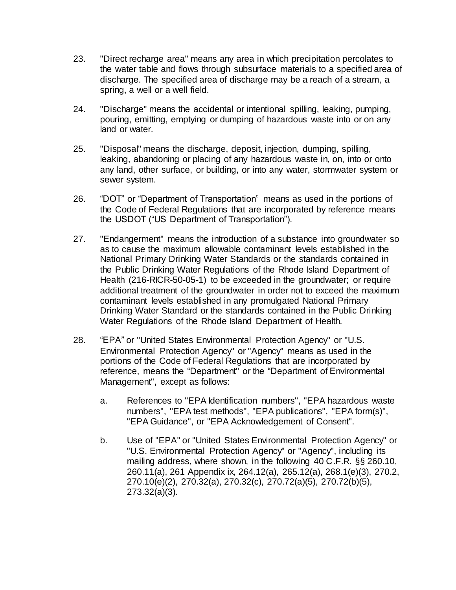- 23. "Direct recharge area" means any area in which precipitation percolates to the water table and flows through subsurface materials to a specified area of discharge. The specified area of discharge may be a reach of a stream, a spring, a well or a well field.
- 24. "Discharge" means the accidental or intentional spilling, leaking, pumping, pouring, emitting, emptying or dumping of hazardous waste into or on any land or water.
- 25. "Disposal" means the discharge, deposit, injection, dumping, spilling, leaking, abandoning or placing of any hazardous waste in, on, into or onto any land, other surface, or building, or into any water, stormwater system or sewer system.
- 26. "DOT" or "Department of Transportation" means as used in the portions of the Code of Federal Regulations that are incorporated by reference means the USDOT ("US Department of Transportation").
- 27. "Endangerment" means the introduction of a substance into groundwater so as to cause the maximum allowable contaminant levels established in the National Primary Drinking Water Standards or the standards contained in the Public Drinking Water Regulations of the Rhode Island Department of Health [\(216-RICR-50-05-1\)](https://rules.sos.ri.gov/regulations/part/216-50-05-1) to be exceeded in the groundwater; or require additional treatment of the groundwater in order not to exceed the maximum contaminant levels established in any promulgated National Primary Drinking Water Standard or the standards contained in the Public Drinking Water Regulations of the Rhode Island Department of Health.
- 28. "EPA" or "United States Environmental Protection Agency" or "U.S. Environmental Protection Agency" or "Agency" means as used in the portions of the Code of Federal Regulations that are incorporated by reference, means the "Department" or the "Department of Environmental Management", except as follows:
	- a. References to "EPA Identification numbers", "EPA hazardous waste numbers", "EPA test methods", "EPA publications", "EPA form(s)", "EPA Guidance", or "EPA Acknowledgement of Consent".
	- b. Use of "EPA" or "United States Environmental Protection Agency" or "U.S. Environmental Protection Agency" or "Agency", including its mailing address, where shown, in the following 40 C.F.R. §§ 260.10, 260.11(a), 261 Appendix ix, 264.12(a), 265.12(a), 268.1(e)(3), 270.2, 270.10(e)(2), 270.32(a), 270.32(c), 270.72(a)(5), 270.72(b)(5), 273.32(a)(3).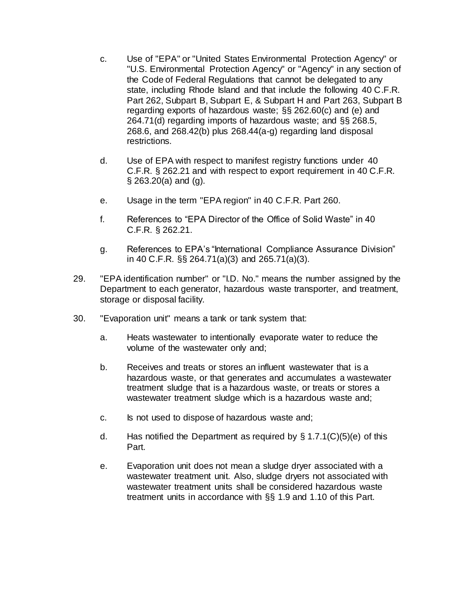- c. Use of "EPA" or "United States Environmental Protection Agency" or "U.S. Environmental Protection Agency" or "Agency" in any section of the Code of Federal Regulations that cannot be delegated to any state, including Rhode Island and that include the following 40 C.F.R. Part 262, Subpart B, Subpart E, & Subpart H and Part 263, Subpart B regarding exports of hazardous waste; §§ 262.60(c) and (e) and 264.71(d) regarding imports of hazardous waste; and §§ 268.5, 268.6, and 268.42(b) plus 268.44(a-g) regarding land disposal restrictions.
- d. Use of EPA with respect to manifest registry functions under 40 C.F.R. § 262.21 and with respect to export requirement in 40 C.F.R. § 263.20(a) and (g).
- e. Usage in the term "EPA region" in 40 C.F.R. Part 260.
- f. References to "EPA Director of the Office of Solid Waste" in 40 C.F.R. § 262.21.
- g. References to EPA's "International Compliance Assurance Division" in 40 C.F.R. §§ 264.71(a)(3) and 265.71(a)(3).
- 29. "EPA identification number" or "I.D. No." means the number assigned by the Department to each generator, hazardous waste transporter, and treatment, storage or disposal facility.
- 30. "Evaporation unit" means a tank or tank system that:
	- a. Heats wastewater to intentionally evaporate water to reduce the volume of the wastewater only and;
	- b. Receives and treats or stores an influent wastewater that is a hazardous waste, or that generates and accumulates a wastewater treatment sludge that is a hazardous waste, or treats or stores a wastewater treatment sludge which is a hazardous waste and;
	- c. Is not used to dispose of hazardous waste and;
	- d. Has notified the Department as required by  $\S 1.7.1(C)(5)(e)$  of this Part.
	- e. Evaporation unit does not mean a sludge dryer associated with a wastewater treatment unit. Also, sludge dryers not associated with wastewater treatment units shall be considered hazardous waste treatment units in accordance with §§ 1.9 and 1.10 of this Part.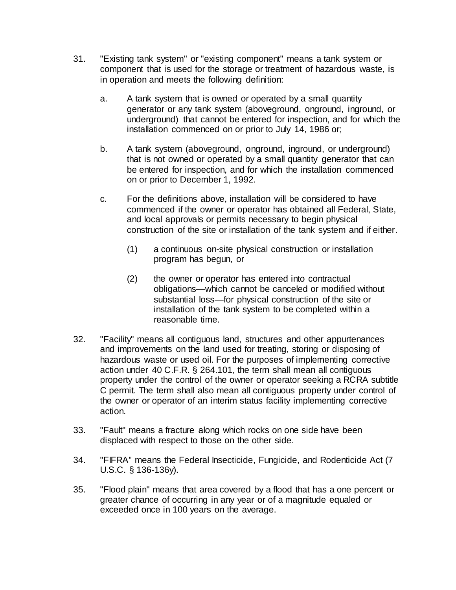- 31. "Existing tank system" or "existing component" means a tank system or component that is used for the storage or treatment of hazardous waste, is in operation and meets the following definition:
	- a. A tank system that is owned or operated by a small quantity generator or any tank system (aboveground, onground, inground, or underground) that cannot be entered for inspection, and for which the installation commenced on or prior to July 14, 1986 or;
	- b. A tank system (aboveground, onground, inground, or underground) that is not owned or operated by a small quantity generator that can be entered for inspection, and for which the installation commenced on or prior to December 1, 1992.
	- c. For the definitions above, installation will be considered to have commenced if the owner or operator has obtained all Federal, State, and local approvals or permits necessary to begin physical construction of the site or installation of the tank system and if either.
		- (1) a continuous on-site physical construction or installation program has begun, or
		- (2) the owner or operator has entered into contractual obligations—which cannot be canceled or modified without substantial loss—for physical construction of the site or installation of the tank system to be completed within a reasonable time.
- 32. "Facility" means all contiguous land, structures and other appurtenances and improvements on the land used for treating, storing or disposing of hazardous waste or used oil. For the purposes of implementing corrective action under 40 C.F.R. § 264.101, the term shall mean all contiguous property under the control of the owner or operator seeking a RCRA subtitle C permit. The term shall also mean all contiguous property under control of the owner or operator of an interim status facility implementing corrective action.
- 33. "Fault" means a fracture along which rocks on one side have been displaced with respect to those on the other side.
- 34. "FIFRA" means the Federal Insecticide, Fungicide, and Rodenticide Act (7 U.S.C. § 136-136y).
- 35. "Flood plain" means that area covered by a flood that has a one percent or greater chance of occurring in any year or of a magnitude equaled or exceeded once in 100 years on the average.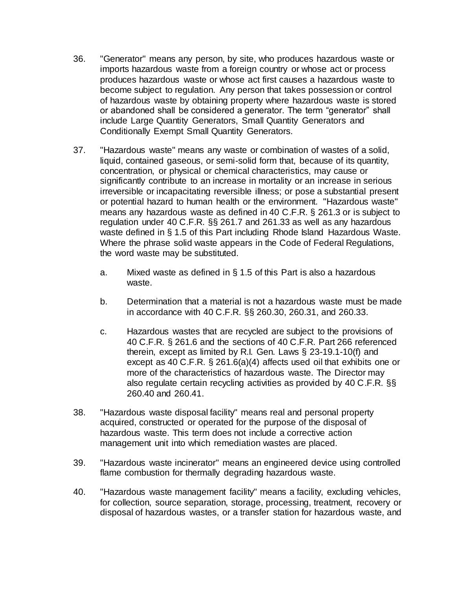- 36. "Generator" means any person, by site, who produces hazardous waste or imports hazardous waste from a foreign country or whose act or process produces hazardous waste or whose act first causes a hazardous waste to become subject to regulation. Any person that takes possession or control of hazardous waste by obtaining property where hazardous waste is stored or abandoned shall be considered a generator. The term "generator" shall include Large Quantity Generators, Small Quantity Generators and Conditionally Exempt Small Quantity Generators.
- 37. "Hazardous waste" means any waste or combination of wastes of a solid, liquid, contained gaseous, or semi-solid form that, because of its quantity, concentration, or physical or chemical characteristics, may cause or significantly contribute to an increase in mortality or an increase in serious irreversible or incapacitating reversible illness; or pose a substantial present or potential hazard to human health or the environment. "Hazardous waste" means any hazardous waste as defined in 40 C.F.R. § 261.3 or is subject to regulation under 40 C.F.R. §§ 261.7 and 261.33 as well as any hazardous waste defined in § 1.5 of this Part including Rhode Island Hazardous Waste. Where the phrase solid waste appears in the Code of Federal Regulations, the word waste may be substituted.
	- a. Mixed waste as defined in  $\S$  1.5 of this Part is also a hazardous waste.
	- b. Determination that a material is not a hazardous waste must be made in accordance with 40 C.F.R. §§ 260.30, 260.31, and 260.33.
	- c. Hazardous wastes that are recycled are subject to the provisions of 40 C.F.R. § 261.6 and the sections of 40 C.F.R. Part 266 referenced therein, except as limited by R.I. Gen. Laws § 23-19.1-10(f) and except as 40 C.F.R. § 261.6(a)(4) affects used oil that exhibits one or more of the characteristics of hazardous waste. The Director may also regulate certain recycling activities as provided by 40 C.F.R. §§ 260.40 and 260.41.
- 38. "Hazardous waste disposal facility" means real and personal property acquired, constructed or operated for the purpose of the disposal of hazardous waste. This term does not include a corrective action management unit into which remediation wastes are placed.
- 39. "Hazardous waste incinerator" means an engineered device using controlled flame combustion for thermally degrading hazardous waste.
- 40. "Hazardous waste management facility" means a facility, excluding vehicles, for collection, source separation, storage, processing, treatment, recovery or disposal of hazardous wastes, or a transfer station for hazardous waste, and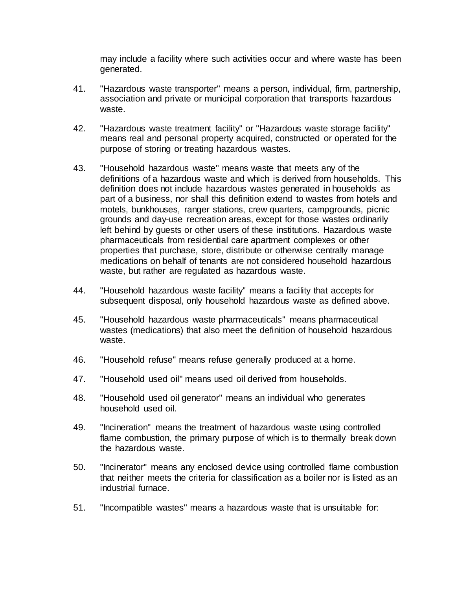may include a facility where such activities occur and where waste has been generated.

- 41. "Hazardous waste transporter" means a person, individual, firm, partnership, association and private or municipal corporation that transports hazardous waste.
- 42. "Hazardous waste treatment facility" or "Hazardous waste storage facility" means real and personal property acquired, constructed or operated for the purpose of storing or treating hazardous wastes.
- 43. "Household hazardous waste" means waste that meets any of the definitions of a hazardous waste and which is derived from households. This definition does not include hazardous wastes generated in households as part of a business, nor shall this definition extend to wastes from hotels and motels, bunkhouses, ranger stations, crew quarters, campgrounds, picnic grounds and day-use recreation areas, except for those wastes ordinarily left behind by guests or other users of these institutions. Hazardous waste pharmaceuticals from residential care apartment complexes or other properties that purchase, store, distribute or otherwise centrally manage medications on behalf of tenants are not considered household hazardous waste, but rather are regulated as hazardous waste.
- 44. "Household hazardous waste facility" means a facility that accepts for subsequent disposal, only household hazardous waste as defined above.
- 45. "Household hazardous waste pharmaceuticals" means pharmaceutical wastes (medications) that also meet the definition of household hazardous waste.
- 46. "Household refuse" means refuse generally produced at a home.
- 47. "Household used oil" means used oil derived from households.
- 48. "Household used oil generator" means an individual who generates household used oil.
- 49. "Incineration" means the treatment of hazardous waste using controlled flame combustion, the primary purpose of which is to thermally break down the hazardous waste.
- 50. "Incinerator" means any enclosed device using controlled flame combustion that neither meets the criteria for classification as a boiler nor is listed as an industrial furnace.
- 51. "Incompatible wastes" means a hazardous waste that is unsuitable for: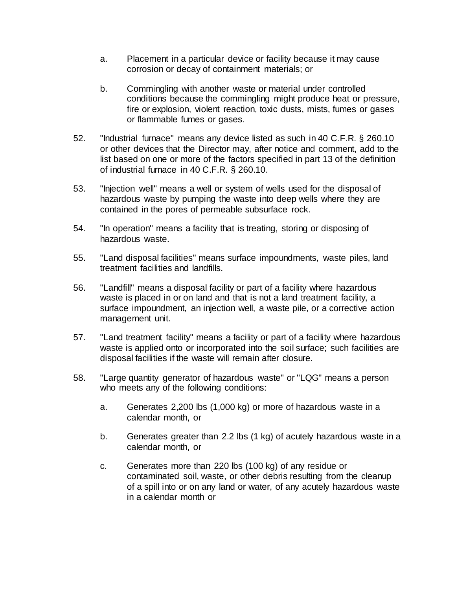- a. Placement in a particular device or facility because it may cause corrosion or decay of containment materials; or
- b. Commingling with another waste or material under controlled conditions because the commingling might produce heat or pressure, fire or explosion, violent reaction, toxic dusts, mists, fumes or gases or flammable fumes or gases.
- 52. "Industrial furnace" means any device listed as such in 40 C.F.R. § 260.10 or other devices that the Director may, after notice and comment, add to the list based on one or more of the factors specified in part 13 of the definition of industrial furnace in 40 C.F.R. § 260.10.
- 53. "Injection well" means a well or system of wells used for the disposal of hazardous waste by pumping the waste into deep wells where they are contained in the pores of permeable subsurface rock.
- 54. "In operation" means a facility that is treating, storing or disposing of hazardous waste.
- 55. "Land disposal facilities" means surface impoundments, waste piles, land treatment facilities and landfills.
- 56. "Landfill" means a disposal facility or part of a facility where hazardous waste is placed in or on land and that is not a land treatment facility, a surface impoundment, an injection well, a waste pile, or a corrective action management unit.
- 57. "Land treatment facility" means a facility or part of a facility where hazardous waste is applied onto or incorporated into the soil surface; such facilities are disposal facilities if the waste will remain after closure.
- 58. "Large quantity generator of hazardous waste" or "LQG" means a person who meets any of the following conditions:
	- a. Generates 2,200 lbs (1,000 kg) or more of hazardous waste in a calendar month, or
	- b. Generates greater than 2.2 lbs (1 kg) of acutely hazardous waste in a calendar month, or
	- c. Generates more than 220 lbs (100 kg) of any residue or contaminated soil, waste, or other debris resulting from the cleanup of a spill into or on any land or water, of any acutely hazardous waste in a calendar month or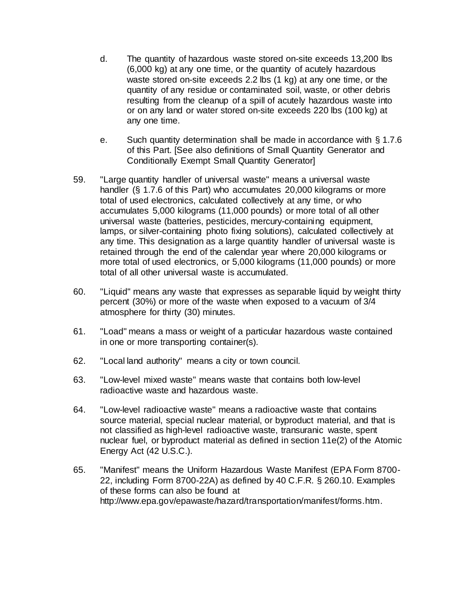- d. The quantity of hazardous waste stored on-site exceeds 13,200 lbs (6,000 kg) at any one time, or the quantity of acutely hazardous waste stored on-site exceeds 2.2 lbs (1 kg) at any one time, or the quantity of any residue or contaminated soil, waste, or other debris resulting from the cleanup of a spill of acutely hazardous waste into or on any land or water stored on-site exceeds 220 lbs (100 kg) at any one time.
- e. Such quantity determination shall be made in accordance with § 1.7.6 of this Part. [See also definitions of Small Quantity Generator and Conditionally Exempt Small Quantity Generator]
- 59. "Large quantity handler of universal waste" means a universal waste handler (§ 1.7.6 of this Part) who accumulates 20,000 kilograms or more total of used electronics, calculated collectively at any time, or who accumulates 5,000 kilograms (11,000 pounds) or more total of all other universal waste (batteries, pesticides, mercury-containing equipment, lamps, or silver-containing photo fixing solutions), calculated collectively at any time. This designation as a large quantity handler of universal waste is retained through the end of the calendar year where 20,000 kilograms or more total of used electronics, or 5,000 kilograms (11,000 pounds) or more total of all other universal waste is accumulated.
- 60. "Liquid" means any waste that expresses as separable liquid by weight thirty percent (30%) or more of the waste when exposed to a vacuum of 3/4 atmosphere for thirty (30) minutes.
- 61. "Load" means a mass or weight of a particular hazardous waste contained in one or more transporting container(s).
- 62. "Local land authority" means a city or town council.
- 63. "Low-level mixed waste" means waste that contains both low-level radioactive waste and hazardous waste.
- 64. "Low-level radioactive waste" means a radioactive waste that contains source material, special nuclear material, or byproduct material, and that is not classified as high-level radioactive waste, transuranic waste, spent nuclear fuel, or byproduct material as defined in section 11e(2) of the Atomic Energy Act (42 U.S.C.).
- 65. "Manifest" means the Uniform Hazardous Waste Manifest (EPA Form 8700- 22, including Form 8700-22A) as defined by 40 C.F.R. § 260.10. Examples of these forms can also be found at http://www.epa.gov/epawaste/hazard/transportation/manifest/forms.htm.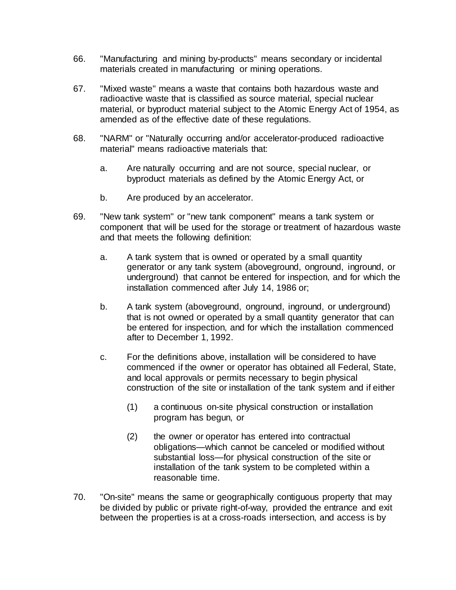- 66. "Manufacturing and mining by-products" means secondary or incidental materials created in manufacturing or mining operations.
- 67. "Mixed waste" means a waste that contains both hazardous waste and radioactive waste that is classified as source material, special nuclear material, or byproduct material subject to the Atomic Energy Act of 1954, as amended as of the effective date of these regulations.
- 68. "NARM" or "Naturally occurring and/or accelerator-produced radioactive material" means radioactive materials that:
	- a. Are naturally occurring and are not source, special nuclear, or byproduct materials as defined by the Atomic Energy Act, or
	- b. Are produced by an accelerator.
- 69. "New tank system" or "new tank component" means a tank system or component that will be used for the storage or treatment of hazardous waste and that meets the following definition:
	- a. A tank system that is owned or operated by a small quantity generator or any tank system (aboveground, onground, inground, or underground) that cannot be entered for inspection, and for which the installation commenced after July 14, 1986 or;
	- b. A tank system (aboveground, onground, inground, or underground) that is not owned or operated by a small quantity generator that can be entered for inspection, and for which the installation commenced after to December 1, 1992.
	- c. For the definitions above, installation will be considered to have commenced if the owner or operator has obtained all Federal, State, and local approvals or permits necessary to begin physical construction of the site or installation of the tank system and if either
		- (1) a continuous on-site physical construction or installation program has begun, or
		- (2) the owner or operator has entered into contractual obligations—which cannot be canceled or modified without substantial loss—for physical construction of the site or installation of the tank system to be completed within a reasonable time.
- 70. "On-site" means the same or geographically contiguous property that may be divided by public or private right-of-way, provided the entrance and exit between the properties is at a cross-roads intersection, and access is by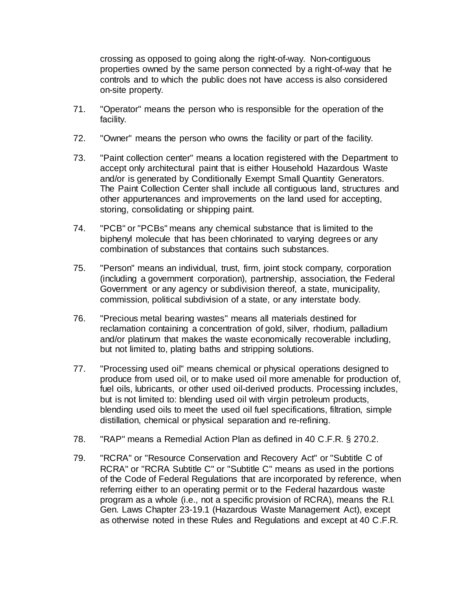crossing as opposed to going along the right-of-way. Non-contiguous properties owned by the same person connected by a right-of-way that he controls and to which the public does not have access is also considered on-site property.

- 71. "Operator" means the person who is responsible for the operation of the facility.
- 72. "Owner" means the person who owns the facility or part of the facility.
- 73. "Paint collection center" means a location registered with the Department to accept only architectural paint that is either Household Hazardous Waste and/or is generated by Conditionally Exempt Small Quantity Generators. The Paint Collection Center shall include all contiguous land, structures and other appurtenances and improvements on the land used for accepting, storing, consolidating or shipping paint.
- 74. "PCB" or "PCBs" means any chemical substance that is limited to the biphenyl molecule that has been chlorinated to varying degrees or any combination of substances that contains such substances.
- 75. "Person" means an individual, trust, firm, joint stock company, corporation (including a government corporation), partnership, association, the Federal Government or any agency or subdivision thereof, a state, municipality, commission, political subdivision of a state, or any interstate body.
- 76. "Precious metal bearing wastes" means all materials destined for reclamation containing a concentration of gold, silver, rhodium, palladium and/or platinum that makes the waste economically recoverable including, but not limited to, plating baths and stripping solutions.
- 77. "Processing used oil" means chemical or physical operations designed to produce from used oil, or to make used oil more amenable for production of, fuel oils, lubricants, or other used oil-derived products. Processing includes, but is not limited to: blending used oil with virgin petroleum products, blending used oils to meet the used oil fuel specifications, filtration, simple distillation, chemical or physical separation and re-refining.
- 78. "RAP" means a Remedial Action Plan as defined in 40 C.F.R. § 270.2.
- 79. "RCRA" or "Resource Conservation and Recovery Act" or "Subtitle C of RCRA" or "RCRA Subtitle C" or "Subtitle C" means as used in the portions of the Code of Federal Regulations that are incorporated by reference, when referring either to an operating permit or to the Federal hazardous waste program as a whole (i.e., not a specific provision of RCRA), means the R.I. Gen. Laws Chapter 23-19.1 (Hazardous Waste Management Act), except as otherwise noted in these Rules and Regulations and except at 40 C.F.R.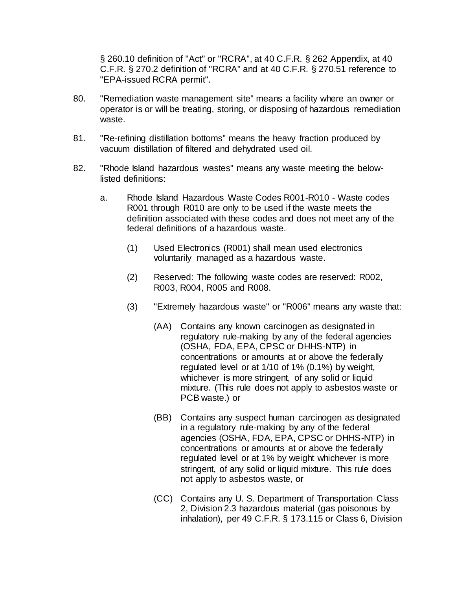§ 260.10 definition of "Act" or "RCRA", at 40 C.F.R. § 262 Appendix, at 40 C.F.R. § 270.2 definition of "RCRA" and at 40 C.F.R. § 270.51 reference to "EPA-issued RCRA permit".

- 80. "Remediation waste management site" means a facility where an owner or operator is or will be treating, storing, or disposing of hazardous remediation waste.
- 81. "Re-refining distillation bottoms" means the heavy fraction produced by vacuum distillation of filtered and dehydrated used oil.
- 82. "Rhode Island hazardous wastes" means any waste meeting the belowlisted definitions:
	- a. Rhode Island Hazardous Waste Codes R001-R010 Waste codes R001 through R010 are only to be used if the waste meets the definition associated with these codes and does not meet any of the federal definitions of a hazardous waste.
		- (1) Used Electronics (R001) shall mean used electronics voluntarily managed as a hazardous waste.
		- (2) Reserved: The following waste codes are reserved: R002, R003, R004, R005 and R008.
		- (3) "Extremely hazardous waste" or "R006" means any waste that:
			- (AA) Contains any known carcinogen as designated in regulatory rule-making by any of the federal agencies (OSHA, FDA, EPA, CPSC or DHHS-NTP) in concentrations or amounts at or above the federally regulated level or at 1/10 of 1% (0.1%) by weight, whichever is more stringent, of any solid or liquid mixture. (This rule does not apply to asbestos waste or PCB waste.) or
			- (BB) Contains any suspect human carcinogen as designated in a regulatory rule-making by any of the federal agencies (OSHA, FDA, EPA, CPSC or DHHS-NTP) in concentrations or amounts at or above the federally regulated level or at 1% by weight whichever is more stringent, of any solid or liquid mixture. This rule does not apply to asbestos waste, or
			- (CC) Contains any U. S. Department of Transportation Class 2, Division 2.3 hazardous material (gas poisonous by inhalation), per 49 C.F.R. § 173.115 or Class 6, Division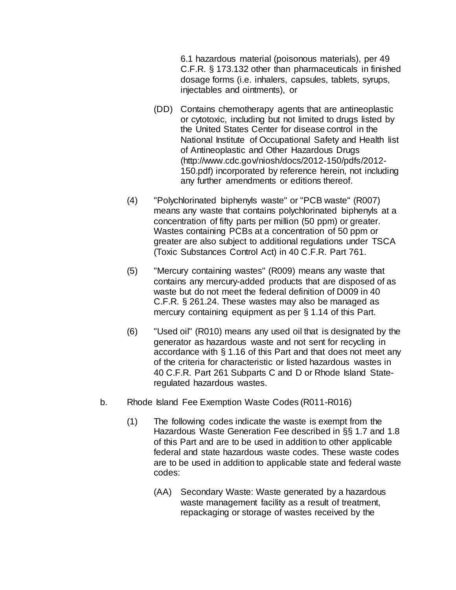6.1 hazardous material (poisonous materials), per 49 C.F.R. § 173.132 other than pharmaceuticals in finished dosage forms (i.e. inhalers, capsules, tablets, syrups, injectables and ointments), or

- (DD) Contains chemotherapy agents that are antineoplastic or cytotoxic, including but not limited to drugs listed by the United States Center for disease control in the National Institute of Occupational Safety and Health list of Antineoplastic and Other Hazardous Drugs [\(http://www.cdc.gov/niosh/docs/2012-150/pdfs/2012-](http://www.cdc.gov/niosh/docs/2012-150/pdfs/2012-150.pdf) [150.pdf\)](http://www.cdc.gov/niosh/docs/2012-150/pdfs/2012-150.pdf) incorporated by reference herein, not including any further amendments or editions thereof.
- (4) "Polychlorinated biphenyls waste" or "PCB waste" (R007) means any waste that contains polychlorinated biphenyls at a concentration of fifty parts per million (50 ppm) or greater. Wastes containing PCBs at a concentration of 50 ppm or greater are also subject to additional regulations under TSCA (Toxic Substances Control Act) in 40 C.F.R. Part 761.
- (5) "Mercury containing wastes" (R009) means any waste that contains any mercury-added products that are disposed of as waste but do not meet the federal definition of D009 in 40 C.F.R. § 261.24. These wastes may also be managed as mercury containing equipment as per § 1.14 of this Part.
- (6) "Used oil" (R010) means any used oil that is designated by the generator as hazardous waste and not sent for recycling in accordance with § 1.16 of this Part and that does not meet any of the criteria for characteristic or listed hazardous wastes in 40 C.F.R. Part 261 Subparts C and D or Rhode Island Stateregulated hazardous wastes.
- b. Rhode Island Fee Exemption Waste Codes (R011-R016)
	- (1) The following codes indicate the waste is exempt from the Hazardous Waste Generation Fee described in §§ 1.7 and 1.8 of this Part and are to be used in addition to other applicable federal and state hazardous waste codes. These waste codes are to be used in addition to applicable state and federal waste codes:
		- (AA) Secondary Waste: Waste generated by a hazardous waste management facility as a result of treatment, repackaging or storage of wastes received by the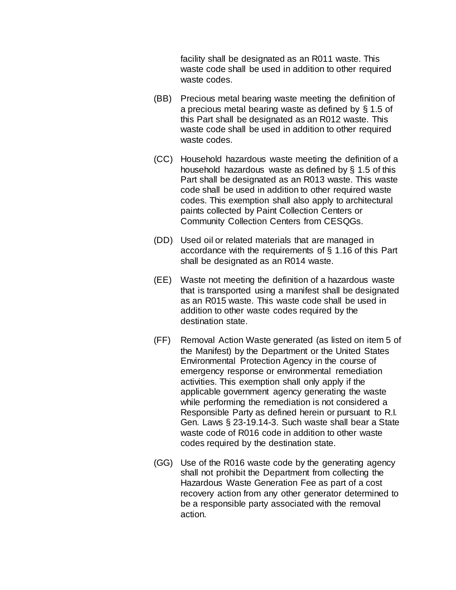facility shall be designated as an R011 waste. This waste code shall be used in addition to other required waste codes.

- (BB) Precious metal bearing waste meeting the definition of a precious metal bearing waste as defined by § 1.5 of this Part shall be designated as an R012 waste. This waste code shall be used in addition to other required waste codes.
- (CC) Household hazardous waste meeting the definition of a household hazardous waste as defined by § 1.5 of this Part shall be designated as an R013 waste. This waste code shall be used in addition to other required waste codes. This exemption shall also apply to architectural paints collected by Paint Collection Centers or Community Collection Centers from CESQGs.
- (DD) Used oil or related materials that are managed in accordance with the requirements of § 1.16 of this Part shall be designated as an R014 waste.
- (EE) Waste not meeting the definition of a hazardous waste that is transported using a manifest shall be designated as an R015 waste. This waste code shall be used in addition to other waste codes required by the destination state.
- (FF) Removal Action Waste generated (as listed on item 5 of the Manifest) by the Department or the United States Environmental Protection Agency in the course of emergency response or environmental remediation activities. This exemption shall only apply if the applicable government agency generating the waste while performing the remediation is not considered a Responsible Party as defined herein or pursuant to R.I. Gen. Laws § 23-19.14-3. Such waste shall bear a State waste code of R016 code in addition to other waste codes required by the destination state.
- (GG) Use of the R016 waste code by the generating agency shall not prohibit the Department from collecting the Hazardous Waste Generation Fee as part of a cost recovery action from any other generator determined to be a responsible party associated with the removal action.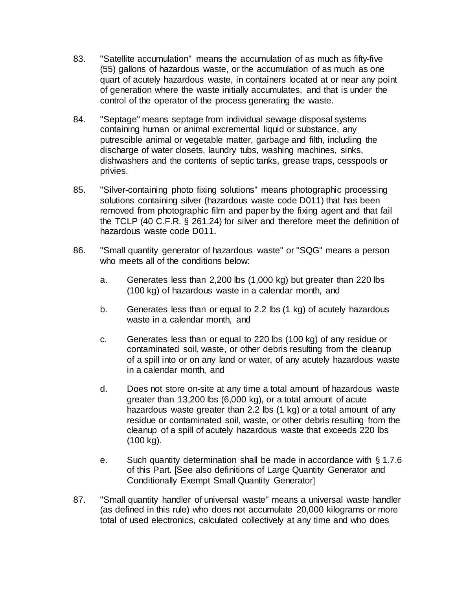- 83. "Satellite accumulation" means the accumulation of as much as fifty-five (55) gallons of hazardous waste, or the accumulation of as much as one quart of acutely hazardous waste, in containers located at or near any point of generation where the waste initially accumulates, and that is under the control of the operator of the process generating the waste.
- 84. "Septage" means septage from individual sewage disposal systems containing human or animal excremental liquid or substance, any putrescible animal or vegetable matter, garbage and filth, including the discharge of water closets, laundry tubs, washing machines, sinks, dishwashers and the contents of septic tanks, grease traps, cesspools or privies.
- 85. "Silver-containing photo fixing solutions" means photographic processing solutions containing silver (hazardous waste code D011) that has been removed from photographic film and paper by the fixing agent and that fail the TCLP (40 C.F.R. § 261.24) for silver and therefore meet the definition of hazardous waste code D011.
- 86. "Small quantity generator of hazardous waste" or "SQG" means a person who meets all of the conditions below:
	- a. Generates less than 2,200 lbs (1,000 kg) but greater than 220 lbs (100 kg) of hazardous waste in a calendar month, and
	- b. Generates less than or equal to 2.2 lbs (1 kg) of acutely hazardous waste in a calendar month, and
	- c. Generates less than or equal to 220 lbs (100 kg) of any residue or contaminated soil, waste, or other debris resulting from the cleanup of a spill into or on any land or water, of any acutely hazardous waste in a calendar month, and
	- d. Does not store on-site at any time a total amount of hazardous waste greater than 13,200 lbs (6,000 kg), or a total amount of acute hazardous waste greater than 2.2 lbs (1 kg) or a total amount of any residue or contaminated soil, waste, or other debris resulting from the cleanup of a spill of acutely hazardous waste that exceeds 220 lbs (100 kg).
	- e. Such quantity determination shall be made in accordance with § 1.7.6 of this Part. [See also definitions of Large Quantity Generator and Conditionally Exempt Small Quantity Generator]
- 87. "Small quantity handler of universal waste" means a universal waste handler (as defined in this rule) who does not accumulate 20,000 kilograms or more total of used electronics, calculated collectively at any time and who does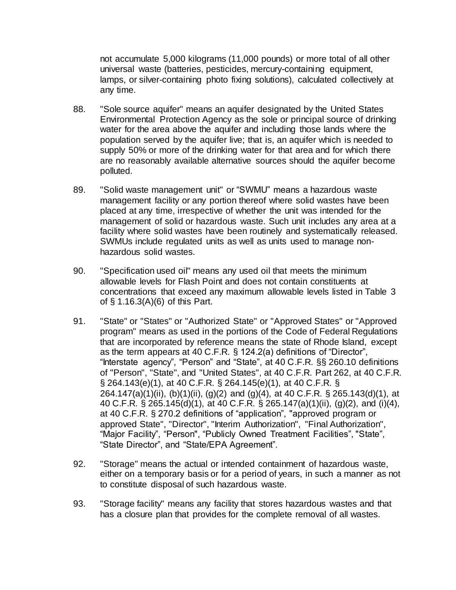not accumulate 5,000 kilograms (11,000 pounds) or more total of all other universal waste (batteries, pesticides, mercury-containing equipment, lamps, or silver-containing photo fixing solutions), calculated collectively at any time.

- 88. "Sole source aquifer" means an aquifer designated by the United States Environmental Protection Agency as the sole or principal source of drinking water for the area above the aquifer and including those lands where the population served by the aquifer live; that is, an aquifer which is needed to supply 50% or more of the drinking water for that area and for which there are no reasonably available alternative sources should the aquifer become polluted.
- 89. "Solid waste management unit" or "SWMU" means a hazardous waste management facility or any portion thereof where solid wastes have been placed at any time, irrespective of whether the unit was intended for the management of solid or hazardous waste. Such unit includes any area at a facility where solid wastes have been routinely and systematically released. SWMUs include regulated units as well as units used to manage nonhazardous solid wastes.
- 90. "Specification used oil" means any used oil that meets the minimum allowable levels for Flash Point and does not contain constituents at concentrations that exceed any maximum allowable levels listed in Table 3 of § 1.16.3(A)(6) of this Part.
- 91. "State" or "States" or "Authorized State" or "Approved States" or "Approved program" means as used in the portions of the Code of Federal Regulations that are incorporated by reference means the state of Rhode Island, except as the term appears at 40 C.F.R. § 124.2(a) definitions of "Director", "Interstate agency", "Person" and "State", at 40 C.F.R. §§ 260.10 definitions of "Person", "State", and "United States", at 40 C.F.R. Part 262, at 40 C.F.R. § 264.143(e)(1), at 40 C.F.R. § 264.145(e)(1), at 40 C.F.R. § 264.147(a)(1)(ii), (b)(1)(ii), (g)(2) and (g)(4), at 40 C.F.R. § 265.143(d)(1), at 40 C.F.R. § 265.145(d)(1), at 40 C.F.R. § 265.147(a)(1)(ii), (g)(2), and (i)(4), at 40 C.F.R. § 270.2 definitions of "application", "approved program or approved State", "Director", "Interim Authorization", "Final Authorization", "Major Facility", "Person", "Publicly Owned Treatment Facilities", "State", "State Director", and "State/EPA Agreement".
- 92. "Storage" means the actual or intended containment of hazardous waste, either on a temporary basis or for a period of years, in such a manner as not to constitute disposal of such hazardous waste.
- 93. "Storage facility" means any facility that stores hazardous wastes and that has a closure plan that provides for the complete removal of all wastes.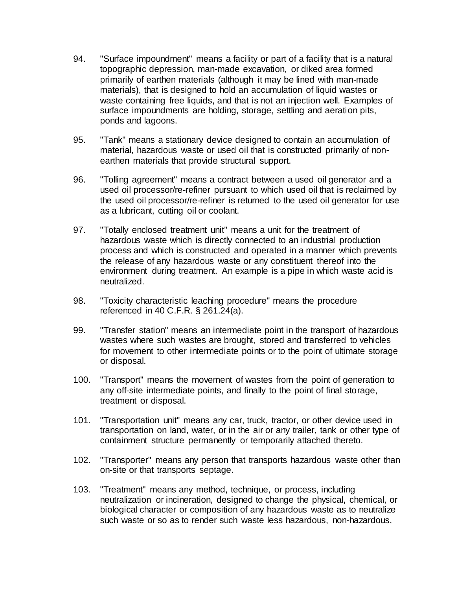- 94. "Surface impoundment" means a facility or part of a facility that is a natural topographic depression, man-made excavation, or diked area formed primarily of earthen materials (although it may be lined with man-made materials), that is designed to hold an accumulation of liquid wastes or waste containing free liquids, and that is not an injection well. Examples of surface impoundments are holding, storage, settling and aeration pits, ponds and lagoons.
- 95. "Tank" means a stationary device designed to contain an accumulation of material, hazardous waste or used oil that is constructed primarily of nonearthen materials that provide structural support.
- 96. "Tolling agreement" means a contract between a used oil generator and a used oil processor/re-refiner pursuant to which used oil that is reclaimed by the used oil processor/re-refiner is returned to the used oil generator for use as a lubricant, cutting oil or coolant.
- 97. "Totally enclosed treatment unit" means a unit for the treatment of hazardous waste which is directly connected to an industrial production process and which is constructed and operated in a manner which prevents the release of any hazardous waste or any constituent thereof into the environment during treatment. An example is a pipe in which waste acid is neutralized.
- 98. "Toxicity characteristic leaching procedure" means the procedure referenced in 40 C.F.R. § 261.24(a).
- 99. "Transfer station" means an intermediate point in the transport of hazardous wastes where such wastes are brought, stored and transferred to vehicles for movement to other intermediate points or to the point of ultimate storage or disposal.
- 100. "Transport" means the movement of wastes from the point of generation to any off-site intermediate points, and finally to the point of final storage, treatment or disposal.
- 101. "Transportation unit" means any car, truck, tractor, or other device used in transportation on land, water, or in the air or any trailer, tank or other type of containment structure permanently or temporarily attached thereto.
- 102. "Transporter" means any person that transports hazardous waste other than on-site or that transports septage.
- 103. "Treatment" means any method, technique, or process, including neutralization or incineration, designed to change the physical, chemical, or biological character or composition of any hazardous waste as to neutralize such waste or so as to render such waste less hazardous, non-hazardous,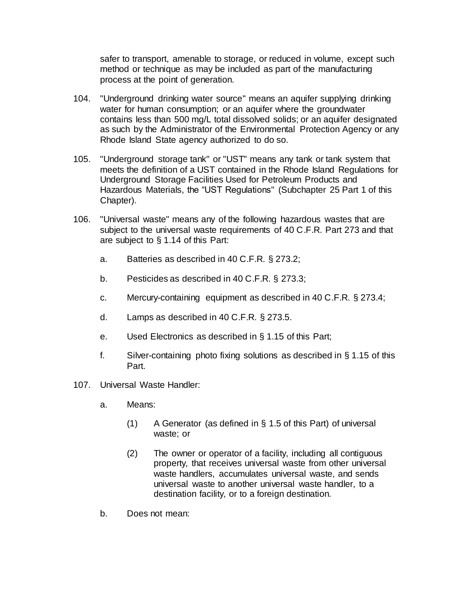safer to transport, amenable to storage, or reduced in volume, except such method or technique as may be included as part of the manufacturing process at the point of generation.

- 104. "Underground drinking water source" means an aquifer supplying drinking water for human consumption; or an aquifer where the groundwater contains less than 500 mg/L total dissolved solids; or an aquifer designated as such by the Administrator of the Environmental Protection Agency or any Rhode Island State agency authorized to do so.
- 105. "Underground storage tank" or "UST" means any tank or tank system that meets the definition of a UST contained in the Rhode Island Regulations for Underground Storage Facilities Used for Petroleum Products and Hazardous Materials, the "UST Regulations" (Subchapter 25 Part [1](https://rules.sos.ri.gov/regulations/part/250-140-25-1) of this Chapter).
- 106. "Universal waste" means any of the following hazardous wastes that are subject to the universal waste requirements of 40 C.F.R. Part 273 and that are subject to § 1.14 of this Part:
	- a. Batteries as described in 40 C.F.R. § 273.2;
	- b. Pesticides as described in 40 C.F.R. § 273.3;
	- c. Mercury-containing equipment as described in 40 C.F.R. § 273.4;
	- d. Lamps as described in 40 C.F.R. § 273.5.
	- e. Used Electronics as described in § 1.15 of this Part;
	- f. Silver-containing photo fixing solutions as described in § 1.15 of this Part.
- 107. Universal Waste Handler:
	- a. Means:
		- (1) A Generator (as defined in § 1.5 of this Part) of universal waste; or
		- (2) The owner or operator of a facility, including all contiguous property, that receives universal waste from other universal waste handlers, accumulates universal waste, and sends universal waste to another universal waste handler, to a destination facility, or to a foreign destination.
	- b. Does not mean: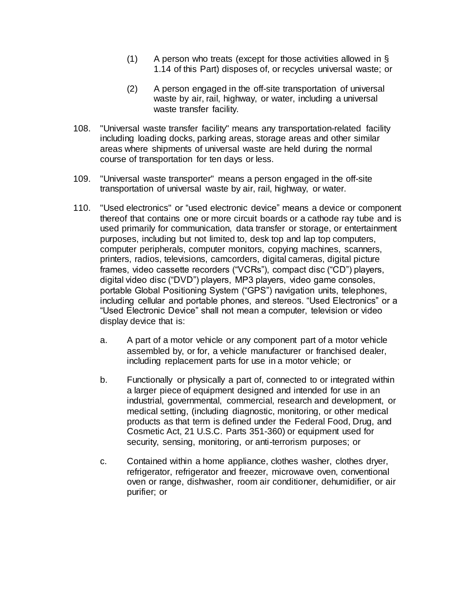- (1) A person who treats (except for those activities allowed in § 1.14 of this Part) disposes of, or recycles universal waste; or
- (2) A person engaged in the off-site transportation of universal waste by air, rail, highway, or water, including a universal waste transfer facility.
- 108. "Universal waste transfer facility" means any transportation-related facility including loading docks, parking areas, storage areas and other similar areas where shipments of universal waste are held during the normal course of transportation for ten days or less.
- 109. "Universal waste transporter" means a person engaged in the off-site transportation of universal waste by air, rail, highway, or water.
- 110. "Used electronics" or "used electronic device" means a device or component thereof that contains one or more circuit boards or a cathode ray tube and is used primarily for communication, data transfer or storage, or entertainment purposes, including but not limited to, desk top and lap top computers, computer peripherals, computer monitors, copying machines, scanners, printers, radios, televisions, camcorders, digital cameras, digital picture frames, video cassette recorders ("VCRs"), compact disc ("CD") players, digital video disc ("DVD") players, MP3 players, video game consoles, portable Global Positioning System ("GPS") navigation units, telephones, including cellular and portable phones, and stereos. "Used Electronics" or a "Used Electronic Device" shall not mean a computer, television or video display device that is:
	- a. A part of a motor vehicle or any component part of a motor vehicle assembled by, or for, a vehicle manufacturer or franchised dealer, including replacement parts for use in a motor vehicle; or
	- b. Functionally or physically a part of, connected to or integrated within a larger piece of equipment designed and intended for use in an industrial, governmental, commercial, research and development, or medical setting, (including diagnostic, monitoring, or other medical products as that term is defined under the Federal Food, Drug, and Cosmetic Act, 21 U.S.C. Parts 351-360) or equipment used for security, sensing, monitoring, or anti-terrorism purposes; or
	- c. Contained within a home appliance, clothes washer, clothes dryer, refrigerator, refrigerator and freezer, microwave oven, conventional oven or range, dishwasher, room air conditioner, dehumidifier, or air purifier; or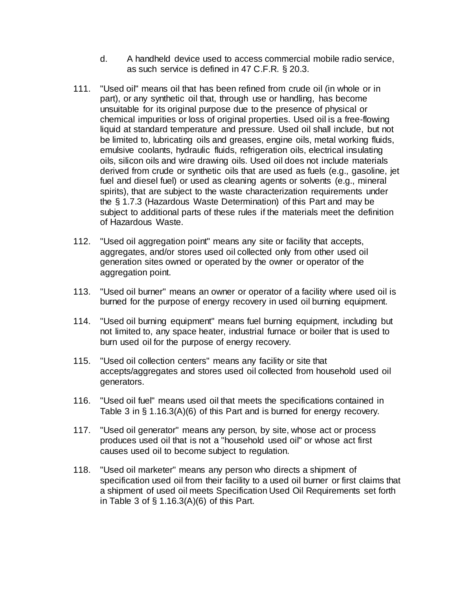- d. A handheld device used to access commercial mobile radio service, as such service is defined in 47 C.F.R. § 20.3.
- 111. "Used oil" means oil that has been refined from crude oil (in whole or in part), or any synthetic oil that, through use or handling, has become unsuitable for its original purpose due to the presence of physical or chemical impurities or loss of original properties. Used oil is a free-flowing liquid at standard temperature and pressure. Used oil shall include, but not be limited to, lubricating oils and greases, engine oils, metal working fluids, emulsive coolants, hydraulic fluids, refrigeration oils, electrical insulating oils, silicon oils and wire drawing oils. Used oil does not include materials derived from crude or synthetic oils that are used as fuels (e.g., gasoline, jet fuel and diesel fuel) or used as cleaning agents or solvents (e.g., mineral spirits), that are subject to the waste characterization requirements under the § 1.7.3 (Hazardous Waste Determination) of this Part and may be subject to additional parts of these rules if the materials meet the definition of Hazardous Waste.
- 112. "Used oil aggregation point" means any site or facility that accepts, aggregates, and/or stores used oil collected only from other used oil generation sites owned or operated by the owner or operator of the aggregation point.
- 113. "Used oil burner" means an owner or operator of a facility where used oil is burned for the purpose of energy recovery in used oil burning equipment.
- 114. "Used oil burning equipment" means fuel burning equipment, including but not limited to, any space heater, industrial furnace or boiler that is used to burn used oil for the purpose of energy recovery.
- 115. "Used oil collection centers" means any facility or site that accepts/aggregates and stores used oil collected from household used oil generators.
- 116. "Used oil fuel" means used oil that meets the specifications contained in Table 3 in § 1.16.3(A)(6) of this Part and is burned for energy recovery.
- 117. "Used oil generator" means any person, by site, whose act or process produces used oil that is not a "household used oil" or whose act first causes used oil to become subject to regulation.
- 118. "Used oil marketer" means any person who directs a shipment of specification used oil from their facility to a used oil burner or first claims that a shipment of used oil meets Specification Used Oil Requirements set forth in Table 3 of  $\S$  1.16.3(A)(6) of this Part.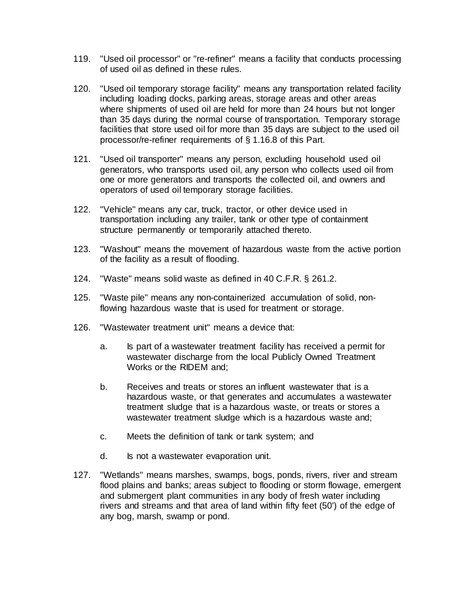- 119. "Used oil processor" or "re-refiner" means a facility that conducts processing of used oil as defined in these rules.
- 120. "Used oil temporary storage facility" means any transportation related facility including loading docks, parking areas, storage areas and other areas where shipments of used oil are held for more than 24 hours but not longer than 35 days during the normal course of transportation. Temporary storage facilities that store used oil for more than 35 days are subject to the used oil processor/re-refiner requirements of § 1.16.8 of this Part.
- 121. "Used oil transporter" means any person, excluding household used oil generators, who transports used oil, any person who collects used oil from one or more generators and transports the collected oil, and owners and operators of used oil temporary storage facilities.
- 122. "Vehicle" means any car, truck, tractor, or other device used in transportation including any trailer, tank or other type of containment structure permanently or temporarily attached thereto.
- 123. "Washout" means the movement of hazardous waste from the active portion of the facility as a result of flooding.
- 124. "Waste" means solid waste as defined in 40 C.F.R. § 261.2.
- 125. "Waste pile" means any non-containerized accumulation of solid, nonflowing hazardous waste that is used for treatment or storage.
- 126. "Wastewater treatment unit" means a device that:
	- a. Is part of a wastewater treatment facility has received a permit for wastewater discharge from the local Publicly Owned Treatment Works or the RIDEM and;
	- b. Receives and treats or stores an influent wastewater that is a hazardous waste, or that generates and accumulates a wastewater treatment sludge that is a hazardous waste, or treats or stores a wastewater treatment sludge which is a hazardous waste and;
	- c. Meets the definition of tank or tank system; and
	- d. Is not a wastewater evaporation unit.
- 127. "Wetlands" means marshes, swamps, bogs, ponds, rivers, river and stream flood plains and banks; areas subject to flooding or storm flowage, emergent and submergent plant communities in any body of fresh water including rivers and streams and that area of land within fifty feet (50') of the edge of any bog, marsh, swamp or pond.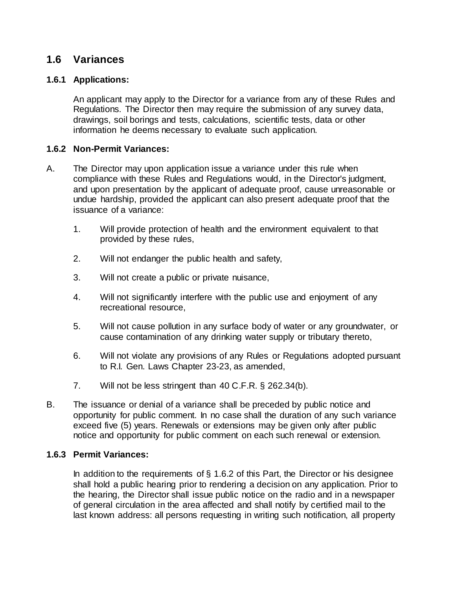## **1.6 Variances**

## **1.6.1 Applications:**

An applicant may apply to the Director for a variance from any of these Rules and Regulations. The Director then may require the submission of any survey data, drawings, soil borings and tests, calculations, scientific tests, data or other information he deems necessary to evaluate such application.

#### **1.6.2 Non-Permit Variances:**

- A. The Director may upon application issue a variance under this rule when compliance with these Rules and Regulations would, in the Director's judgment, and upon presentation by the applicant of adequate proof, cause unreasonable or undue hardship, provided the applicant can also present adequate proof that the issuance of a variance:
	- 1. Will provide protection of health and the environment equivalent to that provided by these rules,
	- 2. Will not endanger the public health and safety,
	- 3. Will not create a public or private nuisance,
	- 4. Will not significantly interfere with the public use and enjoyment of any recreational resource,
	- 5. Will not cause pollution in any surface body of water or any groundwater, or cause contamination of any drinking water supply or tributary thereto,
	- 6. Will not violate any provisions of any Rules or Regulations adopted pursuant to R.I. Gen. Laws Chapter 23-23, as amended,
	- 7. Will not be less stringent than 40 C.F.R. § 262.34(b).
- B. The issuance or denial of a variance shall be preceded by public notice and opportunity for public comment. In no case shall the duration of any such variance exceed five (5) years. Renewals or extensions may be given only after public notice and opportunity for public comment on each such renewal or extension.

#### **1.6.3 Permit Variances:**

In addition to the requirements of  $\S$  1.6.2 of this Part, the Director or his designee shall hold a public hearing prior to rendering a decision on any application. Prior to the hearing, the Director shall issue public notice on the radio and in a newspaper of general circulation in the area affected and shall notify by certified mail to the last known address: all persons requesting in writing such notification, all property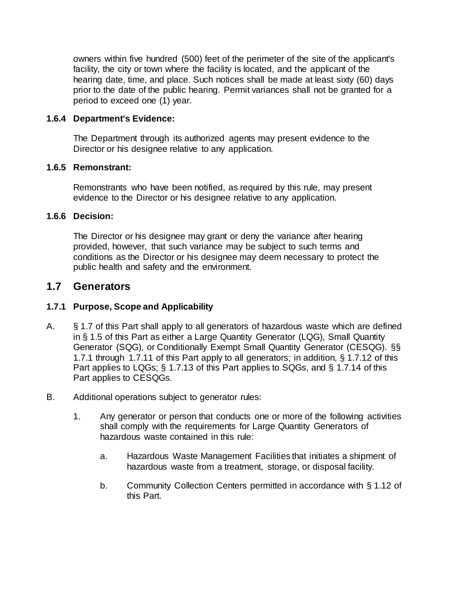owners within five hundred (500) feet of the perimeter of the site of the applicant's facility, the city or town where the facility is located, and the applicant of the hearing date, time, and place. Such notices shall be made at least sixty (60) days prior to the date of the public hearing. Permit variances shall not be granted for a period to exceed one (1) year.

### **1.6.4 Department's Evidence:**

The Department through its authorized agents may present evidence to the Director or his designee relative to any application.

#### **1.6.5 Remonstrant:**

Remonstrants who have been notified, as required by this rule, may present evidence to the Director or his designee relative to any application.

#### **1.6.6 Decision:**

The Director or his designee may grant or deny the variance after hearing provided, however, that such variance may be subject to such terms and conditions as the Director or his designee may deem necessary to protect the public health and safety and the environment.

## **1.7 Generators**

## **1.7.1 Purpose, Scope and Applicability**

- A. § 1.7 of this Part shall apply to all generators of hazardous waste which are defined in § 1.5 of this Part as either a Large Quantity Generator (LQG), Small Quantity Generator (SQG), or Conditionally Exempt Small Quantity Generator (CESQG). §§ 1.7.1 through 1.7.11 of this Part apply to all generators; in addition, § 1.7.12 of this Part applies to LQGs; § 1.7.13 of this Part applies to SQGs, and § 1.7.14 of this Part applies to CESQGs.
- B. Additional operations subject to generator rules:
	- 1. Any generator or person that conducts one or more of the following activities shall comply with the requirements for Large Quantity Generators of hazardous waste contained in this rule:
		- a. Hazardous Waste Management Facilities that initiates a shipment of hazardous waste from a treatment, storage, or disposal facility.
		- b. Community Collection Centers permitted in accordance with § 1.12 of this Part.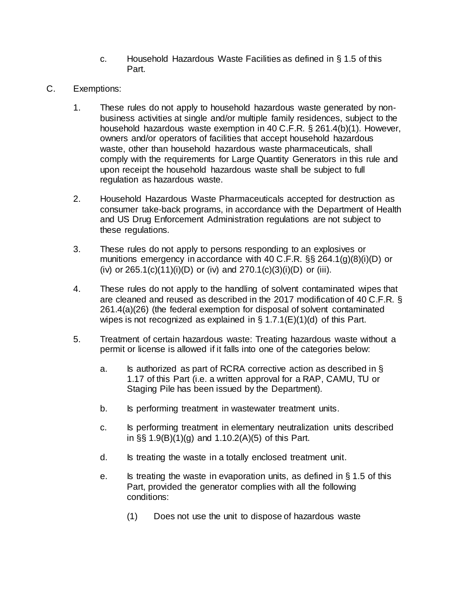- c. Household Hazardous Waste Facilities as defined in § 1.5 of this Part.
- C. Exemptions:
	- 1. These rules do not apply to household hazardous waste generated by nonbusiness activities at single and/or multiple family residences, subject to the household hazardous waste exemption in 40 C.F.R. § 261.4(b)(1). However, owners and/or operators of facilities that accept household hazardous waste, other than household hazardous waste pharmaceuticals, shall comply with the requirements for Large Quantity Generators in this rule and upon receipt the household hazardous waste shall be subject to full regulation as hazardous waste.
	- 2. Household Hazardous Waste Pharmaceuticals accepted for destruction as consumer take-back programs, in accordance with the Department of Health and US Drug Enforcement Administration regulations are not subject to these regulations.
	- 3. These rules do not apply to persons responding to an explosives or munitions emergency in accordance with 40 C.F.R. §§ 264.1(g)(8)(i)(D) or (iv) or  $265.1(c)(11)(i)(D)$  or (iv) and  $270.1(c)(3)(i)(D)$  or (iii).
	- 4. These rules do not apply to the handling of solvent contaminated wipes that are cleaned and reused as described in the 2017 modification of 40 C.F.R. § 261.4(a)(26) (the federal exemption for disposal of solvent contaminated wipes is not recognized as explained in  $\S 1.7.1(E)(1)(d)$  of this Part.
	- 5. Treatment of certain hazardous waste: Treating hazardous waste without a permit or license is allowed if it falls into one of the categories below:
		- a. Is authorized as part of RCRA corrective action as described in § 1.17 of this Part (i.e. a written approval for a RAP, CAMU, TU or Staging Pile has been issued by the Department).
		- b. Is performing treatment in wastewater treatment units.
		- c. Is performing treatment in elementary neutralization units described in §§ 1.9(B)(1)(g) and 1.10.2(A)(5) of this Part.
		- d. Is treating the waste in a totally enclosed treatment unit.
		- e. Is treating the waste in evaporation units, as defined in  $\S$  1.5 of this Part, provided the generator complies with all the following conditions:
			- (1) Does not use the unit to dispose of hazardous waste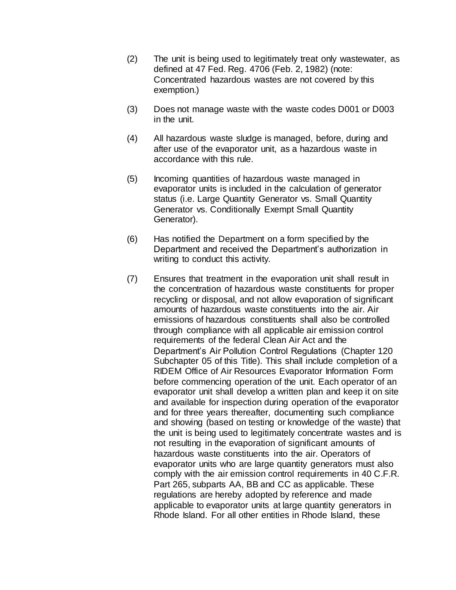- (2) The unit is being used to legitimately treat only wastewater, as defined at 47 Fed. Reg. 4706 (Feb. 2, 1982) (note: Concentrated hazardous wastes are not covered by this exemption.)
- (3) Does not manage waste with the waste codes D001 or D003 in the unit.
- (4) All hazardous waste sludge is managed, before, during and after use of the evaporator unit, as a hazardous waste in accordance with this rule.
- (5) Incoming quantities of hazardous waste managed in evaporator units is included in the calculation of generator status (i.e. Large Quantity Generator vs. Small Quantity Generator vs. Conditionally Exempt Small Quantity Generator).
- (6) Has notified the Department on a form specified by the Department and received the Department's authorization in writing to conduct this activity.
- (7) Ensures that treatment in the evaporation unit shall result in the concentration of hazardous waste constituents for proper recycling or disposal, and not allow evaporation of significant amounts of hazardous waste constituents into the air. Air emissions of hazardous constituents shall also be controlled through compliance with all applicable air emission control requirements of the federal Clean Air Act and the Department's Air Pollution Control Regulations (Chapter 120 Subchapter [05](https://rules.sos.ri.gov/organizations/subchapter/250-120-05) of this Title). This shall include completion of a RIDEM Office of Air Resources Evaporator Information Form before commencing operation of the unit. Each operator of an evaporator unit shall develop a written plan and keep it on site and available for inspection during operation of the evaporator and for three years thereafter, documenting such compliance and showing (based on testing or knowledge of the waste) that the unit is being used to legitimately concentrate wastes and is not resulting in the evaporation of significant amounts of hazardous waste constituents into the air. Operators of evaporator units who are large quantity generators must also comply with the air emission control requirements in 40 C.F.R. Part 265, subparts AA, BB and CC as applicable. These regulations are hereby adopted by reference and made applicable to evaporator units at large quantity generators in Rhode Island. For all other entities in Rhode Island, these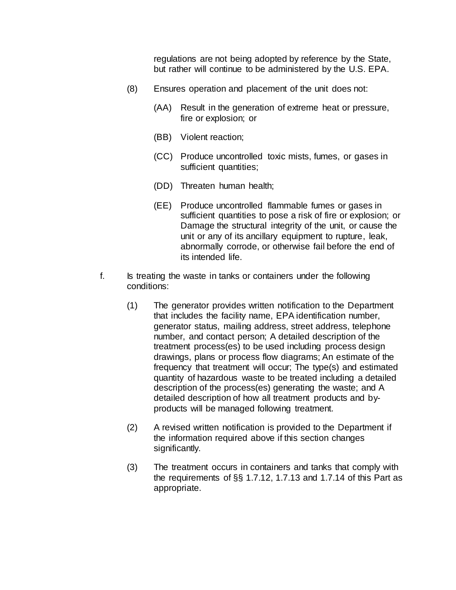regulations are not being adopted by reference by the State, but rather will continue to be administered by the U.S. EPA.

- (8) Ensures operation and placement of the unit does not:
	- (AA) Result in the generation of extreme heat or pressure, fire or explosion; or
	- (BB) Violent reaction;
	- (CC) Produce uncontrolled toxic mists, fumes, or gases in sufficient quantities;
	- (DD) Threaten human health;
	- (EE) Produce uncontrolled flammable fumes or gases in sufficient quantities to pose a risk of fire or explosion; or Damage the structural integrity of the unit, or cause the unit or any of its ancillary equipment to rupture, leak, abnormally corrode, or otherwise fail before the end of its intended life.
- f. Is treating the waste in tanks or containers under the following conditions:
	- (1) The generator provides written notification to the Department that includes the facility name, EPA identification number, generator status, mailing address, street address, telephone number, and contact person; A detailed description of the treatment process(es) to be used including process design drawings, plans or process flow diagrams; An estimate of the frequency that treatment will occur; The type(s) and estimated quantity of hazardous waste to be treated including a detailed description of the process(es) generating the waste; and A detailed description of how all treatment products and byproducts will be managed following treatment.
	- (2) A revised written notification is provided to the Department if the information required above if this section changes significantly.
	- (3) The treatment occurs in containers and tanks that comply with the requirements of §§ 1.7.12, 1.7.13 and 1.7.14 of this Part as appropriate.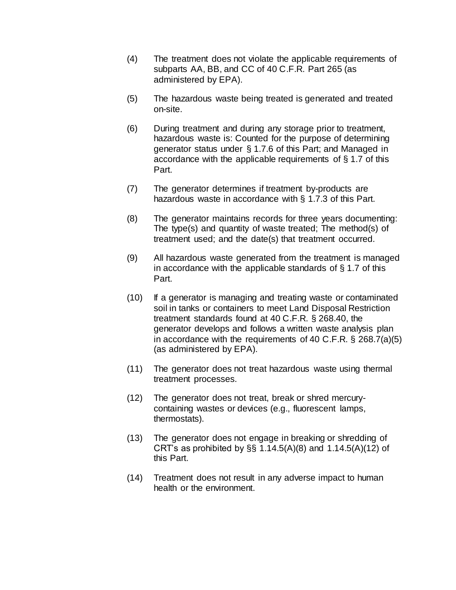- (4) The treatment does not violate the applicable requirements of subparts AA, BB, and CC of 40 C.F.R. Part 265 (as administered by EPA).
- (5) The hazardous waste being treated is generated and treated on-site.
- (6) During treatment and during any storage prior to treatment, hazardous waste is: Counted for the purpose of determining generator status under § 1.7.6 of this Part; and Managed in accordance with the applicable requirements of § 1.7 of this Part.
- (7) The generator determines if treatment by-products are hazardous waste in accordance with § 1.7.3 of this Part.
- (8) The generator maintains records for three years documenting: The type(s) and quantity of waste treated; The method(s) of treatment used; and the date(s) that treatment occurred.
- (9) All hazardous waste generated from the treatment is managed in accordance with the applicable standards of § 1.7 of this Part.
- (10) If a generator is managing and treating waste or contaminated soil in tanks or containers to meet Land Disposal Restriction treatment standards found at 40 C.F.R. § 268.40, the generator develops and follows a written waste analysis plan in accordance with the requirements of 40 C.F.R. § 268.7(a)(5) (as administered by EPA).
- (11) The generator does not treat hazardous waste using thermal treatment processes.
- (12) The generator does not treat, break or shred mercurycontaining wastes or devices (e.g., fluorescent lamps, thermostats).
- (13) The generator does not engage in breaking or shredding of CRT's as prohibited by  $\S$ § 1.14.5(A)(8) and 1.14.5(A)(12) of this Part.
- (14) Treatment does not result in any adverse impact to human health or the environment.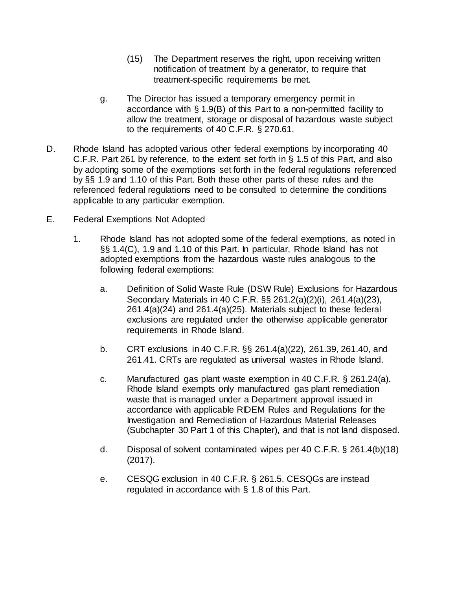- (15) The Department reserves the right, upon receiving written notification of treatment by a generator, to require that treatment-specific requirements be met.
- g. The Director has issued a temporary emergency permit in accordance with § 1.9(B) of this Part to a non-permitted facility to allow the treatment, storage or disposal of hazardous waste subject to the requirements of 40 C.F.R. § 270.61.
- D. Rhode Island has adopted various other federal exemptions by incorporating 40 C.F.R. Part 261 by reference, to the extent set forth in § 1.5 of this Part, and also by adopting some of the exemptions set forth in the federal regulations referenced by §§ 1.9 and 1.10 of this Part. Both these other parts of these rules and the referenced federal regulations need to be consulted to determine the conditions applicable to any particular exemption.
- E. Federal Exemptions Not Adopted
	- 1. Rhode Island has not adopted some of the federal exemptions, as noted in §§ 1.4(C), 1.9 and 1.10 of this Part. In particular, Rhode Island has not adopted exemptions from the hazardous waste rules analogous to the following federal exemptions:
		- a. Definition of Solid Waste Rule (DSW Rule) Exclusions for Hazardous Secondary Materials in 40 C.F.R. §§ 261.2(a)(2)(i), 261.4(a)(23), 261.4(a)(24) and 261.4(a)(25). Materials subject to these federal exclusions are regulated under the otherwise applicable generator requirements in Rhode Island.
		- b. CRT exclusions in 40 C.F.R. §§ 261.4(a)(22), 261.39, 261.40, and 261.41. CRTs are regulated as universal wastes in Rhode Island.
		- c. Manufactured gas plant waste exemption in 40 C.F.R. § 261.24(a). Rhode Island exempts only manufactured gas plant remediation waste that is managed under a Department approval issued in accordance with applicable RIDEM Rules and Regulations for the Investigation and Remediation of Hazardous Material Releases (Subchapter 30 Part [1](file:///C:/Users/kcordeiro/Desktop/DEM%20TRs%20REVIEWED/1) of this Chapter), and that is not land disposed.
		- d. Disposal of solvent contaminated wipes per 40 C.F.R. § 261.4(b)(18) (2017).
		- e. CESQG exclusion in 40 C.F.R. § 261.5. CESQGs are instead regulated in accordance with § 1.8 of this Part.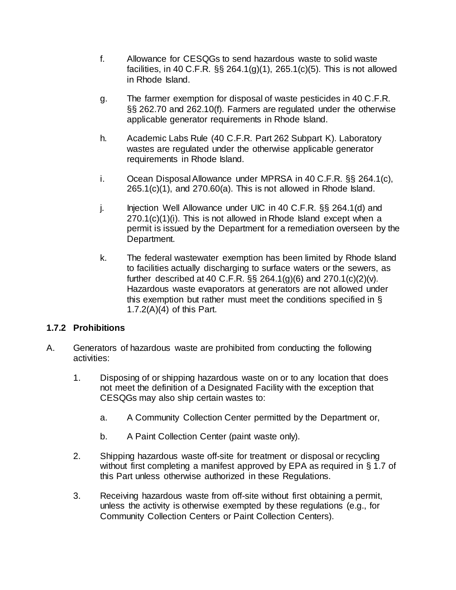- f. Allowance for CESQGs to send hazardous waste to solid waste facilities, in 40 C.F.R. §§ 264.1(g)(1), 265.1(c)(5). This is not allowed in Rhode Island.
- g. The farmer exemption for disposal of waste pesticides in 40 C.F.R. §§ 262.70 and 262.10(f). Farmers are regulated under the otherwise applicable generator requirements in Rhode Island.
- h. Academic Labs Rule (40 C.F.R. Part 262 Subpart K). Laboratory wastes are regulated under the otherwise applicable generator requirements in Rhode Island.
- i. Ocean Disposal Allowance under MPRSA in 40 C.F.R. §§ 264.1(c),  $265.1(c)(1)$ , and  $270.60(a)$ . This is not allowed in Rhode Island.
- j. Injection Well Allowance under UIC in 40 C.F.R. §§ 264.1(d) and 270.1(c)(1)(i). This is not allowed in Rhode Island except when a permit is issued by the Department for a remediation overseen by the Department.
- k. The federal wastewater exemption has been limited by Rhode Island to facilities actually discharging to surface waters or the sewers, as further described at 40 C.F.R. §§ 264.1(g)(6) and 270.1(c)(2)(v). Hazardous waste evaporators at generators are not allowed under this exemption but rather must meet the conditions specified in § 1.7.2(A)(4) of this Part.

## **1.7.2 Prohibitions**

- A. Generators of hazardous waste are prohibited from conducting the following activities:
	- 1. Disposing of or shipping hazardous waste on or to any location that does not meet the definition of a Designated Facility with the exception that CESQGs may also ship certain wastes to:
		- a. A Community Collection Center permitted by the Department or,
		- b. A Paint Collection Center (paint waste only).
	- 2. Shipping hazardous waste off-site for treatment or disposal or recycling without first completing a manifest approved by EPA as required in § 1.7 of this Part unless otherwise authorized in these Regulations.
	- 3. Receiving hazardous waste from off-site without first obtaining a permit, unless the activity is otherwise exempted by these regulations (e.g., for Community Collection Centers or Paint Collection Centers).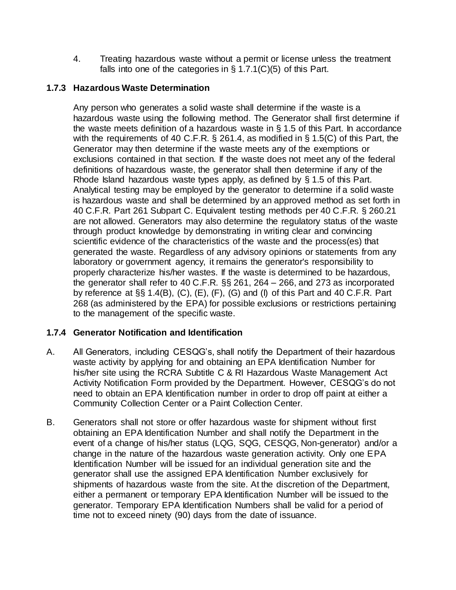4. Treating hazardous waste without a permit or license unless the treatment falls into one of the categories in  $\S 1.7.1(C)(5)$  of this Part.

# **1.7.3 Hazardous Waste Determination**

Any person who generates a solid waste shall determine if the waste is a hazardous waste using the following method. The Generator shall first determine if the waste meets definition of a hazardous waste in § 1.5 of this Part. In accordance with the requirements of 40 C.F.R. § 261.4, as modified in § 1.5(C) of this Part, the Generator may then determine if the waste meets any of the exemptions or exclusions contained in that section. If the waste does not meet any of the federal definitions of hazardous waste, the generator shall then determine if any of the Rhode Island hazardous waste types apply, as defined by § 1.5 of this Part. Analytical testing may be employed by the generator to determine if a solid waste is hazardous waste and shall be determined by an approved method as set forth in 40 C.F.R. Part 261 Subpart C. Equivalent testing methods per 40 C.F.R. § 260.21 are not allowed. Generators may also determine the regulatory status of the waste through product knowledge by demonstrating in writing clear and convincing scientific evidence of the characteristics of the waste and the process(es) that generated the waste. Regardless of any advisory opinions or statements from any laboratory or government agency, it remains the generator's responsibility to properly characterize his/her wastes. If the waste is determined to be hazardous, the generator shall refer to 40 C.F.R. §§ 261, 264 – 266, and 273 as incorporated by reference at §§ 1.4(B), (C), (E), (F), (G) and (I) of this Part and 40 C.F.R. Part 268 (as administered by the EPA) for possible exclusions or restrictions pertaining to the management of the specific waste.

## **1.7.4 Generator Notification and Identification**

- A. All Generators, including CESQG's, shall notify the Department of their hazardous waste activity by applying for and obtaining an EPA Identification Number for his/her site using the RCRA Subtitle C & RI Hazardous Waste Management Act Activity Notification Form provided by the Department. However, CESQG's do not need to obtain an EPA Identification number in order to drop off paint at either a Community Collection Center or a Paint Collection Center.
- B. Generators shall not store or offer hazardous waste for shipment without first obtaining an EPA Identification Number and shall notify the Department in the event of a change of his/her status (LQG, SQG, CESQG, Non-generator) and/or a change in the nature of the hazardous waste generation activity. Only one EPA Identification Number will be issued for an individual generation site and the generator shall use the assigned EPA Identification Number exclusively for shipments of hazardous waste from the site. At the discretion of the Department, either a permanent or temporary EPA Identification Number will be issued to the generator. Temporary EPA Identification Numbers shall be valid for a period of time not to exceed ninety (90) days from the date of issuance.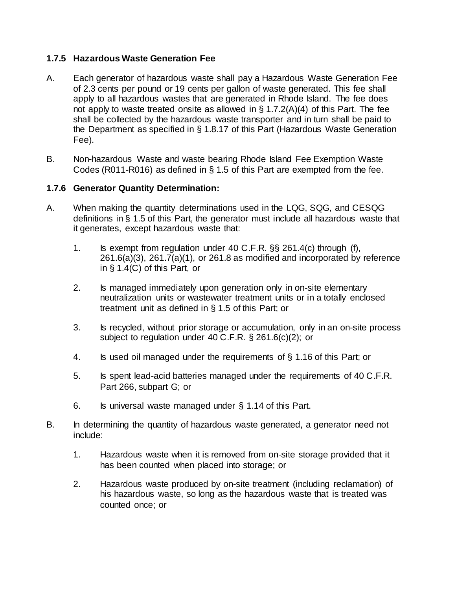### **1.7.5 Hazardous Waste Generation Fee**

- A. Each generator of hazardous waste shall pay a Hazardous Waste Generation Fee of 2.3 cents per pound or 19 cents per gallon of waste generated. This fee shall apply to all hazardous wastes that are generated in Rhode Island. The fee does not apply to waste treated onsite as allowed in  $\S$  1.7.2(A)(4) of this Part. The fee shall be collected by the hazardous waste transporter and in turn shall be paid to the Department as specified in § 1.8.17 of this Part (Hazardous Waste Generation Fee).
- B. Non-hazardous Waste and waste bearing Rhode Island Fee Exemption Waste Codes (R011-R016) as defined in § 1.5 of this Part are exempted from the fee.

### **1.7.6 Generator Quantity Determination:**

- A. When making the quantity determinations used in the LQG, SQG, and CESQG definitions in § 1.5 of this Part, the generator must include all hazardous waste that it generates, except hazardous waste that:
	- 1. Is exempt from regulation under 40 C.F.R. §§ 261.4(c) through (f), 261.6(a)(3), 261.7(a)(1), or 261.8 as modified and incorporated by reference in § 1.4(C) of this Part, or
	- 2. Is managed immediately upon generation only in on-site elementary neutralization units or wastewater treatment units or in a totally enclosed treatment unit as defined in § 1.5 of this Part; or
	- 3. Is recycled, without prior storage or accumulation, only in an on-site process subject to regulation under 40 C.F.R. § 261.6(c)(2); or
	- 4. Is used oil managed under the requirements of § 1.16 of this Part; or
	- 5. Is spent lead-acid batteries managed under the requirements of 40 C.F.R. Part 266, subpart G; or
	- 6. Is universal waste managed under § 1.14 of this Part.
- B. In determining the quantity of hazardous waste generated, a generator need not include:
	- 1. Hazardous waste when it is removed from on-site storage provided that it has been counted when placed into storage; or
	- 2. Hazardous waste produced by on-site treatment (including reclamation) of his hazardous waste, so long as the hazardous waste that is treated was counted once; or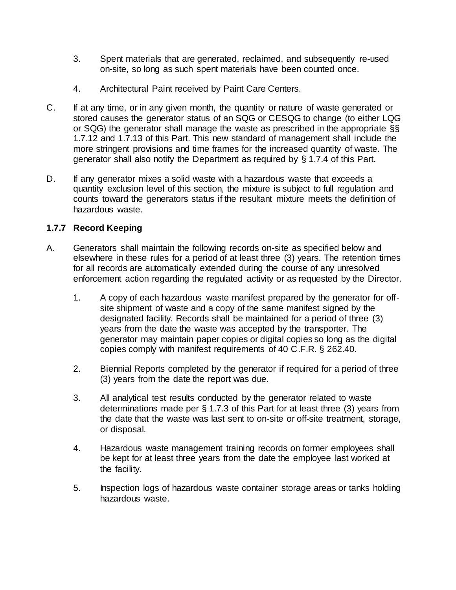- 3. Spent materials that are generated, reclaimed, and subsequently re-used on-site, so long as such spent materials have been counted once.
- 4. Architectural Paint received by Paint Care Centers.
- C. If at any time, or in any given month, the quantity or nature of waste generated or stored causes the generator status of an SQG or CESQG to change (to either LQG or SQG) the generator shall manage the waste as prescribed in the appropriate §§ 1.7.12 and 1.7.13 of this Part. This new standard of management shall include the more stringent provisions and time frames for the increased quantity of waste. The generator shall also notify the Department as required by § 1.7.4 of this Part.
- D. If any generator mixes a solid waste with a hazardous waste that exceeds a quantity exclusion level of this section, the mixture is subject to full regulation and counts toward the generators status if the resultant mixture meets the definition of hazardous waste.

## **1.7.7 Record Keeping**

- A. Generators shall maintain the following records on-site as specified below and elsewhere in these rules for a period of at least three (3) years. The retention times for all records are automatically extended during the course of any unresolved enforcement action regarding the regulated activity or as requested by the Director.
	- 1. A copy of each hazardous waste manifest prepared by the generator for offsite shipment of waste and a copy of the same manifest signed by the designated facility. Records shall be maintained for a period of three (3) years from the date the waste was accepted by the transporter. The generator may maintain paper copies or digital copies so long as the digital copies comply with manifest requirements of 40 C.F.R. § 262.40.
	- 2. Biennial Reports completed by the generator if required for a period of three (3) years from the date the report was due.
	- 3. All analytical test results conducted by the generator related to waste determinations made per § 1.7.3 of this Part for at least three (3) years from the date that the waste was last sent to on-site or off-site treatment, storage, or disposal.
	- 4. Hazardous waste management training records on former employees shall be kept for at least three years from the date the employee last worked at the facility.
	- 5. Inspection logs of hazardous waste container storage areas or tanks holding hazardous waste.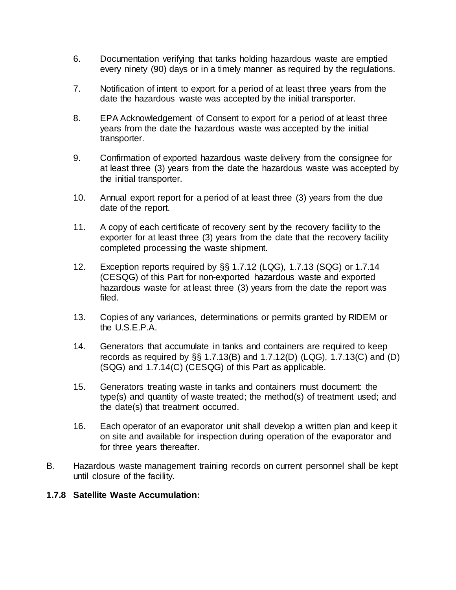- 6. Documentation verifying that tanks holding hazardous waste are emptied every ninety (90) days or in a timely manner as required by the regulations.
- 7. Notification of intent to export for a period of at least three years from the date the hazardous waste was accepted by the initial transporter.
- 8. EPA Acknowledgement of Consent to export for a period of at least three years from the date the hazardous waste was accepted by the initial transporter.
- 9. Confirmation of exported hazardous waste delivery from the consignee for at least three (3) years from the date the hazardous waste was accepted by the initial transporter.
- 10. Annual export report for a period of at least three (3) years from the due date of the report.
- 11. A copy of each certificate of recovery sent by the recovery facility to the exporter for at least three (3) years from the date that the recovery facility completed processing the waste shipment.
- 12. Exception reports required by §§ 1.7.12 (LQG), 1.7.13 (SQG) or 1.7.14 (CESQG) of this Part for non-exported hazardous waste and exported hazardous waste for at least three (3) years from the date the report was filed.
- 13. Copies of any variances, determinations or permits granted by RIDEM or the U.S.E.P.A.
- 14. Generators that accumulate in tanks and containers are required to keep records as required by  $\S$  1.7.13(B) and 1.7.12(D) (LQG), 1.7.13(C) and (D) (SQG) and 1.7.14(C) (CESQG) of this Part as applicable.
- 15. Generators treating waste in tanks and containers must document: the type(s) and quantity of waste treated; the method(s) of treatment used; and the date(s) that treatment occurred.
- 16. Each operator of an evaporator unit shall develop a written plan and keep it on site and available for inspection during operation of the evaporator and for three years thereafter.
- B. Hazardous waste management training records on current personnel shall be kept until closure of the facility.

#### **1.7.8 Satellite Waste Accumulation:**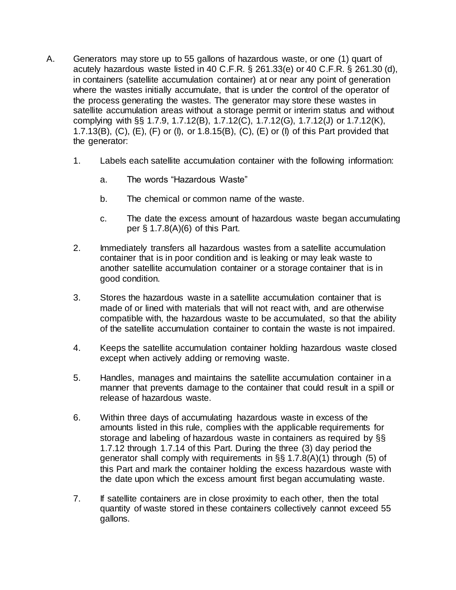- A. Generators may store up to 55 gallons of hazardous waste, or one (1) quart of acutely hazardous waste listed in 40 C.F.R. § 261.33(e) or 40 C.F.R. § 261.30 (d), in containers (satellite accumulation container) at or near any point of generation where the wastes initially accumulate, that is under the control of the operator of the process generating the wastes. The generator may store these wastes in satellite accumulation areas without a storage permit or interim status and without complying with §§ 1.7.9, 1.7.12(B), 1.7.12(C), 1.7.12(G), 1.7.12(J) or 1.7.12(K), 1.7.13(B), (C), (E), (F) or (I), or 1.8.15(B), (C), (E) or (I) of this Part provided that the generator:
	- 1. Labels each satellite accumulation container with the following information:
		- a. The words "Hazardous Waste"
		- b. The chemical or common name of the waste.
		- c. The date the excess amount of hazardous waste began accumulating per § 1.7.8(A)(6) of this Part.
	- 2. Immediately transfers all hazardous wastes from a satellite accumulation container that is in poor condition and is leaking or may leak waste to another satellite accumulation container or a storage container that is in good condition.
	- 3. Stores the hazardous waste in a satellite accumulation container that is made of or lined with materials that will not react with, and are otherwise compatible with, the hazardous waste to be accumulated, so that the ability of the satellite accumulation container to contain the waste is not impaired.
	- 4. Keeps the satellite accumulation container holding hazardous waste closed except when actively adding or removing waste.
	- 5. Handles, manages and maintains the satellite accumulation container in a manner that prevents damage to the container that could result in a spill or release of hazardous waste.
	- 6. Within three days of accumulating hazardous waste in excess of the amounts listed in this rule, complies with the applicable requirements for storage and labeling of hazardous waste in containers as required by §§ 1.7.12 through 1.7.14 of this Part. During the three (3) day period the generator shall comply with requirements in §§ 1.7.8(A)(1) through (5) of this Part and mark the container holding the excess hazardous waste with the date upon which the excess amount first began accumulating waste.
	- 7. If satellite containers are in close proximity to each other, then the total quantity of waste stored in these containers collectively cannot exceed 55 gallons.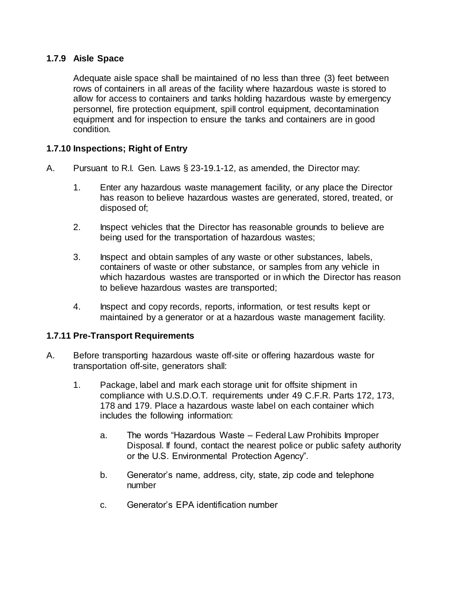### **1.7.9 Aisle Space**

Adequate aisle space shall be maintained of no less than three (3) feet between rows of containers in all areas of the facility where hazardous waste is stored to allow for access to containers and tanks holding hazardous waste by emergency personnel, fire protection equipment, spill control equipment, decontamination equipment and for inspection to ensure the tanks and containers are in good condition.

### **1.7.10 Inspections; Right of Entry**

- A. Pursuant to R.I. Gen. Laws § 23-19.1-12, as amended, the Director may:
	- 1. Enter any hazardous waste management facility, or any place the Director has reason to believe hazardous wastes are generated, stored, treated, or disposed of;
	- 2. Inspect vehicles that the Director has reasonable grounds to believe are being used for the transportation of hazardous wastes;
	- 3. Inspect and obtain samples of any waste or other substances, labels, containers of waste or other substance, or samples from any vehicle in which hazardous wastes are transported or in which the Director has reason to believe hazardous wastes are transported;
	- 4. Inspect and copy records, reports, information, or test results kept or maintained by a generator or at a hazardous waste management facility.

#### **1.7.11 Pre-Transport Requirements**

- A. Before transporting hazardous waste off-site or offering hazardous waste for transportation off-site, generators shall:
	- 1. Package, label and mark each storage unit for offsite shipment in compliance with U.S.D.O.T. requirements under 49 C.F.R. Parts 172, 173, 178 and 179. Place a hazardous waste label on each container which includes the following information:
		- a. The words "Hazardous Waste Federal Law Prohibits Improper Disposal. If found, contact the nearest police or public safety authority or the U.S. Environmental Protection Agency".
		- b. Generator's name, address, city, state, zip code and telephone number
		- c. Generator's EPA identification number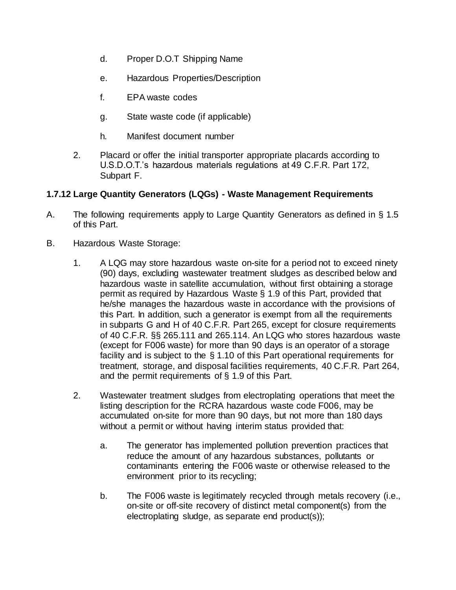- d. Proper D.O.T Shipping Name
- e. Hazardous Properties/Description
- f. EPA waste codes
- g. State waste code (if applicable)
- h. Manifest document number
- 2. Placard or offer the initial transporter appropriate placards according to U.S.D.O.T.'s hazardous materials regulations at 49 C.F.R. Part 172, Subpart F.

#### **1.7.12 Large Quantity Generators (LQGs) - Waste Management Requirements**

- A. The following requirements apply to Large Quantity Generators as defined in § 1.5 of this Part.
- B. Hazardous Waste Storage:
	- 1. A LQG may store hazardous waste on-site for a period not to exceed ninety (90) days, excluding wastewater treatment sludges as described below and hazardous waste in satellite accumulation, without first obtaining a storage permit as required by Hazardous Waste § 1.9 of this Part, provided that he/she manages the hazardous waste in accordance with the provisions of this Part. In addition, such a generator is exempt from all the requirements in subparts G and H of 40 C.F.R. Part 265, except for closure requirements of 40 C.F.R. §§ 265.111 and 265.114. An LQG who stores hazardous waste (except for F006 waste) for more than 90 days is an operator of a storage facility and is subject to the § 1.10 of this Part operational requirements for treatment, storage, and disposal facilities requirements, 40 C.F.R. Part 264, and the permit requirements of § 1.9 of this Part.
	- 2. Wastewater treatment sludges from electroplating operations that meet the listing description for the RCRA hazardous waste code F006, may be accumulated on-site for more than 90 days, but not more than 180 days without a permit or without having interim status provided that:
		- a. The generator has implemented pollution prevention practices that reduce the amount of any hazardous substances, pollutants or contaminants entering the F006 waste or otherwise released to the environment prior to its recycling;
		- b. The F006 waste is legitimately recycled through metals recovery (i.e., on-site or off-site recovery of distinct metal component(s) from the electroplating sludge, as separate end product(s));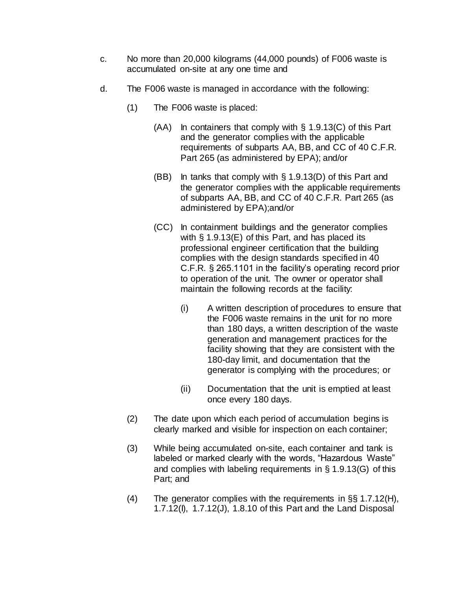- c. No more than 20,000 kilograms (44,000 pounds) of F006 waste is accumulated on-site at any one time and
- d. The F006 waste is managed in accordance with the following:
	- (1) The F006 waste is placed:
		- $(AA)$  In containers that comply with § 1.9.13(C) of this Part and the generator complies with the applicable requirements of subparts AA, BB, and CC of 40 C.F.R. Part 265 (as administered by EPA); and/or
		- (BB) In tanks that comply with § 1.9.13(D) of this Part and the generator complies with the applicable requirements of subparts AA, BB, and CC of 40 C.F.R. Part 265 (as administered by EPA);and/or
		- (CC) In containment buildings and the generator complies with  $\S$  1.9.13(E) of this Part, and has placed its professional engineer certification that the building complies with the design standards specified in 40 C.F.R. § 265.1101 in the facility's operating record prior to operation of the unit. The owner or operator shall maintain the following records at the facility:
			- (i) A written description of procedures to ensure that the F006 waste remains in the unit for no more than 180 days, a written description of the waste generation and management practices for the facility showing that they are consistent with the 180-day limit, and documentation that the generator is complying with the procedures; or
			- (ii) Documentation that the unit is emptied at least once every 180 days.
	- (2) The date upon which each period of accumulation begins is clearly marked and visible for inspection on each container;
	- (3) While being accumulated on-site, each container and tank is labeled or marked clearly with the words, "Hazardous Waste" and complies with labeling requirements in § 1.9.13(G) of this Part; and
	- (4) The generator complies with the requirements in §§ 1.7.12(H), 1.7.12(I), 1.7.12(J), 1.8.10 of this Part and the Land Disposal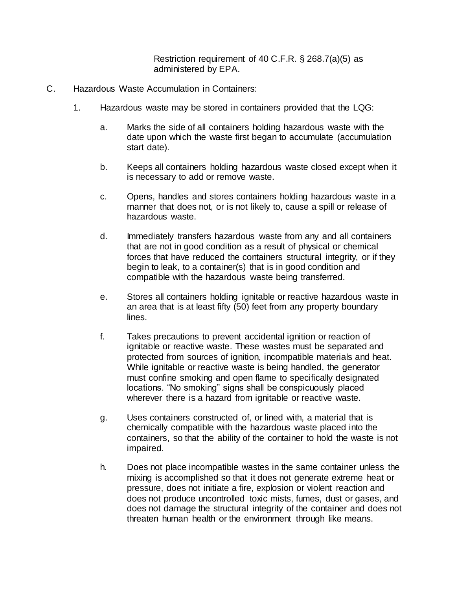Restriction requirement of 40 C.F.R. § 268.7(a)(5) as administered by EPA.

- C. Hazardous Waste Accumulation in Containers:
	- 1. Hazardous waste may be stored in containers provided that the LQG:
		- a. Marks the side of all containers holding hazardous waste with the date upon which the waste first began to accumulate (accumulation start date).
		- b. Keeps all containers holding hazardous waste closed except when it is necessary to add or remove waste.
		- c. Opens, handles and stores containers holding hazardous waste in a manner that does not, or is not likely to, cause a spill or release of hazardous waste.
		- d. Immediately transfers hazardous waste from any and all containers that are not in good condition as a result of physical or chemical forces that have reduced the containers structural integrity, or if they begin to leak, to a container(s) that is in good condition and compatible with the hazardous waste being transferred.
		- e. Stores all containers holding ignitable or reactive hazardous waste in an area that is at least fifty (50) feet from any property boundary lines.
		- f. Takes precautions to prevent accidental ignition or reaction of ignitable or reactive waste. These wastes must be separated and protected from sources of ignition, incompatible materials and heat. While ignitable or reactive waste is being handled, the generator must confine smoking and open flame to specifically designated locations. "No smoking" signs shall be conspicuously placed wherever there is a hazard from ignitable or reactive waste.
		- g. Uses containers constructed of, or lined with, a material that is chemically compatible with the hazardous waste placed into the containers, so that the ability of the container to hold the waste is not impaired.
		- h. Does not place incompatible wastes in the same container unless the mixing is accomplished so that it does not generate extreme heat or pressure, does not initiate a fire, explosion or violent reaction and does not produce uncontrolled toxic mists, fumes, dust or gases, and does not damage the structural integrity of the container and does not threaten human health or the environment through like means.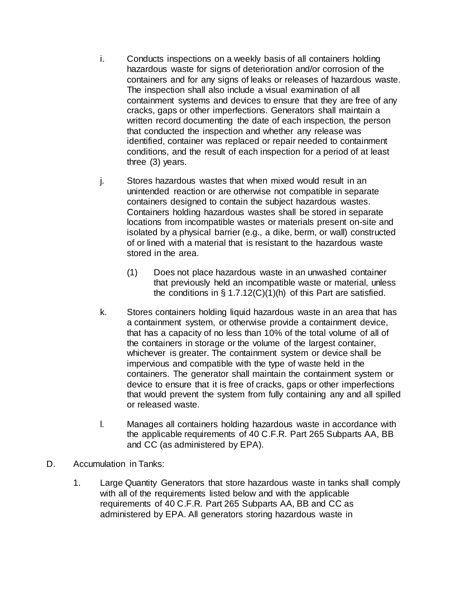- i. Conducts inspections on a weekly basis of all containers holding hazardous waste for signs of deterioration and/or corrosion of the containers and for any signs of leaks or releases of hazardous waste. The inspection shall also include a visual examination of all containment systems and devices to ensure that they are free of any cracks, gaps or other imperfections. Generators shall maintain a written record documenting the date of each inspection, the person that conducted the inspection and whether any release was identified, container was replaced or repair needed to containment conditions, and the result of each inspection for a period of at least three (3) years.
- j. Stores hazardous wastes that when mixed would result in an unintended reaction or are otherwise not compatible in separate containers designed to contain the subject hazardous wastes. Containers holding hazardous wastes shall be stored in separate locations from incompatible wastes or materials present on-site and isolated by a physical barrier (e.g., a dike, berm, or wall) constructed of or lined with a material that is resistant to the hazardous waste stored in the area.
	- (1) Does not place hazardous waste in an unwashed container that previously held an incompatible waste or material, unless the conditions in  $\S 1.7.12(C)(1)(h)$  of this Part are satisfied.
- k. Stores containers holding liquid hazardous waste in an area that has a containment system, or otherwise provide a containment device, that has a capacity of no less than 10% of the total volume of all of the containers in storage or the volume of the largest container, whichever is greater. The containment system or device shall be impervious and compatible with the type of waste held in the containers. The generator shall maintain the containment system or device to ensure that it is free of cracks, gaps or other imperfections that would prevent the system from fully containing any and all spilled or released waste.
- l. Manages all containers holding hazardous waste in accordance with the applicable requirements of 40 C.F.R. Part 265 Subparts AA, BB and CC (as administered by EPA).
- D. Accumulation in Tanks:
	- 1. Large Quantity Generators that store hazardous waste in tanks shall comply with all of the requirements listed below and with the applicable requirements of 40 C.F.R. Part 265 Subparts AA, BB and CC as administered by EPA. All generators storing hazardous waste in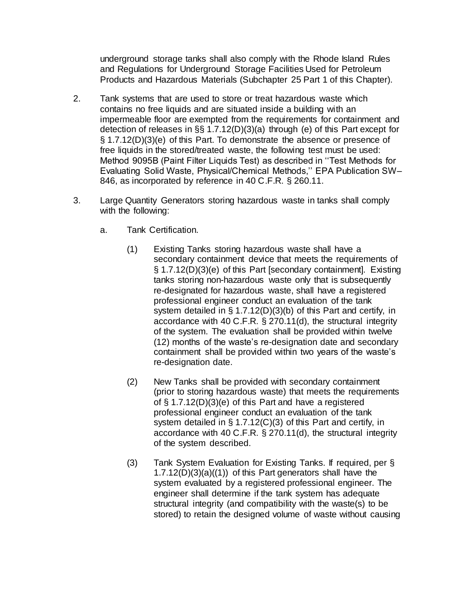underground storage tanks shall also comply with the Rhode Island Rules and Regulations for Underground Storage Facilities Used for Petroleum Products and Hazardous Materials (Subchapter 25 Part [1](https://rules.sos.ri.gov/regulations/part/250-140-25-1) of this Chapter).

- 2. Tank systems that are used to store or treat hazardous waste which contains no free liquids and are situated inside a building with an impermeable floor are exempted from the requirements for containment and detection of releases in §§ 1.7.12(D)(3)(a) through (e) of this Part except for § 1.7.12(D)(3)(e) of this Part. To demonstrate the absence or presence of free liquids in the stored/treated waste, the following test must be used: Method 9095B (Paint Filter Liquids Test) as described in ''Test Methods for Evaluating Solid Waste, Physical/Chemical Methods,'' EPA Publication SW– 846, as incorporated by reference in 40 C.F.R. § 260.11.
- 3. Large Quantity Generators storing hazardous waste in tanks shall comply with the following:
	- a. Tank Certification.
		- (1) Existing Tanks storing hazardous waste shall have a secondary containment device that meets the requirements of § 1.7.12(D)(3)(e) of this Part [secondary containment]. Existing tanks storing non-hazardous waste only that is subsequently re-designated for hazardous waste, shall have a registered professional engineer conduct an evaluation of the tank system detailed in § 1.7.12(D)(3)(b) of this Part and certify, in accordance with 40 C.F.R. § 270.11(d), the structural integrity of the system. The evaluation shall be provided within twelve (12) months of the waste's re-designation date and secondary containment shall be provided within two years of the waste's re-designation date.
		- (2) New Tanks shall be provided with secondary containment (prior to storing hazardous waste) that meets the requirements of § 1.7.12(D)(3)(e) of this Part and have a registered professional engineer conduct an evaluation of the tank system detailed in § 1.7.12(C)(3) of this Part and certify, in accordance with 40 C.F.R. § 270.11(d), the structural integrity of the system described.
		- (3) Tank System Evaluation for Existing Tanks. If required, per § 1.7.12(D)(3)(a)((1)) of this Part generators shall have the system evaluated by a registered professional engineer. The engineer shall determine if the tank system has adequate structural integrity (and compatibility with the waste(s) to be stored) to retain the designed volume of waste without causing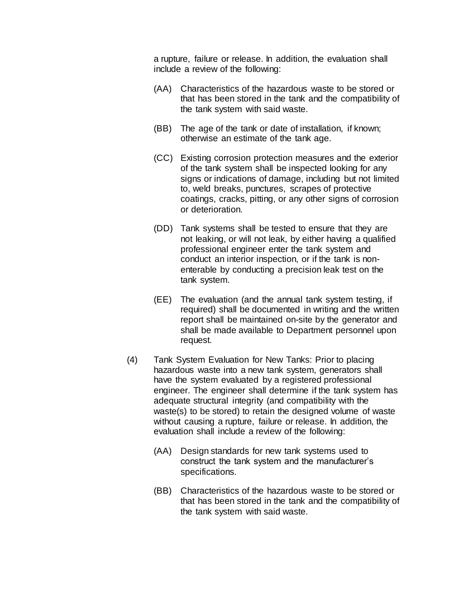a rupture, failure or release. In addition, the evaluation shall include a review of the following:

- (AA) Characteristics of the hazardous waste to be stored or that has been stored in the tank and the compatibility of the tank system with said waste.
- (BB) The age of the tank or date of installation, if known; otherwise an estimate of the tank age.
- (CC) Existing corrosion protection measures and the exterior of the tank system shall be inspected looking for any signs or indications of damage, including but not limited to, weld breaks, punctures, scrapes of protective coatings, cracks, pitting, or any other signs of corrosion or deterioration.
- (DD) Tank systems shall be tested to ensure that they are not leaking, or will not leak, by either having a qualified professional engineer enter the tank system and conduct an interior inspection, or if the tank is nonenterable by conducting a precision leak test on the tank system.
- (EE) The evaluation (and the annual tank system testing, if required) shall be documented in writing and the written report shall be maintained on-site by the generator and shall be made available to Department personnel upon request.
- (4) Tank System Evaluation for New Tanks: Prior to placing hazardous waste into a new tank system, generators shall have the system evaluated by a registered professional engineer. The engineer shall determine if the tank system has adequate structural integrity (and compatibility with the waste(s) to be stored) to retain the designed volume of waste without causing a rupture, failure or release. In addition, the evaluation shall include a review of the following:
	- (AA) Design standards for new tank systems used to construct the tank system and the manufacturer's specifications.
	- (BB) Characteristics of the hazardous waste to be stored or that has been stored in the tank and the compatibility of the tank system with said waste.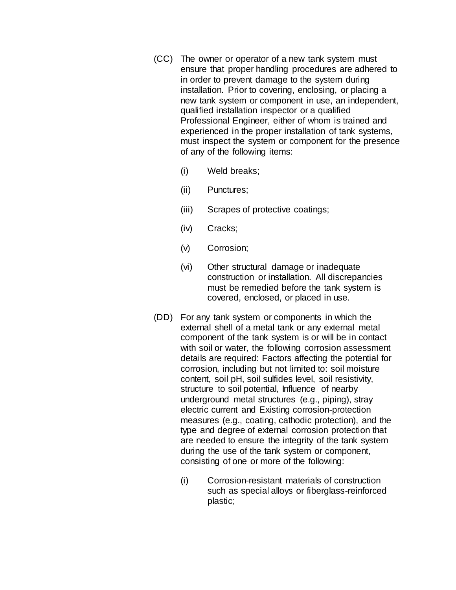- (CC) The owner or operator of a new tank system must ensure that proper handling procedures are adhered to in order to prevent damage to the system during installation. Prior to covering, enclosing, or placing a new tank system or component in use, an independent, qualified installation inspector or a qualified Professional Engineer, either of whom is trained and experienced in the proper installation of tank systems, must inspect the system or component for the presence of any of the following items:
	- (i) Weld breaks;
	- (ii) Punctures;
	- (iii) Scrapes of protective coatings;
	- (iv) Cracks;
	- (v) Corrosion;
	- (vi) Other structural damage or inadequate construction or installation. All discrepancies must be remedied before the tank system is covered, enclosed, or placed in use.
- (DD) For any tank system or components in which the external shell of a metal tank or any external metal component of the tank system is or will be in contact with soil or water, the following corrosion assessment details are required: Factors affecting the potential for corrosion, including but not limited to: soil moisture content, soil pH, soil sulfides level, soil resistivity, structure to soil potential, Influence of nearby underground metal structures (e.g., piping), stray electric current and Existing corrosion-protection measures (e.g., coating, cathodic protection), and the type and degree of external corrosion protection that are needed to ensure the integrity of the tank system during the use of the tank system or component, consisting of one or more of the following:
	- (i) Corrosion-resistant materials of construction such as special alloys or fiberglass-reinforced plastic;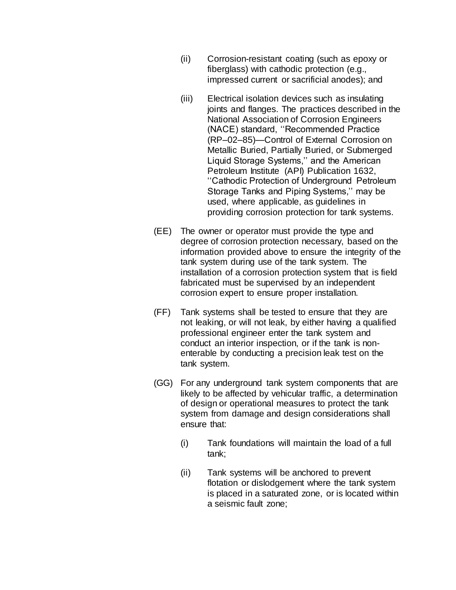- (ii) Corrosion-resistant coating (such as epoxy or fiberglass) with cathodic protection (e.g., impressed current or sacrificial anodes); and
- (iii) Electrical isolation devices such as insulating joints and flanges. The practices described in the National Association of Corrosion Engineers (NACE) standard, ''Recommended Practice (RP–02–85)—Control of External Corrosion on Metallic Buried, Partially Buried, or Submerged Liquid Storage Systems,'' and the American Petroleum Institute (API) Publication 1632, ''Cathodic Protection of Underground Petroleum Storage Tanks and Piping Systems,'' may be used, where applicable, as guidelines in providing corrosion protection for tank systems.
- (EE) The owner or operator must provide the type and degree of corrosion protection necessary, based on the information provided above to ensure the integrity of the tank system during use of the tank system. The installation of a corrosion protection system that is field fabricated must be supervised by an independent corrosion expert to ensure proper installation.
- (FF) Tank systems shall be tested to ensure that they are not leaking, or will not leak, by either having a qualified professional engineer enter the tank system and conduct an interior inspection, or if the tank is nonenterable by conducting a precision leak test on the tank system.
- (GG) For any underground tank system components that are likely to be affected by vehicular traffic, a determination of design or operational measures to protect the tank system from damage and design considerations shall ensure that:
	- (i) Tank foundations will maintain the load of a full tank;
	- (ii) Tank systems will be anchored to prevent flotation or dislodgement where the tank system is placed in a saturated zone, or is located within a seismic fault zone;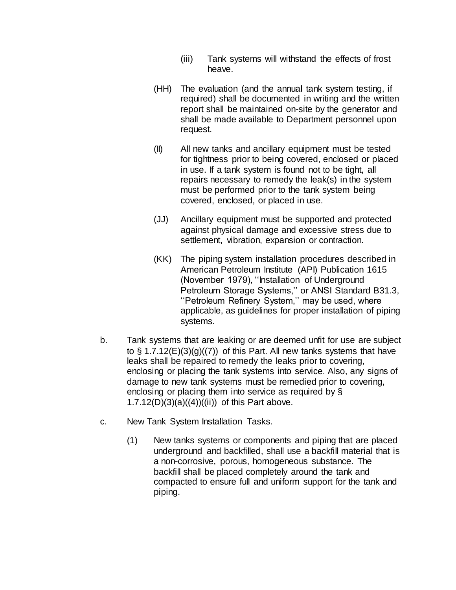- (iii) Tank systems will withstand the effects of frost heave.
- (HH) The evaluation (and the annual tank system testing, if required) shall be documented in writing and the written report shall be maintained on-site by the generator and shall be made available to Department personnel upon request.
- (II) All new tanks and ancillary equipment must be tested for tightness prior to being covered, enclosed or placed in use. If a tank system is found not to be tight, all repairs necessary to remedy the leak(s) in the system must be performed prior to the tank system being covered, enclosed, or placed in use.
- (JJ) Ancillary equipment must be supported and protected against physical damage and excessive stress due to settlement, vibration, expansion or contraction.
- (KK) The piping system installation procedures described in American Petroleum Institute (API) Publication 1615 (November 1979), ''Installation of Underground Petroleum Storage Systems,'' or ANSI Standard B31.3, ''Petroleum Refinery System,'' may be used, where applicable, as guidelines for proper installation of piping systems.
- b. Tank systems that are leaking or are deemed unfit for use are subject to  $\S$  1.7.12(E)(3)(g)((7)) of this Part. All new tanks systems that have leaks shall be repaired to remedy the leaks prior to covering, enclosing or placing the tank systems into service. Also, any signs of damage to new tank systems must be remedied prior to covering, enclosing or placing them into service as required by § 1.7.12(D)(3)(a)((4))((ii)) of this Part above.
- c. New Tank System Installation Tasks.
	- (1) New tanks systems or components and piping that are placed underground and backfilled, shall use a backfill material that is a non-corrosive, porous, homogeneous substance. The backfill shall be placed completely around the tank and compacted to ensure full and uniform support for the tank and piping.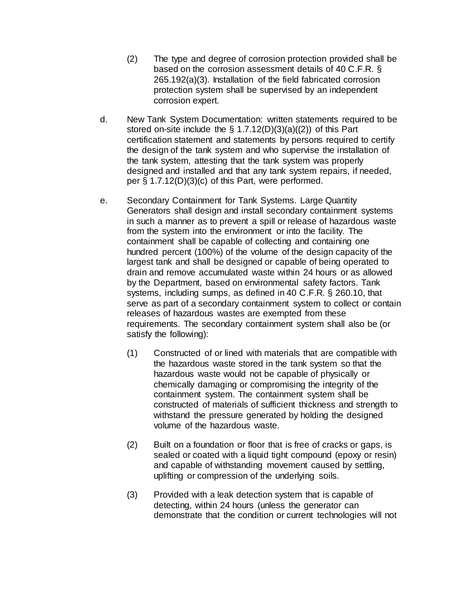- (2) The type and degree of corrosion protection provided shall be based on the corrosion assessment details of 40 C.F.R. § 265.192(a)(3). Installation of the field fabricated corrosion protection system shall be supervised by an independent corrosion expert.
- d. New Tank System Documentation: written statements required to be stored on-site include the § 1.7.12(D)(3)(a)((2)) of this Part certification statement and statements by persons required to certify the design of the tank system and who supervise the installation of the tank system, attesting that the tank system was properly designed and installed and that any tank system repairs, if needed, per § 1.7.12(D)(3)(c) of this Part, were performed.
- e. Secondary Containment for Tank Systems. Large Quantity Generators shall design and install secondary containment systems in such a manner as to prevent a spill or release of hazardous waste from the system into the environment or into the facility. The containment shall be capable of collecting and containing one hundred percent (100%) of the volume of the design capacity of the largest tank and shall be designed or capable of being operated to drain and remove accumulated waste within 24 hours or as allowed by the Department, based on environmental safety factors. Tank systems, including sumps, as defined in 40 C.F.R. § 260.10, that serve as part of a secondary containment system to collect or contain releases of hazardous wastes are exempted from these requirements. The secondary containment system shall also be (or satisfy the following):
	- (1) Constructed of or lined with materials that are compatible with the hazardous waste stored in the tank system so that the hazardous waste would not be capable of physically or chemically damaging or compromising the integrity of the containment system. The containment system shall be constructed of materials of sufficient thickness and strength to withstand the pressure generated by holding the designed volume of the hazardous waste.
	- (2) Built on a foundation or floor that is free of cracks or gaps, is sealed or coated with a liquid tight compound (epoxy or resin) and capable of withstanding movement caused by settling, uplifting or compression of the underlying soils.
	- (3) Provided with a leak detection system that is capable of detecting, within 24 hours (unless the generator can demonstrate that the condition or current technologies will not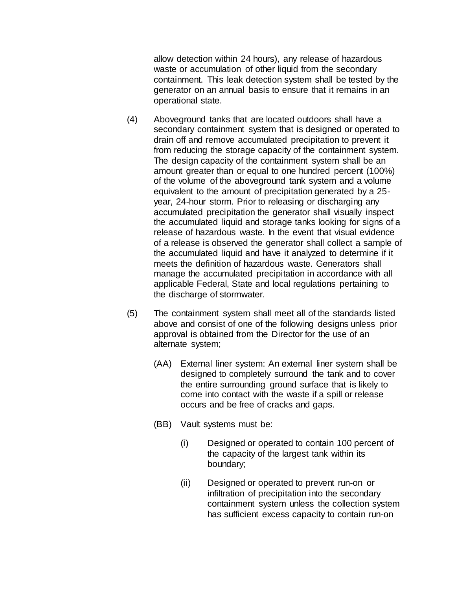allow detection within 24 hours), any release of hazardous waste or accumulation of other liquid from the secondary containment. This leak detection system shall be tested by the generator on an annual basis to ensure that it remains in an operational state.

- (4) Aboveground tanks that are located outdoors shall have a secondary containment system that is designed or operated to drain off and remove accumulated precipitation to prevent it from reducing the storage capacity of the containment system. The design capacity of the containment system shall be an amount greater than or equal to one hundred percent (100%) of the volume of the aboveground tank system and a volume equivalent to the amount of precipitation generated by a 25 year, 24-hour storm. Prior to releasing or discharging any accumulated precipitation the generator shall visually inspect the accumulated liquid and storage tanks looking for signs of a release of hazardous waste. In the event that visual evidence of a release is observed the generator shall collect a sample of the accumulated liquid and have it analyzed to determine if it meets the definition of hazardous waste. Generators shall manage the accumulated precipitation in accordance with all applicable Federal, State and local regulations pertaining to the discharge of stormwater.
- (5) The containment system shall meet all of the standards listed above and consist of one of the following designs unless prior approval is obtained from the Director for the use of an alternate system;
	- (AA) External liner system: An external liner system shall be designed to completely surround the tank and to cover the entire surrounding ground surface that is likely to come into contact with the waste if a spill or release occurs and be free of cracks and gaps.
	- (BB) Vault systems must be:
		- (i) Designed or operated to contain 100 percent of the capacity of the largest tank within its boundary;
		- (ii) Designed or operated to prevent run-on or infiltration of precipitation into the secondary containment system unless the collection system has sufficient excess capacity to contain run-on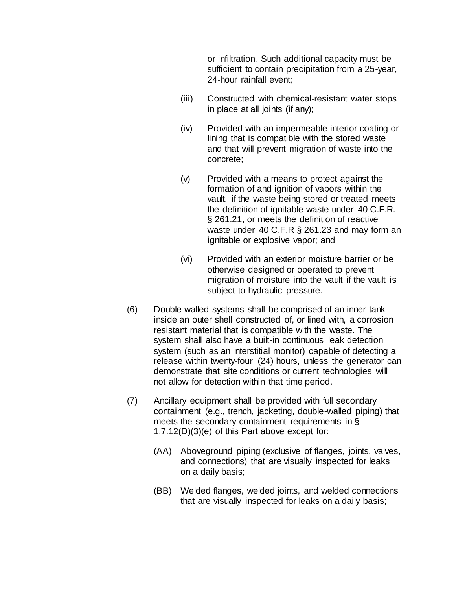or infiltration. Such additional capacity must be sufficient to contain precipitation from a 25-year, 24-hour rainfall event;

- (iii) Constructed with chemical-resistant water stops in place at all joints (if any);
- (iv) Provided with an impermeable interior coating or lining that is compatible with the stored waste and that will prevent migration of waste into the concrete;
- (v) Provided with a means to protect against the formation of and ignition of vapors within the vault, if the waste being stored or treated meets the definition of ignitable waste under 40 C.F.R. § 261.21, or meets the definition of reactive waste under 40 C.F.R § 261.23 and may form an ignitable or explosive vapor; and
- (vi) Provided with an exterior moisture barrier or be otherwise designed or operated to prevent migration of moisture into the vault if the vault is subject to hydraulic pressure.
- (6) Double walled systems shall be comprised of an inner tank inside an outer shell constructed of, or lined with, a corrosion resistant material that is compatible with the waste. The system shall also have a built-in continuous leak detection system (such as an interstitial monitor) capable of detecting a release within twenty-four (24) hours, unless the generator can demonstrate that site conditions or current technologies will not allow for detection within that time period.
- (7) Ancillary equipment shall be provided with full secondary containment (e.g., trench, jacketing, double-walled piping) that meets the secondary containment requirements in § 1.7.12(D)(3)(e) of this Part above except for:
	- (AA) Aboveground piping (exclusive of flanges, joints, valves, and connections) that are visually inspected for leaks on a daily basis;
	- (BB) Welded flanges, welded joints, and welded connections that are visually inspected for leaks on a daily basis;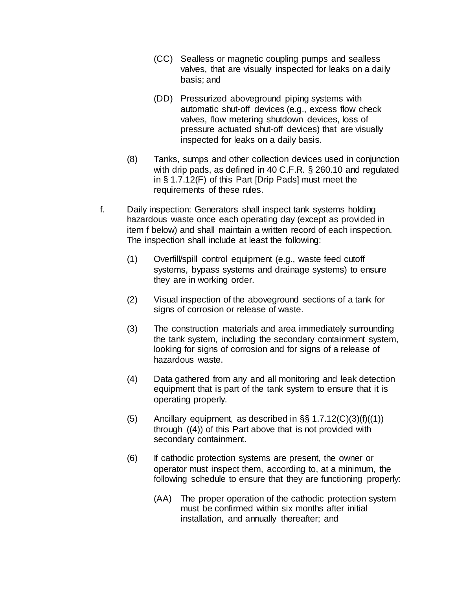- (CC) Sealless or magnetic coupling pumps and sealless valves, that are visually inspected for leaks on a daily basis; and
- (DD) Pressurized aboveground piping systems with automatic shut-off devices (e.g., excess flow check valves, flow metering shutdown devices, loss of pressure actuated shut-off devices) that are visually inspected for leaks on a daily basis.
- (8) Tanks, sumps and other collection devices used in conjunction with drip pads, as defined in 40 C.F.R. § 260.10 and regulated in § 1.7.12(F) of this Part [Drip Pads] must meet the requirements of these rules.
- f. Daily inspection: Generators shall inspect tank systems holding hazardous waste once each operating day (except as provided in item f below) and shall maintain a written record of each inspection. The inspection shall include at least the following:
	- (1) Overfill/spill control equipment (e.g., waste feed cutoff systems, bypass systems and drainage systems) to ensure they are in working order.
	- (2) Visual inspection of the aboveground sections of a tank for signs of corrosion or release of waste.
	- (3) The construction materials and area immediately surrounding the tank system, including the secondary containment system, looking for signs of corrosion and for signs of a release of hazardous waste.
	- (4) Data gathered from any and all monitoring and leak detection equipment that is part of the tank system to ensure that it is operating properly.
	- (5) Ancillary equipment, as described in  $\S$ § 1.7.12(C)(3)(f)((1)) through ((4)) of this Part above that is not provided with secondary containment.
	- (6) If cathodic protection systems are present, the owner or operator must inspect them, according to, at a minimum, the following schedule to ensure that they are functioning properly:
		- (AA) The proper operation of the cathodic protection system must be confirmed within six months after initial installation, and annually thereafter; and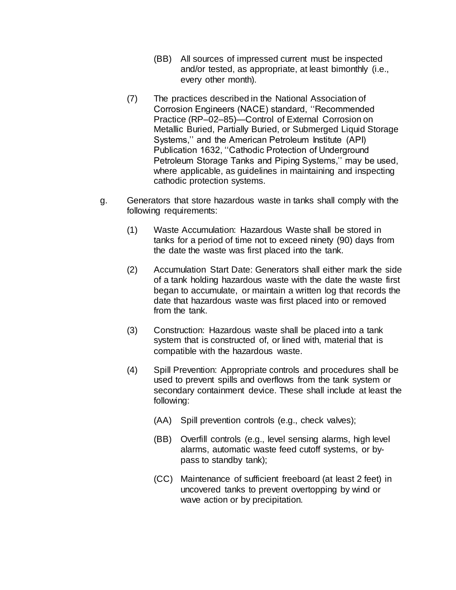- (BB) All sources of impressed current must be inspected and/or tested, as appropriate, at least bimonthly (i.e., every other month).
- (7) The practices described in the National Association of Corrosion Engineers (NACE) standard, ''Recommended Practice (RP–02–85)—Control of External Corrosion on Metallic Buried, Partially Buried, or Submerged Liquid Storage Systems,'' and the American Petroleum Institute (API) Publication 1632, ''Cathodic Protection of Underground Petroleum Storage Tanks and Piping Systems,'' may be used, where applicable, as guidelines in maintaining and inspecting cathodic protection systems.
- g. Generators that store hazardous waste in tanks shall comply with the following requirements:
	- (1) Waste Accumulation: Hazardous Waste shall be stored in tanks for a period of time not to exceed ninety (90) days from the date the waste was first placed into the tank.
	- (2) Accumulation Start Date: Generators shall either mark the side of a tank holding hazardous waste with the date the waste first began to accumulate, or maintain a written log that records the date that hazardous waste was first placed into or removed from the tank.
	- (3) Construction: Hazardous waste shall be placed into a tank system that is constructed of, or lined with, material that is compatible with the hazardous waste.
	- (4) Spill Prevention: Appropriate controls and procedures shall be used to prevent spills and overflows from the tank system or secondary containment device. These shall include at least the following:
		- (AA) Spill prevention controls (e.g., check valves);
		- (BB) Overfill controls (e.g., level sensing alarms, high level alarms, automatic waste feed cutoff systems, or bypass to standby tank);
		- (CC) Maintenance of sufficient freeboard (at least 2 feet) in uncovered tanks to prevent overtopping by wind or wave action or by precipitation.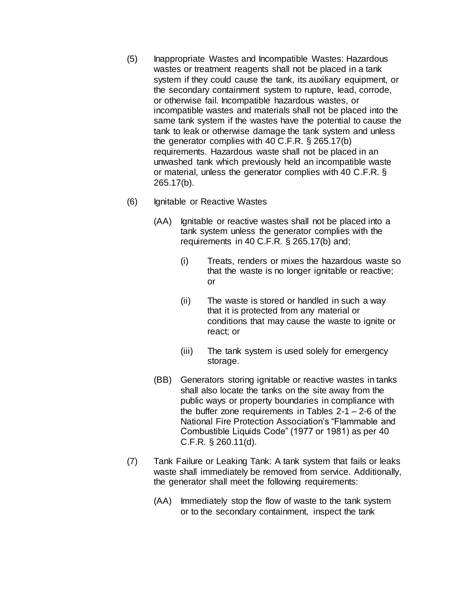- (5) Inappropriate Wastes and Incompatible Wastes: Hazardous wastes or treatment reagents shall not be placed in a tank system if they could cause the tank, its auxiliary equipment, or the secondary containment system to rupture, lead, corrode, or otherwise fail. Incompatible hazardous wastes, or incompatible wastes and materials shall not be placed into the same tank system if the wastes have the potential to cause the tank to leak or otherwise damage the tank system and unless the generator complies with 40 C.F.R. § 265.17(b) requirements. Hazardous waste shall not be placed in an unwashed tank which previously held an incompatible waste or material, unless the generator complies with 40 C.F.R. § 265.17(b).
- (6) Ignitable or Reactive Wastes
	- (AA) Ignitable or reactive wastes shall not be placed into a tank system unless the generator complies with the requirements in 40 C.F.R. § 265.17(b) and;
		- (i) Treats, renders or mixes the hazardous waste so that the waste is no longer ignitable or reactive; or
		- (ii) The waste is stored or handled in such a way that it is protected from any material or conditions that may cause the waste to ignite or react; or
		- (iii) The tank system is used solely for emergency storage.
	- (BB) Generators storing ignitable or reactive wastes in tanks shall also locate the tanks on the site away from the public ways or property boundaries in compliance with the buffer zone requirements in Tables 2-1 – 2-6 of the National Fire Protection Association's "Flammable and Combustible Liquids Code" (1977 or 1981) as per 40 C.F.R. § 260.11(d).
- (7) Tank Failure or Leaking Tank: A tank system that fails or leaks waste shall immediately be removed from service. Additionally, the generator shall meet the following requirements:
	- (AA) Immediately stop the flow of waste to the tank system or to the secondary containment, inspect the tank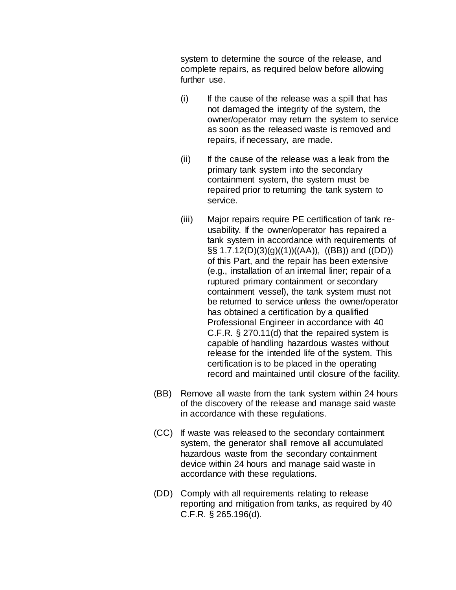system to determine the source of the release, and complete repairs, as required below before allowing further use.

- $(i)$  If the cause of the release was a spill that has not damaged the integrity of the system, the owner/operator may return the system to service as soon as the released waste is removed and repairs, if necessary, are made.
- (ii) If the cause of the release was a leak from the primary tank system into the secondary containment system, the system must be repaired prior to returning the tank system to service.
- (iii) Major repairs require PE certification of tank reusability. If the owner/operator has repaired a tank system in accordance with requirements of  $\S$ § 1.7.12(D)(3)(g)((1))((AA)), ((BB)) and ((DD)) of this Part, and the repair has been extensive (e.g., installation of an internal liner; repair of a ruptured primary containment or secondary containment vessel), the tank system must not be returned to service unless the owner/operator has obtained a certification by a qualified Professional Engineer in accordance with 40 C.F.R. § 270.11(d) that the repaired system is capable of handling hazardous wastes without release for the intended life of the system. This certification is to be placed in the operating record and maintained until closure of the facility.
- (BB) Remove all waste from the tank system within 24 hours of the discovery of the release and manage said waste in accordance with these regulations.
- (CC) If waste was released to the secondary containment system, the generator shall remove all accumulated hazardous waste from the secondary containment device within 24 hours and manage said waste in accordance with these regulations.
- (DD) Comply with all requirements relating to release reporting and mitigation from tanks, as required by 40 C.F.R. § 265.196(d).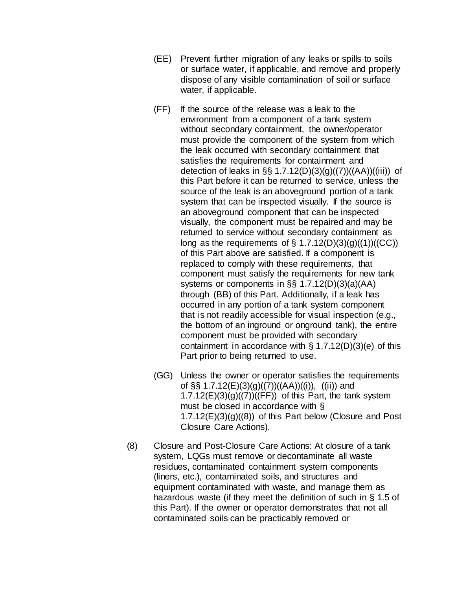- (EE) Prevent further migration of any leaks or spills to soils or surface water, if applicable, and remove and properly dispose of any visible contamination of soil or surface water, if applicable.
- (FF) If the source of the release was a leak to the environment from a component of a tank system without secondary containment, the owner/operator must provide the component of the system from which the leak occurred with secondary containment that satisfies the requirements for containment and detection of leaks in §§ 1.7.12(D)(3)(g)((7))((AA))((iii)) of this Part before it can be returned to service, unless the source of the leak is an aboveground portion of a tank system that can be inspected visually. If the source is an aboveground component that can be inspected visually, the component must be repaired and may be returned to service without secondary containment as long as the requirements of  $\S$  1.7.12(D)(3)(q)((1))((CC)) of this Part above are satisfied. If a component is replaced to comply with these requirements, that component must satisfy the requirements for new tank systems or components in §§ 1.7.12(D)(3)(a)(AA) through (BB) of this Part. Additionally, if a leak has occurred in any portion of a tank system component that is not readily accessible for visual inspection (e.g., the bottom of an inground or onground tank), the entire component must be provided with secondary containment in accordance with § 1.7.12(D)(3)(e) of this Part prior to being returned to use.
- (GG) Unless the owner or operator satisfies the requirements of §§ 1.7.12(E)(3)(g)((7))((AA))((i)), ((ii)) and  $1.7.12(E)(3)(g)((7))((FF))$  of this Part, the tank system must be closed in accordance with §  $1.7.12(E)(3)(g)((8))$  of this Part below (Closure and Post Closure Care Actions).
- (8) Closure and Post-Closure Care Actions: At closure of a tank system, LQGs must remove or decontaminate all waste residues, contaminated containment system components (liners, etc.), contaminated soils, and structures and equipment contaminated with waste, and manage them as hazardous waste (if they meet the definition of such in § 1.5 of this Part). If the owner or operator demonstrates that not all contaminated soils can be practicably removed or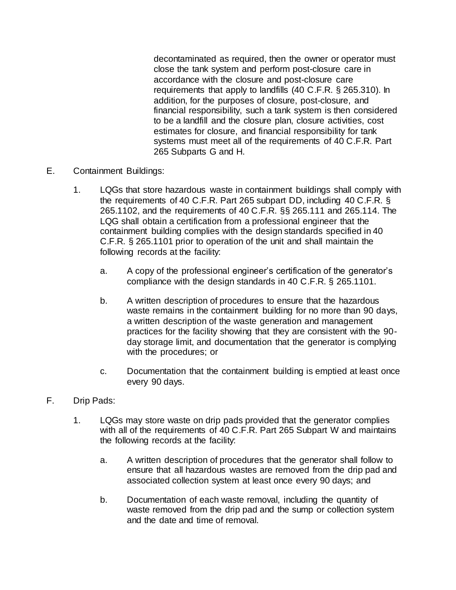decontaminated as required, then the owner or operator must close the tank system and perform post-closure care in accordance with the closure and post-closure care requirements that apply to landfills (40 C.F.R. § 265.310). In addition, for the purposes of closure, post-closure, and financial responsibility, such a tank system is then considered to be a landfill and the closure plan, closure activities, cost estimates for closure, and financial responsibility for tank systems must meet all of the requirements of 40 C.F.R. Part 265 Subparts G and H.

- E. Containment Buildings:
	- 1. LQGs that store hazardous waste in containment buildings shall comply with the requirements of 40 C.F.R. Part 265 subpart DD, including 40 C.F.R. § 265.1102, and the requirements of 40 C.F.R. §§ 265.111 and 265.114. The LQG shall obtain a certification from a professional engineer that the containment building complies with the design standards specified in 40 C.F.R. § 265.1101 prior to operation of the unit and shall maintain the following records at the facility:
		- a. A copy of the professional engineer's certification of the generator's compliance with the design standards in 40 C.F.R. § 265.1101.
		- b. A written description of procedures to ensure that the hazardous waste remains in the containment building for no more than 90 days, a written description of the waste generation and management practices for the facility showing that they are consistent with the 90 day storage limit, and documentation that the generator is complying with the procedures; or
		- c. Documentation that the containment building is emptied at least once every 90 days.
- F. Drip Pads:
	- 1. LQGs may store waste on drip pads provided that the generator complies with all of the requirements of 40 C.F.R. Part 265 Subpart W and maintains the following records at the facility:
		- a. A written description of procedures that the generator shall follow to ensure that all hazardous wastes are removed from the drip pad and associated collection system at least once every 90 days; and
		- b. Documentation of each waste removal, including the quantity of waste removed from the drip pad and the sump or collection system and the date and time of removal.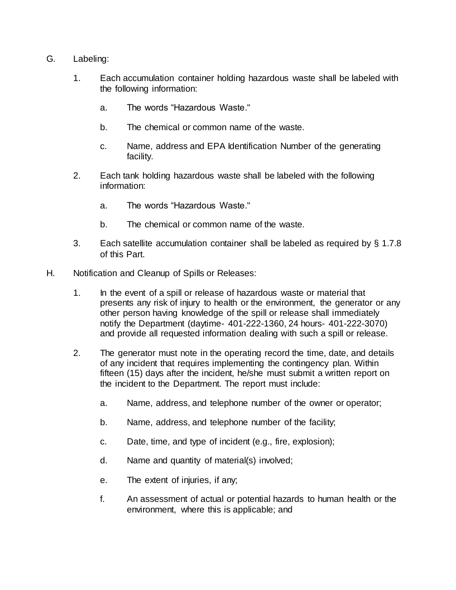- G. Labeling:
	- 1. Each accumulation container holding hazardous waste shall be labeled with the following information:
		- a. The words "Hazardous Waste."
		- b. The chemical or common name of the waste.
		- c. Name, address and EPA Identification Number of the generating facility.
	- 2. Each tank holding hazardous waste shall be labeled with the following information:
		- a. The words "Hazardous Waste."
		- b. The chemical or common name of the waste.
	- 3. Each satellite accumulation container shall be labeled as required by § 1.7.8 of this Part.
- H. Notification and Cleanup of Spills or Releases:
	- 1. In the event of a spill or release of hazardous waste or material that presents any risk of injury to health or the environment, the generator or any other person having knowledge of the spill or release shall immediately notify the Department (daytime- 401-222-1360, 24 hours- 401-222-3070) and provide all requested information dealing with such a spill or release.
	- 2. The generator must note in the operating record the time, date, and details of any incident that requires implementing the contingency plan. Within fifteen (15) days after the incident, he/she must submit a written report on the incident to the Department. The report must include:
		- a. Name, address, and telephone number of the owner or operator;
		- b. Name, address, and telephone number of the facility;
		- c. Date, time, and type of incident (e.g., fire, explosion);
		- d. Name and quantity of material(s) involved;
		- e. The extent of injuries, if any;
		- f. An assessment of actual or potential hazards to human health or the environment, where this is applicable; and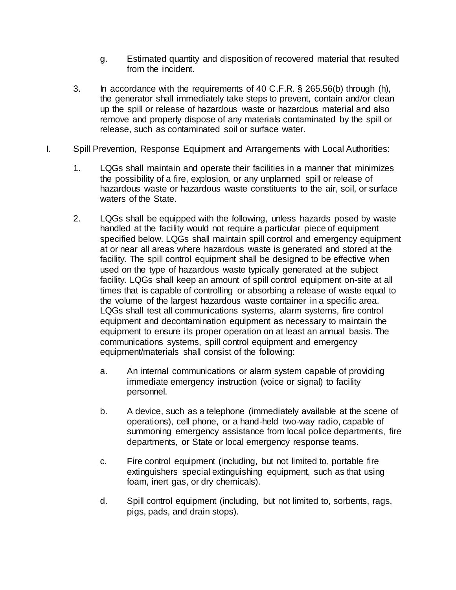- g. Estimated quantity and disposition of recovered material that resulted from the incident.
- 3. In accordance with the requirements of 40 C.F.R. § 265.56(b) through (h), the generator shall immediately take steps to prevent, contain and/or clean up the spill or release of hazardous waste or hazardous material and also remove and properly dispose of any materials contaminated by the spill or release, such as contaminated soil or surface water.
- I. Spill Prevention, Response Equipment and Arrangements with Local Authorities:
	- 1. LQGs shall maintain and operate their facilities in a manner that minimizes the possibility of a fire, explosion, or any unplanned spill or release of hazardous waste or hazardous waste constituents to the air, soil, or surface waters of the State.
	- 2. LQGs shall be equipped with the following, unless hazards posed by waste handled at the facility would not require a particular piece of equipment specified below. LQGs shall maintain spill control and emergency equipment at or near all areas where hazardous waste is generated and stored at the facility. The spill control equipment shall be designed to be effective when used on the type of hazardous waste typically generated at the subject facility. LQGs shall keep an amount of spill control equipment on-site at all times that is capable of controlling or absorbing a release of waste equal to the volume of the largest hazardous waste container in a specific area. LQGs shall test all communications systems, alarm systems, fire control equipment and decontamination equipment as necessary to maintain the equipment to ensure its proper operation on at least an annual basis. The communications systems, spill control equipment and emergency equipment/materials shall consist of the following:
		- a. An internal communications or alarm system capable of providing immediate emergency instruction (voice or signal) to facility personnel.
		- b. A device, such as a telephone (immediately available at the scene of operations), cell phone, or a hand-held two-way radio, capable of summoning emergency assistance from local police departments, fire departments, or State or local emergency response teams.
		- c. Fire control equipment (including, but not limited to, portable fire extinguishers special extinguishing equipment, such as that using foam, inert gas, or dry chemicals).
		- d. Spill control equipment (including, but not limited to, sorbents, rags, pigs, pads, and drain stops).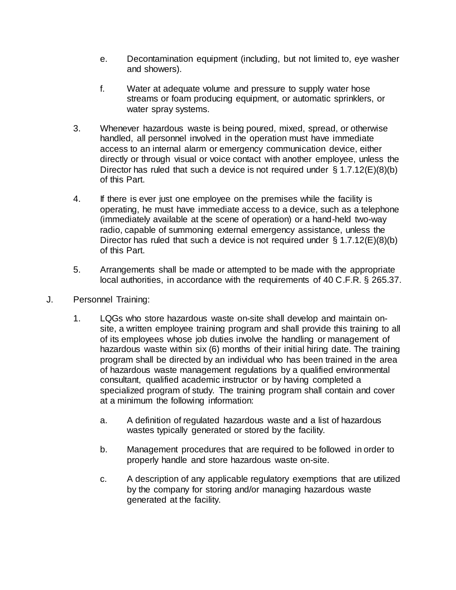- e. Decontamination equipment (including, but not limited to, eye washer and showers).
- f. Water at adequate volume and pressure to supply water hose streams or foam producing equipment, or automatic sprinklers, or water spray systems.
- 3. Whenever hazardous waste is being poured, mixed, spread, or otherwise handled, all personnel involved in the operation must have immediate access to an internal alarm or emergency communication device, either directly or through visual or voice contact with another employee, unless the Director has ruled that such a device is not required under § 1.7.12(E)(8)(b) of this Part.
- 4. If there is ever just one employee on the premises while the facility is operating, he must have immediate access to a device, such as a telephone (immediately available at the scene of operation) or a hand-held two-way radio, capable of summoning external emergency assistance, unless the Director has ruled that such a device is not required under § 1.7.12(E)(8)(b) of this Part.
- 5. Arrangements shall be made or attempted to be made with the appropriate local authorities, in accordance with the requirements of 40 C.F.R. § 265.37.
- J. Personnel Training:
	- 1. LQGs who store hazardous waste on-site shall develop and maintain onsite, a written employee training program and shall provide this training to all of its employees whose job duties involve the handling or management of hazardous waste within six (6) months of their initial hiring date. The training program shall be directed by an individual who has been trained in the area of hazardous waste management regulations by a qualified environmental consultant, qualified academic instructor or by having completed a specialized program of study. The training program shall contain and cover at a minimum the following information:
		- a. A definition of regulated hazardous waste and a list of hazardous wastes typically generated or stored by the facility.
		- b. Management procedures that are required to be followed in order to properly handle and store hazardous waste on-site.
		- c. A description of any applicable regulatory exemptions that are utilized by the company for storing and/or managing hazardous waste generated at the facility.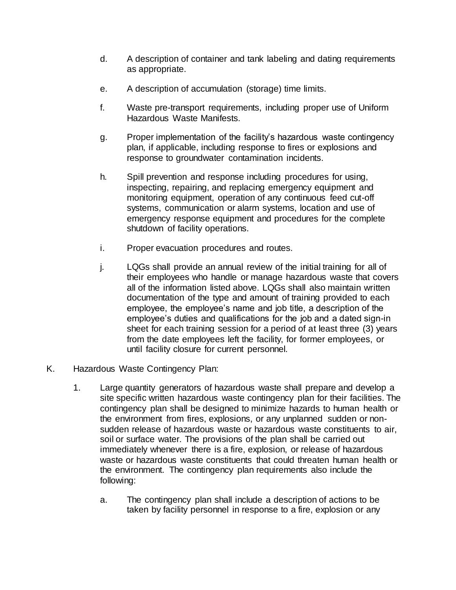- d. A description of container and tank labeling and dating requirements as appropriate.
- e. A description of accumulation (storage) time limits.
- f. Waste pre-transport requirements, including proper use of Uniform Hazardous Waste Manifests.
- g. Proper implementation of the facility's hazardous waste contingency plan, if applicable, including response to fires or explosions and response to groundwater contamination incidents.
- h. Spill prevention and response including procedures for using, inspecting, repairing, and replacing emergency equipment and monitoring equipment, operation of any continuous feed cut-off systems, communication or alarm systems, location and use of emergency response equipment and procedures for the complete shutdown of facility operations.
- i. Proper evacuation procedures and routes.
- j. LQGs shall provide an annual review of the initial training for all of their employees who handle or manage hazardous waste that covers all of the information listed above. LQGs shall also maintain written documentation of the type and amount of training provided to each employee, the employee's name and job title, a description of the employee's duties and qualifications for the job and a dated sign-in sheet for each training session for a period of at least three (3) years from the date employees left the facility, for former employees, or until facility closure for current personnel.
- K. Hazardous Waste Contingency Plan:
	- 1. Large quantity generators of hazardous waste shall prepare and develop a site specific written hazardous waste contingency plan for their facilities. The contingency plan shall be designed to minimize hazards to human health or the environment from fires, explosions, or any unplanned sudden or nonsudden release of hazardous waste or hazardous waste constituents to air, soil or surface water. The provisions of the plan shall be carried out immediately whenever there is a fire, explosion, or release of hazardous waste or hazardous waste constituents that could threaten human health or the environment. The contingency plan requirements also include the following:
		- a. The contingency plan shall include a description of actions to be taken by facility personnel in response to a fire, explosion or any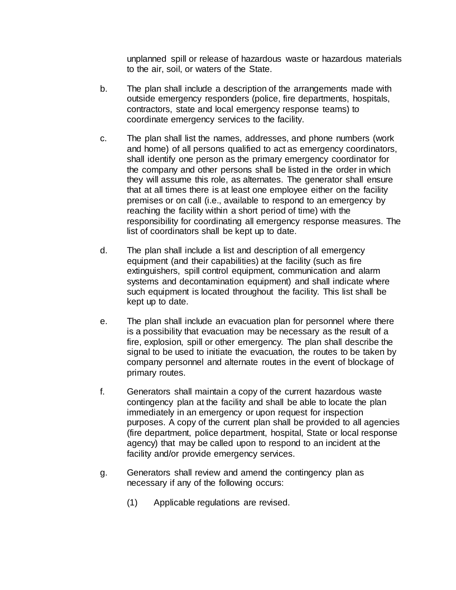unplanned spill or release of hazardous waste or hazardous materials to the air, soil, or waters of the State.

- b. The plan shall include a description of the arrangements made with outside emergency responders (police, fire departments, hospitals, contractors, state and local emergency response teams) to coordinate emergency services to the facility.
- c. The plan shall list the names, addresses, and phone numbers (work and home) of all persons qualified to act as emergency coordinators, shall identify one person as the primary emergency coordinator for the company and other persons shall be listed in the order in which they will assume this role, as alternates. The generator shall ensure that at all times there is at least one employee either on the facility premises or on call (i.e., available to respond to an emergency by reaching the facility within a short period of time) with the responsibility for coordinating all emergency response measures. The list of coordinators shall be kept up to date.
- d. The plan shall include a list and description of all emergency equipment (and their capabilities) at the facility (such as fire extinguishers, spill control equipment, communication and alarm systems and decontamination equipment) and shall indicate where such equipment is located throughout the facility. This list shall be kept up to date.
- e. The plan shall include an evacuation plan for personnel where there is a possibility that evacuation may be necessary as the result of a fire, explosion, spill or other emergency. The plan shall describe the signal to be used to initiate the evacuation, the routes to be taken by company personnel and alternate routes in the event of blockage of primary routes.
- f. Generators shall maintain a copy of the current hazardous waste contingency plan at the facility and shall be able to locate the plan immediately in an emergency or upon request for inspection purposes. A copy of the current plan shall be provided to all agencies (fire department, police department, hospital, State or local response agency) that may be called upon to respond to an incident at the facility and/or provide emergency services.
- g. Generators shall review and amend the contingency plan as necessary if any of the following occurs:
	- (1) Applicable regulations are revised.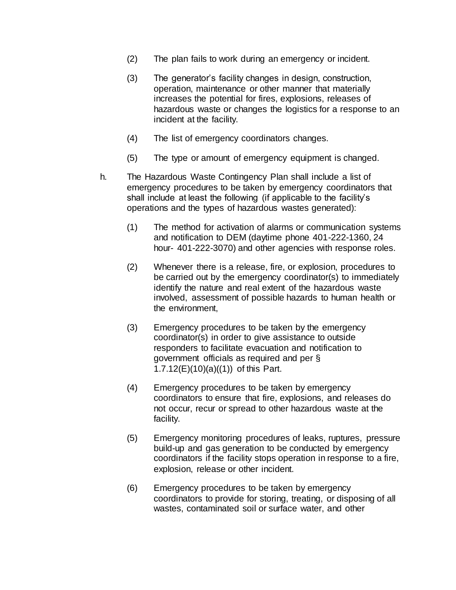- (2) The plan fails to work during an emergency or incident.
- (3) The generator's facility changes in design, construction, operation, maintenance or other manner that materially increases the potential for fires, explosions, releases of hazardous waste or changes the logistics for a response to an incident at the facility.
- (4) The list of emergency coordinators changes.
- (5) The type or amount of emergency equipment is changed.
- h. The Hazardous Waste Contingency Plan shall include a list of emergency procedures to be taken by emergency coordinators that shall include at least the following (if applicable to the facility's operations and the types of hazardous wastes generated):
	- (1) The method for activation of alarms or communication systems and notification to DEM (daytime phone 401-222-1360, 24 hour- 401-222-3070) and other agencies with response roles.
	- (2) Whenever there is a release, fire, or explosion, procedures to be carried out by the emergency coordinator(s) to immediately identify the nature and real extent of the hazardous waste involved, assessment of possible hazards to human health or the environment,
	- (3) Emergency procedures to be taken by the emergency coordinator(s) in order to give assistance to outside responders to facilitate evacuation and notification to government officials as required and per § 1.7.12(E)(10)(a)((1)) of this Part.
	- (4) Emergency procedures to be taken by emergency coordinators to ensure that fire, explosions, and releases do not occur, recur or spread to other hazardous waste at the facility.
	- (5) Emergency monitoring procedures of leaks, ruptures, pressure build-up and gas generation to be conducted by emergency coordinators if the facility stops operation in response to a fire, explosion, release or other incident.
	- (6) Emergency procedures to be taken by emergency coordinators to provide for storing, treating, or disposing of all wastes, contaminated soil or surface water, and other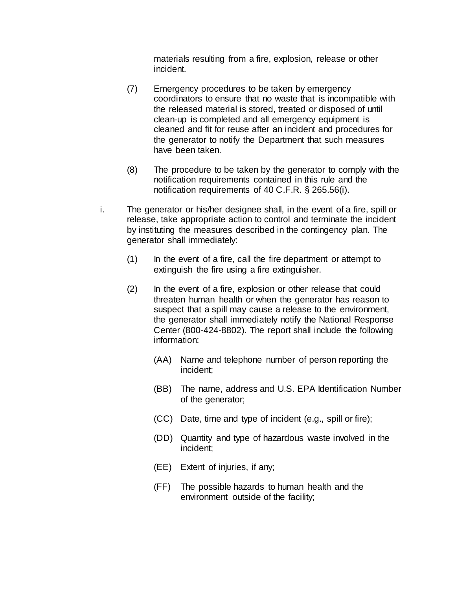materials resulting from a fire, explosion, release or other incident.

- (7) Emergency procedures to be taken by emergency coordinators to ensure that no waste that is incompatible with the released material is stored, treated or disposed of until clean-up is completed and all emergency equipment is cleaned and fit for reuse after an incident and procedures for the generator to notify the Department that such measures have been taken.
- (8) The procedure to be taken by the generator to comply with the notification requirements contained in this rule and the notification requirements of 40 C.F.R. § 265.56(i).
- i. The generator or his/her designee shall, in the event of a fire, spill or release, take appropriate action to control and terminate the incident by instituting the measures described in the contingency plan. The generator shall immediately:
	- $(1)$  In the event of a fire, call the fire department or attempt to extinguish the fire using a fire extinguisher.
	- (2) In the event of a fire, explosion or other release that could threaten human health or when the generator has reason to suspect that a spill may cause a release to the environment, the generator shall immediately notify the National Response Center (800-424-8802). The report shall include the following information:
		- (AA) Name and telephone number of person reporting the incident;
		- (BB) The name, address and U.S. EPA Identification Number of the generator;
		- (CC) Date, time and type of incident (e.g., spill or fire);
		- (DD) Quantity and type of hazardous waste involved in the incident;
		- (EE) Extent of injuries, if any;
		- (FF) The possible hazards to human health and the environment outside of the facility;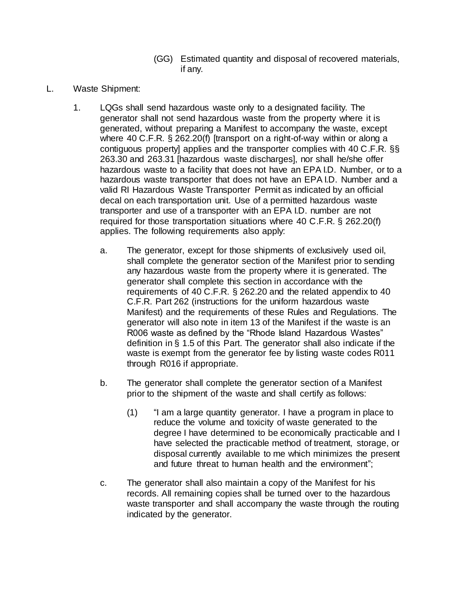- (GG) Estimated quantity and disposal of recovered materials, if any.
- L. Waste Shipment:
	- 1. LQGs shall send hazardous waste only to a designated facility. The generator shall not send hazardous waste from the property where it is generated, without preparing a Manifest to accompany the waste, except where 40 C.F.R. § 262.20(f) [transport on a right-of-way within or along a contiguous property] applies and the transporter complies with 40 C.F.R. §§ 263.30 and 263.31 [hazardous waste discharges], nor shall he/she offer hazardous waste to a facility that does not have an EPA I.D. Number, or to a hazardous waste transporter that does not have an EPA I.D. Number and a valid RI Hazardous Waste Transporter Permit as indicated by an official decal on each transportation unit. Use of a permitted hazardous waste transporter and use of a transporter with an EPA I.D. number are not required for those transportation situations where 40 C.F.R. § 262.20(f) applies. The following requirements also apply:
		- a. The generator, except for those shipments of exclusively used oil, shall complete the generator section of the Manifest prior to sending any hazardous waste from the property where it is generated. The generator shall complete this section in accordance with the requirements of 40 C.F.R. § 262.20 and the related appendix to 40 C.F.R. Part 262 (instructions for the uniform hazardous waste Manifest) and the requirements of these Rules and Regulations. The generator will also note in item 13 of the Manifest if the waste is an R006 waste as defined by the "Rhode Island Hazardous Wastes" definition in § 1.5 of this Part. The generator shall also indicate if the waste is exempt from the generator fee by listing waste codes R011 through R016 if appropriate.
		- b. The generator shall complete the generator section of a Manifest prior to the shipment of the waste and shall certify as follows:
			- (1) "I am a large quantity generator. I have a program in place to reduce the volume and toxicity of waste generated to the degree I have determined to be economically practicable and I have selected the practicable method of treatment, storage, or disposal currently available to me which minimizes the present and future threat to human health and the environment";
		- c. The generator shall also maintain a copy of the Manifest for his records. All remaining copies shall be turned over to the hazardous waste transporter and shall accompany the waste through the routing indicated by the generator.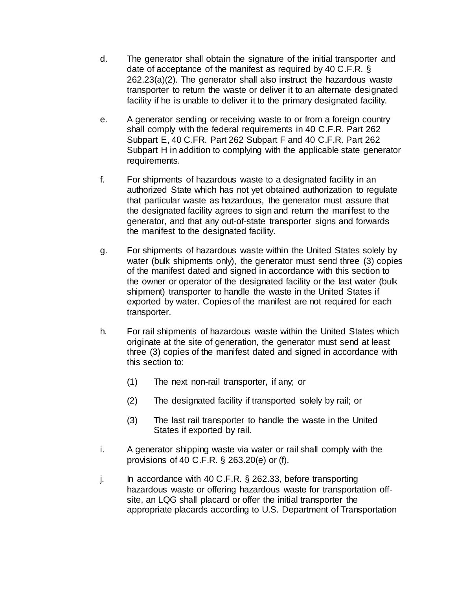- d. The generator shall obtain the signature of the initial transporter and date of acceptance of the manifest as required by 40 C.F.R. § 262.23(a)(2). The generator shall also instruct the hazardous waste transporter to return the waste or deliver it to an alternate designated facility if he is unable to deliver it to the primary designated facility.
- e. A generator sending or receiving waste to or from a foreign country shall comply with the federal requirements in 40 C.F.R. Part 262 Subpart E, 40 C.FR. Part 262 Subpart F and 40 C.F.R. Part 262 Subpart H in addition to complying with the applicable state generator requirements.
- f. For shipments of hazardous waste to a designated facility in an authorized State which has not yet obtained authorization to regulate that particular waste as hazardous, the generator must assure that the designated facility agrees to sign and return the manifest to the generator, and that any out-of-state transporter signs and forwards the manifest to the designated facility.
- g. For shipments of hazardous waste within the United States solely by water (bulk shipments only), the generator must send three (3) copies of the manifest dated and signed in accordance with this section to the owner or operator of the designated facility or the last water (bulk shipment) transporter to handle the waste in the United States if exported by water. Copies of the manifest are not required for each transporter.
- h. For rail shipments of hazardous waste within the United States which originate at the site of generation, the generator must send at least three (3) copies of the manifest dated and signed in accordance with this section to:
	- (1) The next non-rail transporter, if any; or
	- (2) The designated facility if transported solely by rail; or
	- (3) The last rail transporter to handle the waste in the United States if exported by rail.
- i. A generator shipping waste via water or rail shall comply with the provisions of 40 C.F.R. § 263.20(e) or (f).
- j. In accordance with 40 C.F.R.  $\S$  262.33, before transporting hazardous waste or offering hazardous waste for transportation offsite, an LQG shall placard or offer the initial transporter the appropriate placards according to U.S. Department of Transportation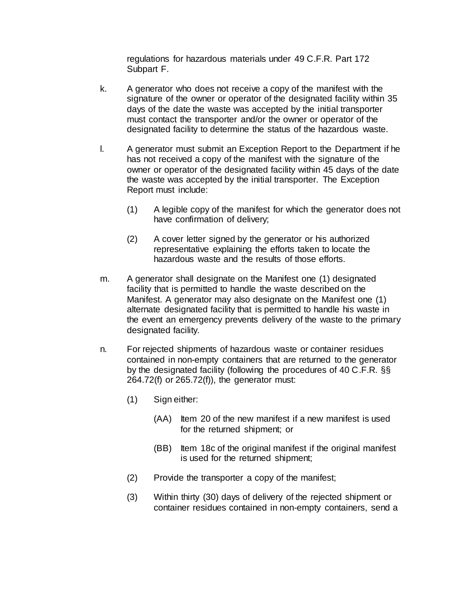regulations for hazardous materials under 49 C.F.R. Part 172 Subpart F.

- k. A generator who does not receive a copy of the manifest with the signature of the owner or operator of the designated facility within 35 days of the date the waste was accepted by the initial transporter must contact the transporter and/or the owner or operator of the designated facility to determine the status of the hazardous waste.
- l. A generator must submit an Exception Report to the Department if he has not received a copy of the manifest with the signature of the owner or operator of the designated facility within 45 days of the date the waste was accepted by the initial transporter. The Exception Report must include:
	- (1) A legible copy of the manifest for which the generator does not have confirmation of delivery;
	- (2) A cover letter signed by the generator or his authorized representative explaining the efforts taken to locate the hazardous waste and the results of those efforts.
- m. A generator shall designate on the Manifest one (1) designated facility that is permitted to handle the waste described on the Manifest. A generator may also designate on the Manifest one (1) alternate designated facility that is permitted to handle his waste in the event an emergency prevents delivery of the waste to the primary designated facility.
- n. For rejected shipments of hazardous waste or container residues contained in non-empty containers that are returned to the generator by the designated facility (following the procedures of 40 C.F.R. §§ 264.72(f) or 265.72(f)), the generator must:
	- (1) Sign either:
		- (AA) Item 20 of the new manifest if a new manifest is used for the returned shipment; or
		- (BB) Item 18c of the original manifest if the original manifest is used for the returned shipment;
	- (2) Provide the transporter a copy of the manifest;
	- (3) Within thirty (30) days of delivery of the rejected shipment or container residues contained in non-empty containers, send a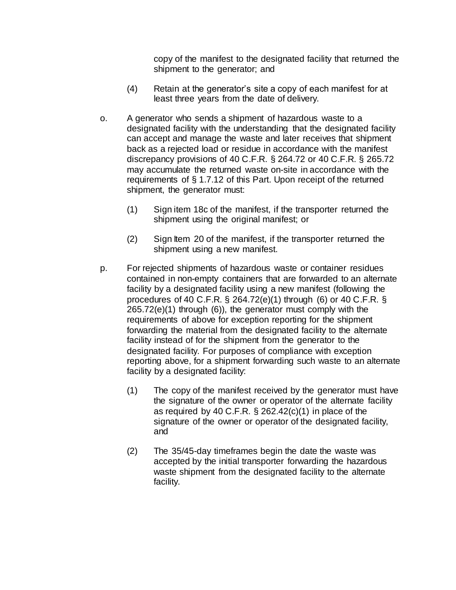copy of the manifest to the designated facility that returned the shipment to the generator; and

- (4) Retain at the generator's site a copy of each manifest for at least three years from the date of delivery.
- o. A generator who sends a shipment of hazardous waste to a designated facility with the understanding that the designated facility can accept and manage the waste and later receives that shipment back as a rejected load or residue in accordance with the manifest discrepancy provisions of 40 C.F.R. § 264.72 or 40 C.F.R. § 265.72 may accumulate the returned waste on-site in accordance with the requirements of § 1.7.12 of this Part. Upon receipt of the returned shipment, the generator must:
	- (1) Sign item 18c of the manifest, if the transporter returned the shipment using the original manifest; or
	- (2) Sign Item 20 of the manifest, if the transporter returned the shipment using a new manifest.
- p. For rejected shipments of hazardous waste or container residues contained in non-empty containers that are forwarded to an alternate facility by a designated facility using a new manifest (following the procedures of 40 C.F.R. § 264.72(e)(1) through (6) or 40 C.F.R. § 265.72(e)(1) through (6)), the generator must comply with the requirements of above for exception reporting for the shipment forwarding the material from the designated facility to the alternate facility instead of for the shipment from the generator to the designated facility. For purposes of compliance with exception reporting above, for a shipment forwarding such waste to an alternate facility by a designated facility:
	- (1) The copy of the manifest received by the generator must have the signature of the owner or operator of the alternate facility as required by 40 C.F.R.  $\S$  262.42(c)(1) in place of the signature of the owner or operator of the designated facility, and
	- (2) The 35/45-day timeframes begin the date the waste was accepted by the initial transporter forwarding the hazardous waste shipment from the designated facility to the alternate facility.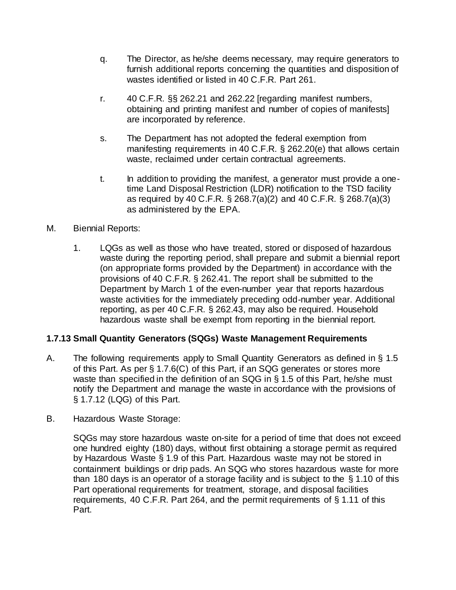- q. The Director, as he/she deems necessary, may require generators to furnish additional reports concerning the quantities and disposition of wastes identified or listed in 40 C.F.R. Part 261.
- r. 40 C.F.R. §§ 262.21 and 262.22 [regarding manifest numbers, obtaining and printing manifest and number of copies of manifests] are incorporated by reference.
- s. The Department has not adopted the federal exemption from manifesting requirements in 40 C.F.R. § 262.20(e) that allows certain waste, reclaimed under certain contractual agreements.
- t. In addition to providing the manifest, a generator must provide a onetime Land Disposal Restriction (LDR) notification to the TSD facility as required by 40 C.F.R. § 268.7(a)(2) and 40 C.F.R. § 268.7(a)(3) as administered by the EPA.
- M. Biennial Reports:
	- 1. LQGs as well as those who have treated, stored or disposed of hazardous waste during the reporting period, shall prepare and submit a biennial report (on appropriate forms provided by the Department) in accordance with the provisions of 40 C.F.R. § 262.41. The report shall be submitted to the Department by March 1 of the even-number year that reports hazardous waste activities for the immediately preceding odd-number year. Additional reporting, as per 40 C.F.R. § 262.43, may also be required. Household hazardous waste shall be exempt from reporting in the biennial report.

### **1.7.13 Small Quantity Generators (SQGs) Waste Management Requirements**

- A. The following requirements apply to Small Quantity Generators as defined in § 1.5 of this Part. As per § 1.7.6(C) of this Part, if an SQG generates or stores more waste than specified in the definition of an SQG in § 1.5 of this Part, he/she must notify the Department and manage the waste in accordance with the provisions of § 1.7.12 (LQG) of this Part.
- B. Hazardous Waste Storage:

SQGs may store hazardous waste on-site for a period of time that does not exceed one hundred eighty (180) days, without first obtaining a storage permit as required by Hazardous Waste § 1.9 of this Part. Hazardous waste may not be stored in containment buildings or drip pads. An SQG who stores hazardous waste for more than 180 days is an operator of a storage facility and is subject to the § 1.10 of this Part operational requirements for treatment, storage, and disposal facilities requirements, 40 C.F.R. Part 264, and the permit requirements of § 1.11 of this Part.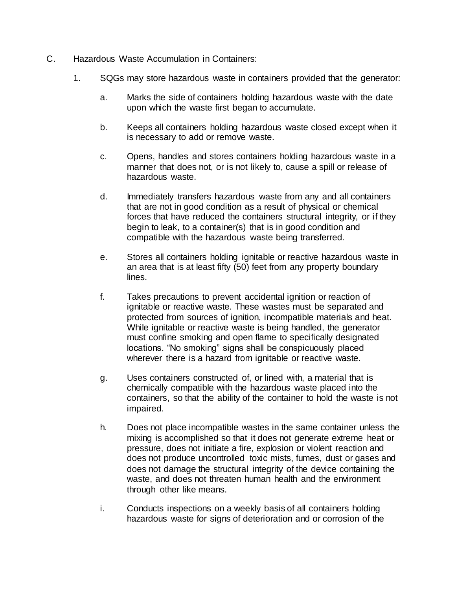- C. Hazardous Waste Accumulation in Containers:
	- 1. SQGs may store hazardous waste in containers provided that the generator:
		- a. Marks the side of containers holding hazardous waste with the date upon which the waste first began to accumulate.
		- b. Keeps all containers holding hazardous waste closed except when it is necessary to add or remove waste.
		- c. Opens, handles and stores containers holding hazardous waste in a manner that does not, or is not likely to, cause a spill or release of hazardous waste.
		- d. Immediately transfers hazardous waste from any and all containers that are not in good condition as a result of physical or chemical forces that have reduced the containers structural integrity, or if they begin to leak, to a container(s) that is in good condition and compatible with the hazardous waste being transferred.
		- e. Stores all containers holding ignitable or reactive hazardous waste in an area that is at least fifty (50) feet from any property boundary lines.
		- f. Takes precautions to prevent accidental ignition or reaction of ignitable or reactive waste. These wastes must be separated and protected from sources of ignition, incompatible materials and heat. While ignitable or reactive waste is being handled, the generator must confine smoking and open flame to specifically designated locations. "No smoking" signs shall be conspicuously placed wherever there is a hazard from ignitable or reactive waste.
		- g. Uses containers constructed of, or lined with, a material that is chemically compatible with the hazardous waste placed into the containers, so that the ability of the container to hold the waste is not impaired.
		- h. Does not place incompatible wastes in the same container unless the mixing is accomplished so that it does not generate extreme heat or pressure, does not initiate a fire, explosion or violent reaction and does not produce uncontrolled toxic mists, fumes, dust or gases and does not damage the structural integrity of the device containing the waste, and does not threaten human health and the environment through other like means.
		- i. Conducts inspections on a weekly basis of all containers holding hazardous waste for signs of deterioration and or corrosion of the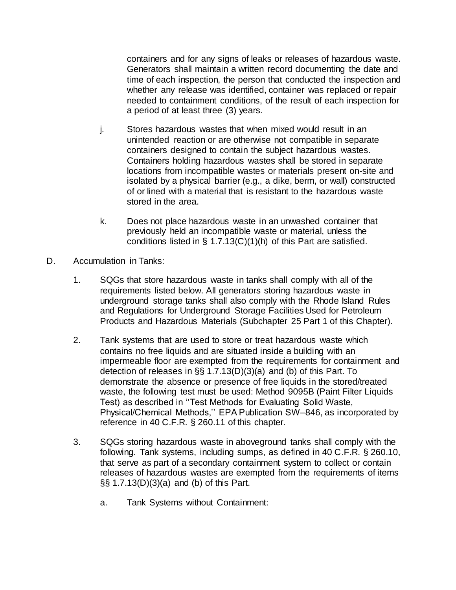containers and for any signs of leaks or releases of hazardous waste. Generators shall maintain a written record documenting the date and time of each inspection, the person that conducted the inspection and whether any release was identified, container was replaced or repair needed to containment conditions, of the result of each inspection for a period of at least three (3) years.

- j. Stores hazardous wastes that when mixed would result in an unintended reaction or are otherwise not compatible in separate containers designed to contain the subject hazardous wastes. Containers holding hazardous wastes shall be stored in separate locations from incompatible wastes or materials present on-site and isolated by a physical barrier (e.g., a dike, berm, or wall) constructed of or lined with a material that is resistant to the hazardous waste stored in the area.
- k. Does not place hazardous waste in an unwashed container that previously held an incompatible waste or material, unless the conditions listed in  $\S$  1.7.13(C)(1)(h) of this Part are satisfied.
- D. Accumulation in Tanks:
	- 1. SQGs that store hazardous waste in tanks shall comply with all of the requirements listed below. All generators storing hazardous waste in underground storage tanks shall also comply with the Rhode Island Rules and Regulations for Underground Storage Facilities Used for Petroleum Products and Hazardous Materials (Subchapter 25 Part [1](https://rules.sos.ri.gov/regulations/part/250-140-25-1) of this Chapter).
	- 2. Tank systems that are used to store or treat hazardous waste which contains no free liquids and are situated inside a building with an impermeable floor are exempted from the requirements for containment and detection of releases in §§ 1.7.13(D)(3)(a) and (b) of this Part. To demonstrate the absence or presence of free liquids in the stored/treated waste, the following test must be used: Method 9095B (Paint Filter Liquids Test) as described in ''Test Methods for Evaluating Solid Waste, Physical/Chemical Methods,'' EPA Publication SW–846, as incorporated by reference in 40 C.F.R. § 260.11 of this chapter.
	- 3. SQGs storing hazardous waste in aboveground tanks shall comply with the following. Tank systems, including sumps, as defined in 40 C.F.R. § 260.10, that serve as part of a secondary containment system to collect or contain releases of hazardous wastes are exempted from the requirements of items §§ 1.7.13(D)(3)(a) and (b) of this Part.
		- a. Tank Systems without Containment: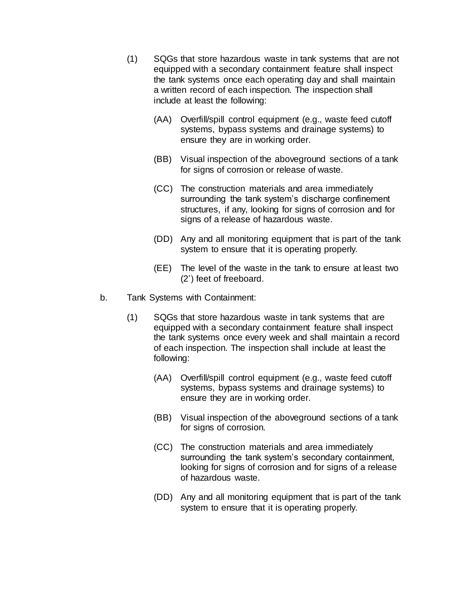- (1) SQGs that store hazardous waste in tank systems that are not equipped with a secondary containment feature shall inspect the tank systems once each operating day and shall maintain a written record of each inspection. The inspection shall include at least the following:
	- (AA) Overfill/spill control equipment (e.g., waste feed cutoff systems, bypass systems and drainage systems) to ensure they are in working order.
	- (BB) Visual inspection of the aboveground sections of a tank for signs of corrosion or release of waste.
	- (CC) The construction materials and area immediately surrounding the tank system's discharge confinement structures, if any, looking for signs of corrosion and for signs of a release of hazardous waste.
	- (DD) Any and all monitoring equipment that is part of the tank system to ensure that it is operating properly.
	- (EE) The level of the waste in the tank to ensure at least two (2') feet of freeboard.
- b. Tank Systems with Containment:
	- (1) SQGs that store hazardous waste in tank systems that are equipped with a secondary containment feature shall inspect the tank systems once every week and shall maintain a record of each inspection. The inspection shall include at least the following:
		- (AA) Overfill/spill control equipment (e.g., waste feed cutoff systems, bypass systems and drainage systems) to ensure they are in working order.
		- (BB) Visual inspection of the aboveground sections of a tank for signs of corrosion.
		- (CC) The construction materials and area immediately surrounding the tank system's secondary containment, looking for signs of corrosion and for signs of a release of hazardous waste.
		- (DD) Any and all monitoring equipment that is part of the tank system to ensure that it is operating properly.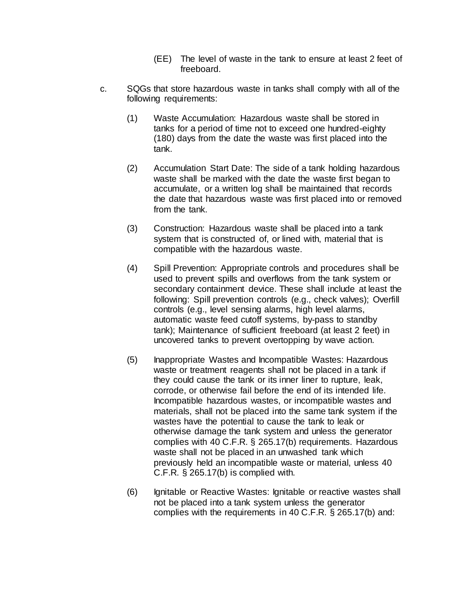- (EE) The level of waste in the tank to ensure at least 2 feet of freeboard.
- c. SQGs that store hazardous waste in tanks shall comply with all of the following requirements:
	- (1) Waste Accumulation: Hazardous waste shall be stored in tanks for a period of time not to exceed one hundred-eighty (180) days from the date the waste was first placed into the tank.
	- (2) Accumulation Start Date: The side of a tank holding hazardous waste shall be marked with the date the waste first began to accumulate, or a written log shall be maintained that records the date that hazardous waste was first placed into or removed from the tank.
	- (3) Construction: Hazardous waste shall be placed into a tank system that is constructed of, or lined with, material that is compatible with the hazardous waste.
	- (4) Spill Prevention: Appropriate controls and procedures shall be used to prevent spills and overflows from the tank system or secondary containment device. These shall include at least the following: Spill prevention controls (e.g., check valves); Overfill controls (e.g., level sensing alarms, high level alarms, automatic waste feed cutoff systems, by-pass to standby tank); Maintenance of sufficient freeboard (at least 2 feet) in uncovered tanks to prevent overtopping by wave action.
	- (5) Inappropriate Wastes and Incompatible Wastes: Hazardous waste or treatment reagents shall not be placed in a tank if they could cause the tank or its inner liner to rupture, leak, corrode, or otherwise fail before the end of its intended life. Incompatible hazardous wastes, or incompatible wastes and materials, shall not be placed into the same tank system if the wastes have the potential to cause the tank to leak or otherwise damage the tank system and unless the generator complies with 40 C.F.R. § 265.17(b) requirements. Hazardous waste shall not be placed in an unwashed tank which previously held an incompatible waste or material, unless 40 C.F.R. § 265.17(b) is complied with.
	- (6) Ignitable or Reactive Wastes: Ignitable or reactive wastes shall not be placed into a tank system unless the generator complies with the requirements in 40 C.F.R. § 265.17(b) and: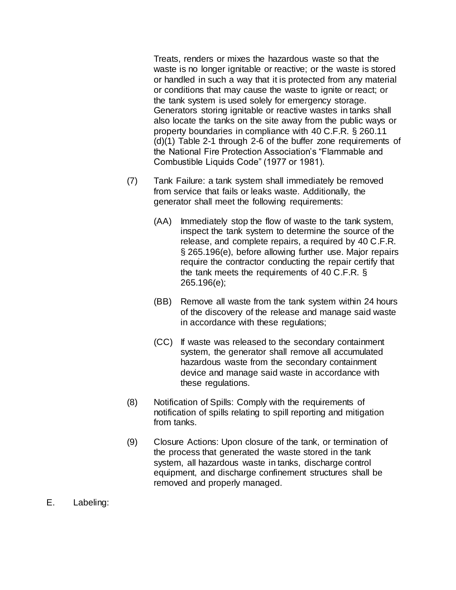Treats, renders or mixes the hazardous waste so that the waste is no longer ignitable or reactive; or the waste is stored or handled in such a way that it is protected from any material or conditions that may cause the waste to ignite or react; or the tank system is used solely for emergency storage. Generators storing ignitable or reactive wastes in tanks shall also locate the tanks on the site away from the public ways or property boundaries in compliance with 40 C.F.R. § 260.11 (d)(1) Table 2-1 through 2-6 of the buffer zone requirements of the National Fire Protection Association's "Flammable and Combustible Liquids Code" (1977 or 1981).

- (7) Tank Failure: a tank system shall immediately be removed from service that fails or leaks waste. Additionally, the generator shall meet the following requirements:
	- (AA) Immediately stop the flow of waste to the tank system, inspect the tank system to determine the source of the release, and complete repairs, a required by 40 C.F.R. § 265.196(e), before allowing further use. Major repairs require the contractor conducting the repair certify that the tank meets the requirements of 40 C.F.R. § 265.196(e);
	- (BB) Remove all waste from the tank system within 24 hours of the discovery of the release and manage said waste in accordance with these regulations;
	- (CC) If waste was released to the secondary containment system, the generator shall remove all accumulated hazardous waste from the secondary containment device and manage said waste in accordance with these regulations.
- (8) Notification of Spills: Comply with the requirements of notification of spills relating to spill reporting and mitigation from tanks.
- (9) Closure Actions: Upon closure of the tank, or termination of the process that generated the waste stored in the tank system, all hazardous waste in tanks, discharge control equipment, and discharge confinement structures shall be removed and properly managed.
- E. Labeling: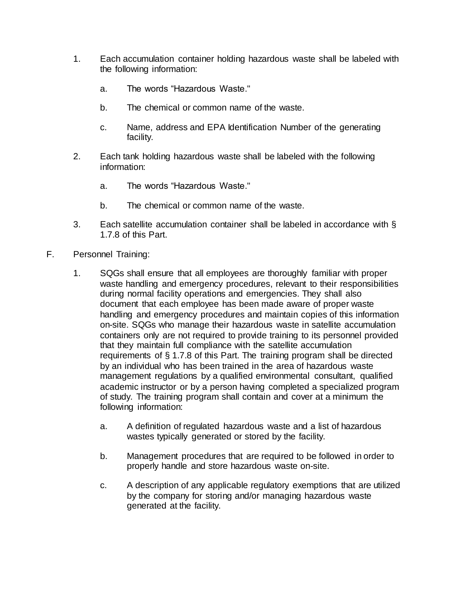- 1. Each accumulation container holding hazardous waste shall be labeled with the following information:
	- a. The words "Hazardous Waste."
	- b. The chemical or common name of the waste.
	- c. Name, address and EPA Identification Number of the generating facility.
- 2. Each tank holding hazardous waste shall be labeled with the following information:
	- a. The words "Hazardous Waste."
	- b. The chemical or common name of the waste.
- 3. Each satellite accumulation container shall be labeled in accordance with § 1.7.8 of this Part.
- F. Personnel Training:
	- 1. SQGs shall ensure that all employees are thoroughly familiar with proper waste handling and emergency procedures, relevant to their responsibilities during normal facility operations and emergencies. They shall also document that each employee has been made aware of proper waste handling and emergency procedures and maintain copies of this information on-site. SQGs who manage their hazardous waste in satellite accumulation containers only are not required to provide training to its personnel provided that they maintain full compliance with the satellite accumulation requirements of § 1.7.8 of this Part. The training program shall be directed by an individual who has been trained in the area of hazardous waste management regulations by a qualified environmental consultant, qualified academic instructor or by a person having completed a specialized program of study. The training program shall contain and cover at a minimum the following information:
		- a. A definition of regulated hazardous waste and a list of hazardous wastes typically generated or stored by the facility.
		- b. Management procedures that are required to be followed in order to properly handle and store hazardous waste on-site.
		- c. A description of any applicable regulatory exemptions that are utilized by the company for storing and/or managing hazardous waste generated at the facility.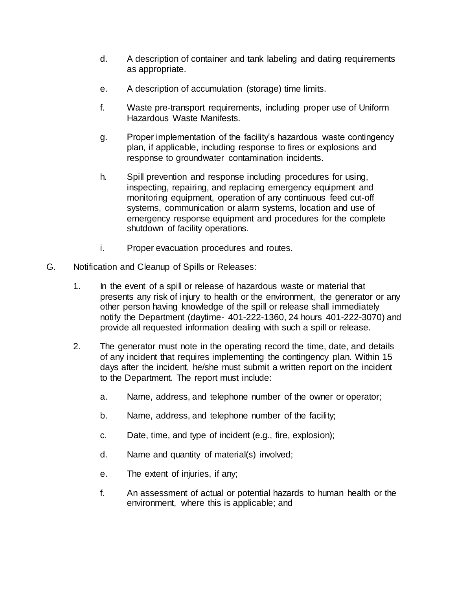- d. A description of container and tank labeling and dating requirements as appropriate.
- e. A description of accumulation (storage) time limits.
- f. Waste pre-transport requirements, including proper use of Uniform Hazardous Waste Manifests.
- g. Proper implementation of the facility's hazardous waste contingency plan, if applicable, including response to fires or explosions and response to groundwater contamination incidents.
- h. Spill prevention and response including procedures for using, inspecting, repairing, and replacing emergency equipment and monitoring equipment, operation of any continuous feed cut-off systems, communication or alarm systems, location and use of emergency response equipment and procedures for the complete shutdown of facility operations.
- i. Proper evacuation procedures and routes.
- G. Notification and Cleanup of Spills or Releases:
	- 1. In the event of a spill or release of hazardous waste or material that presents any risk of injury to health or the environment, the generator or any other person having knowledge of the spill or release shall immediately notify the Department (daytime- 401-222-1360, 24 hours 401-222-3070) and provide all requested information dealing with such a spill or release.
	- 2. The generator must note in the operating record the time, date, and details of any incident that requires implementing the contingency plan. Within 15 days after the incident, he/she must submit a written report on the incident to the Department. The report must include:
		- a. Name, address, and telephone number of the owner or operator;
		- b. Name, address, and telephone number of the facility;
		- c. Date, time, and type of incident (e.g., fire, explosion);
		- d. Name and quantity of material(s) involved;
		- e. The extent of injuries, if any;
		- f. An assessment of actual or potential hazards to human health or the environment, where this is applicable; and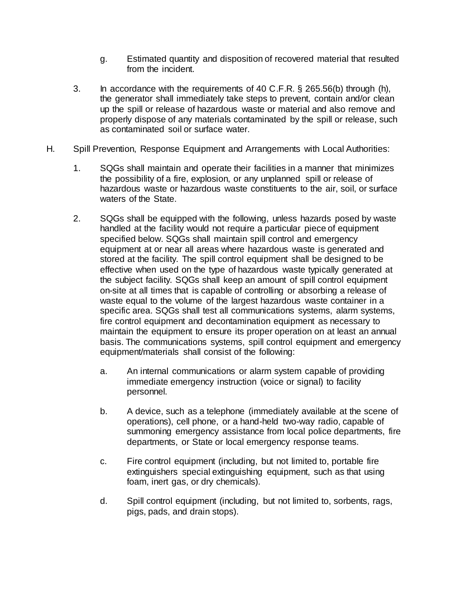- g. Estimated quantity and disposition of recovered material that resulted from the incident.
- 3. In accordance with the requirements of 40 C.F.R. § 265.56(b) through (h), the generator shall immediately take steps to prevent, contain and/or clean up the spill or release of hazardous waste or material and also remove and properly dispose of any materials contaminated by the spill or release, such as contaminated soil or surface water.
- H. Spill Prevention, Response Equipment and Arrangements with Local Authorities:
	- 1. SQGs shall maintain and operate their facilities in a manner that minimizes the possibility of a fire, explosion, or any unplanned spill or release of hazardous waste or hazardous waste constituents to the air, soil, or surface waters of the State.
	- 2. SQGs shall be equipped with the following, unless hazards posed by waste handled at the facility would not require a particular piece of equipment specified below. SQGs shall maintain spill control and emergency equipment at or near all areas where hazardous waste is generated and stored at the facility. The spill control equipment shall be designed to be effective when used on the type of hazardous waste typically generated at the subject facility. SQGs shall keep an amount of spill control equipment on-site at all times that is capable of controlling or absorbing a release of waste equal to the volume of the largest hazardous waste container in a specific area. SQGs shall test all communications systems, alarm systems, fire control equipment and decontamination equipment as necessary to maintain the equipment to ensure its proper operation on at least an annual basis. The communications systems, spill control equipment and emergency equipment/materials shall consist of the following:
		- a. An internal communications or alarm system capable of providing immediate emergency instruction (voice or signal) to facility personnel.
		- b. A device, such as a telephone (immediately available at the scene of operations), cell phone, or a hand-held two-way radio, capable of summoning emergency assistance from local police departments, fire departments, or State or local emergency response teams.
		- c. Fire control equipment (including, but not limited to, portable fire extinguishers special extinguishing equipment, such as that using foam, inert gas, or dry chemicals).
		- d. Spill control equipment (including, but not limited to, sorbents, rags, pigs, pads, and drain stops).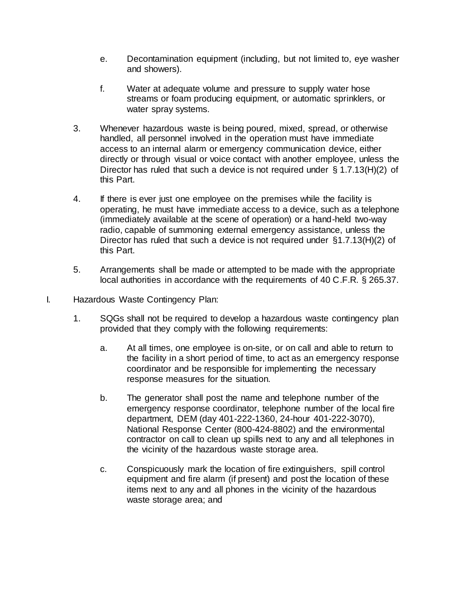- e. Decontamination equipment (including, but not limited to, eye washer and showers).
- f. Water at adequate volume and pressure to supply water hose streams or foam producing equipment, or automatic sprinklers, or water spray systems.
- 3. Whenever hazardous waste is being poured, mixed, spread, or otherwise handled, all personnel involved in the operation must have immediate access to an internal alarm or emergency communication device, either directly or through visual or voice contact with another employee, unless the Director has ruled that such a device is not required under § 1.7.13(H)(2) of this Part.
- 4. If there is ever just one employee on the premises while the facility is operating, he must have immediate access to a device, such as a telephone (immediately available at the scene of operation) or a hand-held two-way radio, capable of summoning external emergency assistance, unless the Director has ruled that such a device is not required under §1.7.13(H)(2) of this Part.
- 5. Arrangements shall be made or attempted to be made with the appropriate local authorities in accordance with the requirements of 40 C.F.R. § 265.37.
- I. Hazardous Waste Contingency Plan:
	- 1. SQGs shall not be required to develop a hazardous waste contingency plan provided that they comply with the following requirements:
		- a. At all times, one employee is on-site, or on call and able to return to the facility in a short period of time, to act as an emergency response coordinator and be responsible for implementing the necessary response measures for the situation.
		- b. The generator shall post the name and telephone number of the emergency response coordinator, telephone number of the local fire department, DEM (day 401-222-1360, 24-hour 401-222-3070), National Response Center (800-424-8802) and the environmental contractor on call to clean up spills next to any and all telephones in the vicinity of the hazardous waste storage area.
		- c. Conspicuously mark the location of fire extinguishers, spill control equipment and fire alarm (if present) and post the location of these items next to any and all phones in the vicinity of the hazardous waste storage area; and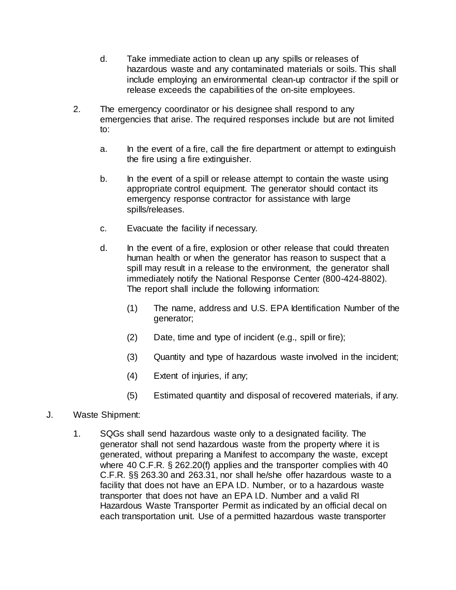- d. Take immediate action to clean up any spills or releases of hazardous waste and any contaminated materials or soils. This shall include employing an environmental clean-up contractor if the spill or release exceeds the capabilities of the on-site employees.
- 2. The emergency coordinator or his designee shall respond to any emergencies that arise. The required responses include but are not limited to:
	- a. In the event of a fire, call the fire department or attempt to extinguish the fire using a fire extinguisher.
	- b. In the event of a spill or release attempt to contain the waste using appropriate control equipment. The generator should contact its emergency response contractor for assistance with large spills/releases.
	- c. Evacuate the facility if necessary.
	- d. In the event of a fire, explosion or other release that could threaten human health or when the generator has reason to suspect that a spill may result in a release to the environment, the generator shall immediately notify the National Response Center (800-424-8802). The report shall include the following information:
		- (1) The name, address and U.S. EPA Identification Number of the generator;
		- (2) Date, time and type of incident (e.g., spill or fire);
		- (3) Quantity and type of hazardous waste involved in the incident;
		- (4) Extent of injuries, if any;
		- (5) Estimated quantity and disposal of recovered materials, if any.
- J. Waste Shipment:
	- 1. SQGs shall send hazardous waste only to a designated facility. The generator shall not send hazardous waste from the property where it is generated, without preparing a Manifest to accompany the waste, except where 40 C.F.R. § 262.20(f) applies and the transporter complies with 40 C.F.R. §§ 263.30 and 263.31, nor shall he/she offer hazardous waste to a facility that does not have an EPA I.D. Number, or to a hazardous waste transporter that does not have an EPA I.D. Number and a valid RI Hazardous Waste Transporter Permit as indicated by an official decal on each transportation unit. Use of a permitted hazardous waste transporter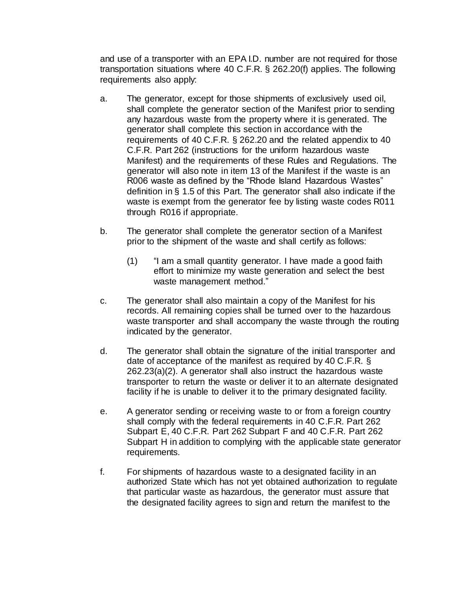and use of a transporter with an EPA I.D. number are not required for those transportation situations where 40 C.F.R. § 262.20(f) applies. The following requirements also apply:

- a. The generator, except for those shipments of exclusively used oil, shall complete the generator section of the Manifest prior to sending any hazardous waste from the property where it is generated. The generator shall complete this section in accordance with the requirements of 40 C.F.R. § 262.20 and the related appendix to 40 C.F.R. Part 262 (instructions for the uniform hazardous waste Manifest) and the requirements of these Rules and Regulations. The generator will also note in item 13 of the Manifest if the waste is an R006 waste as defined by the "Rhode Island Hazardous Wastes" definition in § 1.5 of this Part. The generator shall also indicate if the waste is exempt from the generator fee by listing waste codes R011 through R016 if appropriate.
- b. The generator shall complete the generator section of a Manifest prior to the shipment of the waste and shall certify as follows:
	- (1) "I am a small quantity generator. I have made a good faith effort to minimize my waste generation and select the best waste management method."
- c. The generator shall also maintain a copy of the Manifest for his records. All remaining copies shall be turned over to the hazardous waste transporter and shall accompany the waste through the routing indicated by the generator.
- d. The generator shall obtain the signature of the initial transporter and date of acceptance of the manifest as required by 40 C.F.R. § 262.23(a)(2). A generator shall also instruct the hazardous waste transporter to return the waste or deliver it to an alternate designated facility if he is unable to deliver it to the primary designated facility.
- e. A generator sending or receiving waste to or from a foreign country shall comply with the federal requirements in 40 C.F.R. Part 262 Subpart E, 40 C.F.R. Part 262 Subpart F and 40 C.F.R. Part 262 Subpart H in addition to complying with the applicable state generator requirements.
- f. For shipments of hazardous waste to a designated facility in an authorized State which has not yet obtained authorization to regulate that particular waste as hazardous, the generator must assure that the designated facility agrees to sign and return the manifest to the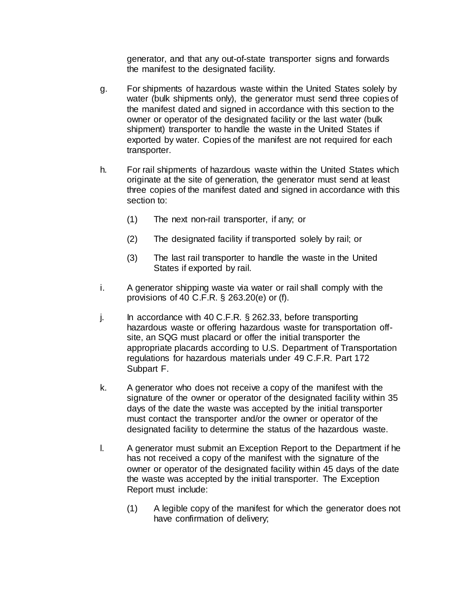generator, and that any out-of-state transporter signs and forwards the manifest to the designated facility.

- g. For shipments of hazardous waste within the United States solely by water (bulk shipments only), the generator must send three copies of the manifest dated and signed in accordance with this section to the owner or operator of the designated facility or the last water (bulk shipment) transporter to handle the waste in the United States if exported by water. Copies of the manifest are not required for each transporter.
- h. For rail shipments of hazardous waste within the United States which originate at the site of generation, the generator must send at least three copies of the manifest dated and signed in accordance with this section to:
	- (1) The next non-rail transporter, if any; or
	- (2) The designated facility if transported solely by rail; or
	- (3) The last rail transporter to handle the waste in the United States if exported by rail.
- i. A generator shipping waste via water or rail shall comply with the provisions of 40 C.F.R. § 263.20(e) or (f).
- j. In accordance with 40 C.F.R. § 262.33, before transporting hazardous waste or offering hazardous waste for transportation offsite, an SQG must placard or offer the initial transporter the appropriate placards according to U.S. Department of Transportation regulations for hazardous materials under 49 C.F.R. Part 172 Subpart F.
- k. A generator who does not receive a copy of the manifest with the signature of the owner or operator of the designated facility within 35 days of the date the waste was accepted by the initial transporter must contact the transporter and/or the owner or operator of the designated facility to determine the status of the hazardous waste.
- l. A generator must submit an Exception Report to the Department if he has not received a copy of the manifest with the signature of the owner or operator of the designated facility within 45 days of the date the waste was accepted by the initial transporter. The Exception Report must include:
	- (1) A legible copy of the manifest for which the generator does not have confirmation of delivery;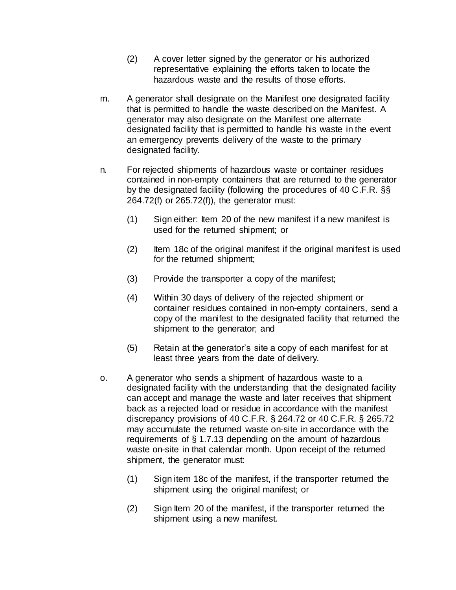- (2) A cover letter signed by the generator or his authorized representative explaining the efforts taken to locate the hazardous waste and the results of those efforts.
- m. A generator shall designate on the Manifest one designated facility that is permitted to handle the waste described on the Manifest. A generator may also designate on the Manifest one alternate designated facility that is permitted to handle his waste in the event an emergency prevents delivery of the waste to the primary designated facility.
- n. For rejected shipments of hazardous waste or container residues contained in non-empty containers that are returned to the generator by the designated facility (following the procedures of 40 C.F.R. §§ 264.72(f) or 265.72(f)), the generator must:
	- (1) Sign either: Item 20 of the new manifest if a new manifest is used for the returned shipment; or
	- (2) Item 18c of the original manifest if the original manifest is used for the returned shipment;
	- (3) Provide the transporter a copy of the manifest;
	- (4) Within 30 days of delivery of the rejected shipment or container residues contained in non-empty containers, send a copy of the manifest to the designated facility that returned the shipment to the generator; and
	- (5) Retain at the generator's site a copy of each manifest for at least three years from the date of delivery.
- o. A generator who sends a shipment of hazardous waste to a designated facility with the understanding that the designated facility can accept and manage the waste and later receives that shipment back as a rejected load or residue in accordance with the manifest discrepancy provisions of 40 C.F.R. § 264.72 or 40 C.F.R. § 265.72 may accumulate the returned waste on-site in accordance with the requirements of § 1.7.13 depending on the amount of hazardous waste on-site in that calendar month. Upon receipt of the returned shipment, the generator must:
	- (1) Sign item 18c of the manifest, if the transporter returned the shipment using the original manifest; or
	- (2) Sign Item 20 of the manifest, if the transporter returned the shipment using a new manifest.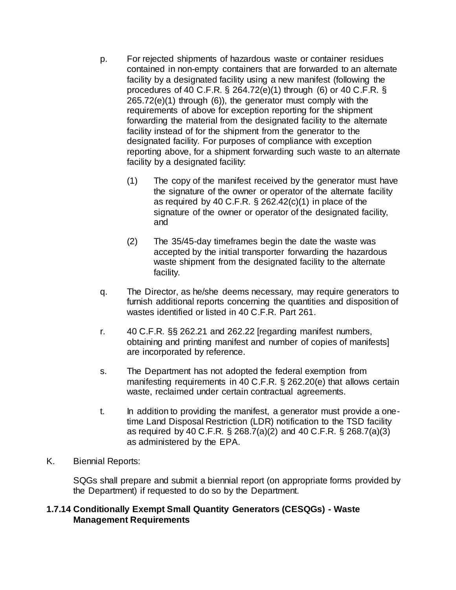- p. For rejected shipments of hazardous waste or container residues contained in non-empty containers that are forwarded to an alternate facility by a designated facility using a new manifest (following the procedures of 40 C.F.R. § 264.72(e)(1) through (6) or 40 C.F.R. § 265.72(e)(1) through (6)), the generator must comply with the requirements of above for exception reporting for the shipment forwarding the material from the designated facility to the alternate facility instead of for the shipment from the generator to the designated facility. For purposes of compliance with exception reporting above, for a shipment forwarding such waste to an alternate facility by a designated facility:
	- (1) The copy of the manifest received by the generator must have the signature of the owner or operator of the alternate facility as required by 40 C.F.R. § 262.42(c)(1) in place of the signature of the owner or operator of the designated facility, and
	- (2) The 35/45-day timeframes begin the date the waste was accepted by the initial transporter forwarding the hazardous waste shipment from the designated facility to the alternate facility.
- q. The Director, as he/she deems necessary, may require generators to furnish additional reports concerning the quantities and disposition of wastes identified or listed in 40 C.F.R. Part 261.
- r. 40 C.F.R. §§ 262.21 and 262.22 [regarding manifest numbers, obtaining and printing manifest and number of copies of manifests] are incorporated by reference.
- s. The Department has not adopted the federal exemption from manifesting requirements in 40 C.F.R. § 262.20(e) that allows certain waste, reclaimed under certain contractual agreements.
- t. In addition to providing the manifest, a generator must provide a onetime Land Disposal Restriction (LDR) notification to the TSD facility as required by 40 C.F.R. § 268.7(a)(2) and 40 C.F.R. § 268.7(a)(3) as administered by the EPA.
- K. Biennial Reports:

SQGs shall prepare and submit a biennial report (on appropriate forms provided by the Department) if requested to do so by the Department.

### **1.7.14 Conditionally Exempt Small Quantity Generators (CESQGs) - Waste Management Requirements**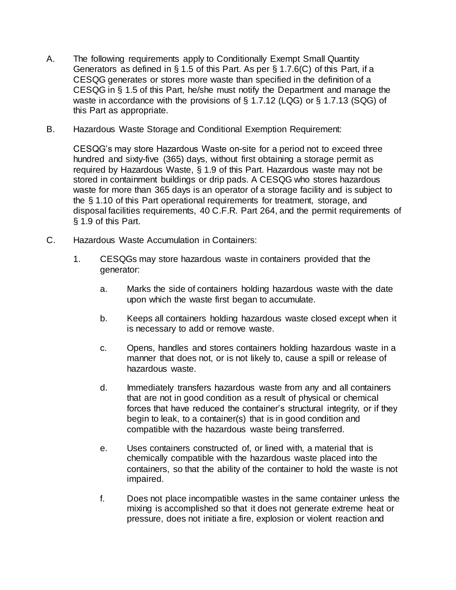- A. The following requirements apply to Conditionally Exempt Small Quantity Generators as defined in § 1.5 of this Part. As per § 1.7.6(C) of this Part, if a CESQG generates or stores more waste than specified in the definition of a CESQG in § 1.5 of this Part, he/she must notify the Department and manage the waste in accordance with the provisions of § 1.7.12 (LQG) or § 1.7.13 (SQG) of this Part as appropriate.
- B. Hazardous Waste Storage and Conditional Exemption Requirement:

CESQG's may store Hazardous Waste on-site for a period not to exceed three hundred and sixty-five (365) days, without first obtaining a storage permit as required by Hazardous Waste, § 1.9 of this Part. Hazardous waste may not be stored in containment buildings or drip pads. A CESQG who stores hazardous waste for more than 365 days is an operator of a storage facility and is subject to the § 1.10 of this Part operational requirements for treatment, storage, and disposal facilities requirements, 40 C.F.R. Part 264, and the permit requirements of § 1.9 of this Part.

- C. Hazardous Waste Accumulation in Containers:
	- 1. CESQGs may store hazardous waste in containers provided that the generator:
		- a. Marks the side of containers holding hazardous waste with the date upon which the waste first began to accumulate.
		- b. Keeps all containers holding hazardous waste closed except when it is necessary to add or remove waste.
		- c. Opens, handles and stores containers holding hazardous waste in a manner that does not, or is not likely to, cause a spill or release of hazardous waste.
		- d. Immediately transfers hazardous waste from any and all containers that are not in good condition as a result of physical or chemical forces that have reduced the container's structural integrity, or if they begin to leak, to a container(s) that is in good condition and compatible with the hazardous waste being transferred.
		- e. Uses containers constructed of, or lined with, a material that is chemically compatible with the hazardous waste placed into the containers, so that the ability of the container to hold the waste is not impaired.
		- f. Does not place incompatible wastes in the same container unless the mixing is accomplished so that it does not generate extreme heat or pressure, does not initiate a fire, explosion or violent reaction and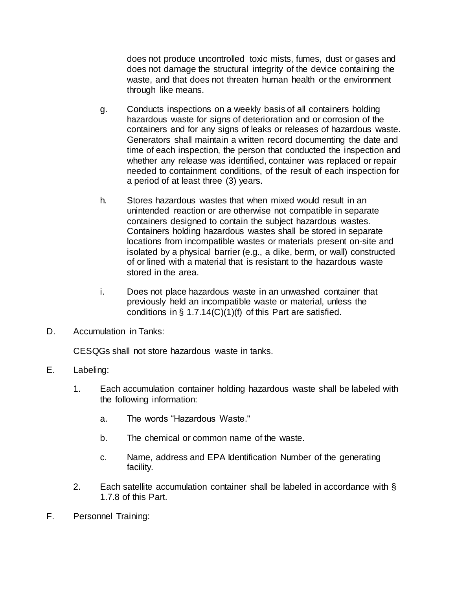does not produce uncontrolled toxic mists, fumes, dust or gases and does not damage the structural integrity of the device containing the waste, and that does not threaten human health or the environment through like means.

- g. Conducts inspections on a weekly basis of all containers holding hazardous waste for signs of deterioration and or corrosion of the containers and for any signs of leaks or releases of hazardous waste. Generators shall maintain a written record documenting the date and time of each inspection, the person that conducted the inspection and whether any release was identified, container was replaced or repair needed to containment conditions, of the result of each inspection for a period of at least three (3) years.
- h. Stores hazardous wastes that when mixed would result in an unintended reaction or are otherwise not compatible in separate containers designed to contain the subject hazardous wastes. Containers holding hazardous wastes shall be stored in separate locations from incompatible wastes or materials present on-site and isolated by a physical barrier (e.g., a dike, berm, or wall) constructed of or lined with a material that is resistant to the hazardous waste stored in the area.
- i. Does not place hazardous waste in an unwashed container that previously held an incompatible waste or material, unless the conditions in  $\S$  1.7.14(C)(1)(f) of this Part are satisfied.
- D. Accumulation in Tanks:

CESQGs shall not store hazardous waste in tanks.

- E. Labeling:
	- 1. Each accumulation container holding hazardous waste shall be labeled with the following information:
		- a. The words "Hazardous Waste."
		- b. The chemical or common name of the waste.
		- c. Name, address and EPA Identification Number of the generating facility.
	- 2. Each satellite accumulation container shall be labeled in accordance with § 1.7.8 of this Part.
- F. Personnel Training: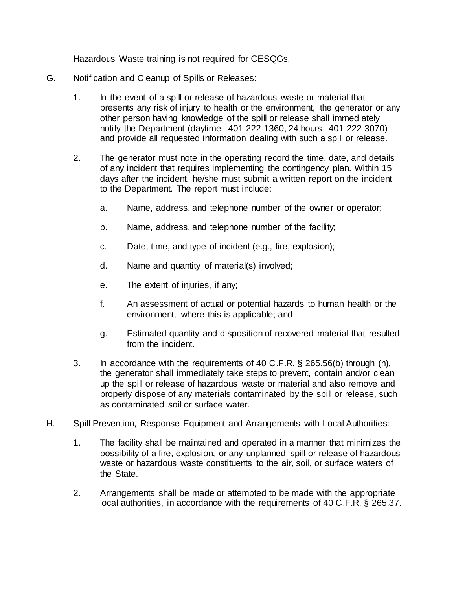Hazardous Waste training is not required for CESQGs.

- G. Notification and Cleanup of Spills or Releases:
	- 1. In the event of a spill or release of hazardous waste or material that presents any risk of injury to health or the environment, the generator or any other person having knowledge of the spill or release shall immediately notify the Department (daytime- 401-222-1360, 24 hours- 401-222-3070) and provide all requested information dealing with such a spill or release.
	- 2. The generator must note in the operating record the time, date, and details of any incident that requires implementing the contingency plan. Within 15 days after the incident, he/she must submit a written report on the incident to the Department. The report must include:
		- a. Name, address, and telephone number of the owner or operator;
		- b. Name, address, and telephone number of the facility;
		- c. Date, time, and type of incident (e.g., fire, explosion);
		- d. Name and quantity of material(s) involved;
		- e. The extent of injuries, if any;
		- f. An assessment of actual or potential hazards to human health or the environment, where this is applicable; and
		- g. Estimated quantity and disposition of recovered material that resulted from the incident.
	- 3. In accordance with the requirements of 40 C.F.R. § 265.56(b) through (h), the generator shall immediately take steps to prevent, contain and/or clean up the spill or release of hazardous waste or material and also remove and properly dispose of any materials contaminated by the spill or release, such as contaminated soil or surface water.
- H. Spill Prevention, Response Equipment and Arrangements with Local Authorities:
	- 1. The facility shall be maintained and operated in a manner that minimizes the possibility of a fire, explosion, or any unplanned spill or release of hazardous waste or hazardous waste constituents to the air, soil, or surface waters of the State.
	- 2. Arrangements shall be made or attempted to be made with the appropriate local authorities, in accordance with the requirements of 40 C.F.R. § 265.37.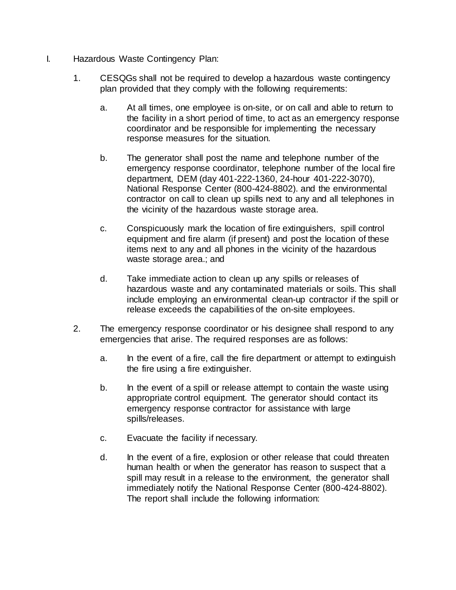- I. Hazardous Waste Contingency Plan:
	- 1. CESQGs shall not be required to develop a hazardous waste contingency plan provided that they comply with the following requirements:
		- a. At all times, one employee is on-site, or on call and able to return to the facility in a short period of time, to act as an emergency response coordinator and be responsible for implementing the necessary response measures for the situation.
		- b. The generator shall post the name and telephone number of the emergency response coordinator, telephone number of the local fire department, DEM (day 401-222-1360, 24-hour 401-222-3070), National Response Center (800-424-8802). and the environmental contractor on call to clean up spills next to any and all telephones in the vicinity of the hazardous waste storage area.
		- c. Conspicuously mark the location of fire extinguishers, spill control equipment and fire alarm (if present) and post the location of these items next to any and all phones in the vicinity of the hazardous waste storage area.; and
		- d. Take immediate action to clean up any spills or releases of hazardous waste and any contaminated materials or soils. This shall include employing an environmental clean-up contractor if the spill or release exceeds the capabilities of the on-site employees.
	- 2. The emergency response coordinator or his designee shall respond to any emergencies that arise. The required responses are as follows:
		- a. In the event of a fire, call the fire department or attempt to extinguish the fire using a fire extinguisher.
		- b. In the event of a spill or release attempt to contain the waste using appropriate control equipment. The generator should contact its emergency response contractor for assistance with large spills/releases.
		- c. Evacuate the facility if necessary.
		- d. In the event of a fire, explosion or other release that could threaten human health or when the generator has reason to suspect that a spill may result in a release to the environment, the generator shall immediately notify the National Response Center (800-424-8802). The report shall include the following information: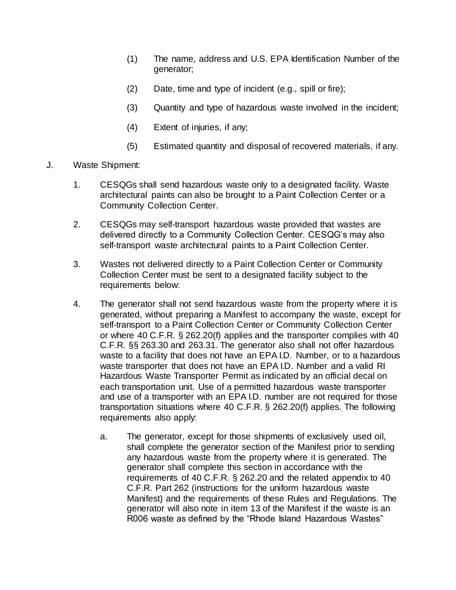- (1) The name, address and U.S. EPA Identification Number of the generator;
- (2) Date, time and type of incident (e.g., spill or fire);
- (3) Quantity and type of hazardous waste involved in the incident;
- (4) Extent of injuries, if any;
- (5) Estimated quantity and disposal of recovered materials, if any.
- J. Waste Shipment:
	- 1. CESQGs shall send hazardous waste only to a designated facility. Waste architectural paints can also be brought to a Paint Collection Center or a Community Collection Center.
	- 2. CESQGs may self-transport hazardous waste provided that wastes are delivered directly to a Community Collection Center. CESQG's may also self-transport waste architectural paints to a Paint Collection Center.
	- 3. Wastes not delivered directly to a Paint Collection Center or Community Collection Center must be sent to a designated facility subject to the requirements below:
	- 4. The generator shall not send hazardous waste from the property where it is generated, without preparing a Manifest to accompany the waste, except for self-transport to a Paint Collection Center or Community Collection Center or where 40 C.F.R. § 262.20(f) applies and the transporter complies with 40 C.F.R. §§ 263.30 and 263.31. The generator also shall not offer hazardous waste to a facility that does not have an EPA I.D. Number, or to a hazardous waste transporter that does not have an EPA I.D. Number and a valid RI Hazardous Waste Transporter Permit as indicated by an official decal on each transportation unit. Use of a permitted hazardous waste transporter and use of a transporter with an EPA I.D. number are not required for those transportation situations where 40 C.F.R. § 262.20(f) applies. The following requirements also apply:
		- a. The generator, except for those shipments of exclusively used oil, shall complete the generator section of the Manifest prior to sending any hazardous waste from the property where it is generated. The generator shall complete this section in accordance with the requirements of 40 C.F.R. § 262.20 and the related appendix to 40 C.F.R. Part 262 (instructions for the uniform hazardous waste Manifest) and the requirements of these Rules and Regulations. The generator will also note in item 13 of the Manifest if the waste is an R006 waste as defined by the "Rhode Island Hazardous Wastes"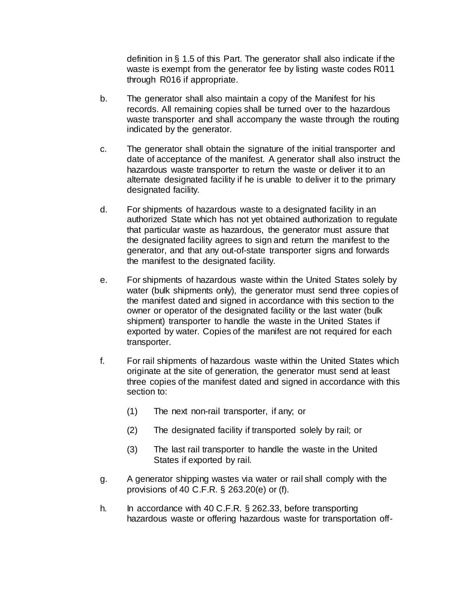definition in § 1.5 of this Part. The generator shall also indicate if the waste is exempt from the generator fee by listing waste codes R011 through R016 if appropriate.

- b. The generator shall also maintain a copy of the Manifest for his records. All remaining copies shall be turned over to the hazardous waste transporter and shall accompany the waste through the routing indicated by the generator.
- c. The generator shall obtain the signature of the initial transporter and date of acceptance of the manifest. A generator shall also instruct the hazardous waste transporter to return the waste or deliver it to an alternate designated facility if he is unable to deliver it to the primary designated facility.
- d. For shipments of hazardous waste to a designated facility in an authorized State which has not yet obtained authorization to regulate that particular waste as hazardous, the generator must assure that the designated facility agrees to sign and return the manifest to the generator, and that any out-of-state transporter signs and forwards the manifest to the designated facility.
- e. For shipments of hazardous waste within the United States solely by water (bulk shipments only), the generator must send three copies of the manifest dated and signed in accordance with this section to the owner or operator of the designated facility or the last water (bulk shipment) transporter to handle the waste in the United States if exported by water. Copies of the manifest are not required for each transporter.
- f. For rail shipments of hazardous waste within the United States which originate at the site of generation, the generator must send at least three copies of the manifest dated and signed in accordance with this section to:
	- (1) The next non-rail transporter, if any; or
	- (2) The designated facility if transported solely by rail; or
	- (3) The last rail transporter to handle the waste in the United States if exported by rail.
- g. A generator shipping wastes via water or rail shall comply with the provisions of 40 C.F.R. § 263.20(e) or (f).
- h. In accordance with 40 C.F.R. § 262.33, before transporting hazardous waste or offering hazardous waste for transportation off-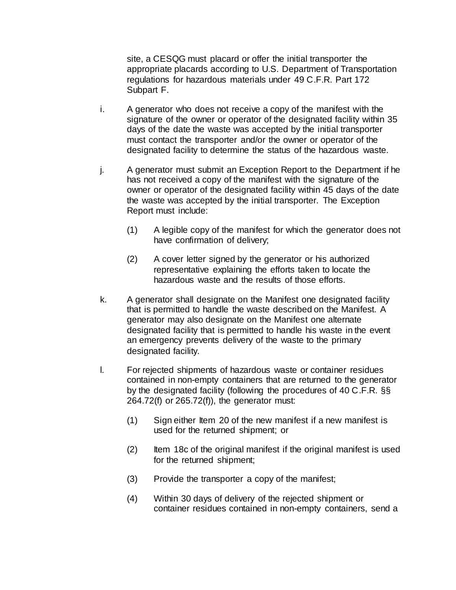site, a CESQG must placard or offer the initial transporter the appropriate placards according to U.S. Department of Transportation regulations for hazardous materials under 49 C.F.R. Part 172 Subpart F.

- i. A generator who does not receive a copy of the manifest with the signature of the owner or operator of the designated facility within 35 days of the date the waste was accepted by the initial transporter must contact the transporter and/or the owner or operator of the designated facility to determine the status of the hazardous waste.
- j. A generator must submit an Exception Report to the Department if he has not received a copy of the manifest with the signature of the owner or operator of the designated facility within 45 days of the date the waste was accepted by the initial transporter. The Exception Report must include:
	- (1) A legible copy of the manifest for which the generator does not have confirmation of delivery;
	- (2) A cover letter signed by the generator or his authorized representative explaining the efforts taken to locate the hazardous waste and the results of those efforts.
- k. A generator shall designate on the Manifest one designated facility that is permitted to handle the waste described on the Manifest. A generator may also designate on the Manifest one alternate designated facility that is permitted to handle his waste in the event an emergency prevents delivery of the waste to the primary designated facility.
- l. For rejected shipments of hazardous waste or container residues contained in non-empty containers that are returned to the generator by the designated facility (following the procedures of 40 C.F.R. §§ 264.72(f) or 265.72(f)), the generator must:
	- (1) Sign either Item 20 of the new manifest if a new manifest is used for the returned shipment; or
	- (2) Item 18c of the original manifest if the original manifest is used for the returned shipment;
	- (3) Provide the transporter a copy of the manifest;
	- (4) Within 30 days of delivery of the rejected shipment or container residues contained in non-empty containers, send a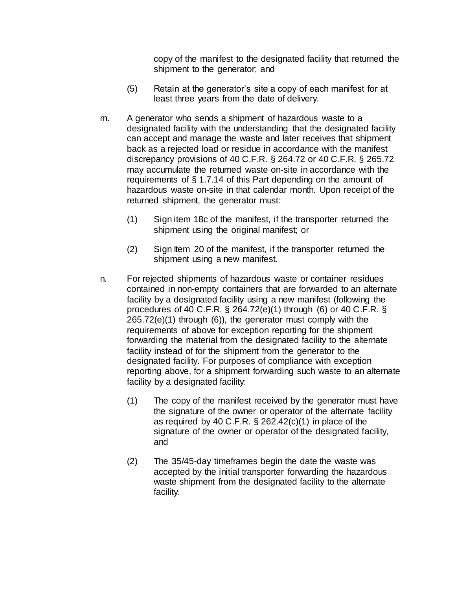copy of the manifest to the designated facility that returned the shipment to the generator; and

- (5) Retain at the generator's site a copy of each manifest for at least three years from the date of delivery.
- m. A generator who sends a shipment of hazardous waste to a designated facility with the understanding that the designated facility can accept and manage the waste and later receives that shipment back as a rejected load or residue in accordance with the manifest discrepancy provisions of 40 C.F.R. § 264.72 or 40 C.F.R. § 265.72 may accumulate the returned waste on-site in accordance with the requirements of § 1.7.14 of this Part depending on the amount of hazardous waste on-site in that calendar month. Upon receipt of the returned shipment, the generator must:
	- (1) Sign item 18c of the manifest, if the transporter returned the shipment using the original manifest; or
	- (2) Sign Item 20 of the manifest, if the transporter returned the shipment using a new manifest.
- n. For rejected shipments of hazardous waste or container residues contained in non-empty containers that are forwarded to an alternate facility by a designated facility using a new manifest (following the procedures of 40 C.F.R. § 264.72(e)(1) through (6) or 40 C.F.R. § 265.72(e)(1) through (6)), the generator must comply with the requirements of above for exception reporting for the shipment forwarding the material from the designated facility to the alternate facility instead of for the shipment from the generator to the designated facility. For purposes of compliance with exception reporting above, for a shipment forwarding such waste to an alternate facility by a designated facility:
	- (1) The copy of the manifest received by the generator must have the signature of the owner or operator of the alternate facility as required by 40 C.F.R.  $\S$  262.42(c)(1) in place of the signature of the owner or operator of the designated facility, and
	- (2) The 35/45-day timeframes begin the date the waste was accepted by the initial transporter forwarding the hazardous waste shipment from the designated facility to the alternate facility.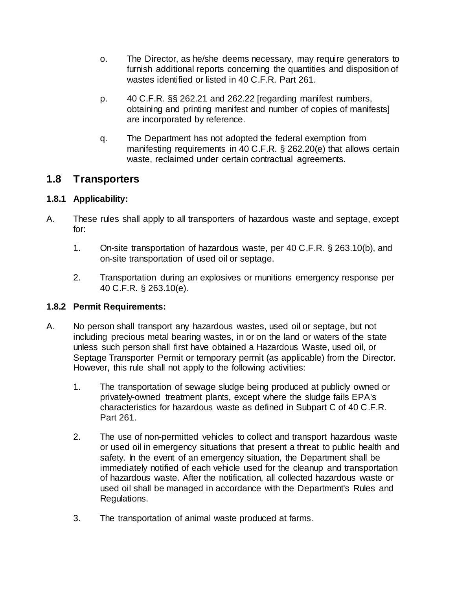- o. The Director, as he/she deems necessary, may require generators to furnish additional reports concerning the quantities and disposition of wastes identified or listed in 40 C.F.R. Part 261.
- p. 40 C.F.R. §§ 262.21 and 262.22 [regarding manifest numbers, obtaining and printing manifest and number of copies of manifests] are incorporated by reference.
- q. The Department has not adopted the federal exemption from manifesting requirements in 40 C.F.R. § 262.20(e) that allows certain waste, reclaimed under certain contractual agreements.

# **1.8 Transporters**

## **1.8.1 Applicability:**

- A. These rules shall apply to all transporters of hazardous waste and septage, except for:
	- 1. On-site transportation of hazardous waste, per 40 C.F.R. § 263.10(b), and on-site transportation of used oil or septage.
	- 2. Transportation during an explosives or munitions emergency response per 40 C.F.R. § 263.10(e).

### **1.8.2 Permit Requirements:**

- A. No person shall transport any hazardous wastes, used oil or septage, but not including precious metal bearing wastes, in or on the land or waters of the state unless such person shall first have obtained a Hazardous Waste, used oil, or Septage Transporter Permit or temporary permit (as applicable) from the Director. However, this rule shall not apply to the following activities:
	- 1. The transportation of sewage sludge being produced at publicly owned or privately-owned treatment plants, except where the sludge fails EPA's characteristics for hazardous waste as defined in Subpart C of 40 C.F.R. Part 261.
	- 2. The use of non-permitted vehicles to collect and transport hazardous waste or used oil in emergency situations that present a threat to public health and safety. In the event of an emergency situation, the Department shall be immediately notified of each vehicle used for the cleanup and transportation of hazardous waste. After the notification, all collected hazardous waste or used oil shall be managed in accordance with the Department's Rules and Regulations.
	- 3. The transportation of animal waste produced at farms.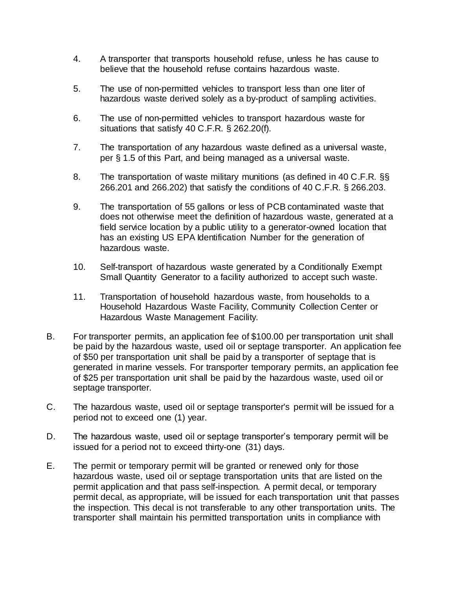- 4. A transporter that transports household refuse, unless he has cause to believe that the household refuse contains hazardous waste.
- 5. The use of non-permitted vehicles to transport less than one liter of hazardous waste derived solely as a by-product of sampling activities.
- 6. The use of non-permitted vehicles to transport hazardous waste for situations that satisfy 40 C.F.R. § 262.20(f).
- 7. The transportation of any hazardous waste defined as a universal waste, per § 1.5 of this Part, and being managed as a universal waste.
- 8. The transportation of waste military munitions (as defined in 40 C.F.R. §§ 266.201 and 266.202) that satisfy the conditions of 40 C.F.R. § 266.203.
- 9. The transportation of 55 gallons or less of PCB contaminated waste that does not otherwise meet the definition of hazardous waste, generated at a field service location by a public utility to a generator-owned location that has an existing US EPA Identification Number for the generation of hazardous waste.
- 10. Self-transport of hazardous waste generated by a Conditionally Exempt Small Quantity Generator to a facility authorized to accept such waste.
- 11. Transportation of household hazardous waste, from households to a Household Hazardous Waste Facility, Community Collection Center or Hazardous Waste Management Facility.
- B. For transporter permits, an application fee of \$100.00 per transportation unit shall be paid by the hazardous waste, used oil or septage transporter. An application fee of \$50 per transportation unit shall be paid by a transporter of septage that is generated in marine vessels. For transporter temporary permits, an application fee of \$25 per transportation unit shall be paid by the hazardous waste, used oil or septage transporter.
- C. The hazardous waste, used oil or septage transporter's permit will be issued for a period not to exceed one (1) year.
- D. The hazardous waste, used oil or septage transporter's temporary permit will be issued for a period not to exceed thirty-one (31) days.
- E. The permit or temporary permit will be granted or renewed only for those hazardous waste, used oil or septage transportation units that are listed on the permit application and that pass self-inspection. A permit decal, or temporary permit decal, as appropriate, will be issued for each transportation unit that passes the inspection. This decal is not transferable to any other transportation units. The transporter shall maintain his permitted transportation units in compliance with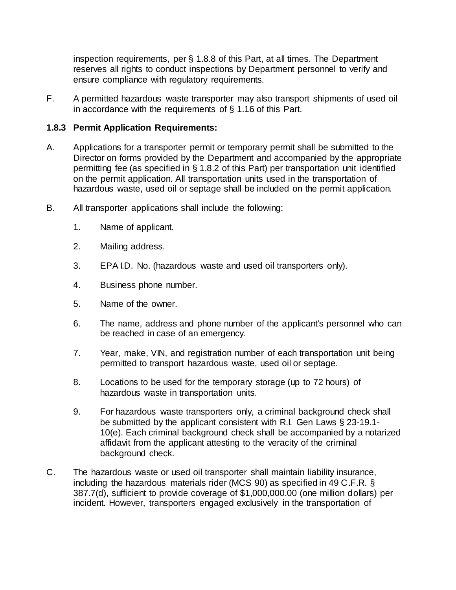inspection requirements, per § 1.8.8 of this Part, at all times. The Department reserves all rights to conduct inspections by Department personnel to verify and ensure compliance with regulatory requirements.

F. A permitted hazardous waste transporter may also transport shipments of used oil in accordance with the requirements of § 1.16 of this Part.

### **1.8.3 Permit Application Requirements:**

- A. Applications for a transporter permit or temporary permit shall be submitted to the Director on forms provided by the Department and accompanied by the appropriate permitting fee (as specified in § 1.8.2 of this Part) per transportation unit identified on the permit application. All transportation units used in the transportation of hazardous waste, used oil or septage shall be included on the permit application.
- B. All transporter applications shall include the following:
	- 1. Name of applicant.
	- 2. Mailing address.
	- 3. EPA I.D. No. (hazardous waste and used oil transporters only).
	- 4. Business phone number.
	- 5. Name of the owner.
	- 6. The name, address and phone number of the applicant's personnel who can be reached in case of an emergency.
	- 7. Year, make, VIN, and registration number of each transportation unit being permitted to transport hazardous waste, used oil or septage.
	- 8. Locations to be used for the temporary storage (up to 72 hours) of hazardous waste in transportation units.
	- 9. For hazardous waste transporters only, a criminal background check shall be submitted by the applicant consistent with R.I. Gen Laws § 23-19.1- 10(e). Each criminal background check shall be accompanied by a notarized affidavit from the applicant attesting to the veracity of the criminal background check.
- C. The hazardous waste or used oil transporter shall maintain liability insurance, including the hazardous materials rider (MCS 90) as specified in 49 C.F.R. § 387.7(d), sufficient to provide coverage of \$1,000,000.00 (one million dollars) per incident. However, transporters engaged exclusively in the transportation of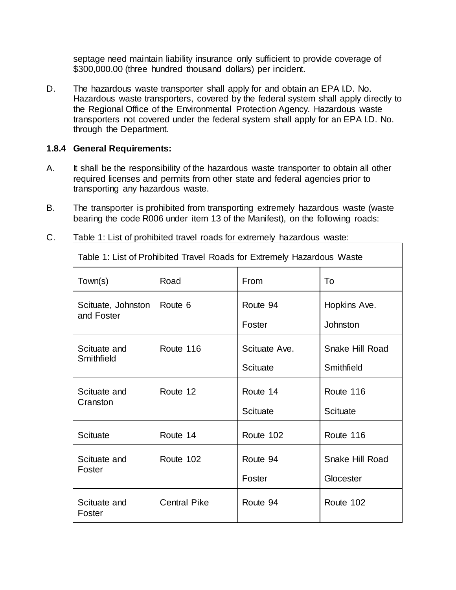septage need maintain liability insurance only sufficient to provide coverage of \$300,000.00 (three hundred thousand dollars) per incident.

D. The hazardous waste transporter shall apply for and obtain an EPA I.D. No. Hazardous waste transporters, covered by the federal system shall apply directly to the Regional Office of the Environmental Protection Agency. Hazardous waste transporters not covered under the federal system shall apply for an EPA I.D. No. through the Department.

#### **1.8.4 General Requirements:**

- A. It shall be the responsibility of the hazardous waste transporter to obtain all other required licenses and permits from other state and federal agencies prior to transporting any hazardous waste.
- B. The transporter is prohibited from transporting extremely hazardous waste (waste bearing the code R006 under item 13 of the Manifest), on the following roads:

| Table 1: List of Prohibited Travel Roads for Extremely Hazardous Waste |                     |                 |                 |  |
|------------------------------------------------------------------------|---------------------|-----------------|-----------------|--|
| Town(s)                                                                | Road                | <b>From</b>     | To              |  |
| Scituate, Johnston                                                     | Route 6             | Route 94        | Hopkins Ave.    |  |
| and Foster                                                             |                     | Foster          | <b>Johnston</b> |  |
| Scituate and                                                           | Route 116           | Scituate Ave.   | Snake Hill Road |  |
| Smithfield                                                             |                     | <b>Scituate</b> | Smithfield      |  |
| Scituate and                                                           | Route 12            | Route 14        | Route 116       |  |
| Cranston                                                               |                     | Scituate        | Scituate        |  |
| Scituate                                                               | Route 14            | Route 102       | Route 116       |  |
| Scituate and                                                           | Route 102           | Route 94        | Snake Hill Road |  |
| Foster                                                                 |                     | Foster          | Glocester       |  |
| Scituate and<br>Foster                                                 | <b>Central Pike</b> | Route 94        | Route 102       |  |

C. Table 1: List of prohibited travel roads for extremely hazardous waste: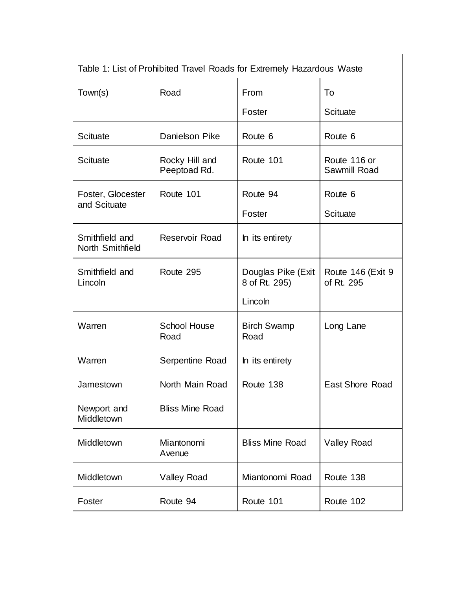| Table 1: List of Prohibited Travel Roads for Extremely Hazardous Waste |                                |                                                |                                 |  |  |
|------------------------------------------------------------------------|--------------------------------|------------------------------------------------|---------------------------------|--|--|
| Town(s)                                                                | Road                           | From                                           | To                              |  |  |
|                                                                        |                                | Foster                                         | <b>Scituate</b>                 |  |  |
| Scituate                                                               | Danielson Pike                 | Route 6                                        | Route 6                         |  |  |
| <b>Scituate</b>                                                        | Rocky Hill and<br>Peeptoad Rd. | Route 101                                      | Route 116 or<br>Sawmill Road    |  |  |
| Foster, Glocester<br>and Scituate                                      | Route 101                      | Route 94                                       | Route 6                         |  |  |
|                                                                        |                                | Foster                                         | <b>Scituate</b>                 |  |  |
| Smithfield and<br>North Smithfield                                     | <b>Reservoir Road</b>          | In its entirety                                |                                 |  |  |
| Smithfield and<br>Lincoln                                              | Route 295                      | Douglas Pike (Exit<br>8 of Rt. 295)<br>Lincoln | Route 146 (Exit 9<br>of Rt. 295 |  |  |
| Warren                                                                 | <b>School House</b><br>Road    | <b>Birch Swamp</b><br>Road                     | Long Lane                       |  |  |
| Warren                                                                 | Serpentine Road                | In its entirety                                |                                 |  |  |
| Jamestown                                                              | North Main Road                | Route 138                                      | <b>East Shore Road</b>          |  |  |
| Newport and<br>Middletown                                              | <b>Bliss Mine Road</b>         |                                                |                                 |  |  |
| Middletown                                                             | Miantonomi<br>Avenue           | <b>Bliss Mine Road</b>                         | <b>Valley Road</b>              |  |  |
| Middletown                                                             | <b>Valley Road</b>             | Miantonomi Road                                | Route 138                       |  |  |
| Foster                                                                 | Route 94                       | Route 101                                      | Route 102                       |  |  |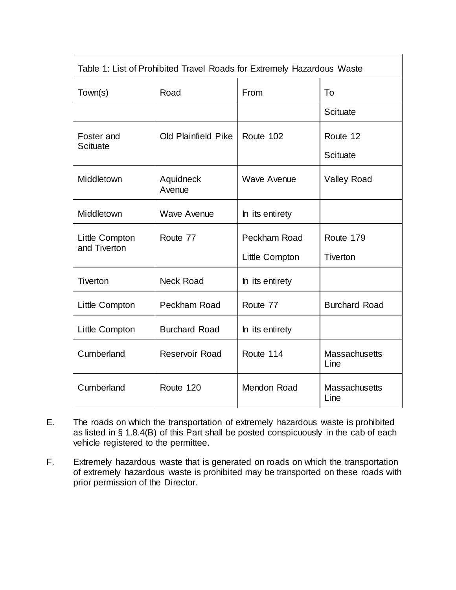| Table 1: List of Prohibited Travel Roads for Extremely Hazardous Waste |                      |                    |                              |  |  |
|------------------------------------------------------------------------|----------------------|--------------------|------------------------------|--|--|
| Town(s)                                                                | Road                 | From               | To                           |  |  |
|                                                                        |                      |                    | <b>Scituate</b>              |  |  |
| Foster and<br><b>Scituate</b>                                          | Old Plainfield Pike  | Route 102          | Route 12                     |  |  |
|                                                                        |                      |                    | <b>Scituate</b>              |  |  |
| Middletown                                                             | Aquidneck<br>Avenue  | <b>Wave Avenue</b> | <b>Valley Road</b>           |  |  |
| Middletown                                                             | <b>Wave Avenue</b>   | In its entirety    |                              |  |  |
| Little Compton<br>and Tiverton                                         | Route 77             | Peckham Road       | Route 179                    |  |  |
|                                                                        |                      | Little Compton     | Tiverton                     |  |  |
| <b>Tiverton</b>                                                        | <b>Neck Road</b>     | In its entirety    |                              |  |  |
| Little Compton                                                         | Peckham Road         | Route 77           | <b>Burchard Road</b>         |  |  |
| Little Compton                                                         | <b>Burchard Road</b> | In its entirety    |                              |  |  |
| Cumberland                                                             | Reservoir Road       | Route 114          | <b>Massachusetts</b><br>Line |  |  |
| Cumberland                                                             | Route 120            | <b>Mendon Road</b> | Massachusetts<br>Line        |  |  |

- E. The roads on which the transportation of extremely hazardous waste is prohibited as listed in § 1.8.4(B) of this Part shall be posted conspicuously in the cab of each vehicle registered to the permittee.
- F. Extremely hazardous waste that is generated on roads on which the transportation of extremely hazardous waste is prohibited may be transported on these roads with prior permission of the Director.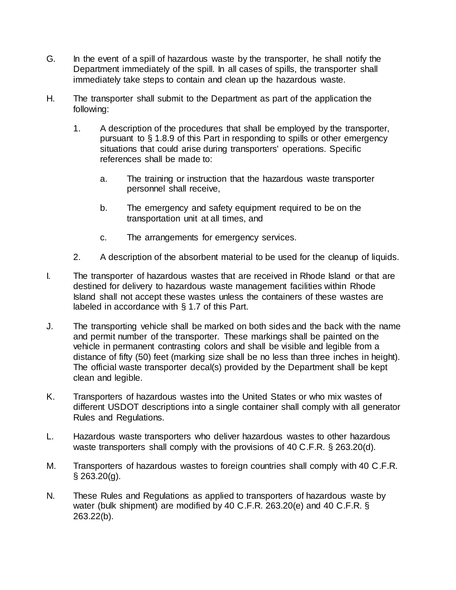- G. In the event of a spill of hazardous waste by the transporter, he shall notify the Department immediately of the spill. In all cases of spills, the transporter shall immediately take steps to contain and clean up the hazardous waste.
- H. The transporter shall submit to the Department as part of the application the following:
	- 1. A description of the procedures that shall be employed by the transporter, pursuant to § 1.8.9 of this Part in responding to spills or other emergency situations that could arise during transporters' operations. Specific references shall be made to:
		- a. The training or instruction that the hazardous waste transporter personnel shall receive,
		- b. The emergency and safety equipment required to be on the transportation unit at all times, and
		- c. The arrangements for emergency services.
	- 2. A description of the absorbent material to be used for the cleanup of liquids.
- I. The transporter of hazardous wastes that are received in Rhode Island or that are destined for delivery to hazardous waste management facilities within Rhode Island shall not accept these wastes unless the containers of these wastes are labeled in accordance with § 1.7 of this Part.
- J. The transporting vehicle shall be marked on both sides and the back with the name and permit number of the transporter. These markings shall be painted on the vehicle in permanent contrasting colors and shall be visible and legible from a distance of fifty (50) feet (marking size shall be no less than three inches in height). The official waste transporter decal(s) provided by the Department shall be kept clean and legible.
- K. Transporters of hazardous wastes into the United States or who mix wastes of different USDOT descriptions into a single container shall comply with all generator Rules and Regulations.
- L. Hazardous waste transporters who deliver hazardous wastes to other hazardous waste transporters shall comply with the provisions of 40 C.F.R. § 263.20(d).
- M. Transporters of hazardous wastes to foreign countries shall comply with 40 C.F.R.  $§$  263.20(q).
- N. These Rules and Regulations as applied to transporters of hazardous waste by water (bulk shipment) are modified by 40 C.F.R. 263.20(e) and 40 C.F.R. § 263.22(b).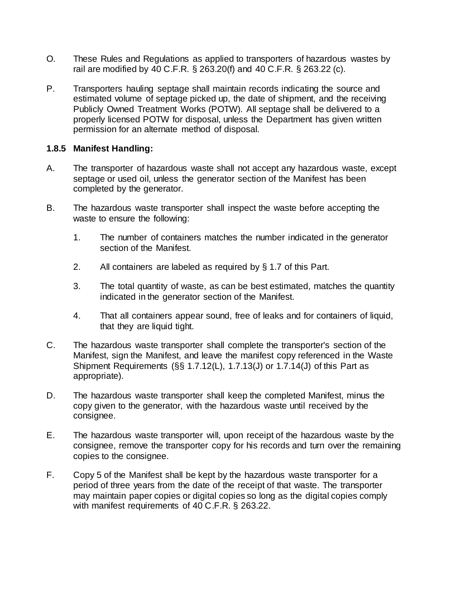- O. These Rules and Regulations as applied to transporters of hazardous wastes by rail are modified by 40 C.F.R. § 263.20(f) and 40 C.F.R. § 263.22 (c).
- P. Transporters hauling septage shall maintain records indicating the source and estimated volume of septage picked up, the date of shipment, and the receiving Publicly Owned Treatment Works (POTW). All septage shall be delivered to a properly licensed POTW for disposal, unless the Department has given written permission for an alternate method of disposal.

### **1.8.5 Manifest Handling:**

- A. The transporter of hazardous waste shall not accept any hazardous waste, except septage or used oil, unless the generator section of the Manifest has been completed by the generator.
- B. The hazardous waste transporter shall inspect the waste before accepting the waste to ensure the following:
	- 1. The number of containers matches the number indicated in the generator section of the Manifest.
	- 2. All containers are labeled as required by § 1.7 of this Part.
	- 3. The total quantity of waste, as can be best estimated, matches the quantity indicated in the generator section of the Manifest.
	- 4. That all containers appear sound, free of leaks and for containers of liquid, that they are liquid tight.
- C. The hazardous waste transporter shall complete the transporter's section of the Manifest, sign the Manifest, and leave the manifest copy referenced in the Waste Shipment Requirements (§§ 1.7.12(L), 1.7.13(J) or 1.7.14(J) of this Part as appropriate).
- D. The hazardous waste transporter shall keep the completed Manifest, minus the copy given to the generator, with the hazardous waste until received by the consignee.
- E. The hazardous waste transporter will, upon receipt of the hazardous waste by the consignee, remove the transporter copy for his records and turn over the remaining copies to the consignee.
- F. Copy 5 of the Manifest shall be kept by the hazardous waste transporter for a period of three years from the date of the receipt of that waste. The transporter may maintain paper copies or digital copies so long as the digital copies comply with manifest requirements of 40 C.F.R. § 263.22.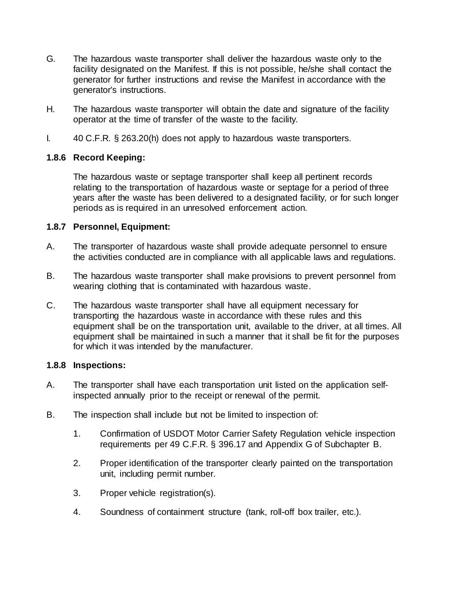- G. The hazardous waste transporter shall deliver the hazardous waste only to the facility designated on the Manifest. If this is not possible, he/she shall contact the generator for further instructions and revise the Manifest in accordance with the generator's instructions.
- H. The hazardous waste transporter will obtain the date and signature of the facility operator at the time of transfer of the waste to the facility.
- I. 40 C.F.R. § 263.20(h) does not apply to hazardous waste transporters.

### **1.8.6 Record Keeping:**

The hazardous waste or septage transporter shall keep all pertinent records relating to the transportation of hazardous waste or septage for a period of three years after the waste has been delivered to a designated facility, or for such longer periods as is required in an unresolved enforcement action.

### **1.8.7 Personnel, Equipment:**

- A. The transporter of hazardous waste shall provide adequate personnel to ensure the activities conducted are in compliance with all applicable laws and regulations.
- B. The hazardous waste transporter shall make provisions to prevent personnel from wearing clothing that is contaminated with hazardous waste.
- C. The hazardous waste transporter shall have all equipment necessary for transporting the hazardous waste in accordance with these rules and this equipment shall be on the transportation unit, available to the driver, at all times. All equipment shall be maintained in such a manner that it shall be fit for the purposes for which it was intended by the manufacturer.

### **1.8.8 Inspections:**

- A. The transporter shall have each transportation unit listed on the application selfinspected annually prior to the receipt or renewal of the permit.
- B. The inspection shall include but not be limited to inspection of:
	- 1. Confirmation of USDOT Motor Carrier Safety Regulation vehicle inspection requirements per 49 C.F.R. § 396.17 and Appendix G of Subchapter B.
	- 2. Proper identification of the transporter clearly painted on the transportation unit, including permit number.
	- 3. Proper vehicle registration(s).
	- 4. Soundness of containment structure (tank, roll-off box trailer, etc.).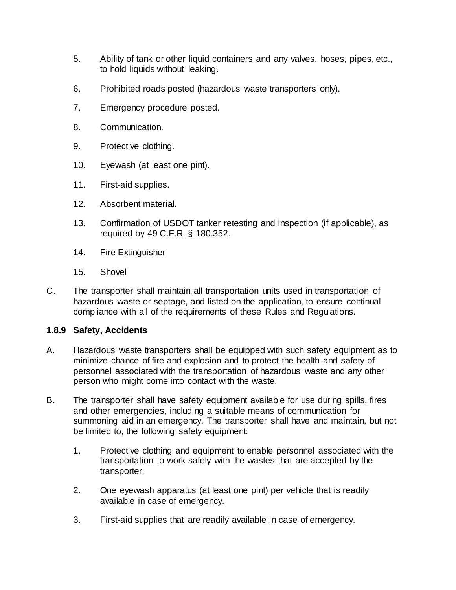- 5. Ability of tank or other liquid containers and any valves, hoses, pipes, etc., to hold liquids without leaking.
- 6. Prohibited roads posted (hazardous waste transporters only).
- 7. Emergency procedure posted.
- 8. Communication.
- 9. Protective clothing.
- 10. Eyewash (at least one pint).
- 11. First-aid supplies.
- 12. Absorbent material.
- 13. Confirmation of USDOT tanker retesting and inspection (if applicable), as required by 49 C.F.R. § 180.352.
- 14. Fire Extinguisher
- 15. Shovel
- C. The transporter shall maintain all transportation units used in transportation of hazardous waste or septage, and listed on the application, to ensure continual compliance with all of the requirements of these Rules and Regulations.

### **1.8.9 Safety, Accidents**

- A. Hazardous waste transporters shall be equipped with such safety equipment as to minimize chance of fire and explosion and to protect the health and safety of personnel associated with the transportation of hazardous waste and any other person who might come into contact with the waste.
- B. The transporter shall have safety equipment available for use during spills, fires and other emergencies, including a suitable means of communication for summoning aid in an emergency. The transporter shall have and maintain, but not be limited to, the following safety equipment:
	- 1. Protective clothing and equipment to enable personnel associated with the transportation to work safely with the wastes that are accepted by the transporter.
	- 2. One eyewash apparatus (at least one pint) per vehicle that is readily available in case of emergency.
	- 3. First-aid supplies that are readily available in case of emergency.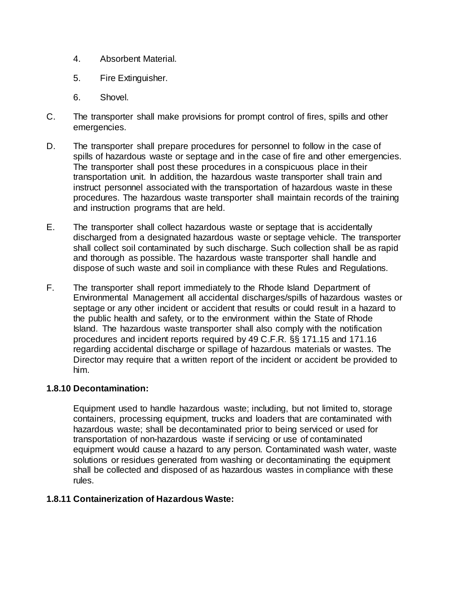- 4. Absorbent Material.
- 5. Fire Extinguisher.
- 6. Shovel.
- C. The transporter shall make provisions for prompt control of fires, spills and other emergencies.
- D. The transporter shall prepare procedures for personnel to follow in the case of spills of hazardous waste or septage and in the case of fire and other emergencies. The transporter shall post these procedures in a conspicuous place in their transportation unit. In addition, the hazardous waste transporter shall train and instruct personnel associated with the transportation of hazardous waste in these procedures. The hazardous waste transporter shall maintain records of the training and instruction programs that are held.
- E. The transporter shall collect hazardous waste or septage that is accidentally discharged from a designated hazardous waste or septage vehicle. The transporter shall collect soil contaminated by such discharge. Such collection shall be as rapid and thorough as possible. The hazardous waste transporter shall handle and dispose of such waste and soil in compliance with these Rules and Regulations.
- F. The transporter shall report immediately to the Rhode Island Department of Environmental Management all accidental discharges/spills of hazardous wastes or septage or any other incident or accident that results or could result in a hazard to the public health and safety, or to the environment within the State of Rhode Island. The hazardous waste transporter shall also comply with the notification procedures and incident reports required by 49 C.F.R. §§ 171.15 and 171.16 regarding accidental discharge or spillage of hazardous materials or wastes. The Director may require that a written report of the incident or accident be provided to him.

### **1.8.10 Decontamination:**

Equipment used to handle hazardous waste; including, but not limited to, storage containers, processing equipment, trucks and loaders that are contaminated with hazardous waste; shall be decontaminated prior to being serviced or used for transportation of non-hazardous waste if servicing or use of contaminated equipment would cause a hazard to any person. Contaminated wash water, waste solutions or residues generated from washing or decontaminating the equipment shall be collected and disposed of as hazardous wastes in compliance with these rules.

### **1.8.11 Containerization of Hazardous Waste:**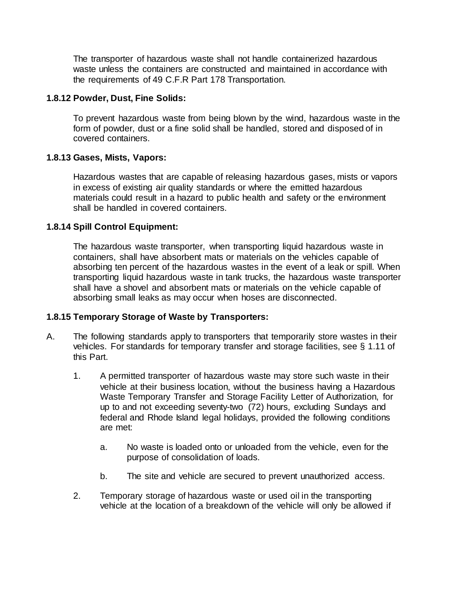The transporter of hazardous waste shall not handle containerized hazardous waste unless the containers are constructed and maintained in accordance with the requirements of 49 C.F.R Part 178 Transportation.

#### **1.8.12 Powder, Dust, Fine Solids:**

To prevent hazardous waste from being blown by the wind, hazardous waste in the form of powder, dust or a fine solid shall be handled, stored and disposed of in covered containers.

#### **1.8.13 Gases, Mists, Vapors:**

Hazardous wastes that are capable of releasing hazardous gases, mists or vapors in excess of existing air quality standards or where the emitted hazardous materials could result in a hazard to public health and safety or the environment shall be handled in covered containers.

#### **1.8.14 Spill Control Equipment:**

The hazardous waste transporter, when transporting liquid hazardous waste in containers, shall have absorbent mats or materials on the vehicles capable of absorbing ten percent of the hazardous wastes in the event of a leak or spill. When transporting liquid hazardous waste in tank trucks, the hazardous waste transporter shall have a shovel and absorbent mats or materials on the vehicle capable of absorbing small leaks as may occur when hoses are disconnected.

#### **1.8.15 Temporary Storage of Waste by Transporters:**

- A. The following standards apply to transporters that temporarily store wastes in their vehicles. For standards for temporary transfer and storage facilities, see § 1.11 of this Part.
	- 1. A permitted transporter of hazardous waste may store such waste in their vehicle at their business location, without the business having a Hazardous Waste Temporary Transfer and Storage Facility Letter of Authorization, for up to and not exceeding seventy-two (72) hours, excluding Sundays and federal and Rhode Island legal holidays, provided the following conditions are met:
		- a. No waste is loaded onto or unloaded from the vehicle, even for the purpose of consolidation of loads.
		- b. The site and vehicle are secured to prevent unauthorized access.
	- 2. Temporary storage of hazardous waste or used oil in the transporting vehicle at the location of a breakdown of the vehicle will only be allowed if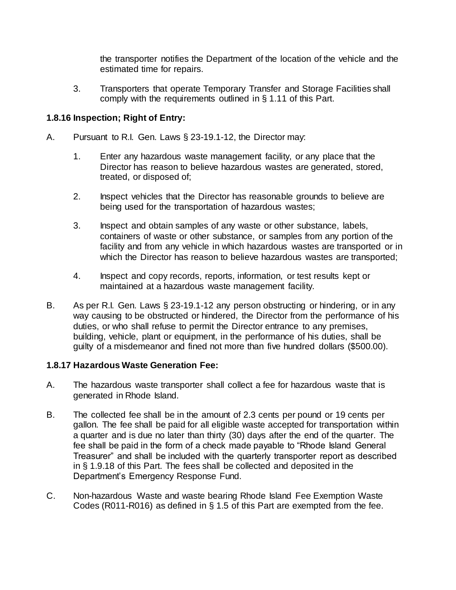the transporter notifies the Department of the location of the vehicle and the estimated time for repairs.

3. Transporters that operate Temporary Transfer and Storage Facilities shall comply with the requirements outlined in § 1.11 of this Part.

### **1.8.16 Inspection; Right of Entry:**

- A. Pursuant to R.I. Gen. Laws § 23-19.1-12, the Director may:
	- 1. Enter any hazardous waste management facility, or any place that the Director has reason to believe hazardous wastes are generated, stored, treated, or disposed of;
	- 2. Inspect vehicles that the Director has reasonable grounds to believe are being used for the transportation of hazardous wastes;
	- 3. Inspect and obtain samples of any waste or other substance, labels, containers of waste or other substance, or samples from any portion of the facility and from any vehicle in which hazardous wastes are transported or in which the Director has reason to believe hazardous wastes are transported;
	- 4. Inspect and copy records, reports, information, or test results kept or maintained at a hazardous waste management facility.
- B. As per R.I. Gen. Laws § 23-19.1-12 any person obstructing or hindering, or in any way causing to be obstructed or hindered, the Director from the performance of his duties, or who shall refuse to permit the Director entrance to any premises, building, vehicle, plant or equipment, in the performance of his duties, shall be guilty of a misdemeanor and fined not more than five hundred dollars (\$500.00).

### **1.8.17 Hazardous Waste Generation Fee:**

- A. The hazardous waste transporter shall collect a fee for hazardous waste that is generated in Rhode Island.
- B. The collected fee shall be in the amount of 2.3 cents per pound or 19 cents per gallon. The fee shall be paid for all eligible waste accepted for transportation within a quarter and is due no later than thirty (30) days after the end of the quarter. The fee shall be paid in the form of a check made payable to "Rhode Island General Treasurer" and shall be included with the quarterly transporter report as described in § 1.9.18 of this Part. The fees shall be collected and deposited in the Department's Emergency Response Fund.
- C. Non-hazardous Waste and waste bearing Rhode Island Fee Exemption Waste Codes (R011-R016) as defined in § 1.5 of this Part are exempted from the fee.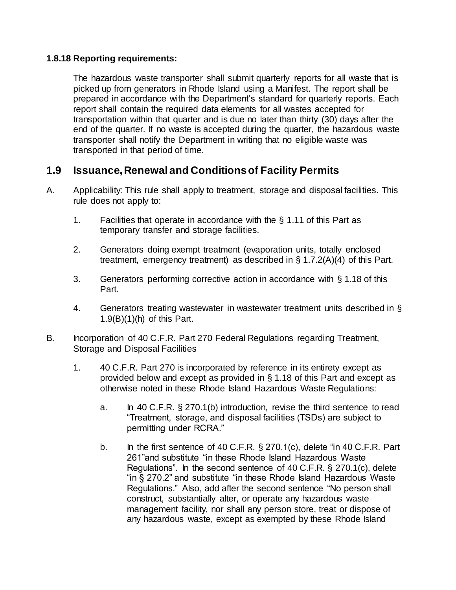### **1.8.18 Reporting requirements:**

The hazardous waste transporter shall submit quarterly reports for all waste that is picked up from generators in Rhode Island using a Manifest. The report shall be prepared in accordance with the Department's standard for quarterly reports. Each report shall contain the required data elements for all wastes accepted for transportation within that quarter and is due no later than thirty (30) days after the end of the quarter. If no waste is accepted during the quarter, the hazardous waste transporter shall notify the Department in writing that no eligible waste was transported in that period of time.

# **1.9 Issuance, Renewal and Conditions of Facility Permits**

- A. Applicability: This rule shall apply to treatment, storage and disposal facilities. This rule does not apply to:
	- 1. Facilities that operate in accordance with the § 1.11 of this Part as temporary transfer and storage facilities.
	- 2. Generators doing exempt treatment (evaporation units, totally enclosed treatment, emergency treatment) as described in § 1.7.2(A)(4) of this Part.
	- 3. Generators performing corrective action in accordance with § 1.18 of this Part.
	- 4. Generators treating wastewater in wastewater treatment units described in § 1.9(B)(1)(h) of this Part.
- B. Incorporation of 40 C.F.R. Part 270 Federal Regulations regarding Treatment, Storage and Disposal Facilities
	- 1. 40 C.F.R. Part 270 is incorporated by reference in its entirety except as provided below and except as provided in § 1.18 of this Part and except as otherwise noted in these Rhode Island Hazardous Waste Regulations:
		- a. In 40 C.F.R. § 270.1(b) introduction, revise the third sentence to read "Treatment, storage, and disposal facilities (TSDs) are subject to permitting under RCRA."
		- b. In the first sentence of 40 C.F.R. § 270.1(c), delete "in 40 C.F.R. Part 261"and substitute "in these Rhode Island Hazardous Waste Regulations". In the second sentence of 40 C.F.R. § 270.1(c), delete "in § 270.2" and substitute "in these Rhode Island Hazardous Waste Regulations." Also, add after the second sentence "No person shall construct, substantially alter, or operate any hazardous waste management facility, nor shall any person store, treat or dispose of any hazardous waste, except as exempted by these Rhode Island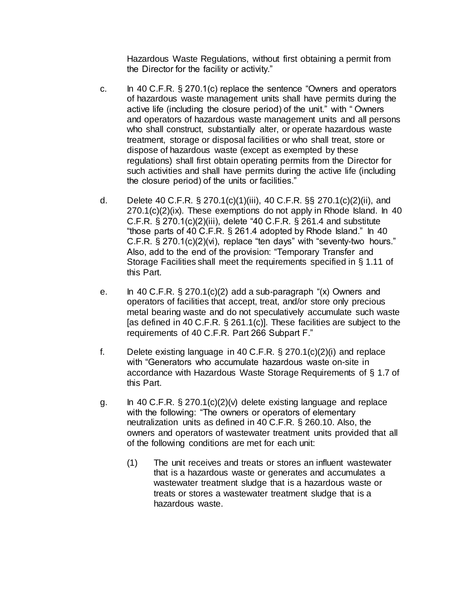Hazardous Waste Regulations, without first obtaining a permit from the Director for the facility or activity."

- c. In 40 C.F.R. § 270.1(c) replace the sentence "Owners and operators of hazardous waste management units shall have permits during the active life (including the closure period) of the unit." with " Owners and operators of hazardous waste management units and all persons who shall construct, substantially alter, or operate hazardous waste treatment, storage or disposal facilities or who shall treat, store or dispose of hazardous waste (except as exempted by these regulations) shall first obtain operating permits from the Director for such activities and shall have permits during the active life (including the closure period) of the units or facilities."
- d. Delete 40 C.F.R. § 270.1(c)(1)(iii), 40 C.F.R. §§ 270.1(c)(2)(ii), and 270.1(c)(2)(ix). These exemptions do not apply in Rhode Island. In 40 C.F.R. § 270.1(c)(2)(iii), delete "40 C.F.R. § 261.4 and substitute "those parts of 40 C.F.R. § 261.4 adopted by Rhode Island." In 40 C.F.R. § 270.1(c)(2)(vi), replace "ten days" with "seventy-two hours." Also, add to the end of the provision: "Temporary Transfer and Storage Facilities shall meet the requirements specified in § 1.11 of this Part.
- e. In 40 C.F.R.  $\S 270.1(c)(2)$  add a sub-paragraph " $(x)$  Owners and operators of facilities that accept, treat, and/or store only precious metal bearing waste and do not speculatively accumulate such waste [as defined in 40 C.F.R. § 261.1(c)]. These facilities are subject to the requirements of 40 C.F.R. Part 266 Subpart F."
- f. Delete existing language in 40 C.F.R. § 270.1(c)(2)(i) and replace with "Generators who accumulate hazardous waste on-site in accordance with Hazardous Waste Storage Requirements of § 1.7 of this Part.
- g. In 40 C.F.R.  $\S 270.1(c)(2)(v)$  delete existing language and replace with the following: "The owners or operators of elementary neutralization units as defined in 40 C.F.R. § 260.10. Also, the owners and operators of wastewater treatment units provided that all of the following conditions are met for each unit:
	- (1) The unit receives and treats or stores an influent wastewater that is a hazardous waste or generates and accumulates a wastewater treatment sludge that is a hazardous waste or treats or stores a wastewater treatment sludge that is a hazardous waste.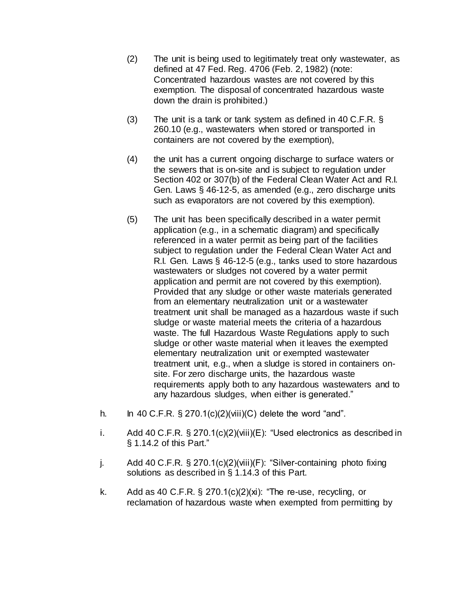- (2) The unit is being used to legitimately treat only wastewater, as defined at 47 Fed. Reg. 4706 (Feb. 2, 1982) (note: Concentrated hazardous wastes are not covered by this exemption. The disposal of concentrated hazardous waste down the drain is prohibited.)
- (3) The unit is a tank or tank system as defined in 40 C.F.R. § 260.10 (e.g., wastewaters when stored or transported in containers are not covered by the exemption),
- (4) the unit has a current ongoing discharge to surface waters or the sewers that is on-site and is subject to regulation under Section 402 or 307(b) of the Federal Clean Water Act and R.I. Gen. Laws § 46-12-5, as amended (e.g., zero discharge units such as evaporators are not covered by this exemption).
- (5) The unit has been specifically described in a water permit application (e.g., in a schematic diagram) and specifically referenced in a water permit as being part of the facilities subject to regulation under the Federal Clean Water Act and R.I. Gen. Laws § 46-12-5 (e.g., tanks used to store hazardous wastewaters or sludges not covered by a water permit application and permit are not covered by this exemption). Provided that any sludge or other waste materials generated from an elementary neutralization unit or a wastewater treatment unit shall be managed as a hazardous waste if such sludge or waste material meets the criteria of a hazardous waste. The full Hazardous Waste Regulations apply to such sludge or other waste material when it leaves the exempted elementary neutralization unit or exempted wastewater treatment unit, e.g., when a sludge is stored in containers onsite. For zero discharge units, the hazardous waste requirements apply both to any hazardous wastewaters and to any hazardous sludges, when either is generated."
- h. In 40 C.F.R.  $\S 270.1(c)(2)(viii)(C)$  delete the word "and".
- i. Add 40 C.F.R. § 270.1(c)(2)(viii)(E): "Used electronics as described in § 1.14.2 of this Part."
- j. Add 40 C.F.R. § 270.1(c)(2)(viii)(F): "Silver-containing photo fixing solutions as described in § 1.14.3 of this Part.
- k. Add as 40 C.F.R.  $\S$  270.1(c)(2)(xi): "The re-use, recycling, or reclamation of hazardous waste when exempted from permitting by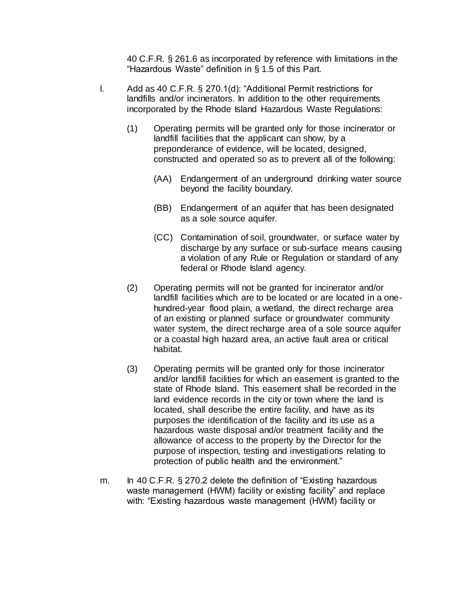40 C.F.R. § 261.6 as incorporated by reference with limitations in the "Hazardous Waste" definition in § 1.5 of this Part.

- l. Add as 40 C.F.R. § 270.1(d): "Additional Permit restrictions for landfills and/or incinerators. In addition to the other requirements incorporated by the Rhode Island Hazardous Waste Regulations:
	- (1) Operating permits will be granted only for those incinerator or landfill facilities that the applicant can show, by a preponderance of evidence, will be located, designed, constructed and operated so as to prevent all of the following:
		- (AA) Endangerment of an underground drinking water source beyond the facility boundary.
		- (BB) Endangerment of an aquifer that has been designated as a sole source aquifer.
		- (CC) Contamination of soil, groundwater, or surface water by discharge by any surface or sub-surface means causing a violation of any Rule or Regulation or standard of any federal or Rhode Island agency.
	- (2) Operating permits will not be granted for incinerator and/or landfill facilities which are to be located or are located in a onehundred-year flood plain, a wetland, the direct recharge area of an existing or planned surface or groundwater community water system, the direct recharge area of a sole source aquifer or a coastal high hazard area, an active fault area or critical habitat.
	- (3) Operating permits will be granted only for those incinerator and/or landfill facilities for which an easement is granted to the state of Rhode Island. This easement shall be recorded in the land evidence records in the city or town where the land is located, shall describe the entire facility, and have as its purposes the identification of the facility and its use as a hazardous waste disposal and/or treatment facility and the allowance of access to the property by the Director for the purpose of inspection, testing and investigations relating to protection of public health and the environment."
- m. In 40 C.F.R. § 270.2 delete the definition of "Existing hazardous" waste management (HWM) facility or existing facility" and replace with: "Existing hazardous waste management (HWM) facility or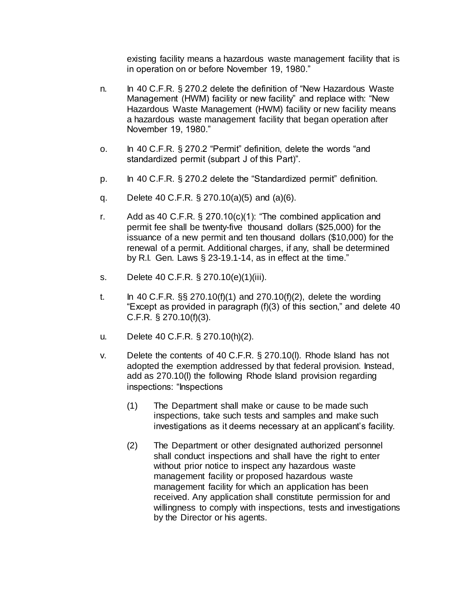existing facility means a hazardous waste management facility that is in operation on or before November 19, 1980."

- n. In 40 C.F.R. § 270.2 delete the definition of "New Hazardous Waste Management (HWM) facility or new facility" and replace with: "New Hazardous Waste Management (HWM) facility or new facility means a hazardous waste management facility that began operation after November 19, 1980."
- o. In 40 C.F.R. § 270.2 "Permit" definition, delete the words "and standardized permit (subpart J of this Part)".
- p. In 40 C.F.R. § 270.2 delete the "Standardized permit" definition.
- q. Delete 40 C.F.R. § 270.10(a)(5) and (a)(6).
- r. Add as 40 C.F.R. § 270.10(c)(1): "The combined application and permit fee shall be twenty-five thousand dollars (\$25,000) for the issuance of a new permit and ten thousand dollars (\$10,000) for the renewal of a permit. Additional charges, if any, shall be determined by R.I. Gen. Laws § 23-19.1-14, as in effect at the time."
- s. Delete 40 C.F.R. § 270.10(e)(1)(iii).
- t. In 40 C.F.R.  $\S$ § 270.10(f)(1) and 270.10(f)(2), delete the wording "Except as provided in paragraph (f)(3) of this section," and delete 40 C.F.R. § 270.10(f)(3).
- u. Delete 40 C.F.R. § 270.10(h)(2).
- v. Delete the contents of 40 C.F.R. § 270.10(l). Rhode Island has not adopted the exemption addressed by that federal provision. Instead, add as 270.10(l) the following Rhode Island provision regarding inspections: "Inspections
	- (1) The Department shall make or cause to be made such inspections, take such tests and samples and make such investigations as it deems necessary at an applicant's facility.
	- (2) The Department or other designated authorized personnel shall conduct inspections and shall have the right to enter without prior notice to inspect any hazardous waste management facility or proposed hazardous waste management facility for which an application has been received. Any application shall constitute permission for and willingness to comply with inspections, tests and investigations by the Director or his agents.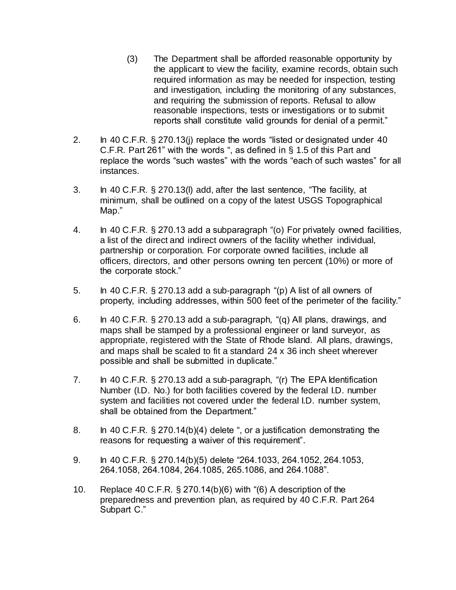- (3) The Department shall be afforded reasonable opportunity by the applicant to view the facility, examine records, obtain such required information as may be needed for inspection, testing and investigation, including the monitoring of any substances, and requiring the submission of reports. Refusal to allow reasonable inspections, tests or investigations or to submit reports shall constitute valid grounds for denial of a permit."
- 2. In 40 C.F.R. § 270.13(j) replace the words "listed or designated under 40 C.F.R. Part 261" with the words ", as defined in § 1.5 of this Part and replace the words "such wastes" with the words "each of such wastes" for all instances.
- 3. In 40 C.F.R. § 270.13(l) add, after the last sentence, "The facility, at minimum, shall be outlined on a copy of the latest USGS Topographical Map."
- 4. In 40 C.F.R. § 270.13 add a subparagraph "(o) For privately owned facilities, a list of the direct and indirect owners of the facility whether individual, partnership or corporation. For corporate owned facilities, include all officers, directors, and other persons owning ten percent (10%) or more of the corporate stock."
- 5. In 40 C.F.R. § 270.13 add a sub-paragraph "(p) A list of all owners of property, including addresses, within 500 feet of the perimeter of the facility."
- 6. In 40 C.F.R. § 270.13 add a sub-paragraph, "(q) All plans, drawings, and maps shall be stamped by a professional engineer or land surveyor, as appropriate, registered with the State of Rhode Island. All plans, drawings, and maps shall be scaled to fit a standard 24 x 36 inch sheet wherever possible and shall be submitted in duplicate."
- 7. In 40 C.F.R. § 270.13 add a sub-paragraph, "(r) The EPA Identification Number (I.D. No.) for both facilities covered by the federal I.D. number system and facilities not covered under the federal I.D. number system, shall be obtained from the Department."
- 8. In 40 C.F.R. § 270.14(b)(4) delete ", or a justification demonstrating the reasons for requesting a waiver of this requirement".
- 9. In 40 C.F.R. § 270.14(b)(5) delete "264.1033, 264.1052, 264.1053, 264.1058, 264.1084, 264.1085, 265.1086, and 264.1088".
- 10. Replace 40 C.F.R. § 270.14(b)(6) with "(6) A description of the preparedness and prevention plan, as required by 40 C.F.R. Part 264 Subpart C."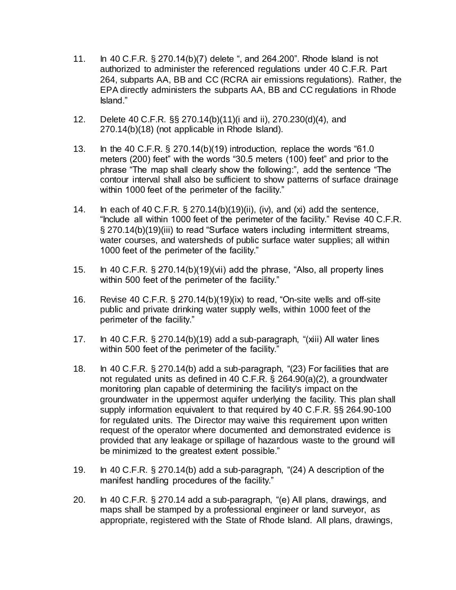- 11. In 40 C.F.R. § 270.14(b)(7) delete ", and 264.200". Rhode Island is not authorized to administer the referenced regulations under 40 C.F.R. Part 264, subparts AA, BB and CC (RCRA air emissions regulations). Rather, the EPA directly administers the subparts AA, BB and CC regulations in Rhode Island."
- 12. Delete 40 C.F.R. §§ 270.14(b)(11)(i and ii), 270.230(d)(4), and 270.14(b)(18) (not applicable in Rhode Island).
- 13. In the 40 C.F.R. § 270.14(b)(19) introduction, replace the words "61.0 meters (200) feet" with the words "30.5 meters (100) feet" and prior to the phrase "The map shall clearly show the following:", add the sentence "The contour interval shall also be sufficient to show patterns of surface drainage within 1000 feet of the perimeter of the facility."
- 14. In each of 40 C.F.R. § 270.14(b)(19)(ii), (iv), and (xi) add the sentence, "Include all within 1000 feet of the perimeter of the facility." Revise 40 C.F.R. § 270.14(b)(19)(iii) to read "Surface waters including intermittent streams, water courses, and watersheds of public surface water supplies; all within 1000 feet of the perimeter of the facility."
- 15. In 40 C.F.R. § 270.14(b)(19)(vii) add the phrase, "Also, all property lines within 500 feet of the perimeter of the facility."
- 16. Revise 40 C.F.R. § 270.14(b)(19)(ix) to read, "On-site wells and off-site public and private drinking water supply wells, within 1000 feet of the perimeter of the facility."
- 17. In 40 C.F.R. § 270.14(b)(19) add a sub-paragraph, "(xiii) All water lines within 500 feet of the perimeter of the facility."
- 18. In 40 C.F.R. § 270.14(b) add a sub-paragraph, "(23) For facilities that are not regulated units as defined in 40 C.F.R. § 264.90(a)(2), a groundwater monitoring plan capable of determining the facility's impact on the groundwater in the uppermost aquifer underlying the facility. This plan shall supply information equivalent to that required by 40 C.F.R. §§ 264.90-100 for regulated units. The Director may waive this requirement upon written request of the operator where documented and demonstrated evidence is provided that any leakage or spillage of hazardous waste to the ground will be minimized to the greatest extent possible."
- 19. In 40 C.F.R. § 270.14(b) add a sub-paragraph, "(24) A description of the manifest handling procedures of the facility."
- 20. In 40 C.F.R. § 270.14 add a sub-paragraph, "(e) All plans, drawings, and maps shall be stamped by a professional engineer or land surveyor, as appropriate, registered with the State of Rhode Island. All plans, drawings,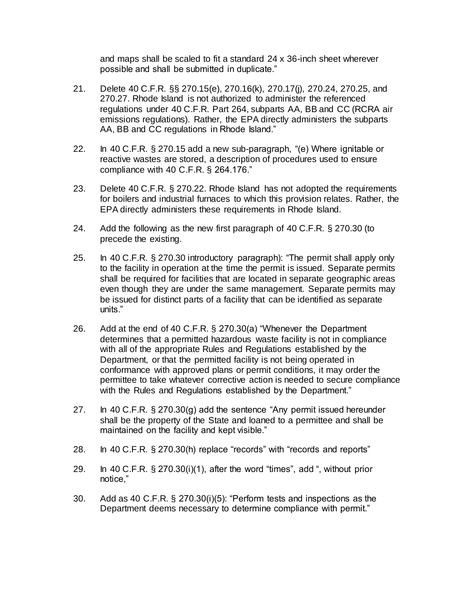and maps shall be scaled to fit a standard 24 x 36-inch sheet wherever possible and shall be submitted in duplicate."

- 21. Delete 40 C.F.R. §§ 270.15(e), 270.16(k), 270.17(j), 270.24, 270.25, and 270.27. Rhode Island is not authorized to administer the referenced regulations under 40 C.F.R. Part 264, subparts AA, BB and CC (RCRA air emissions regulations). Rather, the EPA directly administers the subparts AA, BB and CC regulations in Rhode Island."
- 22. In 40 C.F.R. § 270.15 add a new sub-paragraph, "(e) Where ignitable or reactive wastes are stored, a description of procedures used to ensure compliance with 40 C.F.R. § 264.176."
- 23. Delete 40 C.F.R. § 270.22. Rhode Island has not adopted the requirements for boilers and industrial furnaces to which this provision relates. Rather, the EPA directly administers these requirements in Rhode Island.
- 24. Add the following as the new first paragraph of 40 C.F.R. § 270.30 (to precede the existing.
- 25. In 40 C.F.R. § 270.30 introductory paragraph): "The permit shall apply only to the facility in operation at the time the permit is issued. Separate permits shall be required for facilities that are located in separate geographic areas even though they are under the same management. Separate permits may be issued for distinct parts of a facility that can be identified as separate units."
- 26. Add at the end of 40 C.F.R. § 270.30(a) "Whenever the Department determines that a permitted hazardous waste facility is not in compliance with all of the appropriate Rules and Regulations established by the Department, or that the permitted facility is not being operated in conformance with approved plans or permit conditions, it may order the permittee to take whatever corrective action is needed to secure compliance with the Rules and Regulations established by the Department."
- 27. In 40 C.F.R. § 270.30(g) add the sentence "Any permit issued hereunder shall be the property of the State and loaned to a permittee and shall be maintained on the facility and kept visible."
- 28. In 40 C.F.R. § 270.30(h) replace "records" with "records and reports"
- 29. In 40 C.F.R. § 270.30(i)(1), after the word "times", add ", without prior notice,"
- 30. Add as 40 C.F.R. § 270.30(i)(5): "Perform tests and inspections as the Department deems necessary to determine compliance with permit."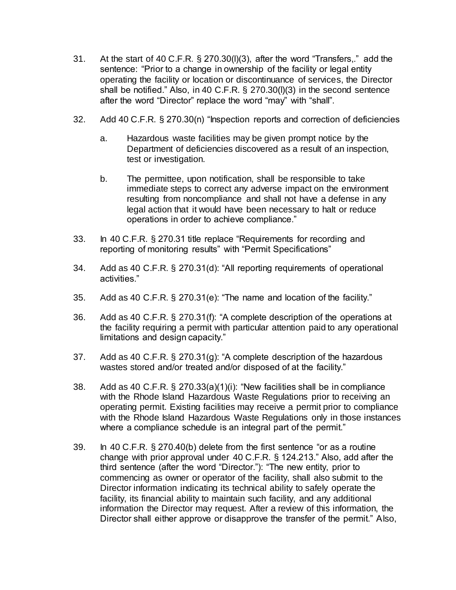- 31. At the start of 40 C.F.R. § 270.30(l)(3), after the word "Transfers,." add the sentence: "Prior to a change in ownership of the facility or legal entity operating the facility or location or discontinuance of services, the Director shall be notified." Also, in 40 C.F.R. § 270.30(l)(3) in the second sentence after the word "Director" replace the word "may" with "shall".
- 32. Add 40 C.F.R. § 270.30(n) "Inspection reports and correction of deficiencies
	- a. Hazardous waste facilities may be given prompt notice by the Department of deficiencies discovered as a result of an inspection, test or investigation.
	- b. The permittee, upon notification, shall be responsible to take immediate steps to correct any adverse impact on the environment resulting from noncompliance and shall not have a defense in any legal action that it would have been necessary to halt or reduce operations in order to achieve compliance."
- 33. In 40 C.F.R. § 270.31 title replace "Requirements for recording and reporting of monitoring results" with "Permit Specifications"
- 34. Add as 40 C.F.R. § 270.31(d): "All reporting requirements of operational activities."
- 35. Add as 40 C.F.R. § 270.31(e): "The name and location of the facility."
- 36. Add as 40 C.F.R. § 270.31(f): "A complete description of the operations at the facility requiring a permit with particular attention paid to any operational limitations and design capacity."
- 37. Add as 40 C.F.R. § 270.31(g): "A complete description of the hazardous wastes stored and/or treated and/or disposed of at the facility."
- 38. Add as 40 C.F.R. § 270.33(a)(1)(i): "New facilities shall be in compliance with the Rhode Island Hazardous Waste Regulations prior to receiving an operating permit. Existing facilities may receive a permit prior to compliance with the Rhode Island Hazardous Waste Regulations only in those instances where a compliance schedule is an integral part of the permit."
- 39. In 40 C.F.R. § 270.40(b) delete from the first sentence "or as a routine change with prior approval under 40 C.F.R. § 124.213." Also, add after the third sentence (after the word "Director."): "The new entity, prior to commencing as owner or operator of the facility, shall also submit to the Director information indicating its technical ability to safely operate the facility, its financial ability to maintain such facility, and any additional information the Director may request. After a review of this information, the Director shall either approve or disapprove the transfer of the permit." Also,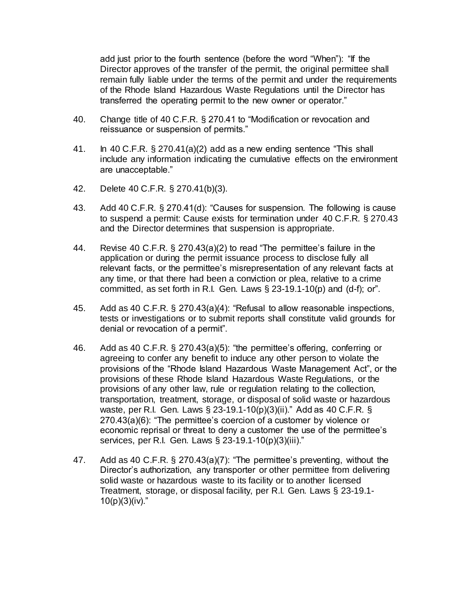add just prior to the fourth sentence (before the word "When"): "If the Director approves of the transfer of the permit, the original permittee shall remain fully liable under the terms of the permit and under the requirements of the Rhode Island Hazardous Waste Regulations until the Director has transferred the operating permit to the new owner or operator."

- 40. Change title of 40 C.F.R. § 270.41 to "Modification or revocation and reissuance or suspension of permits."
- 41. In 40 C.F.R. § 270.41(a)(2) add as a new ending sentence "This shall include any information indicating the cumulative effects on the environment are unacceptable."
- 42. Delete 40 C.F.R. § 270.41(b)(3).
- 43. Add 40 C.F.R. § 270.41(d): "Causes for suspension. The following is cause to suspend a permit: Cause exists for termination under 40 C.F.R. § 270.43 and the Director determines that suspension is appropriate.
- 44. Revise 40 C.F.R. § 270.43(a)(2) to read "The permittee's failure in the application or during the permit issuance process to disclose fully all relevant facts, or the permittee's misrepresentation of any relevant facts at any time, or that there had been a conviction or plea, relative to a crime committed, as set forth in R.I. Gen. Laws  $\S$  23-19.1-10(p) and (d-f); or".
- 45. Add as 40 C.F.R. § 270.43(a)(4): "Refusal to allow reasonable inspections, tests or investigations or to submit reports shall constitute valid grounds for denial or revocation of a permit".
- 46. Add as 40 C.F.R. § 270.43(a)(5): "the permittee's offering, conferring or agreeing to confer any benefit to induce any other person to violate the provisions of the "Rhode Island Hazardous Waste Management Act", or the provisions of these Rhode Island Hazardous Waste Regulations, or the provisions of any other law, rule or regulation relating to the collection, transportation, treatment, storage, or disposal of solid waste or hazardous waste, per R.I. Gen. Laws § 23-19.1-10(p)(3)(ii)." Add as 40 C.F.R. § 270.43(a)(6): "The permittee's coercion of a customer by violence or economic reprisal or threat to deny a customer the use of the permittee's services, per R.I. Gen. Laws § 23-19.1-10(p)(3)(iii)."
- 47. Add as 40 C.F.R. § 270.43(a)(7): "The permittee's preventing, without the Director's authorization, any transporter or other permittee from delivering solid waste or hazardous waste to its facility or to another licensed Treatment, storage, or disposal facility, per R.I. Gen. Laws § 23-19.1-  $10(p)(3)(iv)$ ."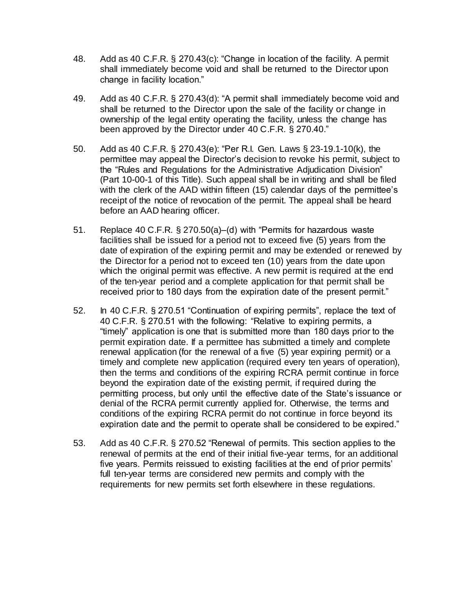- 48. Add as 40 C.F.R. § 270.43(c): "Change in location of the facility. A permit shall immediately become void and shall be returned to the Director upon change in facility location."
- 49. Add as 40 C.F.R. § 270.43(d): "A permit shall immediately become void and shall be returned to the Director upon the sale of the facility or change in ownership of the legal entity operating the facility, unless the change has been approved by the Director under 40 C.F.R. § 270.40."
- 50. Add as 40 C.F.R. § 270.43(e): "Per R.I. Gen. Laws § 23-19.1-10(k), the permittee may appeal the Director's decision to revoke his permit, subject to the "Rules and Regulations for the Administrative Adjudication Division" (Part [10-00-1](https://rules.sos.ri.gov/regulations/part/250-10-00-1) of this Title). Such appeal shall be in writing and shall be filed with the clerk of the AAD within fifteen (15) calendar days of the permittee's receipt of the notice of revocation of the permit. The appeal shall be heard before an AAD hearing officer.
- 51. Replace 40 C.F.R. § 270.50(a)–(d) with "Permits for hazardous waste facilities shall be issued for a period not to exceed five (5) years from the date of expiration of the expiring permit and may be extended or renewed by the Director for a period not to exceed ten (10) years from the date upon which the original permit was effective. A new permit is required at the end of the ten-year period and a complete application for that permit shall be received prior to 180 days from the expiration date of the present permit."
- 52. In 40 C.F.R. § 270.51 "Continuation of expiring permits", replace the text of 40 C.F.R. § 270.51 with the following: "Relative to expiring permits, a "timely" application is one that is submitted more than 180 days prior to the permit expiration date. If a permittee has submitted a timely and complete renewal application (for the renewal of a five (5) year expiring permit) or a timely and complete new application (required every ten years of operation), then the terms and conditions of the expiring RCRA permit continue in force beyond the expiration date of the existing permit, if required during the permitting process, but only until the effective date of the State's issuance or denial of the RCRA permit currently applied for. Otherwise, the terms and conditions of the expiring RCRA permit do not continue in force beyond its expiration date and the permit to operate shall be considered to be expired."
- 53. Add as 40 C.F.R. § 270.52 "Renewal of permits. This section applies to the renewal of permits at the end of their initial five-year terms, for an additional five years. Permits reissued to existing facilities at the end of prior permits' full ten-year terms are considered new permits and comply with the requirements for new permits set forth elsewhere in these regulations.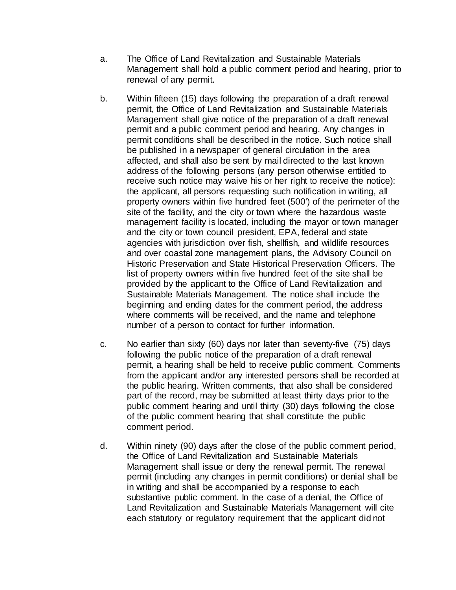- a. The Office of Land Revitalization and Sustainable Materials Management shall hold a public comment period and hearing, prior to renewal of any permit.
- b. Within fifteen (15) days following the preparation of a draft renewal permit, the Office of Land Revitalization and Sustainable Materials Management shall give notice of the preparation of a draft renewal permit and a public comment period and hearing. Any changes in permit conditions shall be described in the notice. Such notice shall be published in a newspaper of general circulation in the area affected, and shall also be sent by mail directed to the last known address of the following persons (any person otherwise entitled to receive such notice may waive his or her right to receive the notice): the applicant, all persons requesting such notification in writing, all property owners within five hundred feet (500') of the perimeter of the site of the facility, and the city or town where the hazardous waste management facility is located, including the mayor or town manager and the city or town council president, EPA, federal and state agencies with jurisdiction over fish, shellfish, and wildlife resources and over coastal zone management plans, the Advisory Council on Historic Preservation and State Historical Preservation Officers. The list of property owners within five hundred feet of the site shall be provided by the applicant to the Office of Land Revitalization and Sustainable Materials Management. The notice shall include the beginning and ending dates for the comment period, the address where comments will be received, and the name and telephone number of a person to contact for further information.
- c. No earlier than sixty (60) days nor later than seventy-five (75) days following the public notice of the preparation of a draft renewal permit, a hearing shall be held to receive public comment. Comments from the applicant and/or any interested persons shall be recorded at the public hearing. Written comments, that also shall be considered part of the record, may be submitted at least thirty days prior to the public comment hearing and until thirty (30) days following the close of the public comment hearing that shall constitute the public comment period.
- d. Within ninety (90) days after the close of the public comment period, the Office of Land Revitalization and Sustainable Materials Management shall issue or deny the renewal permit. The renewal permit (including any changes in permit conditions) or denial shall be in writing and shall be accompanied by a response to each substantive public comment. In the case of a denial, the Office of Land Revitalization and Sustainable Materials Management will cite each statutory or regulatory requirement that the applicant did not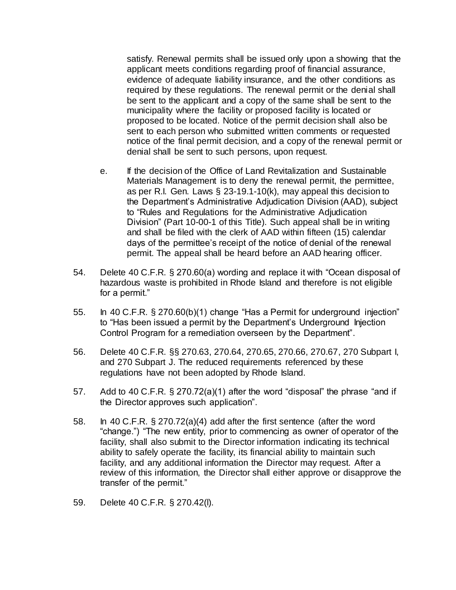satisfy. Renewal permits shall be issued only upon a showing that the applicant meets conditions regarding proof of financial assurance, evidence of adequate liability insurance, and the other conditions as required by these regulations. The renewal permit or the denial shall be sent to the applicant and a copy of the same shall be sent to the municipality where the facility or proposed facility is located or proposed to be located. Notice of the permit decision shall also be sent to each person who submitted written comments or requested notice of the final permit decision, and a copy of the renewal permit or denial shall be sent to such persons, upon request.

- e. If the decision of the Office of Land Revitalization and Sustainable Materials Management is to deny the renewal permit, the permittee, as per R.I. Gen. Laws § 23-19.1-10(k), may appeal this decision to the Department's Administrative Adjudication Division (AAD), subject to "Rules and Regulations for the Administrative Adjudication Division" (Part [10-00-1](https://rules.sos.ri.gov/regulations/part/250-10-00-1) of this Title). Such appeal shall be in writing and shall be filed with the clerk of AAD within fifteen (15) calendar days of the permittee's receipt of the notice of denial of the renewal permit. The appeal shall be heard before an AAD hearing officer.
- 54. Delete 40 C.F.R. § 270.60(a) wording and replace it with "Ocean disposal of hazardous waste is prohibited in Rhode Island and therefore is not eligible for a permit."
- 55. In 40 C.F.R. § 270.60(b)(1) change "Has a Permit for underground injection" to "Has been issued a permit by the Department's Underground Injection Control Program for a remediation overseen by the Department".
- 56. Delete 40 C.F.R. §§ 270.63, 270.64, 270.65, 270.66, 270.67, 270 Subpart I, and 270 Subpart J. The reduced requirements referenced by these regulations have not been adopted by Rhode Island.
- 57. Add to 40 C.F.R. § 270.72(a)(1) after the word "disposal" the phrase "and if the Director approves such application".
- 58. In 40 C.F.R. § 270.72(a)(4) add after the first sentence (after the word "change.") "The new entity, prior to commencing as owner of operator of the facility, shall also submit to the Director information indicating its technical ability to safely operate the facility, its financial ability to maintain such facility, and any additional information the Director may request. After a review of this information, the Director shall either approve or disapprove the transfer of the permit."
- 59. Delete 40 C.F.R. § 270.42(l).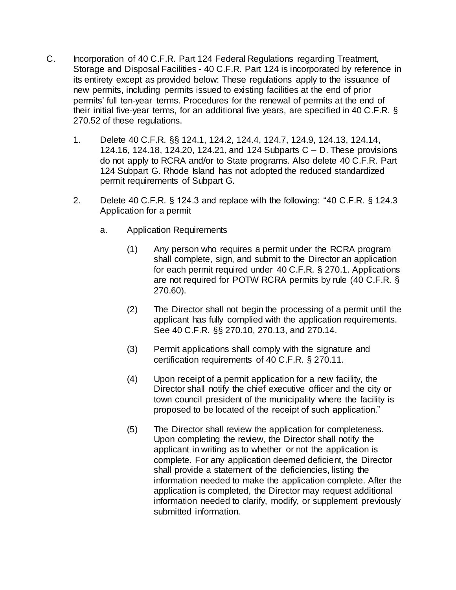- C. Incorporation of 40 C.F.R. Part 124 Federal Regulations regarding Treatment, Storage and Disposal Facilities - 40 C.F.R. Part 124 is incorporated by reference in its entirety except as provided below: These regulations apply to the issuance of new permits, including permits issued to existing facilities at the end of prior permits' full ten-year terms. Procedures for the renewal of permits at the end of their initial five-year terms, for an additional five years, are specified in 40 C.F.R. § 270.52 of these regulations.
	- 1. Delete 40 C.F.R. §§ 124.1, 124.2, 124.4, 124.7, 124.9, 124.13, 124.14, 124.16, 124.18, 124.20, 124.21, and 124 Subparts C – D. These provisions do not apply to RCRA and/or to State programs. Also delete 40 C.F.R. Part 124 Subpart G. Rhode Island has not adopted the reduced standardized permit requirements of Subpart G.
	- 2. Delete 40 C.F.R. § 124.3 and replace with the following: "40 C.F.R. § 124.3 Application for a permit
		- a. Application Requirements
			- (1) Any person who requires a permit under the RCRA program shall complete, sign, and submit to the Director an application for each permit required under 40 C.F.R. § 270.1. Applications are not required for POTW RCRA permits by rule (40 C.F.R. § 270.60).
			- (2) The Director shall not begin the processing of a permit until the applicant has fully complied with the application requirements. See 40 C.F.R. §§ 270.10, 270.13, and 270.14.
			- (3) Permit applications shall comply with the signature and certification requirements of 40 C.F.R. § 270.11.
			- (4) Upon receipt of a permit application for a new facility, the Director shall notify the chief executive officer and the city or town council president of the municipality where the facility is proposed to be located of the receipt of such application."
			- (5) The Director shall review the application for completeness. Upon completing the review, the Director shall notify the applicant in writing as to whether or not the application is complete. For any application deemed deficient, the Director shall provide a statement of the deficiencies, listing the information needed to make the application complete. After the application is completed, the Director may request additional information needed to clarify, modify, or supplement previously submitted information.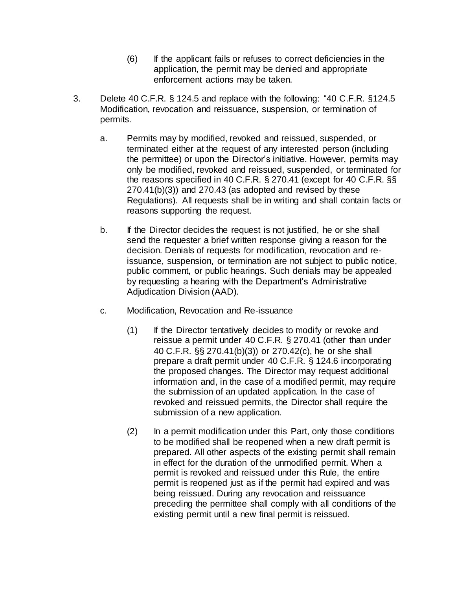- (6) If the applicant fails or refuses to correct deficiencies in the application, the permit may be denied and appropriate enforcement actions may be taken.
- 3. Delete 40 C.F.R. § 124.5 and replace with the following: "40 C.F.R. §124.5 Modification, revocation and reissuance, suspension, or termination of permits.
	- a. Permits may by modified, revoked and reissued, suspended, or terminated either at the request of any interested person (including the permittee) or upon the Director's initiative. However, permits may only be modified, revoked and reissued, suspended, or terminated for the reasons specified in 40 C.F.R. § 270.41 (except for 40 C.F.R. §§ 270.41(b)(3)) and 270.43 (as adopted and revised by these Regulations). All requests shall be in writing and shall contain facts or reasons supporting the request.
	- b. If the Director decides the request is not justified, he or she shall send the requester a brief written response giving a reason for the decision. Denials of requests for modification, revocation and reissuance, suspension, or termination are not subject to public notice, public comment, or public hearings. Such denials may be appealed by requesting a hearing with the Department's Administrative Adjudication Division (AAD).
	- c. Modification, Revocation and Re-issuance
		- (1) If the Director tentatively decides to modify or revoke and reissue a permit under 40 C.F.R. § 270.41 (other than under 40 C.F.R. §§ 270.41(b)(3)) or 270.42(c), he or she shall prepare a draft permit under 40 C.F.R. § 124.6 incorporating the proposed changes. The Director may request additional information and, in the case of a modified permit, may require the submission of an updated application. In the case of revoked and reissued permits, the Director shall require the submission of a new application.
		- (2) In a permit modification under this Part, only those conditions to be modified shall be reopened when a new draft permit is prepared. All other aspects of the existing permit shall remain in effect for the duration of the unmodified permit. When a permit is revoked and reissued under this Rule, the entire permit is reopened just as if the permit had expired and was being reissued. During any revocation and reissuance preceding the permittee shall comply with all conditions of the existing permit until a new final permit is reissued.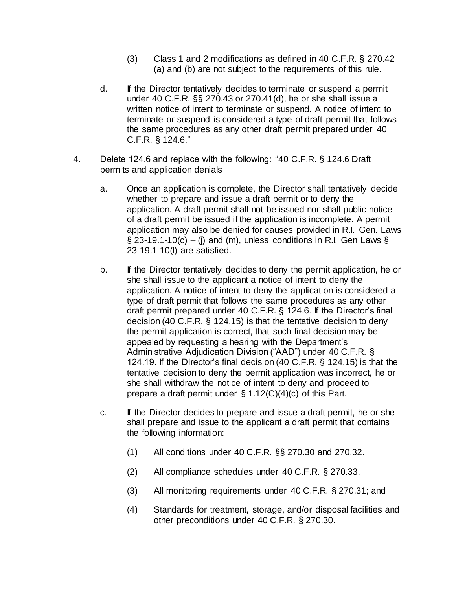- (3) Class 1 and 2 modifications as defined in 40 C.F.R. § 270.42 (a) and (b) are not subject to the requirements of this rule.
- d. If the Director tentatively decides to terminate or suspend a permit under 40 C.F.R. §§ 270.43 or 270.41(d), he or she shall issue a written notice of intent to terminate or suspend. A notice of intent to terminate or suspend is considered a type of draft permit that follows the same procedures as any other draft permit prepared under 40 C.F.R. § 124.6."
- 4. Delete 124.6 and replace with the following: "40 C.F.R. § 124.6 Draft permits and application denials
	- a. Once an application is complete, the Director shall tentatively decide whether to prepare and issue a draft permit or to deny the application. A draft permit shall not be issued nor shall public notice of a draft permit be issued if the application is incomplete. A permit application may also be denied for causes provided in R.I. Gen. Laws  $\S$  23-19.1-10(c) – (i) and (m), unless conditions in R.I. Gen Laws  $\S$ 23-19.1-10(l) are satisfied.
	- b. If the Director tentatively decides to deny the permit application, he or she shall issue to the applicant a notice of intent to deny the application. A notice of intent to deny the application is considered a type of draft permit that follows the same procedures as any other draft permit prepared under 40 C.F.R. § 124.6. If the Director's final decision (40 C.F.R. § 124.15) is that the tentative decision to deny the permit application is correct, that such final decision may be appealed by requesting a hearing with the Department's Administrative Adjudication Division ("AAD") under 40 C.F.R. § 124.19. If the Director's final decision (40 C.F.R. § 124.15) is that the tentative decision to deny the permit application was incorrect, he or she shall withdraw the notice of intent to deny and proceed to prepare a draft permit under § 1.12(C)(4)(c) of this Part.
	- c. If the Director decides to prepare and issue a draft permit, he or she shall prepare and issue to the applicant a draft permit that contains the following information:
		- (1) All conditions under 40 C.F.R. §§ 270.30 and 270.32.
		- (2) All compliance schedules under 40 C.F.R. § 270.33.
		- (3) All monitoring requirements under 40 C.F.R. § 270.31; and
		- (4) Standards for treatment, storage, and/or disposal facilities and other preconditions under 40 C.F.R. § 270.30.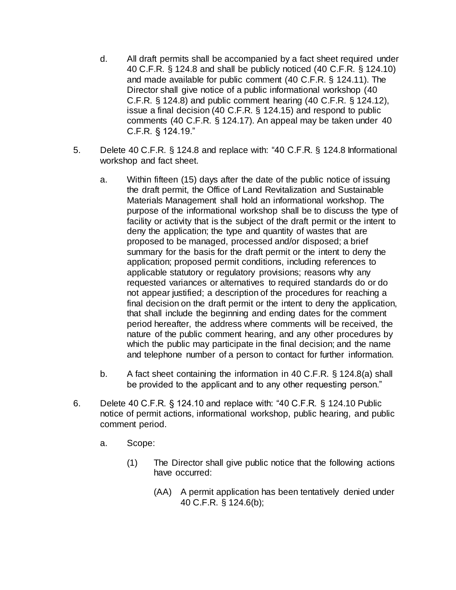- d. All draft permits shall be accompanied by a fact sheet required under 40 C.F.R. § 124.8 and shall be publicly noticed (40 C.F.R. § 124.10) and made available for public comment (40 C.F.R. § 124.11). The Director shall give notice of a public informational workshop (40 C.F.R. § 124.8) and public comment hearing (40 C.F.R. § 124.12), issue a final decision (40 C.F.R. § 124.15) and respond to public comments (40 C.F.R. § 124.17). An appeal may be taken under 40 C.F.R. § 124.19."
- 5. Delete 40 C.F.R. § 124.8 and replace with: "40 C.F.R. § 124.8 Informational workshop and fact sheet.
	- a. Within fifteen (15) days after the date of the public notice of issuing the draft permit, the Office of Land Revitalization and Sustainable Materials Management shall hold an informational workshop. The purpose of the informational workshop shall be to discuss the type of facility or activity that is the subject of the draft permit or the intent to deny the application; the type and quantity of wastes that are proposed to be managed, processed and/or disposed; a brief summary for the basis for the draft permit or the intent to deny the application; proposed permit conditions, including references to applicable statutory or regulatory provisions; reasons why any requested variances or alternatives to required standards do or do not appear justified; a description of the procedures for reaching a final decision on the draft permit or the intent to deny the application, that shall include the beginning and ending dates for the comment period hereafter, the address where comments will be received, the nature of the public comment hearing, and any other procedures by which the public may participate in the final decision; and the name and telephone number of a person to contact for further information.
	- b. A fact sheet containing the information in 40 C.F.R. § 124.8(a) shall be provided to the applicant and to any other requesting person."
- 6. Delete 40 C.F.R. § 124.10 and replace with: "40 C.F.R. § 124.10 Public notice of permit actions, informational workshop, public hearing, and public comment period.
	- a. Scope:
		- (1) The Director shall give public notice that the following actions have occurred:
			- (AA) A permit application has been tentatively denied under 40 C.F.R. § 124.6(b);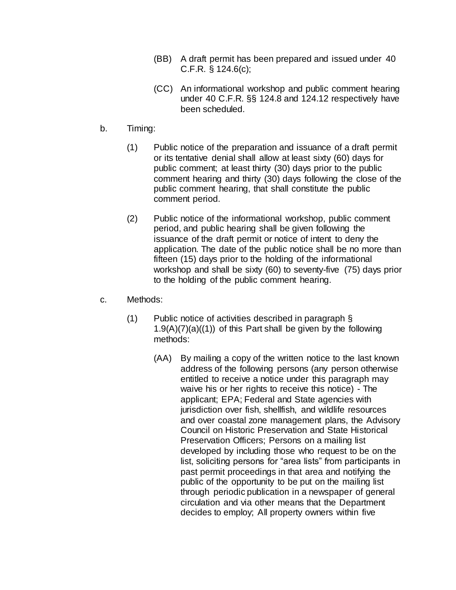- (BB) A draft permit has been prepared and issued under 40 C.F.R. § 124.6(c);
- (CC) An informational workshop and public comment hearing under 40 C.F.R. §§ 124.8 and 124.12 respectively have been scheduled.
- b. Timing:
	- (1) Public notice of the preparation and issuance of a draft permit or its tentative denial shall allow at least sixty (60) days for public comment; at least thirty (30) days prior to the public comment hearing and thirty (30) days following the close of the public comment hearing, that shall constitute the public comment period.
	- (2) Public notice of the informational workshop, public comment period, and public hearing shall be given following the issuance of the draft permit or notice of intent to deny the application. The date of the public notice shall be no more than fifteen (15) days prior to the holding of the informational workshop and shall be sixty (60) to seventy-five (75) days prior to the holding of the public comment hearing.
- c. Methods:
	- (1) Public notice of activities described in paragraph §  $1.9(A)(7)(a)((1))$  of this Part shall be given by the following methods:
		- (AA) By mailing a copy of the written notice to the last known address of the following persons (any person otherwise entitled to receive a notice under this paragraph may waive his or her rights to receive this notice) - The applicant; EPA; Federal and State agencies with jurisdiction over fish, shellfish, and wildlife resources and over coastal zone management plans, the Advisory Council on Historic Preservation and State Historical Preservation Officers; Persons on a mailing list developed by including those who request to be on the list, soliciting persons for "area lists" from participants in past permit proceedings in that area and notifying the public of the opportunity to be put on the mailing list through periodic publication in a newspaper of general circulation and via other means that the Department decides to employ; All property owners within five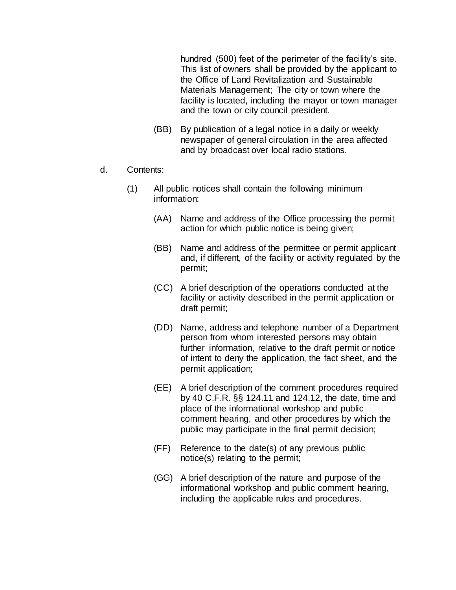hundred (500) feet of the perimeter of the facility's site. This list of owners shall be provided by the applicant to the Office of Land Revitalization and Sustainable Materials Management; The city or town where the facility is located, including the mayor or town manager and the town or city council president.

- (BB) By publication of a legal notice in a daily or weekly newspaper of general circulation in the area affected and by broadcast over local radio stations.
- d. Contents:
	- (1) All public notices shall contain the following minimum information:
		- (AA) Name and address of the Office processing the permit action for which public notice is being given;
		- (BB) Name and address of the permittee or permit applicant and, if different, of the facility or activity regulated by the permit;
		- (CC) A brief description of the operations conducted at the facility or activity described in the permit application or draft permit;
		- (DD) Name, address and telephone number of a Department person from whom interested persons may obtain further information, relative to the draft permit or notice of intent to deny the application, the fact sheet, and the permit application;
		- (EE) A brief description of the comment procedures required by 40 C.F.R. §§ 124.11 and 124.12, the date, time and place of the informational workshop and public comment hearing, and other procedures by which the public may participate in the final permit decision;
		- (FF) Reference to the date(s) of any previous public notice(s) relating to the permit;
		- (GG) A brief description of the nature and purpose of the informational workshop and public comment hearing, including the applicable rules and procedures.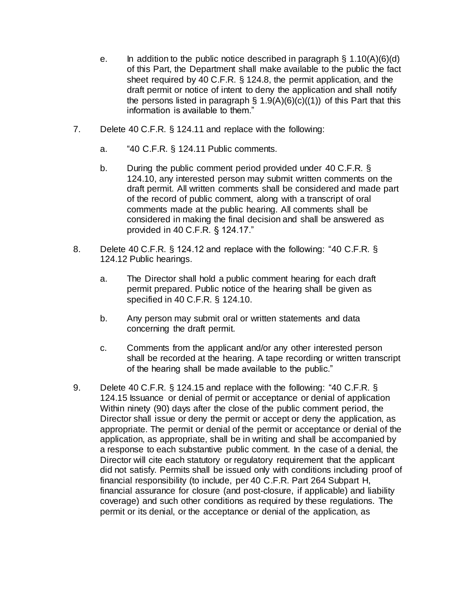- e. In addition to the public notice described in paragraph  $\S$  1.10(A)(6)(d) of this Part, the Department shall make available to the public the fact sheet required by 40 C.F.R. § 124.8, the permit application, and the draft permit or notice of intent to deny the application and shall notify the persons listed in paragraph  $\S$  1.9(A)(6)(c)((1)) of this Part that this information is available to them."
- 7. Delete 40 C.F.R. § 124.11 and replace with the following:
	- a. "40 C.F.R. § 124.11 Public comments.
	- b. During the public comment period provided under 40 C.F.R. § 124.10, any interested person may submit written comments on the draft permit. All written comments shall be considered and made part of the record of public comment, along with a transcript of oral comments made at the public hearing. All comments shall be considered in making the final decision and shall be answered as provided in 40 C.F.R. § 124.17."
- 8. Delete 40 C.F.R. § 124.12 and replace with the following: "40 C.F.R. § 124.12 Public hearings.
	- a. The Director shall hold a public comment hearing for each draft permit prepared. Public notice of the hearing shall be given as specified in 40 C.F.R. § 124.10.
	- b. Any person may submit oral or written statements and data concerning the draft permit.
	- c. Comments from the applicant and/or any other interested person shall be recorded at the hearing. A tape recording or written transcript of the hearing shall be made available to the public."
- 9. Delete 40 C.F.R. § 124.15 and replace with the following: "40 C.F.R. § 124.15 Issuance or denial of permit or acceptance or denial of application Within ninety (90) days after the close of the public comment period, the Director shall issue or deny the permit or accept or deny the application, as appropriate. The permit or denial of the permit or acceptance or denial of the application, as appropriate, shall be in writing and shall be accompanied by a response to each substantive public comment. In the case of a denial, the Director will cite each statutory or regulatory requirement that the applicant did not satisfy. Permits shall be issued only with conditions including proof of financial responsibility (to include, per 40 C.F.R. Part 264 Subpart H, financial assurance for closure (and post-closure, if applicable) and liability coverage) and such other conditions as required by these regulations. The permit or its denial, or the acceptance or denial of the application, as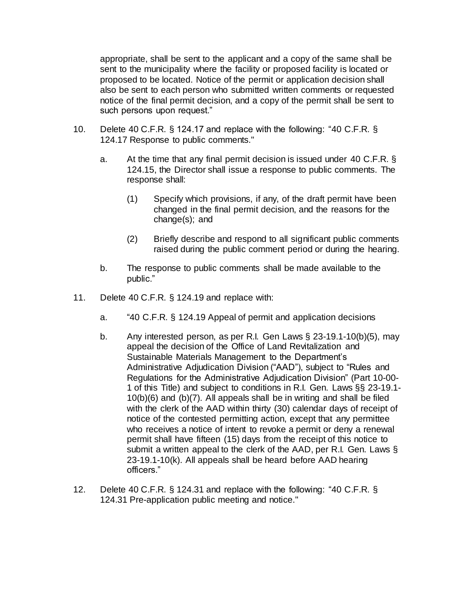appropriate, shall be sent to the applicant and a copy of the same shall be sent to the municipality where the facility or proposed facility is located or proposed to be located. Notice of the permit or application decision shall also be sent to each person who submitted written comments or requested notice of the final permit decision, and a copy of the permit shall be sent to such persons upon request."

- 10. Delete 40 C.F.R. § 124.17 and replace with the following: "40 C.F.R. § 124.17 Response to public comments."
	- a. At the time that any final permit decision is issued under 40 C.F.R. § 124.15, the Director shall issue a response to public comments. The response shall:
		- (1) Specify which provisions, if any, of the draft permit have been changed in the final permit decision, and the reasons for the change(s); and
		- (2) Briefly describe and respond to all significant public comments raised during the public comment period or during the hearing.
	- b. The response to public comments shall be made available to the public."
- 11. Delete 40 C.F.R. § 124.19 and replace with:
	- a. "40 C.F.R. § 124.19 Appeal of permit and application decisions
	- b. Any interested person, as per R.I. Gen Laws § 23-19.1-10(b)(5), may appeal the decision of the Office of Land Revitalization and Sustainable Materials Management to the Department's Administrative Adjudication Division ("AAD"), subject to "Rules and Regulations for the Administrative Adjudication Division" (Part [10-00-](https://rules.sos.ri.gov/regulations/part/250-10-00-1) [1](https://rules.sos.ri.gov/regulations/part/250-10-00-1) of this Title) and subject to conditions in R.I. Gen. Laws §§ 23-19.1- 10(b)(6) and (b)(7). All appeals shall be in writing and shall be filed with the clerk of the AAD within thirty (30) calendar days of receipt of notice of the contested permitting action, except that any permittee who receives a notice of intent to revoke a permit or deny a renewal permit shall have fifteen (15) days from the receipt of this notice to submit a written appeal to the clerk of the AAD, per R.I. Gen. Laws § 23-19.1-10(k). All appeals shall be heard before AAD hearing officers."
- 12. Delete 40 C.F.R. § 124.31 and replace with the following: "40 C.F.R. § 124.31 Pre-application public meeting and notice."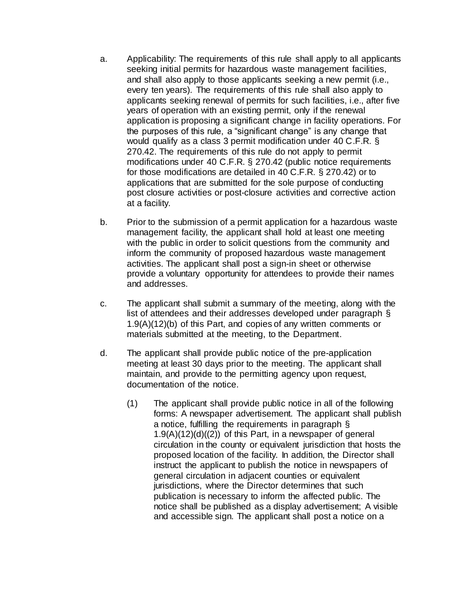- a. Applicability: The requirements of this rule shall apply to all applicants seeking initial permits for hazardous waste management facilities, and shall also apply to those applicants seeking a new permit (i.e., every ten years). The requirements of this rule shall also apply to applicants seeking renewal of permits for such facilities, i.e., after five years of operation with an existing permit, only if the renewal application is proposing a significant change in facility operations. For the purposes of this rule, a "significant change" is any change that would qualify as a class 3 permit modification under 40 C.F.R. § 270.42. The requirements of this rule do not apply to permit modifications under 40 C.F.R. § 270.42 (public notice requirements for those modifications are detailed in 40 C.F.R. § 270.42) or to applications that are submitted for the sole purpose of conducting post closure activities or post-closure activities and corrective action at a facility.
- b. Prior to the submission of a permit application for a hazardous waste management facility, the applicant shall hold at least one meeting with the public in order to solicit questions from the community and inform the community of proposed hazardous waste management activities. The applicant shall post a sign-in sheet or otherwise provide a voluntary opportunity for attendees to provide their names and addresses.
- c. The applicant shall submit a summary of the meeting, along with the list of attendees and their addresses developed under paragraph § 1.9(A)(12)(b) of this Part, and copies of any written comments or materials submitted at the meeting, to the Department.
- d. The applicant shall provide public notice of the pre-application meeting at least 30 days prior to the meeting. The applicant shall maintain, and provide to the permitting agency upon request, documentation of the notice.
	- (1) The applicant shall provide public notice in all of the following forms: A newspaper advertisement. The applicant shall publish a notice, fulfilling the requirements in paragraph §  $1.9(A)(12)(d)((2))$  of this Part, in a newspaper of general circulation in the county or equivalent jurisdiction that hosts the proposed location of the facility. In addition, the Director shall instruct the applicant to publish the notice in newspapers of general circulation in adjacent counties or equivalent jurisdictions, where the Director determines that such publication is necessary to inform the affected public. The notice shall be published as a display advertisement; A visible and accessible sign. The applicant shall post a notice on a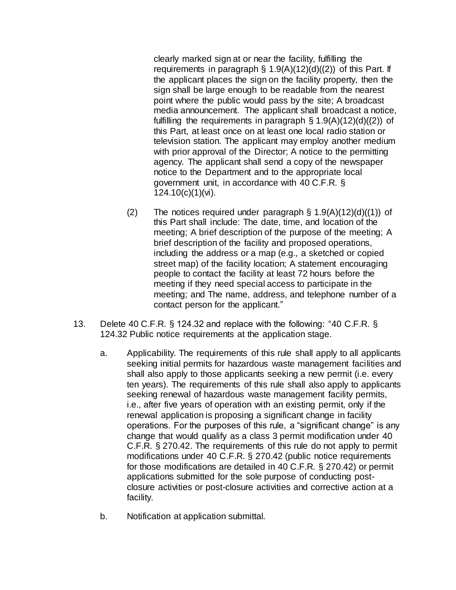clearly marked sign at or near the facility, fulfilling the requirements in paragraph  $\S$  1.9(A)(12)(d)((2)) of this Part. If the applicant places the sign on the facility property, then the sign shall be large enough to be readable from the nearest point where the public would pass by the site; A broadcast media announcement. The applicant shall broadcast a notice, fulfilling the requirements in paragraph  $\S 1.9(A)(12)(d)(2)$  of this Part, at least once on at least one local radio station or television station. The applicant may employ another medium with prior approval of the Director; A notice to the permitting agency. The applicant shall send a copy of the newspaper notice to the Department and to the appropriate local government unit, in accordance with 40 C.F.R. § 124.10(c)(1)(vi).

- (2) The notices required under paragraph  $\S$  1.9(A)(12)(d)((1)) of this Part shall include: The date, time, and location of the meeting; A brief description of the purpose of the meeting; A brief description of the facility and proposed operations, including the address or a map (e.g., a sketched or copied street map) of the facility location; A statement encouraging people to contact the facility at least 72 hours before the meeting if they need special access to participate in the meeting; and The name, address, and telephone number of a contact person for the applicant."
- 13. Delete 40 C.F.R. § 124.32 and replace with the following: "40 C.F.R. § 124.32 Public notice requirements at the application stage.
	- a. Applicability. The requirements of this rule shall apply to all applicants seeking initial permits for hazardous waste management facilities and shall also apply to those applicants seeking a new permit (i.e. every ten years). The requirements of this rule shall also apply to applicants seeking renewal of hazardous waste management facility permits, i.e., after five years of operation with an existing permit, only if the renewal application is proposing a significant change in facility operations. For the purposes of this rule, a "significant change" is any change that would qualify as a class 3 permit modification under 40 C.F.R. § 270.42. The requirements of this rule do not apply to permit modifications under 40 C.F.R. § 270.42 (public notice requirements for those modifications are detailed in 40 C.F.R. § 270.42) or permit applications submitted for the sole purpose of conducting postclosure activities or post-closure activities and corrective action at a facility.
	- b. Notification at application submittal.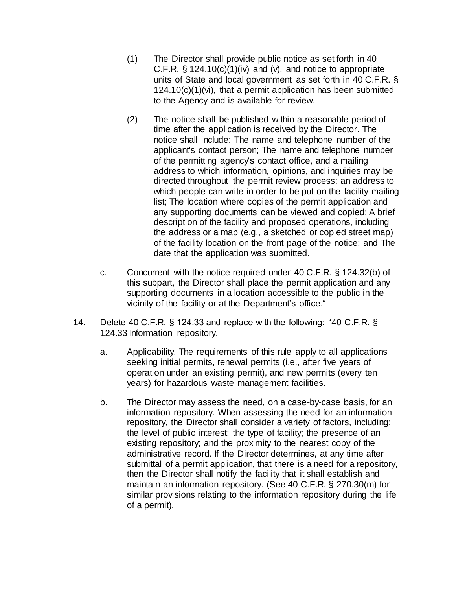- (1) The Director shall provide public notice as set forth in 40 C.F.R. § 124.10(c)(1)(iv) and (v), and notice to appropriate units of State and local government as set forth in 40 C.F.R. § 124.10(c)(1)(vi), that a permit application has been submitted to the Agency and is available for review.
- (2) The notice shall be published within a reasonable period of time after the application is received by the Director. The notice shall include: The name and telephone number of the applicant's contact person; The name and telephone number of the permitting agency's contact office, and a mailing address to which information, opinions, and inquiries may be directed throughout the permit review process; an address to which people can write in order to be put on the facility mailing list; The location where copies of the permit application and any supporting documents can be viewed and copied; A brief description of the facility and proposed operations, including the address or a map (e.g., a sketched or copied street map) of the facility location on the front page of the notice; and The date that the application was submitted.
- c. Concurrent with the notice required under 40 C.F.R. § 124.32(b) of this subpart, the Director shall place the permit application and any supporting documents in a location accessible to the public in the vicinity of the facility or at the Department's office."
- 14. Delete 40 C.F.R. § 124.33 and replace with the following: "40 C.F.R. § 124.33 Information repository.
	- a. Applicability. The requirements of this rule apply to all applications seeking initial permits, renewal permits (i.e., after five years of operation under an existing permit), and new permits (every ten years) for hazardous waste management facilities.
	- b. The Director may assess the need, on a case-by-case basis, for an information repository. When assessing the need for an information repository, the Director shall consider a variety of factors, including: the level of public interest; the type of facility; the presence of an existing repository; and the proximity to the nearest copy of the administrative record. If the Director determines, at any time after submittal of a permit application, that there is a need for a repository, then the Director shall notify the facility that it shall establish and maintain an information repository. (See 40 C.F.R. § 270.30(m) for similar provisions relating to the information repository during the life of a permit).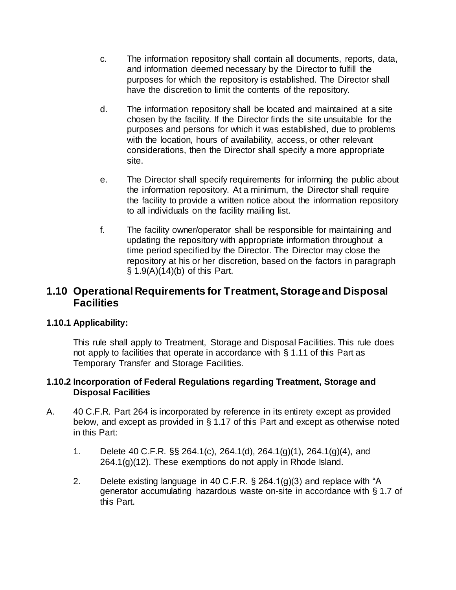- c. The information repository shall contain all documents, reports, data, and information deemed necessary by the Director to fulfill the purposes for which the repository is established. The Director shall have the discretion to limit the contents of the repository.
- d. The information repository shall be located and maintained at a site chosen by the facility. If the Director finds the site unsuitable for the purposes and persons for which it was established, due to problems with the location, hours of availability, access, or other relevant considerations, then the Director shall specify a more appropriate site.
- e. The Director shall specify requirements for informing the public about the information repository. At a minimum, the Director shall require the facility to provide a written notice about the information repository to all individuals on the facility mailing list.
- f. The facility owner/operator shall be responsible for maintaining and updating the repository with appropriate information throughout a time period specified by the Director. The Director may close the repository at his or her discretion, based on the factors in paragraph § 1.9(A)(14)(b) of this Part.

## **1.10 Operational Requirements for Treatment, Storageand Disposal Facilities**

### **1.10.1 Applicability:**

This rule shall apply to Treatment, Storage and Disposal Facilities. This rule does not apply to facilities that operate in accordance with § 1.11 of this Part as Temporary Transfer and Storage Facilities.

### **1.10.2 Incorporation of Federal Regulations regarding Treatment, Storage and Disposal Facilities**

- A. 40 C.F.R. Part 264 is incorporated by reference in its entirety except as provided below, and except as provided in § 1.17 of this Part and except as otherwise noted in this Part:
	- 1. Delete 40 C.F.R. §§ 264.1(c), 264.1(d), 264.1(g)(1), 264.1(g)(4), and  $264.1(q)(12)$ . These exemptions do not apply in Rhode Island.
	- 2. Delete existing language in 40 C.F.R. § 264.1(g)(3) and replace with "A generator accumulating hazardous waste on-site in accordance with § 1.7 of this Part.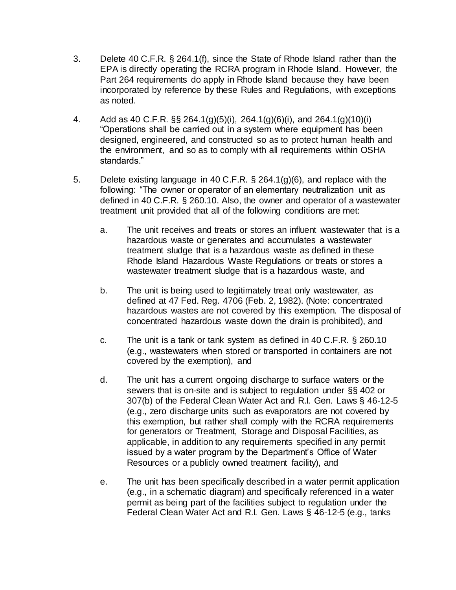- 3. Delete 40 C.F.R. § 264.1(f), since the State of Rhode Island rather than the EPA is directly operating the RCRA program in Rhode Island. However, the Part 264 requirements do apply in Rhode Island because they have been incorporated by reference by these Rules and Regulations, with exceptions as noted.
- 4. Add as 40 C.F.R. §§ 264.1(g)(5)(i), 264.1(g)(6)(i), and 264.1(g)(10)(i) "Operations shall be carried out in a system where equipment has been designed, engineered, and constructed so as to protect human health and the environment, and so as to comply with all requirements within OSHA standards."
- 5. Delete existing language in 40 C.F.R. § 264.1(g)(6), and replace with the following: "The owner or operator of an elementary neutralization unit as defined in 40 C.F.R. § 260.10. Also, the owner and operator of a wastewater treatment unit provided that all of the following conditions are met:
	- a. The unit receives and treats or stores an influent wastewater that is a hazardous waste or generates and accumulates a wastewater treatment sludge that is a hazardous waste as defined in these Rhode Island Hazardous Waste Regulations or treats or stores a wastewater treatment sludge that is a hazardous waste, and
	- b. The unit is being used to legitimately treat only wastewater, as defined at 47 Fed. Reg. 4706 (Feb. 2, 1982). (Note: concentrated hazardous wastes are not covered by this exemption. The disposal of concentrated hazardous waste down the drain is prohibited), and
	- c. The unit is a tank or tank system as defined in 40 C.F.R. § 260.10 (e.g., wastewaters when stored or transported in containers are not covered by the exemption), and
	- d. The unit has a current ongoing discharge to surface waters or the sewers that is on-site and is subject to regulation under §§ 402 or 307(b) of the Federal Clean Water Act and R.I. Gen. Laws § 46-12-5 (e.g., zero discharge units such as evaporators are not covered by this exemption, but rather shall comply with the RCRA requirements for generators or Treatment, Storage and Disposal Facilities, as applicable, in addition to any requirements specified in any permit issued by a water program by the Department's Office of Water Resources or a publicly owned treatment facility), and
	- e. The unit has been specifically described in a water permit application (e.g., in a schematic diagram) and specifically referenced in a water permit as being part of the facilities subject to regulation under the Federal Clean Water Act and R.I. Gen. Laws § 46-12-5 (e.g., tanks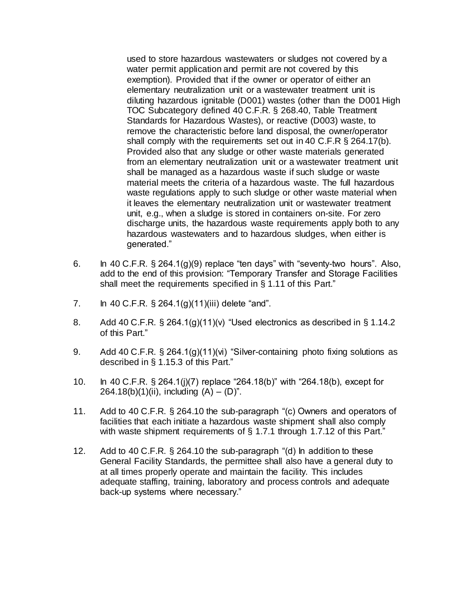used to store hazardous wastewaters or sludges not covered by a water permit application and permit are not covered by this exemption). Provided that if the owner or operator of either an elementary neutralization unit or a wastewater treatment unit is diluting hazardous ignitable (D001) wastes (other than the D001 High TOC Subcategory defined 40 C.F.R. § 268.40, Table Treatment Standards for Hazardous Wastes), or reactive (D003) waste, to remove the characteristic before land disposal, the owner/operator shall comply with the requirements set out in 40 C.F.R § 264.17(b). Provided also that any sludge or other waste materials generated from an elementary neutralization unit or a wastewater treatment unit shall be managed as a hazardous waste if such sludge or waste material meets the criteria of a hazardous waste. The full hazardous waste regulations apply to such sludge or other waste material when it leaves the elementary neutralization unit or wastewater treatment unit, e.g., when a sludge is stored in containers on-site. For zero discharge units, the hazardous waste requirements apply both to any hazardous wastewaters and to hazardous sludges, when either is generated."

- 6. In 40 C.F.R.  $\S$  264.1(g)(9) replace "ten days" with "seventy-two hours". Also, add to the end of this provision: "Temporary Transfer and Storage Facilities shall meet the requirements specified in § 1.11 of this Part."
- 7. In 40 C.F.R. § 264.1(g)(11)(iii) delete "and".
- 8. Add 40 C.F.R. § 264.1(g)(11)(v) "Used electronics as described in § 1.14.2 of this Part."
- 9. Add 40 C.F.R. § 264.1(g)(11)(vi) "Silver-containing photo fixing solutions as described in § 1.15.3 of this Part."
- 10. In 40 C.F.R. § 264.1(j)(7) replace "264.18(b)" with "264.18(b), except for 264.18(b)(1)(ii), including  $(A) - (D)^n$ .
- 11. Add to 40 C.F.R. § 264.10 the sub-paragraph "(c) Owners and operators of facilities that each initiate a hazardous waste shipment shall also comply with waste shipment requirements of  $\S$  1.7.1 through 1.7.12 of this Part."
- 12. Add to 40 C.F.R. § 264.10 the sub-paragraph "(d) In addition to these General Facility Standards, the permittee shall also have a general duty to at all times properly operate and maintain the facility. This includes adequate staffing, training, laboratory and process controls and adequate back-up systems where necessary."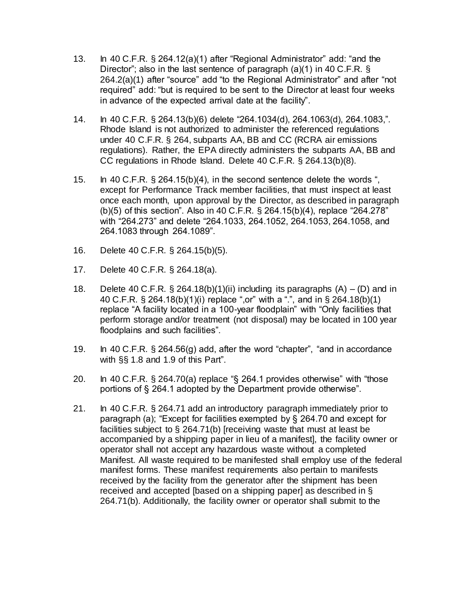- 13. In 40 C.F.R. § 264.12(a)(1) after "Regional Administrator" add: "and the Director"; also in the last sentence of paragraph (a)(1) in 40 C.F.R. § 264.2(a)(1) after "source" add "to the Regional Administrator" and after "not required" add: "but is required to be sent to the Director at least four weeks in advance of the expected arrival date at the facility".
- 14. In 40 C.F.R. § 264.13(b)(6) delete "264.1034(d), 264.1063(d), 264.1083,". Rhode Island is not authorized to administer the referenced regulations under 40 C.F.R. § 264, subparts AA, BB and CC (RCRA air emissions regulations). Rather, the EPA directly administers the subparts AA, BB and CC regulations in Rhode Island. Delete 40 C.F.R. § 264.13(b)(8).
- 15. In 40 C.F.R. § 264.15(b)(4), in the second sentence delete the words ", except for Performance Track member facilities, that must inspect at least once each month, upon approval by the Director, as described in paragraph (b)(5) of this section". Also in 40 C.F.R. § 264.15(b)(4), replace "264.278" with "264.273" and delete "264.1033, 264.1052, 264.1053, 264.1058, and 264.1083 through 264.1089".
- 16. Delete 40 C.F.R. § 264.15(b)(5).
- 17. Delete 40 C.F.R. § 264.18(a).
- 18. Delete 40 C.F.R.  $\S$  264.18(b)(1)(ii) including its paragraphs (A) (D) and in 40 C.F.R. § 264.18(b)(1)(i) replace ",or" with a ".", and in § 264.18(b)(1) replace "A facility located in a 100-year floodplain" with "Only facilities that perform storage and/or treatment (not disposal) may be located in 100 year floodplains and such facilities".
- 19. In 40 C.F.R. § 264.56(g) add, after the word "chapter", "and in accordance with §§ 1.8 and 1.9 of this Part".
- 20. In 40 C.F.R. § 264.70(a) replace "§ 264.1 provides otherwise" with "those portions of § 264.1 adopted by the Department provide otherwise".
- 21. In 40 C.F.R. § 264.71 add an introductory paragraph immediately prior to paragraph (a); "Except for facilities exempted by § 264.70 and except for facilities subject to § 264.71(b) [receiving waste that must at least be accompanied by a shipping paper in lieu of a manifest], the facility owner or operator shall not accept any hazardous waste without a completed Manifest. All waste required to be manifested shall employ use of the federal manifest forms. These manifest requirements also pertain to manifests received by the facility from the generator after the shipment has been received and accepted [based on a shipping paper] as described in § 264.71(b). Additionally, the facility owner or operator shall submit to the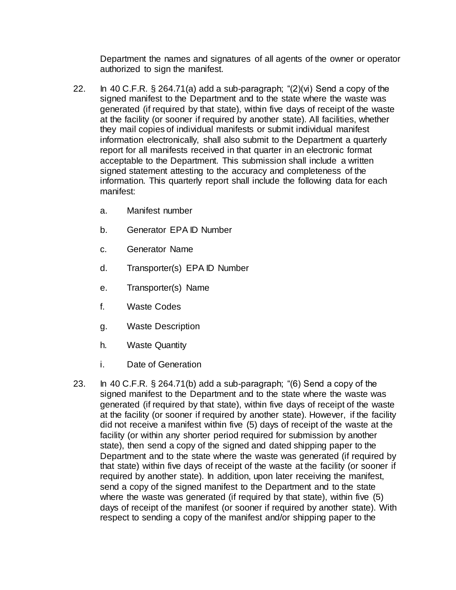Department the names and signatures of all agents of the owner or operator authorized to sign the manifest.

- 22. In 40 C.F.R.  $\S 264.71(a)$  add a sub-paragraph; " $(2)(vi)$  Send a copy of the signed manifest to the Department and to the state where the waste was generated (if required by that state), within five days of receipt of the waste at the facility (or sooner if required by another state). All facilities, whether they mail copies of individual manifests or submit individual manifest information electronically, shall also submit to the Department a quarterly report for all manifests received in that quarter in an electronic format acceptable to the Department. This submission shall include a written signed statement attesting to the accuracy and completeness of the information. This quarterly report shall include the following data for each manifest:
	- a. Manifest number
	- b. Generator EPA ID Number
	- c. Generator Name
	- d. Transporter(s) EPA ID Number
	- e. Transporter(s) Name
	- f. Waste Codes
	- g. Waste Description
	- h. Waste Quantity
	- i. Date of Generation
- 23. In 40 C.F.R. § 264.71(b) add a sub-paragraph; "(6) Send a copy of the signed manifest to the Department and to the state where the waste was generated (if required by that state), within five days of receipt of the waste at the facility (or sooner if required by another state). However, if the facility did not receive a manifest within five (5) days of receipt of the waste at the facility (or within any shorter period required for submission by another state), then send a copy of the signed and dated shipping paper to the Department and to the state where the waste was generated (if required by that state) within five days of receipt of the waste at the facility (or sooner if required by another state). In addition, upon later receiving the manifest, send a copy of the signed manifest to the Department and to the state where the waste was generated (if required by that state), within five (5) days of receipt of the manifest (or sooner if required by another state). With respect to sending a copy of the manifest and/or shipping paper to the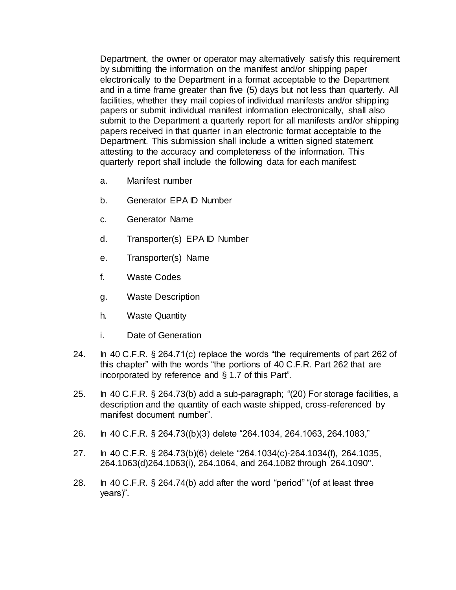Department, the owner or operator may alternatively satisfy this requirement by submitting the information on the manifest and/or shipping paper electronically to the Department in a format acceptable to the Department and in a time frame greater than five (5) days but not less than quarterly. All facilities, whether they mail copies of individual manifests and/or shipping papers or submit individual manifest information electronically, shall also submit to the Department a quarterly report for all manifests and/or shipping papers received in that quarter in an electronic format acceptable to the Department. This submission shall include a written signed statement attesting to the accuracy and completeness of the information. This quarterly report shall include the following data for each manifest:

- a. Manifest number
- b. Generator EPA ID Number
- c. Generator Name
- d. Transporter(s) EPA ID Number
- e. Transporter(s) Name
- f. Waste Codes
- g. Waste Description
- h. Waste Quantity
- i. Date of Generation
- 24. In 40 C.F.R. § 264.71(c) replace the words "the requirements of part 262 of this chapter" with the words "the portions of 40 C.F.R. Part 262 that are incorporated by reference and § 1.7 of this Part".
- 25. In 40 C.F.R. § 264.73(b) add a sub-paragraph; "(20) For storage facilities, a description and the quantity of each waste shipped, cross-referenced by manifest document number".
- 26. In 40 C.F.R. § 264.73((b)(3) delete "264.1034, 264.1063, 264.1083,"
- 27. In 40 C.F.R. § 264.73(b)(6) delete "264.1034(c)-264.1034(f), 264.1035, 264.1063(d)264.1063(i), 264.1064, and 264.1082 through 264.1090".
- 28. In 40 C.F.R. § 264.74(b) add after the word "period" "(of at least three years)".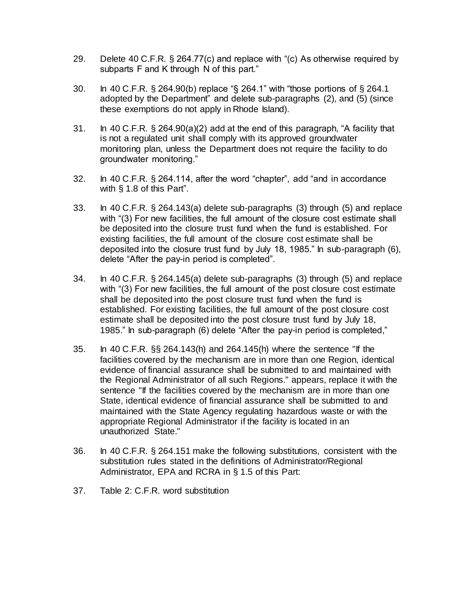- 29. Delete 40 C.F.R. § 264.77(c) and replace with "(c) As otherwise required by subparts F and K through N of this part."
- 30. In 40 C.F.R. § 264.90(b) replace "§ 264.1" with "those portions of § 264.1 adopted by the Department" and delete sub-paragraphs (2), and (5) (since these exemptions do not apply in Rhode Island).
- 31. In 40 C.F.R. § 264.90(a)(2) add at the end of this paragraph, "A facility that is not a regulated unit shall comply with its approved groundwater monitoring plan, unless the Department does not require the facility to do groundwater monitoring."
- 32. In 40 C.F.R. § 264.114, after the word "chapter", add "and in accordance with § 1.8 of this Part".
- 33. In 40 C.F.R. § 264.143(a) delete sub-paragraphs (3) through (5) and replace with "(3) For new facilities, the full amount of the closure cost estimate shall be deposited into the closure trust fund when the fund is established. For existing facilities, the full amount of the closure cost estimate shall be deposited into the closure trust fund by July 18, 1985." In sub-paragraph (6), delete "After the pay-in period is completed".
- 34. In 40 C.F.R. § 264.145(a) delete sub-paragraphs (3) through (5) and replace with "(3) For new facilities, the full amount of the post closure cost estimate shall be deposited into the post closure trust fund when the fund is established. For existing facilities, the full amount of the post closure cost estimate shall be deposited into the post closure trust fund by July 18, 1985." In sub-paragraph (6) delete "After the pay-in period is completed,"
- 35. In 40 C.F.R. §§ 264.143(h) and 264.145(h) where the sentence "If the facilities covered by the mechanism are in more than one Region, identical evidence of financial assurance shall be submitted to and maintained with the Regional Administrator of all such Regions." appears, replace it with the sentence "If the facilities covered by the mechanism are in more than one State, identical evidence of financial assurance shall be submitted to and maintained with the State Agency regulating hazardous waste or with the appropriate Regional Administrator if the facility is located in an unauthorized State."
- 36. In 40 C.F.R. § 264.151 make the following substitutions, consistent with the substitution rules stated in the definitions of Administrator/Regional Administrator, EPA and RCRA in § 1.5 of this Part:
- 37. Table 2: C.F.R. word substitution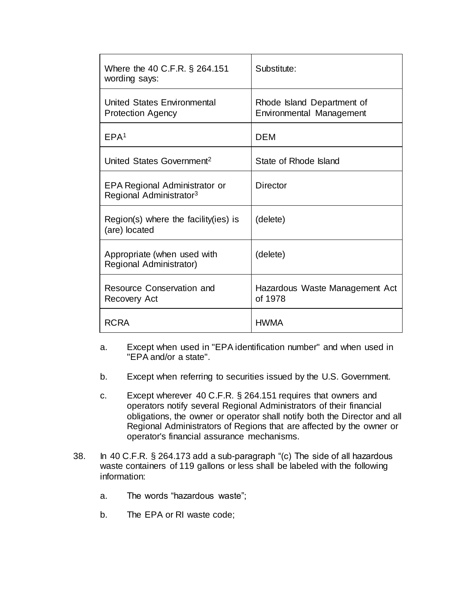| Where the 40 C.F.R. § 264.151<br>wording says:                              | Substitute:                                            |
|-----------------------------------------------------------------------------|--------------------------------------------------------|
| United States Environmental<br><b>Protection Agency</b>                     | Rhode Island Department of<br>Environmental Management |
| EPA <sup>1</sup>                                                            | DEM                                                    |
| United States Government <sup>2</sup>                                       | State of Rhode Island                                  |
| <b>EPA Regional Administrator or</b><br>Regional Administrator <sup>3</sup> | Director                                               |
| $Region(s)$ where the facility (ies) is<br>(are) located                    | (delete)                                               |
| Appropriate (when used with<br>Regional Administrator)                      | (delete)                                               |
| Resource Conservation and<br>Recovery Act                                   | Hazardous Waste Management Act<br>of 1978              |
| <b>RCRA</b>                                                                 | <b>HWMA</b>                                            |

- a. Except when used in "EPA identification number" and when used in "EPA and/or a state".
- b. Except when referring to securities issued by the U.S. Government.
- c. Except wherever 40 C.F.R. § 264.151 requires that owners and operators notify several Regional Administrators of their financial obligations, the owner or operator shall notify both the Director and all Regional Administrators of Regions that are affected by the owner or operator's financial assurance mechanisms.
- 38. In 40 C.F.R. § 264.173 add a sub-paragraph "(c) The side of all hazardous waste containers of 119 gallons or less shall be labeled with the following information:
	- a. The words "hazardous waste";
	- b. The EPA or RI waste code;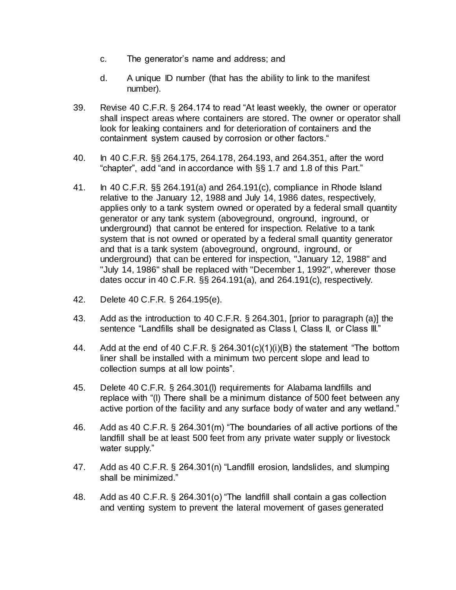- c. The generator's name and address; and
- d. A unique ID number (that has the ability to link to the manifest number).
- 39. Revise 40 C.F.R. § 264.174 to read "At least weekly, the owner or operator shall inspect areas where containers are stored. The owner or operator shall look for leaking containers and for deterioration of containers and the containment system caused by corrosion or other factors."
- 40. In 40 C.F.R. §§ 264.175, 264.178, 264.193, and 264.351, after the word "chapter", add "and in accordance with §§ 1.7 and 1.8 of this Part."
- 41. In 40 C.F.R. §§ 264.191(a) and 264.191(c), compliance in Rhode Island relative to the January 12, 1988 and July 14, 1986 dates, respectively, applies only to a tank system owned or operated by a federal small quantity generator or any tank system (aboveground, onground, inground, or underground) that cannot be entered for inspection. Relative to a tank system that is not owned or operated by a federal small quantity generator and that is a tank system (aboveground, onground, inground, or underground) that can be entered for inspection, "January 12, 1988" and "July 14, 1986" shall be replaced with "December 1, 1992", wherever those dates occur in 40 C.F.R. §§ 264.191(a), and 264.191(c), respectively.
- 42. Delete 40 C.F.R. § 264.195(e).
- 43. Add as the introduction to 40 C.F.R. § 264.301, [prior to paragraph (a)] the sentence "Landfills shall be designated as Class I, Class II, or Class III."
- 44. Add at the end of 40 C.F.R. § 264.301(c)(1)(i)(B) the statement "The bottom liner shall be installed with a minimum two percent slope and lead to collection sumps at all low points".
- 45. Delete 40 C.F.R. § 264.301(l) requirements for Alabama landfills and replace with "(l) There shall be a minimum distance of 500 feet between any active portion of the facility and any surface body of water and any wetland."
- 46. Add as 40 C.F.R. § 264.301(m) "The boundaries of all active portions of the landfill shall be at least 500 feet from any private water supply or livestock water supply."
- 47. Add as 40 C.F.R. § 264.301(n) "Landfill erosion, landslides, and slumping shall be minimized."
- 48. Add as 40 C.F.R. § 264.301(o) "The landfill shall contain a gas collection and venting system to prevent the lateral movement of gases generated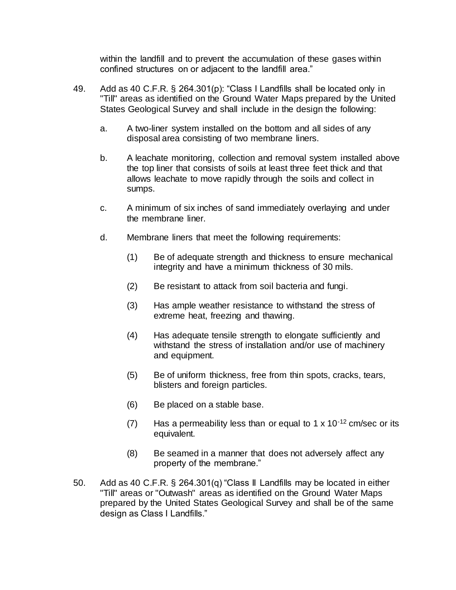within the landfill and to prevent the accumulation of these gases within confined structures on or adjacent to the landfill area."

- 49. Add as 40 C.F.R. § 264.301(p): "Class I Landfills shall be located only in "Till" areas as identified on the Ground Water Maps prepared by the United States Geological Survey and shall include in the design the following:
	- a. A two-liner system installed on the bottom and all sides of any disposal area consisting of two membrane liners.
	- b. A leachate monitoring, collection and removal system installed above the top liner that consists of soils at least three feet thick and that allows leachate to move rapidly through the soils and collect in sumps.
	- c. A minimum of six inches of sand immediately overlaying and under the membrane liner.
	- d. Membrane liners that meet the following requirements:
		- (1) Be of adequate strength and thickness to ensure mechanical integrity and have a minimum thickness of 30 mils.
		- (2) Be resistant to attack from soil bacteria and fungi.
		- (3) Has ample weather resistance to withstand the stress of extreme heat, freezing and thawing.
		- (4) Has adequate tensile strength to elongate sufficiently and withstand the stress of installation and/or use of machinery and equipment.
		- (5) Be of uniform thickness, free from thin spots, cracks, tears, blisters and foreign particles.
		- (6) Be placed on a stable base.
		- (7) Has a permeability less than or equal to 1 x  $10^{-12}$  cm/sec or its equivalent.
		- (8) Be seamed in a manner that does not adversely affect any property of the membrane."
- 50. Add as 40 C.F.R. § 264.301(q) "Class II Landfills may be located in either "Till" areas or "Outwash" areas as identified on the Ground Water Maps prepared by the United States Geological Survey and shall be of the same design as Class I Landfills."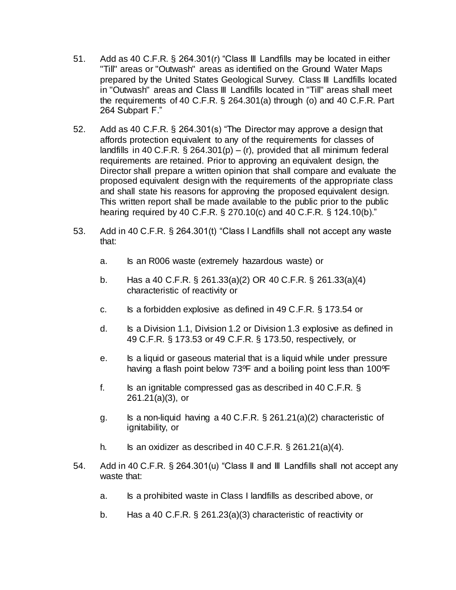- 51. Add as 40 C.F.R. § 264.301(r) "Class III Landfills may be located in either "Till" areas or "Outwash" areas as identified on the Ground Water Maps prepared by the United States Geological Survey. Class III Landfills located in "Outwash" areas and Class III Landfills located in "Till" areas shall meet the requirements of 40 C.F.R. § 264.301(a) through (o) and 40 C.F.R. Part 264 Subpart F."
- 52. Add as 40 C.F.R. § 264.301(s) "The Director may approve a design that affords protection equivalent to any of the requirements for classes of landfills in 40 C.F.R.  $\S$  264.301(p) – (r), provided that all minimum federal requirements are retained. Prior to approving an equivalent design, the Director shall prepare a written opinion that shall compare and evaluate the proposed equivalent design with the requirements of the appropriate class and shall state his reasons for approving the proposed equivalent design. This written report shall be made available to the public prior to the public hearing required by 40 C.F.R. § 270.10(c) and 40 C.F.R. § 124.10(b)."
- 53. Add in 40 C.F.R. § 264.301(t) "Class I Landfills shall not accept any waste that:
	- a. Is an R006 waste (extremely hazardous waste) or
	- b. Has a 40 C.F.R. § 261.33(a)(2) OR 40 C.F.R. § 261.33(a)(4) characteristic of reactivity or
	- c. Is a forbidden explosive as defined in 49 C.F.R. § 173.54 or
	- d. Is a Division 1.1, Division 1.2 or Division 1.3 explosive as defined in 49 C.F.R. § 173.53 or 49 C.F.R. § 173.50, respectively, or
	- e. Is a liquid or gaseous material that is a liquid while under pressure having a flash point below 73°F and a boiling point less than 100°F
	- f. Is an ignitable compressed gas as described in 40 C.F.R.  $\S$ 261.21(a)(3), or
	- g. Is a non-liquid having a 40 C.F.R. § 261.21(a)(2) characteristic of ignitability, or
	- h. Is an oxidizer as described in 40 C.F.R.  $\S$  261.21(a)(4).
- 54. Add in 40 C.F.R. § 264.301(u) "Class II and III Landfills shall not accept any waste that:
	- a. Is a prohibited waste in Class I landfills as described above, or
	- b. Has a 40 C.F.R. § 261.23(a)(3) characteristic of reactivity or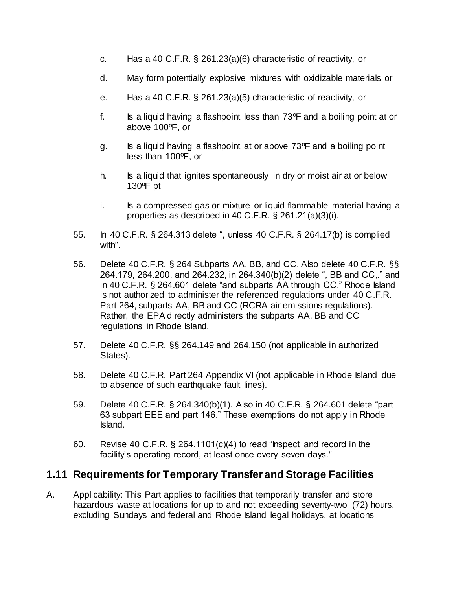- c. Has a 40 C.F.R. § 261.23(a)(6) characteristic of reactivity, or
- d. May form potentially explosive mixtures with oxidizable materials or
- e. Has a 40 C.F.R. § 261.23(a)(5) characteristic of reactivity, or
- f. Is a liquid having a flashpoint less than 73ºF and a boiling point at or above 100ºF, or
- g. Is a liquid having a flashpoint at or above 73ºF and a boiling point less than 100ºF, or
- h. Is a liquid that ignites spontaneously in dry or moist air at or below 130ºF pt
- i. Is a compressed gas or mixture or liquid flammable material having a properties as described in 40 C.F.R. § 261.21(a)(3)(i).
- 55. In 40 C.F.R. § 264.313 delete ", unless 40 C.F.R. § 264.17(b) is complied with".
- 56. Delete 40 C.F.R. § 264 Subparts AA, BB, and CC. Also delete 40 C.F.R. §§ 264.179, 264.200, and 264.232, in 264.340(b)(2) delete ", BB and CC,." and in 40 C.F.R. § 264.601 delete "and subparts AA through CC." Rhode Island is not authorized to administer the referenced regulations under 40 C.F.R. Part 264, subparts AA, BB and CC (RCRA air emissions regulations). Rather, the EPA directly administers the subparts AA, BB and CC regulations in Rhode Island.
- 57. Delete 40 C.F.R. §§ 264.149 and 264.150 (not applicable in authorized States).
- 58. Delete 40 C.F.R. Part 264 Appendix VI (not applicable in Rhode Island due to absence of such earthquake fault lines).
- 59. Delete 40 C.F.R. § 264.340(b)(1). Also in 40 C.F.R. § 264.601 delete "part 63 subpart EEE and part 146." These exemptions do not apply in Rhode Island.
- 60. Revise 40 C.F.R. § 264.1101(c)(4) to read "Inspect and record in the facility's operating record, at least once every seven days."

## **1.11 Requirements for Temporary Transfer and Storage Facilities**

A. Applicability: This Part applies to facilities that temporarily transfer and store hazardous waste at locations for up to and not exceeding seventy-two (72) hours, excluding Sundays and federal and Rhode Island legal holidays, at locations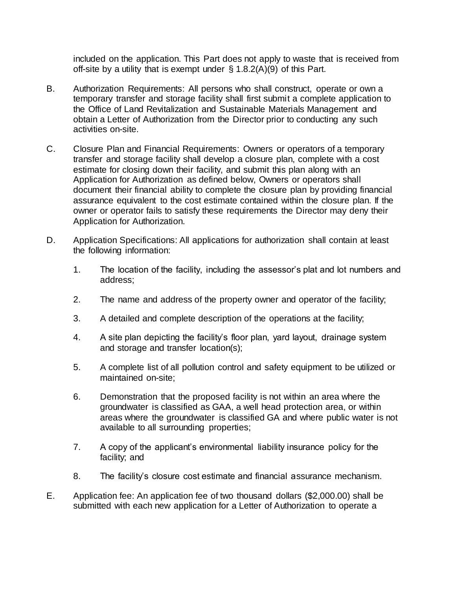included on the application. This Part does not apply to waste that is received from off-site by a utility that is exempt under  $\S 1.8.2(A)(9)$  of this Part.

- B. Authorization Requirements: All persons who shall construct, operate or own a temporary transfer and storage facility shall first submit a complete application to the Office of Land Revitalization and Sustainable Materials Management and obtain a Letter of Authorization from the Director prior to conducting any such activities on-site.
- C. Closure Plan and Financial Requirements: Owners or operators of a temporary transfer and storage facility shall develop a closure plan, complete with a cost estimate for closing down their facility, and submit this plan along with an Application for Authorization as defined below, Owners or operators shall document their financial ability to complete the closure plan by providing financial assurance equivalent to the cost estimate contained within the closure plan. If the owner or operator fails to satisfy these requirements the Director may deny their Application for Authorization.
- D. Application Specifications: All applications for authorization shall contain at least the following information:
	- 1. The location of the facility, including the assessor's plat and lot numbers and address;
	- 2. The name and address of the property owner and operator of the facility;
	- 3. A detailed and complete description of the operations at the facility;
	- 4. A site plan depicting the facility's floor plan, yard layout, drainage system and storage and transfer location(s);
	- 5. A complete list of all pollution control and safety equipment to be utilized or maintained on-site;
	- 6. Demonstration that the proposed facility is not within an area where the groundwater is classified as GAA, a well head protection area, or within areas where the groundwater is classified GA and where public water is not available to all surrounding properties;
	- 7. A copy of the applicant's environmental liability insurance policy for the facility; and
	- 8. The facility's closure cost estimate and financial assurance mechanism.
- E. Application fee: An application fee of two thousand dollars (\$2,000.00) shall be submitted with each new application for a Letter of Authorization to operate a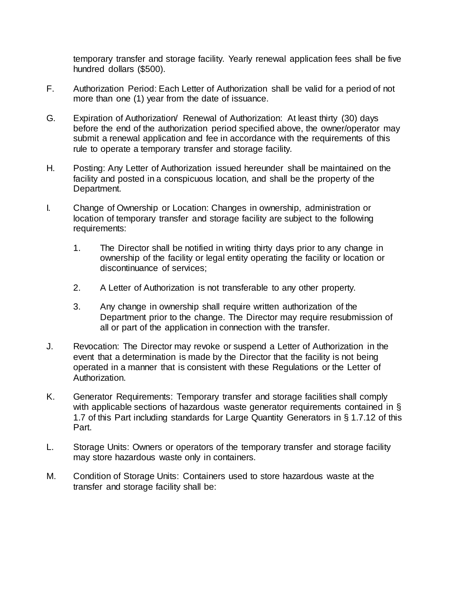temporary transfer and storage facility. Yearly renewal application fees shall be five hundred dollars (\$500).

- F. Authorization Period: Each Letter of Authorization shall be valid for a period of not more than one (1) year from the date of issuance.
- G. Expiration of Authorization/ Renewal of Authorization: At least thirty (30) days before the end of the authorization period specified above, the owner/operator may submit a renewal application and fee in accordance with the requirements of this rule to operate a temporary transfer and storage facility.
- H. Posting: Any Letter of Authorization issued hereunder shall be maintained on the facility and posted in a conspicuous location, and shall be the property of the Department.
- I. Change of Ownership or Location: Changes in ownership, administration or location of temporary transfer and storage facility are subject to the following requirements:
	- 1. The Director shall be notified in writing thirty days prior to any change in ownership of the facility or legal entity operating the facility or location or discontinuance of services;
	- 2. A Letter of Authorization is not transferable to any other property.
	- 3. Any change in ownership shall require written authorization of the Department prior to the change. The Director may require resubmission of all or part of the application in connection with the transfer.
- J. Revocation: The Director may revoke or suspend a Letter of Authorization in the event that a determination is made by the Director that the facility is not being operated in a manner that is consistent with these Regulations or the Letter of Authorization.
- K. Generator Requirements: Temporary transfer and storage facilities shall comply with applicable sections of hazardous waste generator requirements contained in § 1.7 of this Part including standards for Large Quantity Generators in § 1.7.12 of this Part.
- L. Storage Units: Owners or operators of the temporary transfer and storage facility may store hazardous waste only in containers.
- M. Condition of Storage Units: Containers used to store hazardous waste at the transfer and storage facility shall be: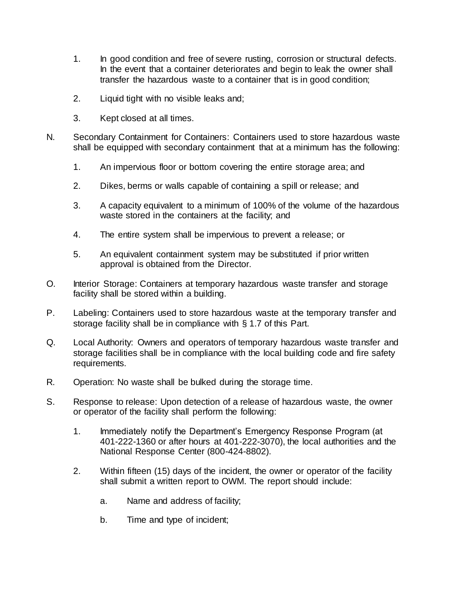- 1. In good condition and free of severe rusting, corrosion or structural defects. In the event that a container deteriorates and begin to leak the owner shall transfer the hazardous waste to a container that is in good condition;
- 2. Liquid tight with no visible leaks and;
- 3. Kept closed at all times.
- N. Secondary Containment for Containers: Containers used to store hazardous waste shall be equipped with secondary containment that at a minimum has the following:
	- 1. An impervious floor or bottom covering the entire storage area; and
	- 2. Dikes, berms or walls capable of containing a spill or release; and
	- 3. A capacity equivalent to a minimum of 100% of the volume of the hazardous waste stored in the containers at the facility; and
	- 4. The entire system shall be impervious to prevent a release; or
	- 5. An equivalent containment system may be substituted if prior written approval is obtained from the Director.
- O. Interior Storage: Containers at temporary hazardous waste transfer and storage facility shall be stored within a building.
- P. Labeling: Containers used to store hazardous waste at the temporary transfer and storage facility shall be in compliance with § 1.7 of this Part.
- Q. Local Authority: Owners and operators of temporary hazardous waste transfer and storage facilities shall be in compliance with the local building code and fire safety requirements.
- R. Operation: No waste shall be bulked during the storage time.
- S. Response to release: Upon detection of a release of hazardous waste, the owner or operator of the facility shall perform the following:
	- 1. Immediately notify the Department's Emergency Response Program (at 401-222-1360 or after hours at 401-222-3070), the local authorities and the National Response Center (800-424-8802).
	- 2. Within fifteen (15) days of the incident, the owner or operator of the facility shall submit a written report to OWM. The report should include:
		- a. Name and address of facility;
		- b. Time and type of incident;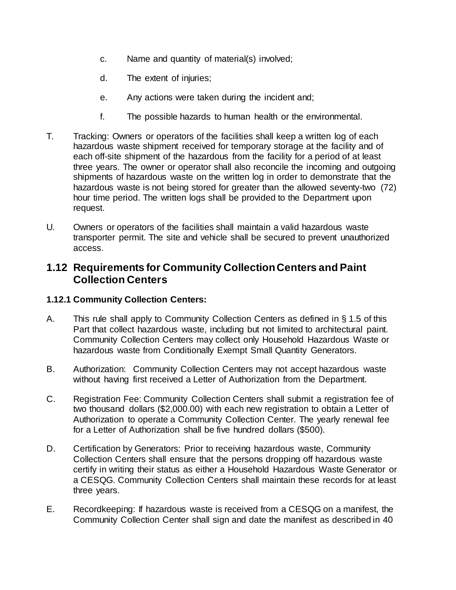- c. Name and quantity of material(s) involved;
- d. The extent of injuries;
- e. Any actions were taken during the incident and;
- f. The possible hazards to human health or the environmental.
- T. Tracking: Owners or operators of the facilities shall keep a written log of each hazardous waste shipment received for temporary storage at the facility and of each off-site shipment of the hazardous from the facility for a period of at least three years. The owner or operator shall also reconcile the incoming and outgoing shipments of hazardous waste on the written log in order to demonstrate that the hazardous waste is not being stored for greater than the allowed seventy-two (72) hour time period. The written logs shall be provided to the Department upon request.
- U. Owners or operators of the facilities shall maintain a valid hazardous waste transporter permit. The site and vehicle shall be secured to prevent unauthorized access.

## **1.12 Requirements for Community CollectionCenters and Paint Collection Centers**

#### **1.12.1 Community Collection Centers:**

- A. This rule shall apply to Community Collection Centers as defined in § 1.5 of this Part that collect hazardous waste, including but not limited to architectural paint. Community Collection Centers may collect only Household Hazardous Waste or hazardous waste from Conditionally Exempt Small Quantity Generators.
- B. Authorization: Community Collection Centers may not accept hazardous waste without having first received a Letter of Authorization from the Department.
- C. Registration Fee: Community Collection Centers shall submit a registration fee of two thousand dollars (\$2,000.00) with each new registration to obtain a Letter of Authorization to operate a Community Collection Center. The yearly renewal fee for a Letter of Authorization shall be five hundred dollars (\$500).
- D. Certification by Generators: Prior to receiving hazardous waste, Community Collection Centers shall ensure that the persons dropping off hazardous waste certify in writing their status as either a Household Hazardous Waste Generator or a CESQG. Community Collection Centers shall maintain these records for at least three years.
- E. Recordkeeping: If hazardous waste is received from a CESQG on a manifest, the Community Collection Center shall sign and date the manifest as described in 40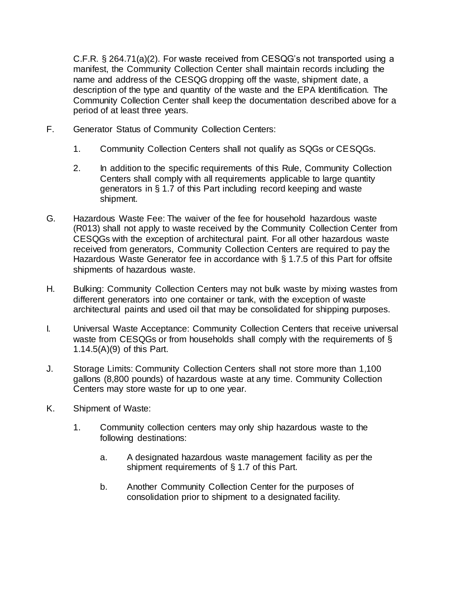C.F.R. § 264.71(a)(2). For waste received from CESQG's not transported using a manifest, the Community Collection Center shall maintain records including the name and address of the CESQG dropping off the waste, shipment date, a description of the type and quantity of the waste and the EPA Identification. The Community Collection Center shall keep the documentation described above for a period of at least three years.

- F. Generator Status of Community Collection Centers:
	- 1. Community Collection Centers shall not qualify as SQGs or CESQGs.
	- 2. In addition to the specific requirements of this Rule, Community Collection Centers shall comply with all requirements applicable to large quantity generators in § 1.7 of this Part including record keeping and waste shipment.
- G. Hazardous Waste Fee: The waiver of the fee for household hazardous waste (R013) shall not apply to waste received by the Community Collection Center from CESQGs with the exception of architectural paint. For all other hazardous waste received from generators, Community Collection Centers are required to pay the Hazardous Waste Generator fee in accordance with § 1.7.5 of this Part for offsite shipments of hazardous waste.
- H. Bulking: Community Collection Centers may not bulk waste by mixing wastes from different generators into one container or tank, with the exception of waste architectural paints and used oil that may be consolidated for shipping purposes.
- I. Universal Waste Acceptance: Community Collection Centers that receive universal waste from CESQGs or from households shall comply with the requirements of § 1.14.5(A)(9) of this Part.
- J. Storage Limits: Community Collection Centers shall not store more than 1,100 gallons (8,800 pounds) of hazardous waste at any time. Community Collection Centers may store waste for up to one year.
- K. Shipment of Waste:
	- 1. Community collection centers may only ship hazardous waste to the following destinations:
		- a. A designated hazardous waste management facility as per the shipment requirements of § 1.7 of this Part.
		- b. Another Community Collection Center for the purposes of consolidation prior to shipment to a designated facility.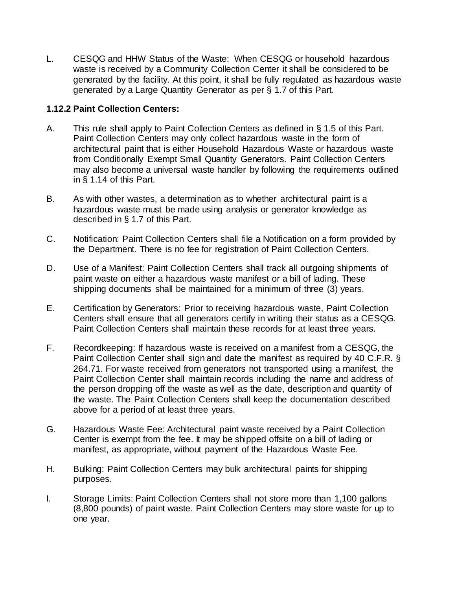L. CESQG and HHW Status of the Waste: When CESQG or household hazardous waste is received by a Community Collection Center it shall be considered to be generated by the facility. At this point, it shall be fully regulated as hazardous waste generated by a Large Quantity Generator as per § 1.7 of this Part.

### **1.12.2 Paint Collection Centers:**

- A. This rule shall apply to Paint Collection Centers as defined in § 1.5 of this Part. Paint Collection Centers may only collect hazardous waste in the form of architectural paint that is either Household Hazardous Waste or hazardous waste from Conditionally Exempt Small Quantity Generators. Paint Collection Centers may also become a universal waste handler by following the requirements outlined in § 1.14 of this Part.
- B. As with other wastes, a determination as to whether architectural paint is a hazardous waste must be made using analysis or generator knowledge as described in § 1.7 of this Part.
- C. Notification: Paint Collection Centers shall file a Notification on a form provided by the Department. There is no fee for registration of Paint Collection Centers.
- D. Use of a Manifest: Paint Collection Centers shall track all outgoing shipments of paint waste on either a hazardous waste manifest or a bill of lading. These shipping documents shall be maintained for a minimum of three (3) years.
- E. Certification by Generators: Prior to receiving hazardous waste, Paint Collection Centers shall ensure that all generators certify in writing their status as a CESQG. Paint Collection Centers shall maintain these records for at least three years.
- F. Recordkeeping: If hazardous waste is received on a manifest from a CESQG, the Paint Collection Center shall sign and date the manifest as required by 40 C.F.R. § 264.71. For waste received from generators not transported using a manifest, the Paint Collection Center shall maintain records including the name and address of the person dropping off the waste as well as the date, description and quantity of the waste. The Paint Collection Centers shall keep the documentation described above for a period of at least three years.
- G. Hazardous Waste Fee: Architectural paint waste received by a Paint Collection Center is exempt from the fee. It may be shipped offsite on a bill of lading or manifest, as appropriate, without payment of the Hazardous Waste Fee.
- H. Bulking: Paint Collection Centers may bulk architectural paints for shipping purposes.
- I. Storage Limits: Paint Collection Centers shall not store more than 1,100 gallons (8,800 pounds) of paint waste. Paint Collection Centers may store waste for up to one year.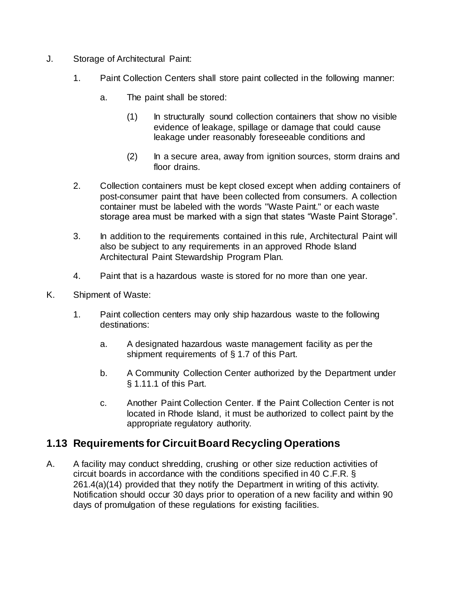- J. Storage of Architectural Paint:
	- 1. Paint Collection Centers shall store paint collected in the following manner:
		- a. The paint shall be stored:
			- (1) In structurally sound collection containers that show no visible evidence of leakage, spillage or damage that could cause leakage under reasonably foreseeable conditions and
			- (2) In a secure area, away from ignition sources, storm drains and floor drains.
	- 2. Collection containers must be kept closed except when adding containers of post-consumer paint that have been collected from consumers. A collection container must be labeled with the words "Waste Paint." or each waste storage area must be marked with a sign that states "Waste Paint Storage".
	- 3. In addition to the requirements contained in this rule, Architectural Paint will also be subject to any requirements in an approved Rhode Island Architectural Paint Stewardship Program Plan.
	- 4. Paint that is a hazardous waste is stored for no more than one year.
- K. Shipment of Waste:
	- 1. Paint collection centers may only ship hazardous waste to the following destinations:
		- a. A designated hazardous waste management facility as per the shipment requirements of § 1.7 of this Part.
		- b. A Community Collection Center authorized by the Department under § 1.11.1 of this Part.
		- c. Another Paint Collection Center. If the Paint Collection Center is not located in Rhode Island, it must be authorized to collect paint by the appropriate regulatory authority.

# **1.13 Requirements for Circuit Board Recycling Operations**

A. A facility may conduct shredding, crushing or other size reduction activities of circuit boards in accordance with the conditions specified in 40 C.F.R. § 261.4(a)(14) provided that they notify the Department in writing of this activity. Notification should occur 30 days prior to operation of a new facility and within 90 days of promulgation of these regulations for existing facilities.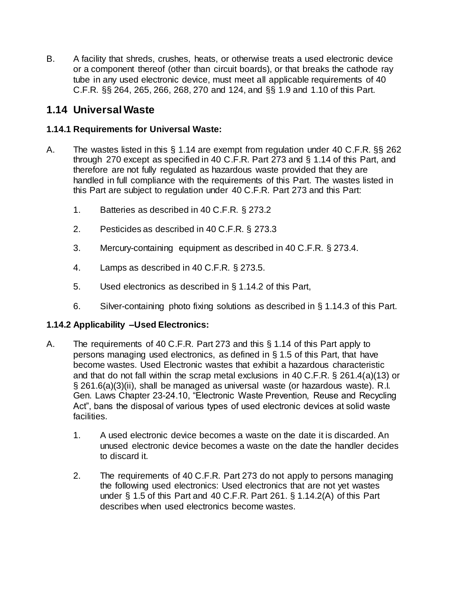B. A facility that shreds, crushes, heats, or otherwise treats a used electronic device or a component thereof (other than circuit boards), or that breaks the cathode ray tube in any used electronic device, must meet all applicable requirements of 40 C.F.R. §§ 264, 265, 266, 268, 270 and 124, and §§ 1.9 and 1.10 of this Part.

# **1.14 UniversalWaste**

## **1.14.1 Requirements for Universal Waste:**

- A. The wastes listed in this § 1.14 are exempt from regulation under 40 C.F.R. §§ 262 through 270 except as specified in 40 C.F.R. Part 273 and § 1.14 of this Part, and therefore are not fully regulated as hazardous waste provided that they are handled in full compliance with the requirements of this Part. The wastes listed in this Part are subject to regulation under 40 C.F.R. Part 273 and this Part:
	- 1. Batteries as described in 40 C.F.R. § 273.2
	- 2. Pesticides as described in 40 C.F.R. § 273.3
	- 3. Mercury-containing equipment as described in 40 C.F.R. § 273.4.
	- 4. Lamps as described in 40 C.F.R. § 273.5.
	- 5. Used electronics as described in § 1.14.2 of this Part,
	- 6. Silver-containing photo fixing solutions as described in § 1.14.3 of this Part.

## **1.14.2 Applicability –Used Electronics:**

- A. The requirements of 40 C.F.R. Part 273 and this § 1.14 of this Part apply to persons managing used electronics, as defined in § 1.5 of this Part, that have become wastes. Used Electronic wastes that exhibit a hazardous characteristic and that do not fall within the scrap metal exclusions in 40 C.F.R. § 261.4(a)(13) or § 261.6(a)(3)(ii), shall be managed as universal waste (or hazardous waste). R.I. Gen. Laws Chapter 23-24.10, "Electronic Waste Prevention, Reuse and Recycling Act", bans the disposal of various types of used electronic devices at solid waste facilities.
	- 1. A used electronic device becomes a waste on the date it is discarded. An unused electronic device becomes a waste on the date the handler decides to discard it.
	- 2. The requirements of 40 C.F.R. Part 273 do not apply to persons managing the following used electronics: Used electronics that are not yet wastes under § 1.5 of this Part and 40 C.F.R. Part 261. § 1.14.2(A) of this Part describes when used electronics become wastes.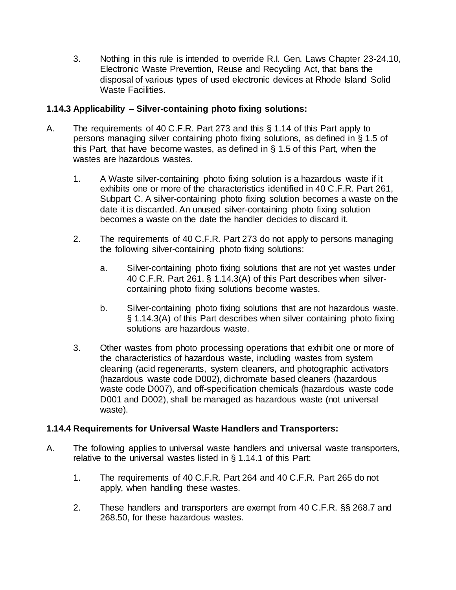3. Nothing in this rule is intended to override R.I. Gen. Laws Chapter 23-24.10, Electronic Waste Prevention, Reuse and Recycling Act, that bans the disposal of various types of used electronic devices at Rhode Island Solid Waste Facilities.

### **1.14.3 Applicability – Silver-containing photo fixing solutions:**

- A. The requirements of 40 C.F.R. Part 273 and this § 1.14 of this Part apply to persons managing silver containing photo fixing solutions, as defined in § 1.5 of this Part, that have become wastes, as defined in § 1.5 of this Part, when the wastes are hazardous wastes.
	- 1. A Waste silver-containing photo fixing solution is a hazardous waste if it exhibits one or more of the characteristics identified in 40 C.F.R. Part 261, Subpart C. A silver-containing photo fixing solution becomes a waste on the date it is discarded. An unused silver-containing photo fixing solution becomes a waste on the date the handler decides to discard it.
	- 2. The requirements of 40 C.F.R. Part 273 do not apply to persons managing the following silver-containing photo fixing solutions:
		- a. Silver-containing photo fixing solutions that are not yet wastes under 40 C.F.R. Part 261. § 1.14.3(A) of this Part describes when silvercontaining photo fixing solutions become wastes.
		- b. Silver-containing photo fixing solutions that are not hazardous waste. § 1.14.3(A) of this Part describes when silver containing photo fixing solutions are hazardous waste.
	- 3. Other wastes from photo processing operations that exhibit one or more of the characteristics of hazardous waste, including wastes from system cleaning (acid regenerants, system cleaners, and photographic activators (hazardous waste code D002), dichromate based cleaners (hazardous waste code D007), and off-specification chemicals (hazardous waste code D001 and D002), shall be managed as hazardous waste (not universal waste).

#### **1.14.4 Requirements for Universal Waste Handlers and Transporters:**

- A. The following applies to universal waste handlers and universal waste transporters, relative to the universal wastes listed in § 1.14.1 of this Part:
	- 1. The requirements of 40 C.F.R. Part 264 and 40 C.F.R. Part 265 do not apply, when handling these wastes.
	- 2. These handlers and transporters are exempt from 40 C.F.R. §§ 268.7 and 268.50, for these hazardous wastes.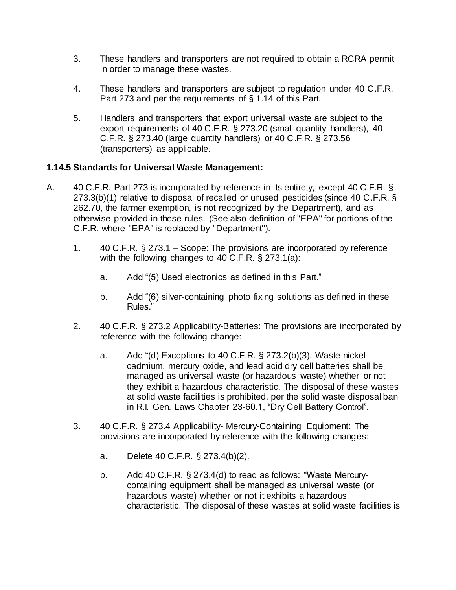- 3. These handlers and transporters are not required to obtain a RCRA permit in order to manage these wastes.
- 4. These handlers and transporters are subject to regulation under 40 C.F.R. Part 273 and per the requirements of § 1.14 of this Part.
- 5. Handlers and transporters that export universal waste are subject to the export requirements of 40 C.F.R. § 273.20 (small quantity handlers), 40 C.F.R. § 273.40 (large quantity handlers) or 40 C.F.R. § 273.56 (transporters) as applicable.

#### **1.14.5 Standards for Universal Waste Management:**

- A. 40 C.F.R. Part 273 is incorporated by reference in its entirety, except 40 C.F.R. § 273.3(b)(1) relative to disposal of recalled or unused pesticides (since 40 C.F.R. § 262.70, the farmer exemption, is not recognized by the Department), and as otherwise provided in these rules. (See also definition of "EPA" for portions of the C.F.R. where "EPA" is replaced by "Department").
	- 1. 40 C.F.R. § 273.1 Scope: The provisions are incorporated by reference with the following changes to 40 C.F.R. § 273.1(a):
		- a. Add "(5) Used electronics as defined in this Part."
		- b. Add "(6) silver-containing photo fixing solutions as defined in these Rules."
	- 2. 40 C.F.R. § 273.2 Applicability-Batteries: The provisions are incorporated by reference with the following change:
		- a. Add "(d) Exceptions to 40 C.F.R. § 273.2(b)(3). Waste nickelcadmium, mercury oxide, and lead acid dry cell batteries shall be managed as universal waste (or hazardous waste) whether or not they exhibit a hazardous characteristic. The disposal of these wastes at solid waste facilities is prohibited, per the solid waste disposal ban in R.I. Gen. Laws Chapter 23-60.1, "Dry Cell Battery Control".
	- 3. 40 C.F.R. § 273.4 Applicability- Mercury-Containing Equipment: The provisions are incorporated by reference with the following changes:
		- a. Delete 40 C.F.R. § 273.4(b)(2).
		- b. Add 40 C.F.R. § 273.4(d) to read as follows: "Waste Mercurycontaining equipment shall be managed as universal waste (or hazardous waste) whether or not it exhibits a hazardous characteristic. The disposal of these wastes at solid waste facilities is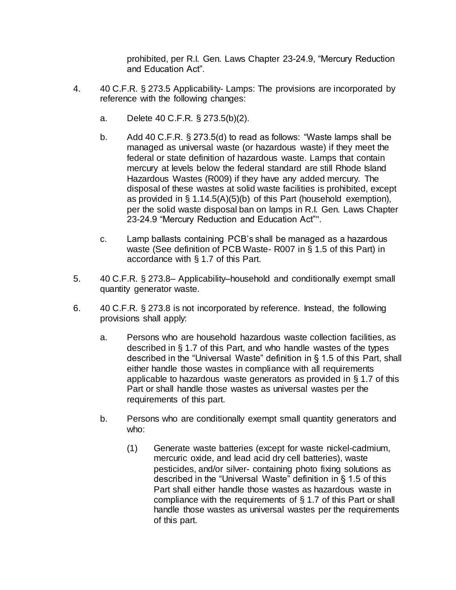prohibited, per R.I. Gen. Laws Chapter 23-24.9, "Mercury Reduction and Education Act".

- 4. 40 C.F.R. § 273.5 Applicability- Lamps: The provisions are incorporated by reference with the following changes:
	- a. Delete 40 C.F.R. § 273.5(b)(2).
	- b. Add 40 C.F.R. § 273.5(d) to read as follows: "Waste lamps shall be managed as universal waste (or hazardous waste) if they meet the federal or state definition of hazardous waste. Lamps that contain mercury at levels below the federal standard are still Rhode Island Hazardous Wastes (R009) if they have any added mercury. The disposal of these wastes at solid waste facilities is prohibited, except as provided in § 1.14.5(A)(5)(b) of this Part (household exemption), per the solid waste disposal ban on lamps in R.I. Gen. Laws Chapter 23-24.9 "Mercury Reduction and Education Act"".
	- c. Lamp ballasts containing PCB's shall be managed as a hazardous waste (See definition of PCB Waste- R007 in § 1.5 of this Part) in accordance with § 1.7 of this Part.
- 5. 40 C.F.R. § 273.8– Applicability–household and conditionally exempt small quantity generator waste.
- 6. 40 C.F.R. § 273.8 is not incorporated by reference. Instead, the following provisions shall apply:
	- a. Persons who are household hazardous waste collection facilities, as described in § 1.7 of this Part, and who handle wastes of the types described in the "Universal Waste" definition in § 1.5 of this Part, shall either handle those wastes in compliance with all requirements applicable to hazardous waste generators as provided in § 1.7 of this Part or shall handle those wastes as universal wastes per the requirements of this part.
	- b. Persons who are conditionally exempt small quantity generators and who:
		- (1) Generate waste batteries (except for waste nickel-cadmium, mercuric oxide, and lead acid dry cell batteries), waste pesticides, and/or silver- containing photo fixing solutions as described in the "Universal Waste" definition in § 1.5 of this Part shall either handle those wastes as hazardous waste in compliance with the requirements of § 1.7 of this Part or shall handle those wastes as universal wastes per the requirements of this part.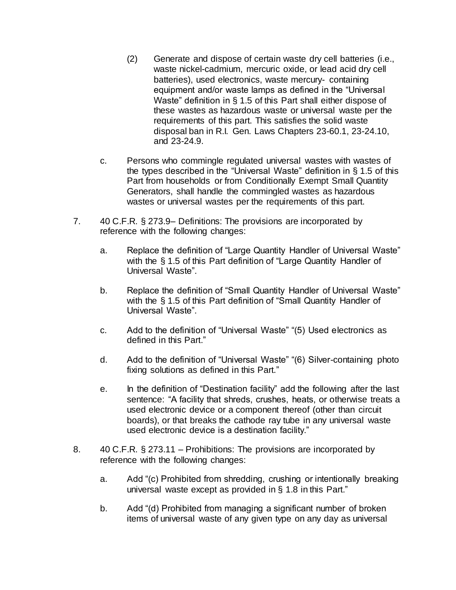- (2) Generate and dispose of certain waste dry cell batteries (i.e., waste nickel-cadmium, mercuric oxide, or lead acid dry cell batteries), used electronics, waste mercury- containing equipment and/or waste lamps as defined in the "Universal Waste" definition in § 1.5 of this Part shall either dispose of these wastes as hazardous waste or universal waste per the requirements of this part. This satisfies the solid waste disposal ban in R.I. Gen. Laws Chapters 23-60.1, 23-24.10, and 23-24.9.
- c. Persons who commingle regulated universal wastes with wastes of the types described in the "Universal Waste" definition in § 1.5 of this Part from households or from Conditionally Exempt Small Quantity Generators, shall handle the commingled wastes as hazardous wastes or universal wastes per the requirements of this part.
- 7. 40 C.F.R. § 273.9– Definitions: The provisions are incorporated by reference with the following changes:
	- a. Replace the definition of "Large Quantity Handler of Universal Waste" with the § 1.5 of this Part definition of "Large Quantity Handler of Universal Waste".
	- b. Replace the definition of "Small Quantity Handler of Universal Waste" with the § 1.5 of this Part definition of "Small Quantity Handler of Universal Waste".
	- c. Add to the definition of "Universal Waste" "(5) Used electronics as defined in this Part."
	- d. Add to the definition of "Universal Waste" "(6) Silver-containing photo fixing solutions as defined in this Part."
	- e. In the definition of "Destination facility" add the following after the last sentence: "A facility that shreds, crushes, heats, or otherwise treats a used electronic device or a component thereof (other than circuit boards), or that breaks the cathode ray tube in any universal waste used electronic device is a destination facility."
- 8. 40 C.F.R. § 273.11 Prohibitions: The provisions are incorporated by reference with the following changes:
	- a. Add "(c) Prohibited from shredding, crushing or intentionally breaking universal waste except as provided in § 1.8 in this Part."
	- b. Add "(d) Prohibited from managing a significant number of broken items of universal waste of any given type on any day as universal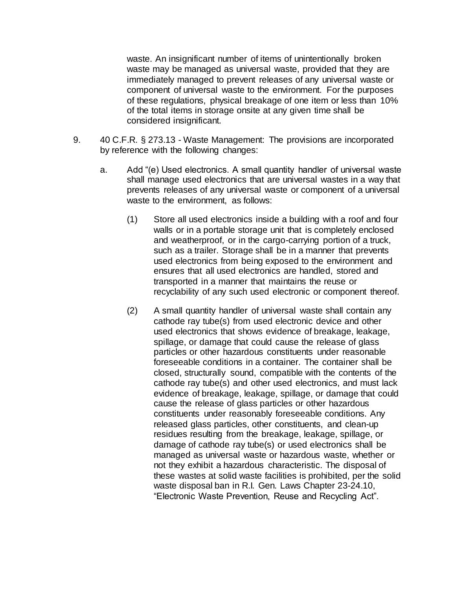waste. An insignificant number of items of unintentionally broken waste may be managed as universal waste, provided that they are immediately managed to prevent releases of any universal waste or component of universal waste to the environment. For the purposes of these regulations, physical breakage of one item or less than 10% of the total items in storage onsite at any given time shall be considered insignificant.

- 9. 40 C.F.R. § 273.13 Waste Management: The provisions are incorporated by reference with the following changes:
	- a. Add "(e) Used electronics. A small quantity handler of universal waste shall manage used electronics that are universal wastes in a way that prevents releases of any universal waste or component of a universal waste to the environment, as follows:
		- (1) Store all used electronics inside a building with a roof and four walls or in a portable storage unit that is completely enclosed and weatherproof, or in the cargo-carrying portion of a truck, such as a trailer. Storage shall be in a manner that prevents used electronics from being exposed to the environment and ensures that all used electronics are handled, stored and transported in a manner that maintains the reuse or recyclability of any such used electronic or component thereof.
		- (2) A small quantity handler of universal waste shall contain any cathode ray tube(s) from used electronic device and other used electronics that shows evidence of breakage, leakage, spillage, or damage that could cause the release of glass particles or other hazardous constituents under reasonable foreseeable conditions in a container. The container shall be closed, structurally sound, compatible with the contents of the cathode ray tube(s) and other used electronics, and must lack evidence of breakage, leakage, spillage, or damage that could cause the release of glass particles or other hazardous constituents under reasonably foreseeable conditions. Any released glass particles, other constituents, and clean-up residues resulting from the breakage, leakage, spillage, or damage of cathode ray tube(s) or used electronics shall be managed as universal waste or hazardous waste, whether or not they exhibit a hazardous characteristic. The disposal of these wastes at solid waste facilities is prohibited, per the solid waste disposal ban in R.I. Gen. Laws Chapter 23-24.10, "Electronic Waste Prevention, Reuse and Recycling Act".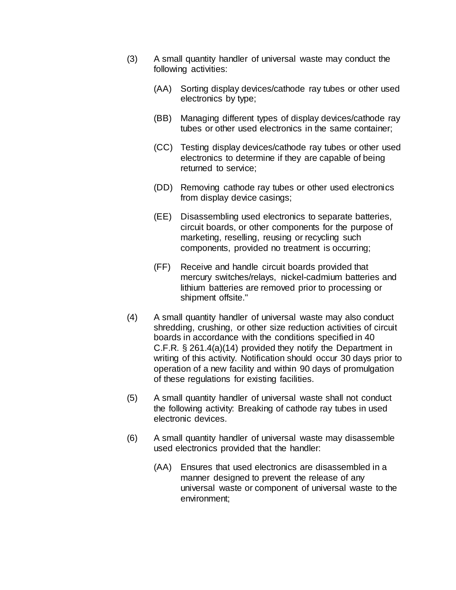- (3) A small quantity handler of universal waste may conduct the following activities:
	- (AA) Sorting display devices/cathode ray tubes or other used electronics by type;
	- (BB) Managing different types of display devices/cathode ray tubes or other used electronics in the same container;
	- (CC) Testing display devices/cathode ray tubes or other used electronics to determine if they are capable of being returned to service;
	- (DD) Removing cathode ray tubes or other used electronics from display device casings;
	- (EE) Disassembling used electronics to separate batteries, circuit boards, or other components for the purpose of marketing, reselling, reusing or recycling such components, provided no treatment is occurring;
	- (FF) Receive and handle circuit boards provided that mercury switches/relays, nickel-cadmium batteries and lithium batteries are removed prior to processing or shipment offsite."
- (4) A small quantity handler of universal waste may also conduct shredding, crushing, or other size reduction activities of circuit boards in accordance with the conditions specified in 40 C.F.R. § 261.4(a)(14) provided they notify the Department in writing of this activity. Notification should occur 30 days prior to operation of a new facility and within 90 days of promulgation of these regulations for existing facilities.
- (5) A small quantity handler of universal waste shall not conduct the following activity: Breaking of cathode ray tubes in used electronic devices.
- (6) A small quantity handler of universal waste may disassemble used electronics provided that the handler:
	- (AA) Ensures that used electronics are disassembled in a manner designed to prevent the release of any universal waste or component of universal waste to the environment;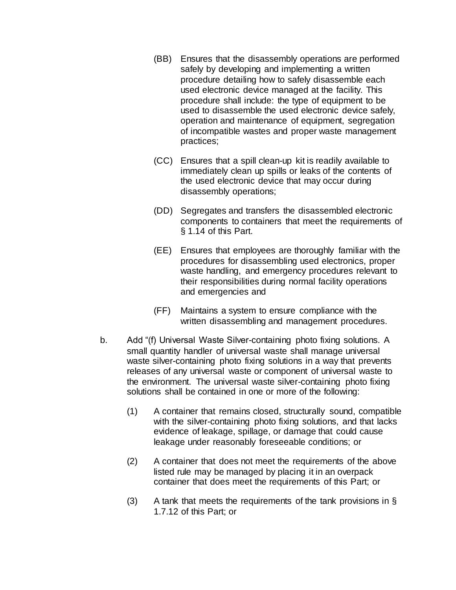- (BB) Ensures that the disassembly operations are performed safely by developing and implementing a written procedure detailing how to safely disassemble each used electronic device managed at the facility. This procedure shall include: the type of equipment to be used to disassemble the used electronic device safely, operation and maintenance of equipment, segregation of incompatible wastes and proper waste management practices;
- (CC) Ensures that a spill clean-up kit is readily available to immediately clean up spills or leaks of the contents of the used electronic device that may occur during disassembly operations;
- (DD) Segregates and transfers the disassembled electronic components to containers that meet the requirements of § 1.14 of this Part.
- (EE) Ensures that employees are thoroughly familiar with the procedures for disassembling used electronics, proper waste handling, and emergency procedures relevant to their responsibilities during normal facility operations and emergencies and
- (FF) Maintains a system to ensure compliance with the written disassembling and management procedures.
- b. Add "(f) Universal Waste Silver-containing photo fixing solutions. A small quantity handler of universal waste shall manage universal waste silver-containing photo fixing solutions in a way that prevents releases of any universal waste or component of universal waste to the environment. The universal waste silver-containing photo fixing solutions shall be contained in one or more of the following:
	- (1) A container that remains closed, structurally sound, compatible with the silver-containing photo fixing solutions, and that lacks evidence of leakage, spillage, or damage that could cause leakage under reasonably foreseeable conditions; or
	- (2) A container that does not meet the requirements of the above listed rule may be managed by placing it in an overpack container that does meet the requirements of this Part; or
	- (3) A tank that meets the requirements of the tank provisions in  $\S$ 1.7.12 of this Part; or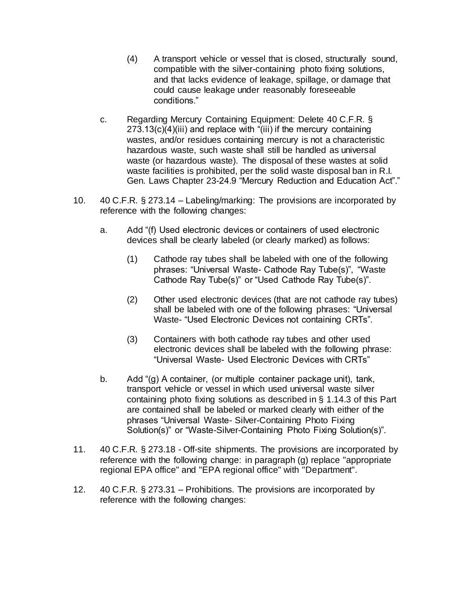- (4) A transport vehicle or vessel that is closed, structurally sound, compatible with the silver-containing photo fixing solutions, and that lacks evidence of leakage, spillage, or damage that could cause leakage under reasonably foreseeable conditions."
- c. Regarding Mercury Containing Equipment: Delete 40 C.F.R. § 273.13(c)(4)(iii) and replace with "(iii) if the mercury containing wastes, and/or residues containing mercury is not a characteristic hazardous waste, such waste shall still be handled as universal waste (or hazardous waste). The disposal of these wastes at solid waste facilities is prohibited, per the solid waste disposal ban in R.I. Gen. Laws Chapter 23-24.9 "Mercury Reduction and Education Act"."
- 10. 40 C.F.R. § 273.14 Labeling/marking: The provisions are incorporated by reference with the following changes:
	- a. Add "(f) Used electronic devices or containers of used electronic devices shall be clearly labeled (or clearly marked) as follows:
		- (1) Cathode ray tubes shall be labeled with one of the following phrases: "Universal Waste- Cathode Ray Tube(s)", "Waste Cathode Ray Tube(s)" or "Used Cathode Ray Tube(s)".
		- (2) Other used electronic devices (that are not cathode ray tubes) shall be labeled with one of the following phrases: "Universal Waste- "Used Electronic Devices not containing CRTs".
		- (3) Containers with both cathode ray tubes and other used electronic devices shall be labeled with the following phrase: "Universal Waste- Used Electronic Devices with CRTs"
	- b. Add "(g) A container, (or multiple container package unit), tank, transport vehicle or vessel in which used universal waste silver containing photo fixing solutions as described in § 1.14.3 of this Part are contained shall be labeled or marked clearly with either of the phrases "Universal Waste- Silver-Containing Photo Fixing Solution(s)" or "Waste-Silver-Containing Photo Fixing Solution(s)".
- 11. 40 C.F.R. § 273.18 Off-site shipments. The provisions are incorporated by reference with the following change: in paragraph (g) replace "appropriate regional EPA office" and "EPA regional office" with "Department".
- 12. 40 C.F.R. § 273.31 Prohibitions. The provisions are incorporated by reference with the following changes: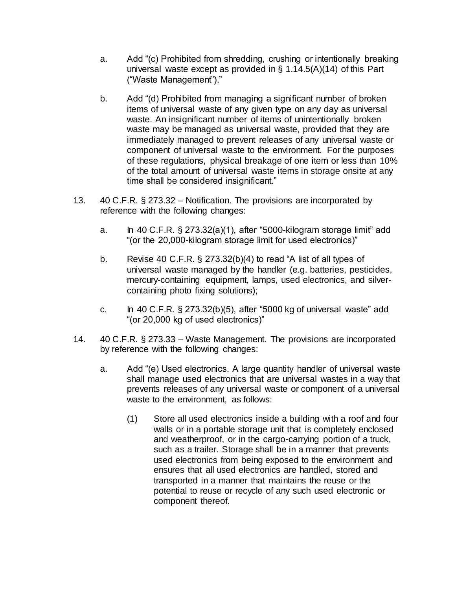- a. Add "(c) Prohibited from shredding, crushing or intentionally breaking universal waste except as provided in § 1.14.5(A)(14) of this Part ("Waste Management")."
- b. Add "(d) Prohibited from managing a significant number of broken items of universal waste of any given type on any day as universal waste. An insignificant number of items of unintentionally broken waste may be managed as universal waste, provided that they are immediately managed to prevent releases of any universal waste or component of universal waste to the environment. For the purposes of these regulations, physical breakage of one item or less than 10% of the total amount of universal waste items in storage onsite at any time shall be considered insignificant."
- 13. 40 C.F.R. § 273.32 Notification. The provisions are incorporated by reference with the following changes:
	- a. In 40 C.F.R.  $\S 273.32(a)(1)$ , after "5000-kilogram storage limit" add "(or the 20,000-kilogram storage limit for used electronics)"
	- b. Revise 40 C.F.R.  $\S$  273.32(b)(4) to read "A list of all types of universal waste managed by the handler (e.g. batteries, pesticides, mercury-containing equipment, lamps, used electronics, and silvercontaining photo fixing solutions);
	- c. In 40 C.F.R. § 273.32(b)(5), after "5000 kg of universal waste" add "(or 20,000 kg of used electronics)"
- 14. 40 C.F.R. § 273.33 Waste Management. The provisions are incorporated by reference with the following changes:
	- a. Add "(e) Used electronics. A large quantity handler of universal waste shall manage used electronics that are universal wastes in a way that prevents releases of any universal waste or component of a universal waste to the environment, as follows:
		- (1) Store all used electronics inside a building with a roof and four walls or in a portable storage unit that is completely enclosed and weatherproof, or in the cargo-carrying portion of a truck, such as a trailer. Storage shall be in a manner that prevents used electronics from being exposed to the environment and ensures that all used electronics are handled, stored and transported in a manner that maintains the reuse or the potential to reuse or recycle of any such used electronic or component thereof.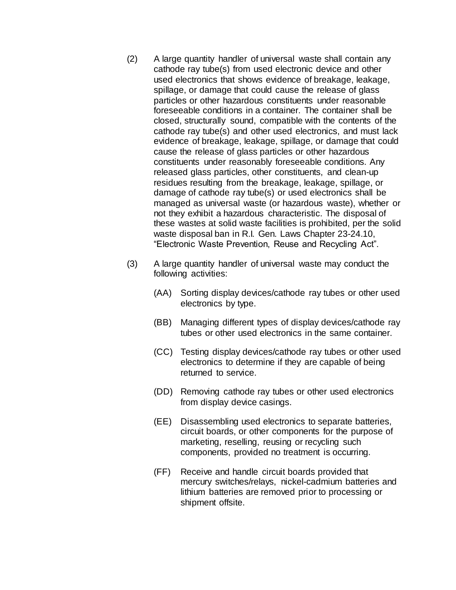- (2) A large quantity handler of universal waste shall contain any cathode ray tube(s) from used electronic device and other used electronics that shows evidence of breakage, leakage, spillage, or damage that could cause the release of glass particles or other hazardous constituents under reasonable foreseeable conditions in a container. The container shall be closed, structurally sound, compatible with the contents of the cathode ray tube(s) and other used electronics, and must lack evidence of breakage, leakage, spillage, or damage that could cause the release of glass particles or other hazardous constituents under reasonably foreseeable conditions. Any released glass particles, other constituents, and clean-up residues resulting from the breakage, leakage, spillage, or damage of cathode ray tube(s) or used electronics shall be managed as universal waste (or hazardous waste), whether or not they exhibit a hazardous characteristic. The disposal of these wastes at solid waste facilities is prohibited, per the solid waste disposal ban in R.I. Gen. Laws Chapter 23-24.10, "Electronic Waste Prevention, Reuse and Recycling Act".
- (3) A large quantity handler of universal waste may conduct the following activities:
	- (AA) Sorting display devices/cathode ray tubes or other used electronics by type.
	- (BB) Managing different types of display devices/cathode ray tubes or other used electronics in the same container.
	- (CC) Testing display devices/cathode ray tubes or other used electronics to determine if they are capable of being returned to service.
	- (DD) Removing cathode ray tubes or other used electronics from display device casings.
	- (EE) Disassembling used electronics to separate batteries, circuit boards, or other components for the purpose of marketing, reselling, reusing or recycling such components, provided no treatment is occurring.
	- (FF) Receive and handle circuit boards provided that mercury switches/relays, nickel-cadmium batteries and lithium batteries are removed prior to processing or shipment offsite.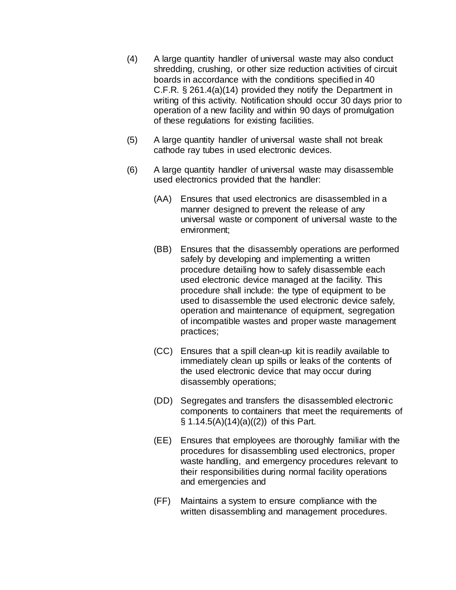- (4) A large quantity handler of universal waste may also conduct shredding, crushing, or other size reduction activities of circuit boards in accordance with the conditions specified in 40 C.F.R. § 261.4(a)(14) provided they notify the Department in writing of this activity. Notification should occur 30 days prior to operation of a new facility and within 90 days of promulgation of these regulations for existing facilities.
- (5) A large quantity handler of universal waste shall not break cathode ray tubes in used electronic devices.
- (6) A large quantity handler of universal waste may disassemble used electronics provided that the handler:
	- (AA) Ensures that used electronics are disassembled in a manner designed to prevent the release of any universal waste or component of universal waste to the environment;
	- (BB) Ensures that the disassembly operations are performed safely by developing and implementing a written procedure detailing how to safely disassemble each used electronic device managed at the facility. This procedure shall include: the type of equipment to be used to disassemble the used electronic device safely, operation and maintenance of equipment, segregation of incompatible wastes and proper waste management practices;
	- (CC) Ensures that a spill clean-up kit is readily available to immediately clean up spills or leaks of the contents of the used electronic device that may occur during disassembly operations;
	- (DD) Segregates and transfers the disassembled electronic components to containers that meet the requirements of  $\S$  1.14.5(A)(14)(a)((2)) of this Part.
	- (EE) Ensures that employees are thoroughly familiar with the procedures for disassembling used electronics, proper waste handling, and emergency procedures relevant to their responsibilities during normal facility operations and emergencies and
	- (FF) Maintains a system to ensure compliance with the written disassembling and management procedures.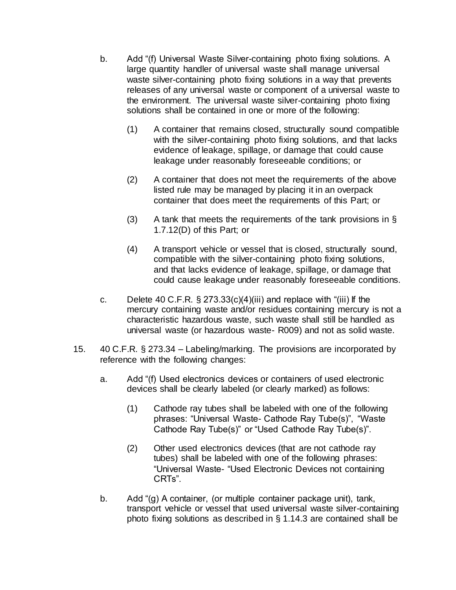- b. Add "(f) Universal Waste Silver-containing photo fixing solutions. A large quantity handler of universal waste shall manage universal waste silver-containing photo fixing solutions in a way that prevents releases of any universal waste or component of a universal waste to the environment. The universal waste silver-containing photo fixing solutions shall be contained in one or more of the following:
	- (1) A container that remains closed, structurally sound compatible with the silver-containing photo fixing solutions, and that lacks evidence of leakage, spillage, or damage that could cause leakage under reasonably foreseeable conditions; or
	- (2) A container that does not meet the requirements of the above listed rule may be managed by placing it in an overpack container that does meet the requirements of this Part; or
	- (3) A tank that meets the requirements of the tank provisions in  $\S$ 1.7.12(D) of this Part; or
	- (4) A transport vehicle or vessel that is closed, structurally sound, compatible with the silver-containing photo fixing solutions, and that lacks evidence of leakage, spillage, or damage that could cause leakage under reasonably foreseeable conditions.
- c. Delete 40 C.F.R.  $\S$  273.33(c)(4)(iii) and replace with "(iii) If the mercury containing waste and/or residues containing mercury is not a characteristic hazardous waste, such waste shall still be handled as universal waste (or hazardous waste- R009) and not as solid waste.
- 15. 40 C.F.R. § 273.34 Labeling/marking. The provisions are incorporated by reference with the following changes:
	- a. Add "(f) Used electronics devices or containers of used electronic devices shall be clearly labeled (or clearly marked) as follows:
		- (1) Cathode ray tubes shall be labeled with one of the following phrases: "Universal Waste- Cathode Ray Tube(s)", "Waste Cathode Ray Tube(s)" or "Used Cathode Ray Tube(s)".
		- (2) Other used electronics devices (that are not cathode ray tubes) shall be labeled with one of the following phrases: "Universal Waste- "Used Electronic Devices not containing CRTs".
	- b. Add "(g) A container, (or multiple container package unit), tank, transport vehicle or vessel that used universal waste silver-containing photo fixing solutions as described in § 1.14.3 are contained shall be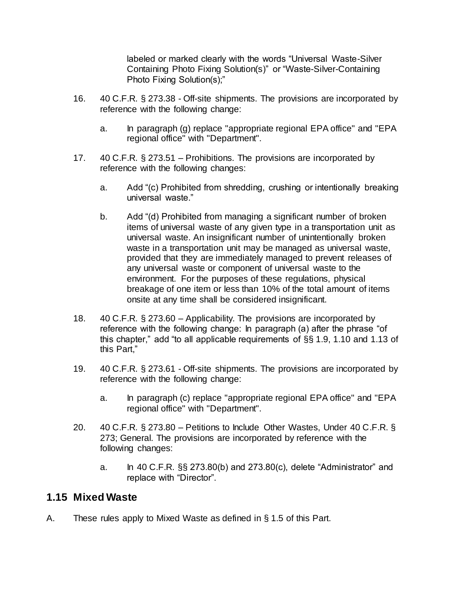labeled or marked clearly with the words "Universal Waste-Silver Containing Photo Fixing Solution(s)" or "Waste-Silver-Containing Photo Fixing Solution(s);"

- 16. 40 C.F.R. § 273.38 Off-site shipments. The provisions are incorporated by reference with the following change:
	- a. In paragraph (g) replace "appropriate regional EPA office" and "EPA regional office" with "Department".
- 17. 40 C.F.R. § 273.51 Prohibitions. The provisions are incorporated by reference with the following changes:
	- a. Add "(c) Prohibited from shredding, crushing or intentionally breaking universal waste."
	- b. Add "(d) Prohibited from managing a significant number of broken items of universal waste of any given type in a transportation unit as universal waste. An insignificant number of unintentionally broken waste in a transportation unit may be managed as universal waste, provided that they are immediately managed to prevent releases of any universal waste or component of universal waste to the environment. For the purposes of these regulations, physical breakage of one item or less than 10% of the total amount of items onsite at any time shall be considered insignificant.
- 18. 40 C.F.R. § 273.60 Applicability. The provisions are incorporated by reference with the following change: In paragraph (a) after the phrase "of this chapter," add "to all applicable requirements of §§ 1.9, 1.10 and 1.13 of this Part,"
- 19. 40 C.F.R. § 273.61 Off-site shipments. The provisions are incorporated by reference with the following change:
	- a. In paragraph (c) replace "appropriate regional EPA office" and "EPA regional office" with "Department".
- 20. 40 C.F.R. § 273.80 Petitions to Include Other Wastes, Under 40 C.F.R. § 273; General. The provisions are incorporated by reference with the following changes:
	- a. In 40 C.F.R. §§ 273.80(b) and 273.80(c), delete "Administrator" and replace with "Director".

## **1.15 Mixed Waste**

A. These rules apply to Mixed Waste as defined in § 1.5 of this Part.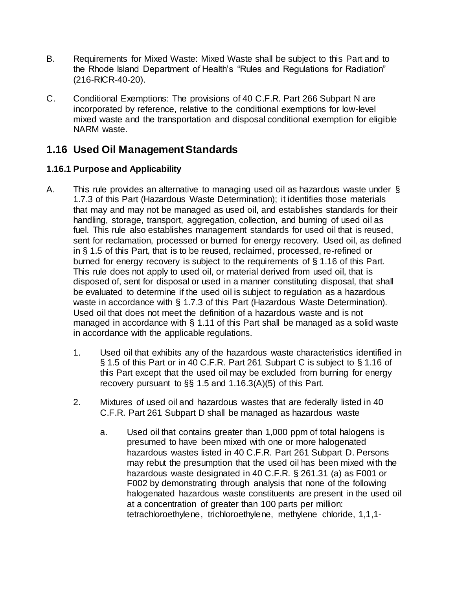- B. Requirements for Mixed Waste: Mixed Waste shall be subject to this Part and to the Rhode Island Department of Health's "Rules and Regulations for Radiation" [\(216-RICR-40-20\).](https://rules.sos.ri.gov/organizations/subchapter/216-40-20)
- C. Conditional Exemptions: The provisions of 40 C.F.R. Part 266 Subpart N are incorporated by reference, relative to the conditional exemptions for low-level mixed waste and the transportation and disposal conditional exemption for eligible NARM waste.

## **1.16 Used Oil ManagementStandards**

## **1.16.1 Purpose and Applicability**

- A. This rule provides an alternative to managing used oil as hazardous waste under § 1.7.3 of this Part (Hazardous Waste Determination); it identifies those materials that may and may not be managed as used oil, and establishes standards for their handling, storage, transport, aggregation, collection, and burning of used oil as fuel. This rule also establishes management standards for used oil that is reused, sent for reclamation, processed or burned for energy recovery. Used oil, as defined in § 1.5 of this Part, that is to be reused, reclaimed, processed, re-refined or burned for energy recovery is subject to the requirements of § 1.16 of this Part. This rule does not apply to used oil, or material derived from used oil, that is disposed of, sent for disposal or used in a manner constituting disposal, that shall be evaluated to determine if the used oil is subject to regulation as a hazardous waste in accordance with § 1.7.3 of this Part (Hazardous Waste Determination). Used oil that does not meet the definition of a hazardous waste and is not managed in accordance with § 1.11 of this Part shall be managed as a solid waste in accordance with the applicable regulations.
	- 1. Used oil that exhibits any of the hazardous waste characteristics identified in § 1.5 of this Part or in 40 C.F.R. Part 261 Subpart C is subject to § 1.16 of this Part except that the used oil may be excluded from burning for energy recovery pursuant to §§ 1.5 and 1.16.3(A)(5) of this Part.
	- 2. Mixtures of used oil and hazardous wastes that are federally listed in 40 C.F.R. Part 261 Subpart D shall be managed as hazardous waste
		- a. Used oil that contains greater than 1,000 ppm of total halogens is presumed to have been mixed with one or more halogenated hazardous wastes listed in 40 C.F.R. Part 261 Subpart D. Persons may rebut the presumption that the used oil has been mixed with the hazardous waste designated in 40 C.F.R. § 261.31 (a) as F001 or F002 by demonstrating through analysis that none of the following halogenated hazardous waste constituents are present in the used oil at a concentration of greater than 100 parts per million: tetrachloroethylene, trichloroethylene, methylene chloride, 1,1,1-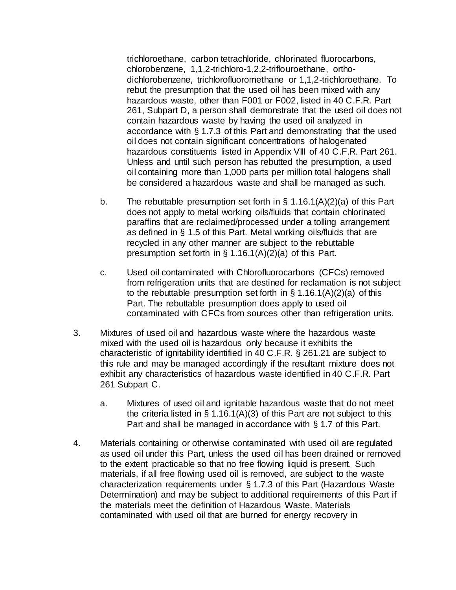trichloroethane, carbon tetrachloride, chlorinated fluorocarbons, chlorobenzene, 1,1,2-trichloro-1,2,2-triflouroethane, orthodichlorobenzene, trichlorofluoromethane or 1,1,2-trichloroethane. To rebut the presumption that the used oil has been mixed with any hazardous waste, other than F001 or F002, listed in 40 C.F.R. Part 261, Subpart D, a person shall demonstrate that the used oil does not contain hazardous waste by having the used oil analyzed in accordance with § 1.7.3 of this Part and demonstrating that the used oil does not contain significant concentrations of halogenated hazardous constituents listed in Appendix VIII of 40 C.F.R. Part 261. Unless and until such person has rebutted the presumption, a used oil containing more than 1,000 parts per million total halogens shall be considered a hazardous waste and shall be managed as such.

- b. The rebuttable presumption set forth in  $\S$  1.16.1(A)(2)(a) of this Part does not apply to metal working oils/fluids that contain chlorinated paraffins that are reclaimed/processed under a tolling arrangement as defined in § 1.5 of this Part. Metal working oils/fluids that are recycled in any other manner are subject to the rebuttable presumption set forth in § 1.16.1(A)(2)(a) of this Part.
- c. Used oil contaminated with Chlorofluorocarbons (CFCs) removed from refrigeration units that are destined for reclamation is not subject to the rebuttable presumption set forth in  $\S$  1.16.1(A)(2)(a) of this Part. The rebuttable presumption does apply to used oil contaminated with CFCs from sources other than refrigeration units.
- 3. Mixtures of used oil and hazardous waste where the hazardous waste mixed with the used oil is hazardous only because it exhibits the characteristic of ignitability identified in 40 C.F.R. § 261.21 are subject to this rule and may be managed accordingly if the resultant mixture does not exhibit any characteristics of hazardous waste identified in 40 C.F.R. Part 261 Subpart C.
	- a. Mixtures of used oil and ignitable hazardous waste that do not meet the criteria listed in  $\S 1.16.1(A)(3)$  of this Part are not subject to this Part and shall be managed in accordance with § 1.7 of this Part.
- 4. Materials containing or otherwise contaminated with used oil are regulated as used oil under this Part, unless the used oil has been drained or removed to the extent practicable so that no free flowing liquid is present. Such materials, if all free flowing used oil is removed, are subject to the waste characterization requirements under § 1.7.3 of this Part (Hazardous Waste Determination) and may be subject to additional requirements of this Part if the materials meet the definition of Hazardous Waste. Materials contaminated with used oil that are burned for energy recovery in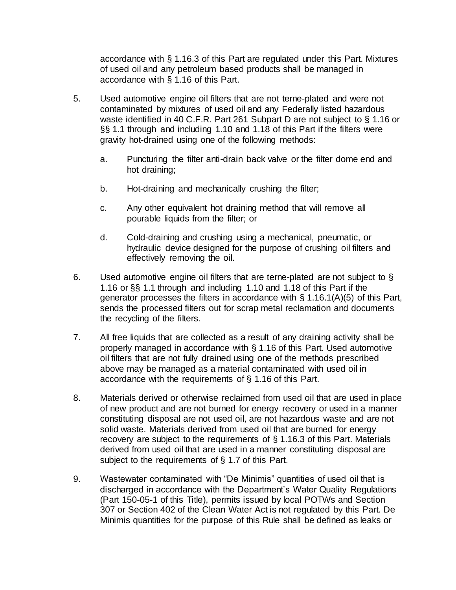accordance with § 1.16.3 of this Part are regulated under this Part. Mixtures of used oil and any petroleum based products shall be managed in accordance with § 1.16 of this Part.

- 5. Used automotive engine oil filters that are not terne-plated and were not contaminated by mixtures of used oil and any Federally listed hazardous waste identified in 40 C.F.R. Part 261 Subpart D are not subject to § 1.16 or §§ 1.1 through and including 1.10 and 1.18 of this Part if the filters were gravity hot-drained using one of the following methods:
	- a. Puncturing the filter anti-drain back valve or the filter dome end and hot draining;
	- b. Hot-draining and mechanically crushing the filter;
	- c. Any other equivalent hot draining method that will remove all pourable liquids from the filter; or
	- d. Cold-draining and crushing using a mechanical, pneumatic, or hydraulic device designed for the purpose of crushing oil filters and effectively removing the oil.
- 6. Used automotive engine oil filters that are terne-plated are not subject to § 1.16 or §§ 1.1 through and including 1.10 and 1.18 of this Part if the generator processes the filters in accordance with § 1.16.1(A)(5) of this Part, sends the processed filters out for scrap metal reclamation and documents the recycling of the filters.
- 7. All free liquids that are collected as a result of any draining activity shall be properly managed in accordance with § 1.16 of this Part. Used automotive oil filters that are not fully drained using one of the methods prescribed above may be managed as a material contaminated with used oil in accordance with the requirements of § 1.16 of this Part.
- 8. Materials derived or otherwise reclaimed from used oil that are used in place of new product and are not burned for energy recovery or used in a manner constituting disposal are not used oil, are not hazardous waste and are not solid waste. Materials derived from used oil that are burned for energy recovery are subject to the requirements of § 1.16.3 of this Part. Materials derived from used oil that are used in a manner constituting disposal are subject to the requirements of § 1.7 of this Part.
- 9. Wastewater contaminated with "De Minimis" quantities of used oil that is discharged in accordance with the Department's Water Quality Regulations (Part [150-05-1](https://rules.sos.ri.gov/regulations/part/250-150-05-1) of this Title), permits issued by local POTWs and Section 307 or Section 402 of the Clean Water Act is not regulated by this Part. De Minimis quantities for the purpose of this Rule shall be defined as leaks or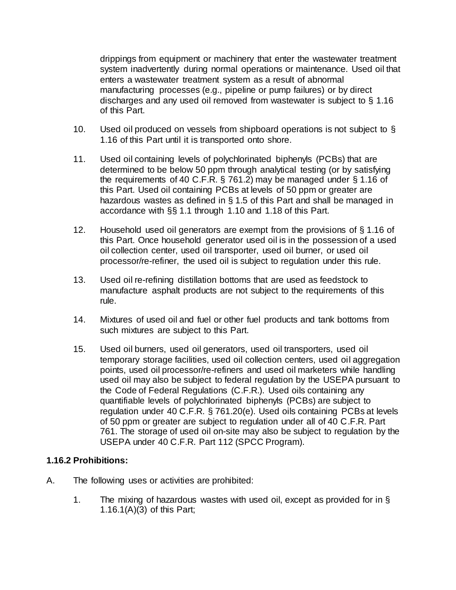drippings from equipment or machinery that enter the wastewater treatment system inadvertently during normal operations or maintenance. Used oil that enters a wastewater treatment system as a result of abnormal manufacturing processes (e.g., pipeline or pump failures) or by direct discharges and any used oil removed from wastewater is subject to § 1.16 of this Part.

- 10. Used oil produced on vessels from shipboard operations is not subject to § 1.16 of this Part until it is transported onto shore.
- 11. Used oil containing levels of polychlorinated biphenyls (PCBs) that are determined to be below 50 ppm through analytical testing (or by satisfying the requirements of 40 C.F.R. § 761.2) may be managed under § 1.16 of this Part. Used oil containing PCBs at levels of 50 ppm or greater are hazardous wastes as defined in § 1.5 of this Part and shall be managed in accordance with §§ 1.1 through 1.10 and 1.18 of this Part.
- 12. Household used oil generators are exempt from the provisions of § 1.16 of this Part. Once household generator used oil is in the possession of a used oil collection center, used oil transporter, used oil burner, or used oil processor/re-refiner, the used oil is subject to regulation under this rule.
- 13. Used oil re-refining distillation bottoms that are used as feedstock to manufacture asphalt products are not subject to the requirements of this rule.
- 14. Mixtures of used oil and fuel or other fuel products and tank bottoms from such mixtures are subject to this Part.
- 15. Used oil burners, used oil generators, used oil transporters, used oil temporary storage facilities, used oil collection centers, used oil aggregation points, used oil processor/re-refiners and used oil marketers while handling used oil may also be subject to federal regulation by the USEPA pursuant to the Code of Federal Regulations (C.F.R.). Used oils containing any quantifiable levels of polychlorinated biphenyls (PCBs) are subject to regulation under 40 C.F.R. § 761.20(e). Used oils containing PCBs at levels of 50 ppm or greater are subject to regulation under all of 40 C.F.R. Part 761. The storage of used oil on-site may also be subject to regulation by the USEPA under 40 C.F.R. Part 112 (SPCC Program).

#### **1.16.2 Prohibitions:**

- A. The following uses or activities are prohibited:
	- 1. The mixing of hazardous wastes with used oil, except as provided for in § 1.16.1(A)(3) of this Part;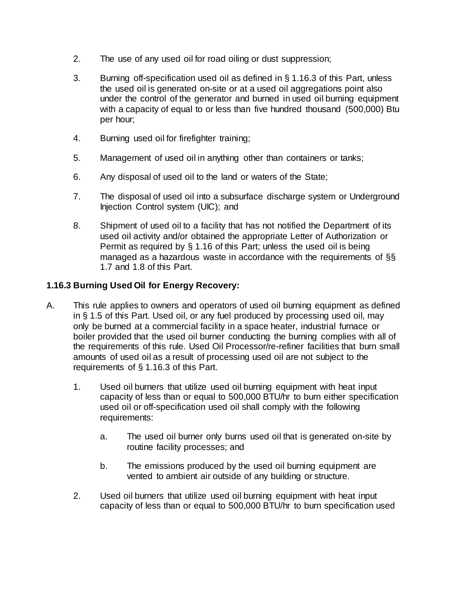- 2. The use of any used oil for road oiling or dust suppression;
- 3. Burning off-specification used oil as defined in § 1.16.3 of this Part, unless the used oil is generated on-site or at a used oil aggregations point also under the control of the generator and burned in used oil burning equipment with a capacity of equal to or less than five hundred thousand (500,000) Btu per hour;
- 4. Burning used oil for firefighter training;
- 5. Management of used oil in anything other than containers or tanks;
- 6. Any disposal of used oil to the land or waters of the State;
- 7. The disposal of used oil into a subsurface discharge system or Underground Injection Control system (UIC); and
- 8. Shipment of used oil to a facility that has not notified the Department of its used oil activity and/or obtained the appropriate Letter of Authorization or Permit as required by § 1.16 of this Part; unless the used oil is being managed as a hazardous waste in accordance with the requirements of §§ 1.7 and 1.8 of this Part.

## **1.16.3 Burning Used Oil for Energy Recovery:**

- A. This rule applies to owners and operators of used oil burning equipment as defined in § 1.5 of this Part. Used oil, or any fuel produced by processing used oil, may only be burned at a commercial facility in a space heater, industrial furnace or boiler provided that the used oil burner conducting the burning complies with all of the requirements of this rule. Used Oil Processor/re-refiner facilities that burn small amounts of used oil as a result of processing used oil are not subject to the requirements of § 1.16.3 of this Part.
	- 1. Used oil burners that utilize used oil burning equipment with heat input capacity of less than or equal to 500,000 BTU/hr to burn either specification used oil or off-specification used oil shall comply with the following requirements:
		- a. The used oil burner only burns used oil that is generated on-site by routine facility processes; and
		- b. The emissions produced by the used oil burning equipment are vented to ambient air outside of any building or structure.
	- 2. Used oil burners that utilize used oil burning equipment with heat input capacity of less than or equal to 500,000 BTU/hr to burn specification used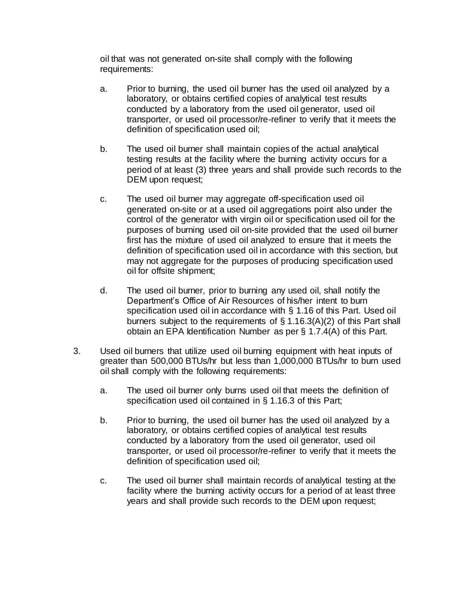oil that was not generated on-site shall comply with the following requirements:

- a. Prior to burning, the used oil burner has the used oil analyzed by a laboratory, or obtains certified copies of analytical test results conducted by a laboratory from the used oil generator, used oil transporter, or used oil processor/re-refiner to verify that it meets the definition of specification used oil;
- b. The used oil burner shall maintain copies of the actual analytical testing results at the facility where the burning activity occurs for a period of at least (3) three years and shall provide such records to the DEM upon request;
- c. The used oil burner may aggregate off-specification used oil generated on-site or at a used oil aggregations point also under the control of the generator with virgin oil or specification used oil for the purposes of burning used oil on-site provided that the used oil burner first has the mixture of used oil analyzed to ensure that it meets the definition of specification used oil in accordance with this section, but may not aggregate for the purposes of producing specification used oil for offsite shipment;
- d. The used oil burner, prior to burning any used oil, shall notify the Department's Office of Air Resources of his/her intent to burn specification used oil in accordance with § 1.16 of this Part. Used oil burners subject to the requirements of § 1.16.3(A)(2) of this Part shall obtain an EPA Identification Number as per § 1.7.4(A) of this Part.
- 3. Used oil burners that utilize used oil burning equipment with heat inputs of greater than 500,000 BTUs/hr but less than 1,000,000 BTUs/hr to burn used oil shall comply with the following requirements:
	- a. The used oil burner only burns used oil that meets the definition of specification used oil contained in § 1.16.3 of this Part;
	- b. Prior to burning, the used oil burner has the used oil analyzed by a laboratory, or obtains certified copies of analytical test results conducted by a laboratory from the used oil generator, used oil transporter, or used oil processor/re-refiner to verify that it meets the definition of specification used oil;
	- c. The used oil burner shall maintain records of analytical testing at the facility where the burning activity occurs for a period of at least three years and shall provide such records to the DEM upon request;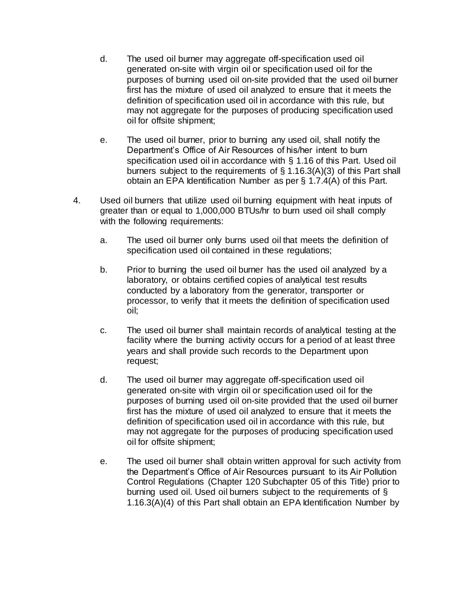- d. The used oil burner may aggregate off-specification used oil generated on-site with virgin oil or specification used oil for the purposes of burning used oil on-site provided that the used oil burner first has the mixture of used oil analyzed to ensure that it meets the definition of specification used oil in accordance with this rule, but may not aggregate for the purposes of producing specification used oil for offsite shipment;
- e. The used oil burner, prior to burning any used oil, shall notify the Department's Office of Air Resources of his/her intent to burn specification used oil in accordance with § 1.16 of this Part. Used oil burners subject to the requirements of § 1.16.3(A)(3) of this Part shall obtain an EPA Identification Number as per § 1.7.4(A) of this Part.
- 4. Used oil burners that utilize used oil burning equipment with heat inputs of greater than or equal to 1,000,000 BTUs/hr to burn used oil shall comply with the following requirements:
	- a. The used oil burner only burns used oil that meets the definition of specification used oil contained in these regulations;
	- b. Prior to burning the used oil burner has the used oil analyzed by a laboratory, or obtains certified copies of analytical test results conducted by a laboratory from the generator, transporter or processor, to verify that it meets the definition of specification used oil;
	- c. The used oil burner shall maintain records of analytical testing at the facility where the burning activity occurs for a period of at least three years and shall provide such records to the Department upon request;
	- d. The used oil burner may aggregate off-specification used oil generated on-site with virgin oil or specification used oil for the purposes of burning used oil on-site provided that the used oil burner first has the mixture of used oil analyzed to ensure that it meets the definition of specification used oil in accordance with this rule, but may not aggregate for the purposes of producing specification used oil for offsite shipment;
	- e. The used oil burner shall obtain written approval for such activity from the Department's Office of Air Resources pursuant to its Air Pollution Control Regulations (Chapter 120 Subchapter [05](https://rules.sos.ri.gov/organizations/subchapter/250-120-05) of this Title) prior to burning used oil. Used oil burners subject to the requirements of § 1.16.3(A)(4) of this Part shall obtain an EPA Identification Number by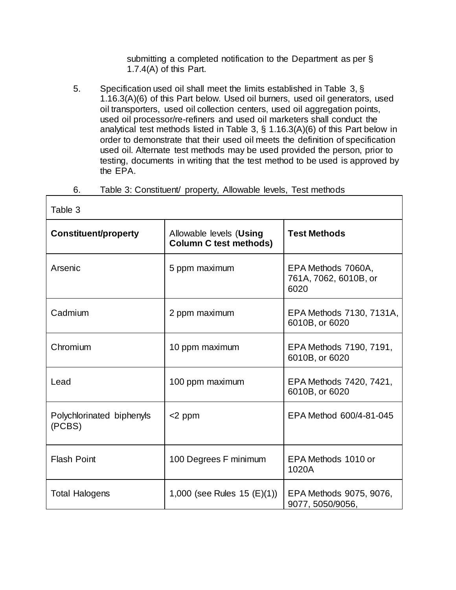submitting a completed notification to the Department as per § 1.7.4(A) of this Part.

5. Specification used oil shall meet the limits established in Table 3, § 1.16.3(A)(6) of this Part below. Used oil burners, used oil generators, used oil transporters, used oil collection centers, used oil aggregation points, used oil processor/re-refiners and used oil marketers shall conduct the analytical test methods listed in Table 3, § 1.16.3(A)(6) of this Part below in order to demonstrate that their used oil meets the definition of specification used oil. Alternate test methods may be used provided the person, prior to testing, documents in writing that the test method to be used is approved by the EPA.

### 6. Table 3: Constituent/ property, Allowable levels, Test methods

| Table 3                             |                                                          |                                                     |  |
|-------------------------------------|----------------------------------------------------------|-----------------------------------------------------|--|
| <b>Constituent/property</b>         | Allowable levels (Using<br><b>Column C test methods)</b> | <b>Test Methods</b>                                 |  |
| Arsenic                             | 5 ppm maximum                                            | EPA Methods 7060A,<br>761A, 7062, 6010B, or<br>6020 |  |
| Cadmium                             | 2 ppm maximum                                            | EPA Methods 7130, 7131A,<br>6010B, or 6020          |  |
| Chromium                            | 10 ppm maximum                                           | EPA Methods 7190, 7191,<br>6010B, or 6020           |  |
| Lead                                | 100 ppm maximum                                          | EPA Methods 7420, 7421,<br>6010B, or 6020           |  |
| Polychlorinated biphenyls<br>(PCBS) | $<$ 2 ppm                                                | EPA Method 600/4-81-045                             |  |
| <b>Flash Point</b>                  | 100 Degrees F minimum                                    | EPA Methods 1010 or<br>1020A                        |  |
| <b>Total Halogens</b>               | 1,000 (see Rules $15$ (E)(1))                            | EPA Methods 9075, 9076,<br>9077, 5050/9056,         |  |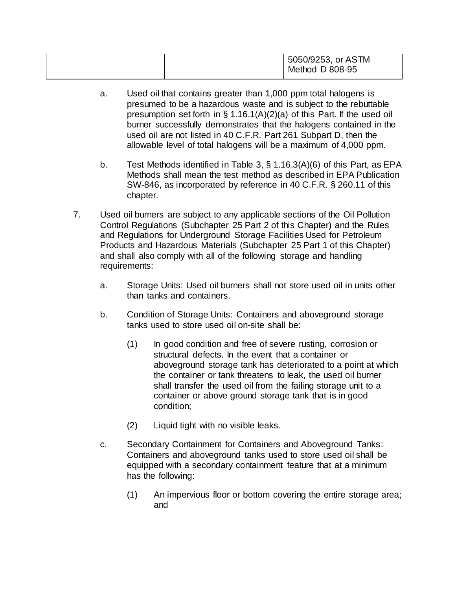|  | 5050/9253, or ASTM<br>Method D 808-95 |  |
|--|---------------------------------------|--|
|--|---------------------------------------|--|

- a. Used oil that contains greater than 1,000 ppm total halogens is presumed to be a hazardous waste and is subject to the rebuttable presumption set forth in  $\S 1.16.1(A)(2)(a)$  of this Part. If the used oil burner successfully demonstrates that the halogens contained in the used oil are not listed in 40 C.F.R. Part 261 Subpart D, then the allowable level of total halogens will be a maximum of 4,000 ppm.
- b. Test Methods identified in Table 3, § 1.16.3(A)(6) of this Part, as EPA Methods shall mean the test method as described in EPA Publication SW-846, as incorporated by reference in 40 C.F.R. § 260.11 of this chapter.
- 7. Used oil burners are subject to any applicable sections of the Oil Pollution Control Regulations (Subchapter 25 Part [2](https://rules.sos.ri.gov/regulations/part/250-140-25-2) of this Chapter) and the Rules and Regulations for Underground Storage Facilities Used for Petroleum Products and Hazardous Materials (Subchapter 25 Part [1](https://rules.sos.ri.gov/regulations/part/250-140-25-1) of this Chapter) and shall also comply with all of the following storage and handling requirements:
	- a. Storage Units: Used oil burners shall not store used oil in units other than tanks and containers.
	- b. Condition of Storage Units: Containers and aboveground storage tanks used to store used oil on-site shall be:
		- (1) In good condition and free of severe rusting, corrosion or structural defects. In the event that a container or aboveground storage tank has deteriorated to a point at which the container or tank threatens to leak, the used oil burner shall transfer the used oil from the failing storage unit to a container or above ground storage tank that is in good condition;
		- (2) Liquid tight with no visible leaks.
	- c. Secondary Containment for Containers and Aboveground Tanks: Containers and aboveground tanks used to store used oil shall be equipped with a secondary containment feature that at a minimum has the following:
		- (1) An impervious floor or bottom covering the entire storage area; and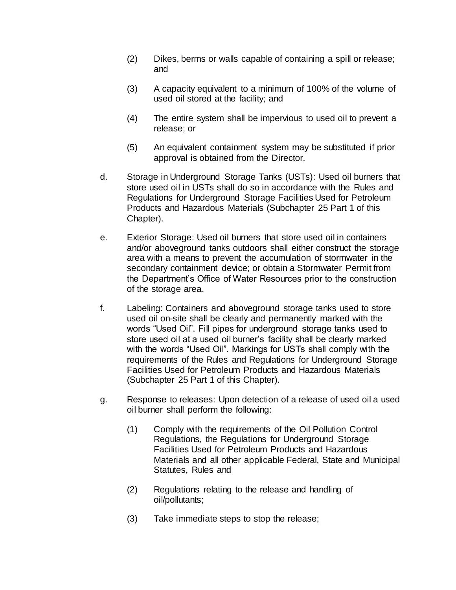- (2) Dikes, berms or walls capable of containing a spill or release; and
- (3) A capacity equivalent to a minimum of 100% of the volume of used oil stored at the facility; and
- (4) The entire system shall be impervious to used oil to prevent a release; or
- (5) An equivalent containment system may be substituted if prior approval is obtained from the Director.
- d. Storage in Underground Storage Tanks (USTs): Used oil burners that store used oil in USTs shall do so in accordance with the Rules and Regulations for Underground Storage Facilities Used for Petroleum Products and Hazardous Materials (Subchapter 25 Part [1](https://rules.sos.ri.gov/regulations/part/250-140-25-1) of this Chapter).
- e. Exterior Storage: Used oil burners that store used oil in containers and/or aboveground tanks outdoors shall either construct the storage area with a means to prevent the accumulation of stormwater in the secondary containment device; or obtain a Stormwater Permit from the Department's Office of Water Resources prior to the construction of the storage area.
- f. Labeling: Containers and aboveground storage tanks used to store used oil on-site shall be clearly and permanently marked with the words "Used Oil". Fill pipes for underground storage tanks used to store used oil at a used oil burner's facility shall be clearly marked with the words "Used Oil". Markings for USTs shall comply with the requirements of the Rules and Regulations for Underground Storage Facilities Used for Petroleum Products and Hazardous Materials (Subchapter 25 Part [1](https://rules.sos.ri.gov/regulations/part/250-140-25-1) of this Chapter).
- g. Response to releases: Upon detection of a release of used oil a used oil burner shall perform the following:
	- (1) Comply with the requirements of the Oil Pollution Control Regulations, the Regulations for Underground Storage Facilities Used for Petroleum Products and Hazardous Materials and all other applicable Federal, State and Municipal Statutes, Rules and
	- (2) Regulations relating to the release and handling of oil/pollutants;
	- (3) Take immediate steps to stop the release;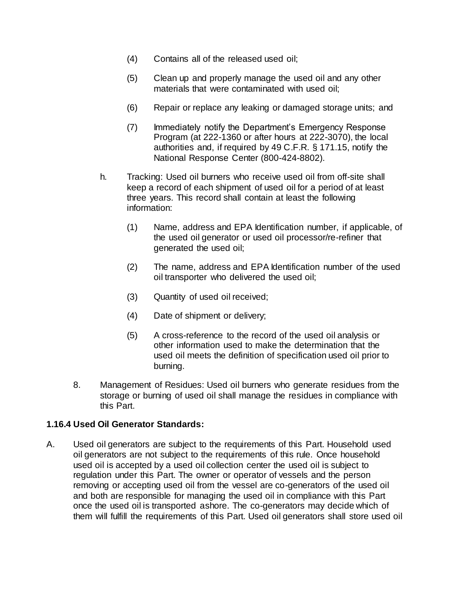- (4) Contains all of the released used oil;
- (5) Clean up and properly manage the used oil and any other materials that were contaminated with used oil;
- (6) Repair or replace any leaking or damaged storage units; and
- (7) Immediately notify the Department's Emergency Response Program (at 222-1360 or after hours at 222-3070), the local authorities and, if required by 49 C.F.R. § 171.15, notify the National Response Center (800-424-8802).
- h. Tracking: Used oil burners who receive used oil from off-site shall keep a record of each shipment of used oil for a period of at least three years. This record shall contain at least the following information:
	- (1) Name, address and EPA Identification number, if applicable, of the used oil generator or used oil processor/re-refiner that generated the used oil;
	- (2) The name, address and EPA Identification number of the used oil transporter who delivered the used oil;
	- (3) Quantity of used oil received;
	- (4) Date of shipment or delivery;
	- (5) A cross-reference to the record of the used oil analysis or other information used to make the determination that the used oil meets the definition of specification used oil prior to burning.
- 8. Management of Residues: Used oil burners who generate residues from the storage or burning of used oil shall manage the residues in compliance with this Part.

#### **1.16.4 Used Oil Generator Standards:**

A. Used oil generators are subject to the requirements of this Part. Household used oil generators are not subject to the requirements of this rule. Once household used oil is accepted by a used oil collection center the used oil is subject to regulation under this Part. The owner or operator of vessels and the person removing or accepting used oil from the vessel are co-generators of the used oil and both are responsible for managing the used oil in compliance with this Part once the used oil is transported ashore. The co-generators may decide which of them will fulfill the requirements of this Part. Used oil generators shall store used oil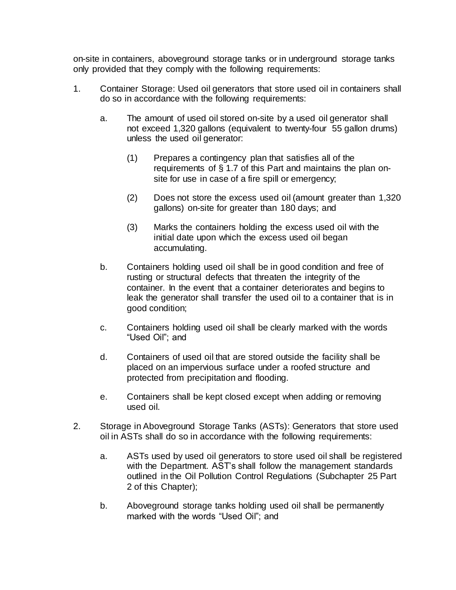on-site in containers, aboveground storage tanks or in underground storage tanks only provided that they comply with the following requirements:

- 1. Container Storage: Used oil generators that store used oil in containers shall do so in accordance with the following requirements:
	- a. The amount of used oil stored on-site by a used oil generator shall not exceed 1,320 gallons (equivalent to twenty-four 55 gallon drums) unless the used oil generator:
		- (1) Prepares a contingency plan that satisfies all of the requirements of § 1.7 of this Part and maintains the plan onsite for use in case of a fire spill or emergency;
		- (2) Does not store the excess used oil (amount greater than 1,320 gallons) on-site for greater than 180 days; and
		- (3) Marks the containers holding the excess used oil with the initial date upon which the excess used oil began accumulating.
	- b. Containers holding used oil shall be in good condition and free of rusting or structural defects that threaten the integrity of the container. In the event that a container deteriorates and begins to leak the generator shall transfer the used oil to a container that is in good condition;
	- c. Containers holding used oil shall be clearly marked with the words "Used Oil"; and
	- d. Containers of used oil that are stored outside the facility shall be placed on an impervious surface under a roofed structure and protected from precipitation and flooding.
	- e. Containers shall be kept closed except when adding or removing used oil.
- 2. Storage in Aboveground Storage Tanks (ASTs): Generators that store used oil in ASTs shall do so in accordance with the following requirements:
	- a. ASTs used by used oil generators to store used oil shall be registered with the Department. AST's shall follow the management standards outlined in the Oil Pollution Control Regulations (Subchapter 25 Part [2](https://rules.sos.ri.gov/regulations/part/250-140-25-2) of this Chapter);
	- b. Aboveground storage tanks holding used oil shall be permanently marked with the words "Used Oil"; and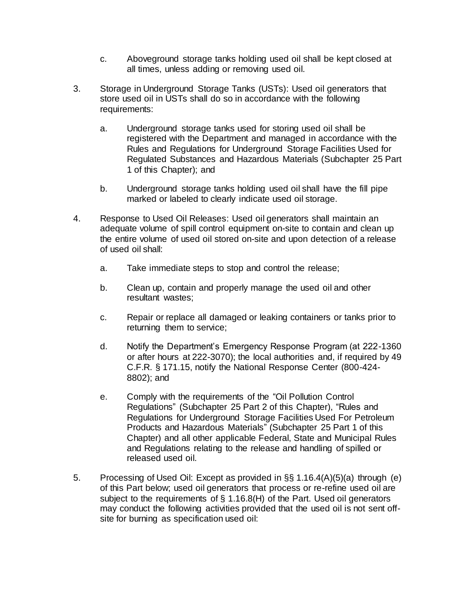- c. Aboveground storage tanks holding used oil shall be kept closed at all times, unless adding or removing used oil.
- 3. Storage in Underground Storage Tanks (USTs): Used oil generators that store used oil in USTs shall do so in accordance with the following requirements:
	- a. Underground storage tanks used for storing used oil shall be registered with the Department and managed in accordance with the Rules and Regulations for Underground Storage Facilities Used for Regulated Substances and Hazardous Materials (Subchapter 25 Part [1](https://rules.sos.ri.gov/regulations/part/250-140-25-1) of this Chapter); and
	- b. Underground storage tanks holding used oil shall have the fill pipe marked or labeled to clearly indicate used oil storage.
- 4. Response to Used Oil Releases: Used oil generators shall maintain an adequate volume of spill control equipment on-site to contain and clean up the entire volume of used oil stored on-site and upon detection of a release of used oil shall:
	- a. Take immediate steps to stop and control the release;
	- b. Clean up, contain and properly manage the used oil and other resultant wastes;
	- c. Repair or replace all damaged or leaking containers or tanks prior to returning them to service;
	- d. Notify the Department's Emergency Response Program (at 222-1360 or after hours at 222-3070); the local authorities and, if required by 49 C.F.R. § 171.15, notify the National Response Center (800-424- 8802); and
	- e. Comply with the requirements of the "Oil Pollution Control Regulations" (Subchapter 25 Part [2](https://rules.sos.ri.gov/regulations/part/250-140-25-2) of this Chapter), "Rules and Regulations for Underground Storage Facilities Used For Petroleum Products and Hazardous Materials" (Subchapter 25 Part [1](https://rules.sos.ri.gov/regulations/part/250-140-25-1) of this Chapter) and all other applicable Federal, State and Municipal Rules and Regulations relating to the release and handling of spilled or released used oil.
- 5. Processing of Used Oil: Except as provided in §§ 1.16.4(A)(5)(a) through (e) of this Part below; used oil generators that process or re-refine used oil are subject to the requirements of  $\S$  1.16.8(H) of the Part. Used oil generators may conduct the following activities provided that the used oil is not sent offsite for burning as specification used oil: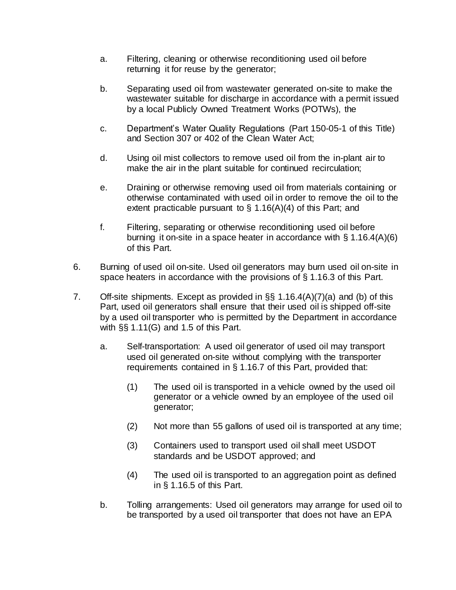- a. Filtering, cleaning or otherwise reconditioning used oil before returning it for reuse by the generator;
- b. Separating used oil from wastewater generated on-site to make the wastewater suitable for discharge in accordance with a permit issued by a local Publicly Owned Treatment Works (POTWs), the
- c. Department's Water Quality Regulations (Part [150-05-1](https://rules.sos.ri.gov/regulations/part/250-150-05-1) of this Title) and Section 307 or 402 of the Clean Water Act;
- d. Using oil mist collectors to remove used oil from the in-plant air to make the air in the plant suitable for continued recirculation;
- e. Draining or otherwise removing used oil from materials containing or otherwise contaminated with used oil in order to remove the oil to the extent practicable pursuant to  $\S$  1.16(A)(4) of this Part; and
- f. Filtering, separating or otherwise reconditioning used oil before burning it on-site in a space heater in accordance with § 1.16.4(A)(6) of this Part.
- 6. Burning of used oil on-site. Used oil generators may burn used oil on-site in space heaters in accordance with the provisions of § 1.16.3 of this Part.
- 7. Off-site shipments. Except as provided in §§ 1.16.4(A)(7)(a) and (b) of this Part, used oil generators shall ensure that their used oil is shipped off-site by a used oil transporter who is permitted by the Department in accordance with §§ 1.11(G) and 1.5 of this Part.
	- a. Self-transportation: A used oil generator of used oil may transport used oil generated on-site without complying with the transporter requirements contained in § 1.16.7 of this Part, provided that:
		- (1) The used oil is transported in a vehicle owned by the used oil generator or a vehicle owned by an employee of the used oil generator;
		- (2) Not more than 55 gallons of used oil is transported at any time;
		- (3) Containers used to transport used oil shall meet USDOT standards and be USDOT approved; and
		- (4) The used oil is transported to an aggregation point as defined in § 1.16.5 of this Part.
	- b. Tolling arrangements: Used oil generators may arrange for used oil to be transported by a used oil transporter that does not have an EPA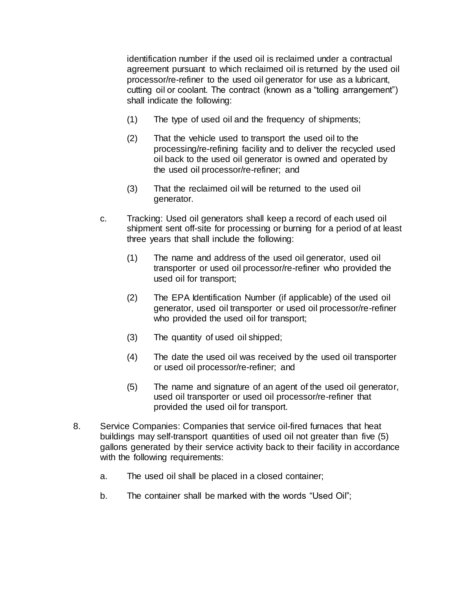identification number if the used oil is reclaimed under a contractual agreement pursuant to which reclaimed oil is returned by the used oil processor/re-refiner to the used oil generator for use as a lubricant, cutting oil or coolant. The contract (known as a "tolling arrangement") shall indicate the following:

- (1) The type of used oil and the frequency of shipments;
- (2) That the vehicle used to transport the used oil to the processing/re-refining facility and to deliver the recycled used oil back to the used oil generator is owned and operated by the used oil processor/re-refiner; and
- (3) That the reclaimed oil will be returned to the used oil generator.
- c. Tracking: Used oil generators shall keep a record of each used oil shipment sent off-site for processing or burning for a period of at least three years that shall include the following:
	- (1) The name and address of the used oil generator, used oil transporter or used oil processor/re-refiner who provided the used oil for transport;
	- (2) The EPA Identification Number (if applicable) of the used oil generator, used oil transporter or used oil processor/re-refiner who provided the used oil for transport;
	- (3) The quantity of used oil shipped;
	- (4) The date the used oil was received by the used oil transporter or used oil processor/re-refiner; and
	- (5) The name and signature of an agent of the used oil generator, used oil transporter or used oil processor/re-refiner that provided the used oil for transport.
- 8. Service Companies: Companies that service oil-fired furnaces that heat buildings may self-transport quantities of used oil not greater than five (5) gallons generated by their service activity back to their facility in accordance with the following requirements:
	- a. The used oil shall be placed in a closed container;
	- b. The container shall be marked with the words "Used Oil";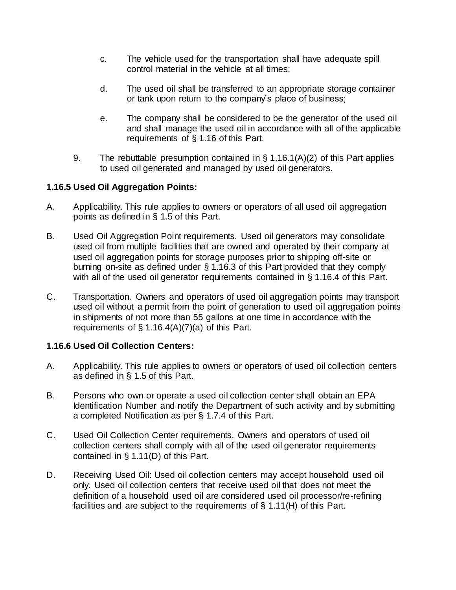- c. The vehicle used for the transportation shall have adequate spill control material in the vehicle at all times;
- d. The used oil shall be transferred to an appropriate storage container or tank upon return to the company's place of business;
- e. The company shall be considered to be the generator of the used oil and shall manage the used oil in accordance with all of the applicable requirements of § 1.16 of this Part.
- 9. The rebuttable presumption contained in § 1.16.1(A)(2) of this Part applies to used oil generated and managed by used oil generators.

### **1.16.5 Used Oil Aggregation Points:**

- A. Applicability. This rule applies to owners or operators of all used oil aggregation points as defined in § 1.5 of this Part.
- B. Used Oil Aggregation Point requirements. Used oil generators may consolidate used oil from multiple facilities that are owned and operated by their company at used oil aggregation points for storage purposes prior to shipping off-site or burning on-site as defined under § 1.16.3 of this Part provided that they comply with all of the used oil generator requirements contained in § 1.16.4 of this Part.
- C. Transportation. Owners and operators of used oil aggregation points may transport used oil without a permit from the point of generation to used oil aggregation points in shipments of not more than 55 gallons at one time in accordance with the requirements of  $\S$  1.16.4(A)(7)(a) of this Part.

#### **1.16.6 Used Oil Collection Centers:**

- A. Applicability. This rule applies to owners or operators of used oil collection centers as defined in § 1.5 of this Part.
- B. Persons who own or operate a used oil collection center shall obtain an EPA Identification Number and notify the Department of such activity and by submitting a completed Notification as per § 1.7.4 of this Part.
- C. Used Oil Collection Center requirements. Owners and operators of used oil collection centers shall comply with all of the used oil generator requirements contained in § 1.11(D) of this Part.
- D. Receiving Used Oil: Used oil collection centers may accept household used oil only. Used oil collection centers that receive used oil that does not meet the definition of a household used oil are considered used oil processor/re-refining facilities and are subject to the requirements of § 1.11(H) of this Part.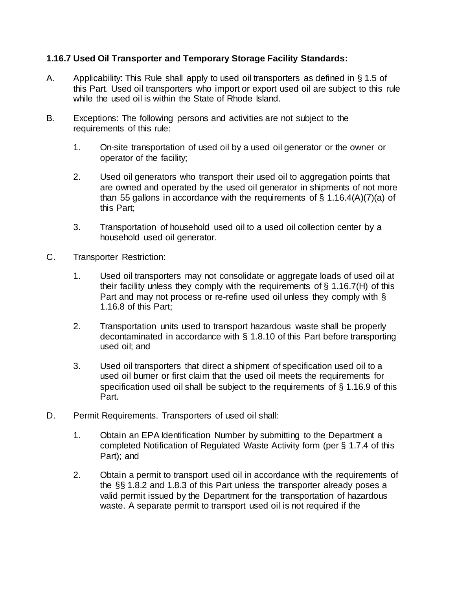### **1.16.7 Used Oil Transporter and Temporary Storage Facility Standards:**

- A. Applicability: This Rule shall apply to used oil transporters as defined in § 1.5 of this Part. Used oil transporters who import or export used oil are subject to this rule while the used oil is within the State of Rhode Island.
- B. Exceptions: The following persons and activities are not subject to the requirements of this rule:
	- 1. On-site transportation of used oil by a used oil generator or the owner or operator of the facility;
	- 2. Used oil generators who transport their used oil to aggregation points that are owned and operated by the used oil generator in shipments of not more than 55 gallons in accordance with the requirements of § 1.16.4(A)(7)(a) of this Part;
	- 3. Transportation of household used oil to a used oil collection center by a household used oil generator.
- C. Transporter Restriction:
	- 1. Used oil transporters may not consolidate or aggregate loads of used oil at their facility unless they comply with the requirements of § 1.16.7(H) of this Part and may not process or re-refine used oil unless they comply with § 1.16.8 of this Part;
	- 2. Transportation units used to transport hazardous waste shall be properly decontaminated in accordance with § 1.8.10 of this Part before transporting used oil; and
	- 3. Used oil transporters that direct a shipment of specification used oil to a used oil burner or first claim that the used oil meets the requirements for specification used oil shall be subject to the requirements of § 1.16.9 of this Part.
- D. Permit Requirements. Transporters of used oil shall:
	- 1. Obtain an EPA Identification Number by submitting to the Department a completed Notification of Regulated Waste Activity form (per § 1.7.4 of this Part); and
	- 2. Obtain a permit to transport used oil in accordance with the requirements of the §§ 1.8.2 and 1.8.3 of this Part unless the transporter already poses a valid permit issued by the Department for the transportation of hazardous waste. A separate permit to transport used oil is not required if the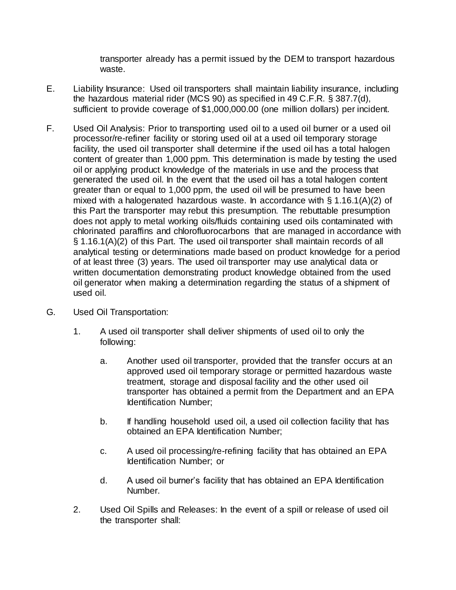transporter already has a permit issued by the DEM to transport hazardous waste.

- E. Liability Insurance: Used oil transporters shall maintain liability insurance, including the hazardous material rider (MCS 90) as specified in 49 C.F.R. § 387.7(d), sufficient to provide coverage of \$1,000,000.00 (one million dollars) per incident.
- F. Used Oil Analysis: Prior to transporting used oil to a used oil burner or a used oil processor/re-refiner facility or storing used oil at a used oil temporary storage facility, the used oil transporter shall determine if the used oil has a total halogen content of greater than 1,000 ppm. This determination is made by testing the used oil or applying product knowledge of the materials in use and the process that generated the used oil. In the event that the used oil has a total halogen content greater than or equal to 1,000 ppm, the used oil will be presumed to have been mixed with a halogenated hazardous waste. In accordance with § 1.16.1(A)(2) of this Part the transporter may rebut this presumption. The rebuttable presumption does not apply to metal working oils/fluids containing used oils contaminated with chlorinated paraffins and chlorofluorocarbons that are managed in accordance with § 1.16.1(A)(2) of this Part. The used oil transporter shall maintain records of all analytical testing or determinations made based on product knowledge for a period of at least three (3) years. The used oil transporter may use analytical data or written documentation demonstrating product knowledge obtained from the used oil generator when making a determination regarding the status of a shipment of used oil.
- G. Used Oil Transportation:
	- 1. A used oil transporter shall deliver shipments of used oil to only the following:
		- a. Another used oil transporter, provided that the transfer occurs at an approved used oil temporary storage or permitted hazardous waste treatment, storage and disposal facility and the other used oil transporter has obtained a permit from the Department and an EPA Identification Number;
		- b. If handling household used oil, a used oil collection facility that has obtained an EPA Identification Number;
		- c. A used oil processing/re-refining facility that has obtained an EPA Identification Number; or
		- d. A used oil burner's facility that has obtained an EPA Identification Number.
	- 2. Used Oil Spills and Releases: In the event of a spill or release of used oil the transporter shall: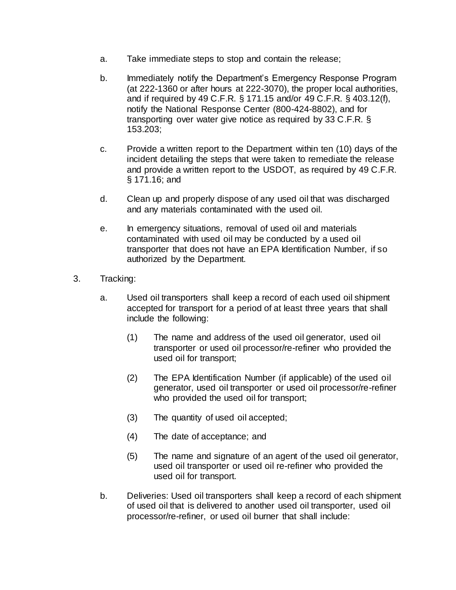- a. Take immediate steps to stop and contain the release;
- b. Immediately notify the Department's Emergency Response Program (at 222-1360 or after hours at 222-3070), the proper local authorities, and if required by 49 C.F.R. § 171.15 and/or 49 C.F.R. § 403.12(f), notify the National Response Center (800-424-8802), and for transporting over water give notice as required by 33 C.F.R. § 153.203;
- c. Provide a written report to the Department within ten (10) days of the incident detailing the steps that were taken to remediate the release and provide a written report to the USDOT, as required by 49 C.F.R. § 171.16; and
- d. Clean up and properly dispose of any used oil that was discharged and any materials contaminated with the used oil.
- e. In emergency situations, removal of used oil and materials contaminated with used oil may be conducted by a used oil transporter that does not have an EPA Identification Number, if so authorized by the Department.
- 3. Tracking:
	- a. Used oil transporters shall keep a record of each used oil shipment accepted for transport for a period of at least three years that shall include the following:
		- (1) The name and address of the used oil generator, used oil transporter or used oil processor/re-refiner who provided the used oil for transport;
		- (2) The EPA Identification Number (if applicable) of the used oil generator, used oil transporter or used oil processor/re-refiner who provided the used oil for transport;
		- (3) The quantity of used oil accepted;
		- (4) The date of acceptance; and
		- (5) The name and signature of an agent of the used oil generator, used oil transporter or used oil re-refiner who provided the used oil for transport.
	- b. Deliveries: Used oil transporters shall keep a record of each shipment of used oil that is delivered to another used oil transporter, used oil processor/re-refiner, or used oil burner that shall include: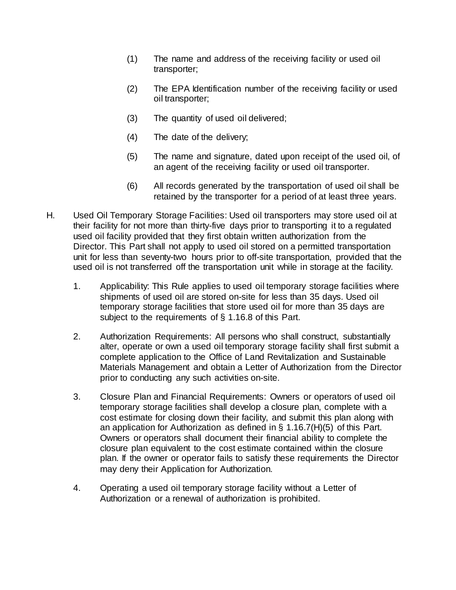- (1) The name and address of the receiving facility or used oil transporter;
- (2) The EPA Identification number of the receiving facility or used oil transporter;
- (3) The quantity of used oil delivered;
- (4) The date of the delivery;
- (5) The name and signature, dated upon receipt of the used oil, of an agent of the receiving facility or used oil transporter.
- (6) All records generated by the transportation of used oil shall be retained by the transporter for a period of at least three years.
- H. Used Oil Temporary Storage Facilities: Used oil transporters may store used oil at their facility for not more than thirty-five days prior to transporting it to a regulated used oil facility provided that they first obtain written authorization from the Director. This Part shall not apply to used oil stored on a permitted transportation unit for less than seventy-two hours prior to off-site transportation, provided that the used oil is not transferred off the transportation unit while in storage at the facility.
	- 1. Applicability: This Rule applies to used oil temporary storage facilities where shipments of used oil are stored on-site for less than 35 days. Used oil temporary storage facilities that store used oil for more than 35 days are subject to the requirements of § 1.16.8 of this Part.
	- 2. Authorization Requirements: All persons who shall construct, substantially alter, operate or own a used oil temporary storage facility shall first submit a complete application to the Office of Land Revitalization and Sustainable Materials Management and obtain a Letter of Authorization from the Director prior to conducting any such activities on-site.
	- 3. Closure Plan and Financial Requirements: Owners or operators of used oil temporary storage facilities shall develop a closure plan, complete with a cost estimate for closing down their facility, and submit this plan along with an application for Authorization as defined in § 1.16.7(H)(5) of this Part. Owners or operators shall document their financial ability to complete the closure plan equivalent to the cost estimate contained within the closure plan. If the owner or operator fails to satisfy these requirements the Director may deny their Application for Authorization.
	- 4. Operating a used oil temporary storage facility without a Letter of Authorization or a renewal of authorization is prohibited.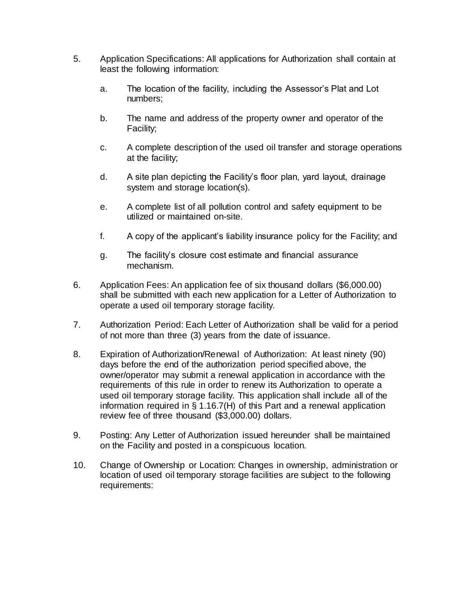- 5. Application Specifications: All applications for Authorization shall contain at least the following information:
	- a. The location of the facility, including the Assessor's Plat and Lot numbers;
	- b. The name and address of the property owner and operator of the Facility;
	- c. A complete description of the used oil transfer and storage operations at the facility;
	- d. A site plan depicting the Facility's floor plan, yard layout, drainage system and storage location(s).
	- e. A complete list of all pollution control and safety equipment to be utilized or maintained on-site.
	- f. A copy of the applicant's liability insurance policy for the Facility; and
	- g. The facility's closure cost estimate and financial assurance mechanism.
- 6. Application Fees: An application fee of six thousand dollars (\$6,000.00) shall be submitted with each new application for a Letter of Authorization to operate a used oil temporary storage facility.
- 7. Authorization Period: Each Letter of Authorization shall be valid for a period of not more than three (3) years from the date of issuance.
- 8. Expiration of Authorization/Renewal of Authorization: At least ninety (90) days before the end of the authorization period specified above, the owner/operator may submit a renewal application in accordance with the requirements of this rule in order to renew its Authorization to operate a used oil temporary storage facility. This application shall include all of the information required in § 1.16.7(H) of this Part and a renewal application review fee of three thousand (\$3,000.00) dollars.
- 9. Posting: Any Letter of Authorization issued hereunder shall be maintained on the Facility and posted in a conspicuous location.
- 10. Change of Ownership or Location: Changes in ownership, administration or location of used oil temporary storage facilities are subject to the following requirements: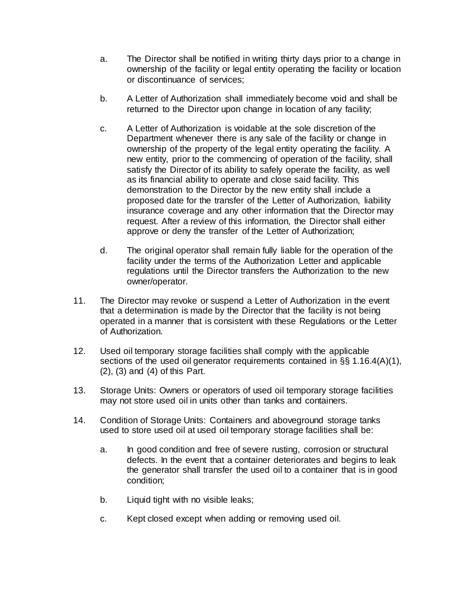- a. The Director shall be notified in writing thirty days prior to a change in ownership of the facility or legal entity operating the facility or location or discontinuance of services;
- b. A Letter of Authorization shall immediately become void and shall be returned to the Director upon change in location of any facility;
- c. A Letter of Authorization is voidable at the sole discretion of the Department whenever there is any sale of the facility or change in ownership of the property of the legal entity operating the facility. A new entity, prior to the commencing of operation of the facility, shall satisfy the Director of its ability to safely operate the facility, as well as its financial ability to operate and close said facility. This demonstration to the Director by the new entity shall include a proposed date for the transfer of the Letter of Authorization, liability insurance coverage and any other information that the Director may request. After a review of this information, the Director shall either approve or deny the transfer of the Letter of Authorization;
- d. The original operator shall remain fully liable for the operation of the facility under the terms of the Authorization Letter and applicable regulations until the Director transfers the Authorization to the new owner/operator.
- 11. The Director may revoke or suspend a Letter of Authorization in the event that a determination is made by the Director that the facility is not being operated in a manner that is consistent with these Regulations or the Letter of Authorization.
- 12. Used oil temporary storage facilities shall comply with the applicable sections of the used oil generator requirements contained in §§ 1.16.4(A)(1), (2), (3) and (4) of this Part.
- 13. Storage Units: Owners or operators of used oil temporary storage facilities may not store used oil in units other than tanks and containers.
- 14. Condition of Storage Units: Containers and aboveground storage tanks used to store used oil at used oil temporary storage facilities shall be:
	- a. In good condition and free of severe rusting, corrosion or structural defects. In the event that a container deteriorates and begins to leak the generator shall transfer the used oil to a container that is in good condition;
	- b. Liquid tight with no visible leaks;
	- c. Kept closed except when adding or removing used oil.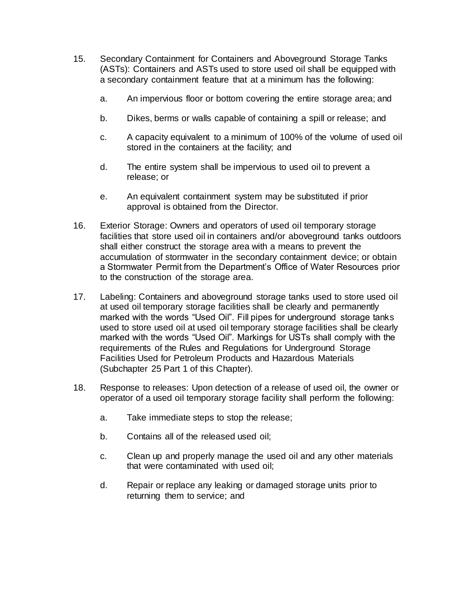- 15. Secondary Containment for Containers and Aboveground Storage Tanks (ASTs): Containers and ASTs used to store used oil shall be equipped with a secondary containment feature that at a minimum has the following:
	- a. An impervious floor or bottom covering the entire storage area; and
	- b. Dikes, berms or walls capable of containing a spill or release; and
	- c. A capacity equivalent to a minimum of 100% of the volume of used oil stored in the containers at the facility; and
	- d. The entire system shall be impervious to used oil to prevent a release; or
	- e. An equivalent containment system may be substituted if prior approval is obtained from the Director.
- 16. Exterior Storage: Owners and operators of used oil temporary storage facilities that store used oil in containers and/or aboveground tanks outdoors shall either construct the storage area with a means to prevent the accumulation of stormwater in the secondary containment device; or obtain a Stormwater Permit from the Department's Office of Water Resources prior to the construction of the storage area.
- 17. Labeling: Containers and aboveground storage tanks used to store used oil at used oil temporary storage facilities shall be clearly and permanently marked with the words "Used Oil". Fill pipes for underground storage tanks used to store used oil at used oil temporary storage facilities shall be clearly marked with the words "Used Oil". Markings for USTs shall comply with the requirements of the Rules and Regulations for Underground Storage Facilities Used for Petroleum Products and Hazardous Materials (Subchapter 25 Part [1](https://rules.sos.ri.gov/regulations/part/250-140-25-1) of this Chapter).
- 18. Response to releases: Upon detection of a release of used oil, the owner or operator of a used oil temporary storage facility shall perform the following:
	- a. Take immediate steps to stop the release;
	- b. Contains all of the released used oil;
	- c. Clean up and properly manage the used oil and any other materials that were contaminated with used oil;
	- d. Repair or replace any leaking or damaged storage units prior to returning them to service; and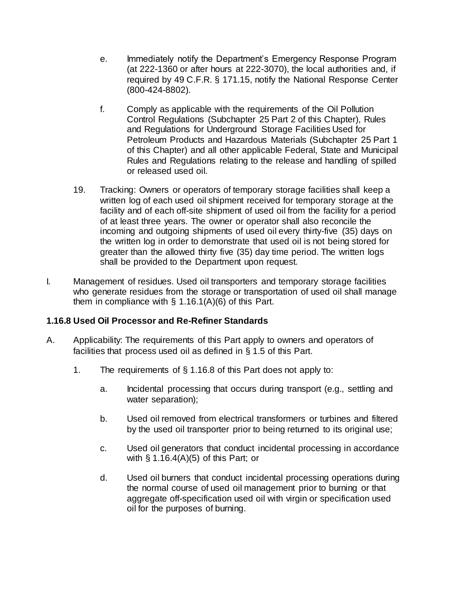- e. Immediately notify the Department's Emergency Response Program (at 222-1360 or after hours at 222-3070), the local authorities and, if required by 49 C.F.R. § 171.15, notify the National Response Center (800-424-8802).
- f. Comply as applicable with the requirements of the Oil Pollution Control Regulations (Subchapter 25 Part [2](https://rules.sos.ri.gov/regulations/part/250-140-25-2) of this Chapter), Rules and Regulations for Underground Storage Facilities Used for Petroleum Products and Hazardous Materials (Subchapter 25 Part [1](https://rules.sos.ri.gov/regulations/part/250-140-25-1) of this Chapter) and all other applicable Federal, State and Municipal Rules and Regulations relating to the release and handling of spilled or released used oil.
- 19. Tracking: Owners or operators of temporary storage facilities shall keep a written log of each used oil shipment received for temporary storage at the facility and of each off-site shipment of used oil from the facility for a period of at least three years. The owner or operator shall also reconcile the incoming and outgoing shipments of used oil every thirty-five (35) days on the written log in order to demonstrate that used oil is not being stored for greater than the allowed thirty five (35) day time period. The written logs shall be provided to the Department upon request.
- I. Management of residues. Used oil transporters and temporary storage facilities who generate residues from the storage or transportation of used oil shall manage them in compliance with  $\S$  1.16.1(A)(6) of this Part.

## **1.16.8 Used Oil Processor and Re-Refiner Standards**

- A. Applicability: The requirements of this Part apply to owners and operators of facilities that process used oil as defined in § 1.5 of this Part.
	- 1. The requirements of § 1.16.8 of this Part does not apply to:
		- a. Incidental processing that occurs during transport (e.g., settling and water separation);
		- b. Used oil removed from electrical transformers or turbines and filtered by the used oil transporter prior to being returned to its original use;
		- c. Used oil generators that conduct incidental processing in accordance with  $\S$  1.16.4(A)(5) of this Part; or
		- d. Used oil burners that conduct incidental processing operations during the normal course of used oil management prior to burning or that aggregate off-specification used oil with virgin or specification used oil for the purposes of burning.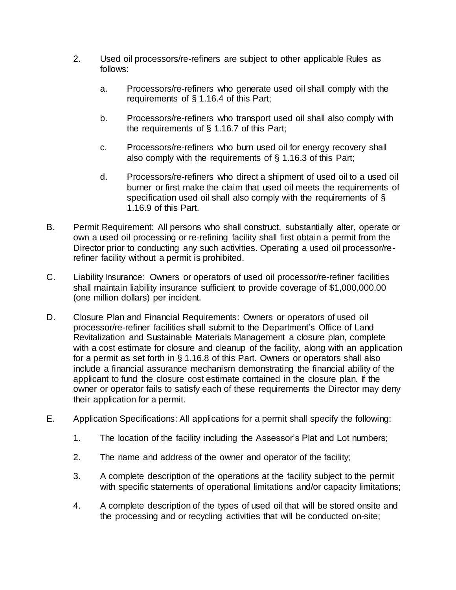- 2. Used oil processors/re-refiners are subject to other applicable Rules as follows:
	- a. Processors/re-refiners who generate used oil shall comply with the requirements of § 1.16.4 of this Part;
	- b. Processors/re-refiners who transport used oil shall also comply with the requirements of § 1.16.7 of this Part;
	- c. Processors/re-refiners who burn used oil for energy recovery shall also comply with the requirements of § 1.16.3 of this Part;
	- d. Processors/re-refiners who direct a shipment of used oil to a used oil burner or first make the claim that used oil meets the requirements of specification used oil shall also comply with the requirements of § 1.16.9 of this Part.
- B. Permit Requirement: All persons who shall construct, substantially alter, operate or own a used oil processing or re-refining facility shall first obtain a permit from the Director prior to conducting any such activities. Operating a used oil processor/rerefiner facility without a permit is prohibited.
- C. Liability Insurance: Owners or operators of used oil processor/re-refiner facilities shall maintain liability insurance sufficient to provide coverage of \$1,000,000.00 (one million dollars) per incident.
- D. Closure Plan and Financial Requirements: Owners or operators of used oil processor/re-refiner facilities shall submit to the Department's Office of Land Revitalization and Sustainable Materials Management a closure plan, complete with a cost estimate for closure and cleanup of the facility, along with an application for a permit as set forth in § 1.16.8 of this Part. Owners or operators shall also include a financial assurance mechanism demonstrating the financial ability of the applicant to fund the closure cost estimate contained in the closure plan. If the owner or operator fails to satisfy each of these requirements the Director may deny their application for a permit.
- E. Application Specifications: All applications for a permit shall specify the following:
	- 1. The location of the facility including the Assessor's Plat and Lot numbers;
	- 2. The name and address of the owner and operator of the facility;
	- 3. A complete description of the operations at the facility subject to the permit with specific statements of operational limitations and/or capacity limitations;
	- 4. A complete description of the types of used oil that will be stored onsite and the processing and or recycling activities that will be conducted on-site;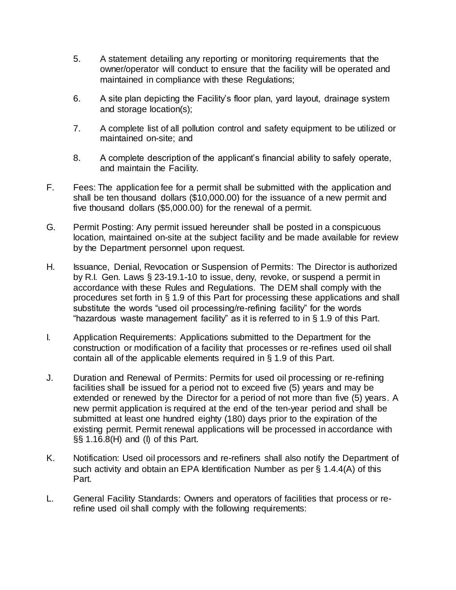- 5. A statement detailing any reporting or monitoring requirements that the owner/operator will conduct to ensure that the facility will be operated and maintained in compliance with these Regulations;
- 6. A site plan depicting the Facility's floor plan, yard layout, drainage system and storage location(s);
- 7. A complete list of all pollution control and safety equipment to be utilized or maintained on-site; and
- 8. A complete description of the applicant's financial ability to safely operate, and maintain the Facility.
- F. Fees: The application fee for a permit shall be submitted with the application and shall be ten thousand dollars (\$10,000.00) for the issuance of a new permit and five thousand dollars (\$5,000.00) for the renewal of a permit.
- G. Permit Posting: Any permit issued hereunder shall be posted in a conspicuous location, maintained on-site at the subject facility and be made available for review by the Department personnel upon request.
- H. Issuance, Denial, Revocation or Suspension of Permits: The Director is authorized by R.I. Gen. Laws § 23-19.1-10 to issue, deny, revoke, or suspend a permit in accordance with these Rules and Regulations. The DEM shall comply with the procedures set forth in § 1.9 of this Part for processing these applications and shall substitute the words "used oil processing/re-refining facility" for the words "hazardous waste management facility" as it is referred to in § 1.9 of this Part.
- I. Application Requirements: Applications submitted to the Department for the construction or modification of a facility that processes or re-refines used oil shall contain all of the applicable elements required in § 1.9 of this Part.
- J. Duration and Renewal of Permits: Permits for used oil processing or re-refining facilities shall be issued for a period not to exceed five (5) years and may be extended or renewed by the Director for a period of not more than five (5) years. A new permit application is required at the end of the ten-year period and shall be submitted at least one hundred eighty (180) days prior to the expiration of the existing permit. Permit renewal applications will be processed in accordance with §§ 1.16.8(H) and (I) of this Part.
- K. Notification: Used oil processors and re-refiners shall also notify the Department of such activity and obtain an EPA Identification Number as per § 1.4.4(A) of this Part.
- L. General Facility Standards: Owners and operators of facilities that process or rerefine used oil shall comply with the following requirements: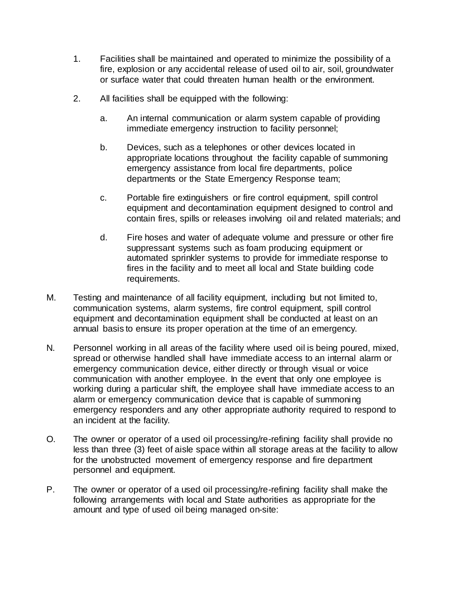- 1. Facilities shall be maintained and operated to minimize the possibility of a fire, explosion or any accidental release of used oil to air, soil, groundwater or surface water that could threaten human health or the environment.
- 2. All facilities shall be equipped with the following:
	- a. An internal communication or alarm system capable of providing immediate emergency instruction to facility personnel;
	- b. Devices, such as a telephones or other devices located in appropriate locations throughout the facility capable of summoning emergency assistance from local fire departments, police departments or the State Emergency Response team;
	- c. Portable fire extinguishers or fire control equipment, spill control equipment and decontamination equipment designed to control and contain fires, spills or releases involving oil and related materials; and
	- d. Fire hoses and water of adequate volume and pressure or other fire suppressant systems such as foam producing equipment or automated sprinkler systems to provide for immediate response to fires in the facility and to meet all local and State building code requirements.
- M. Testing and maintenance of all facility equipment, including but not limited to, communication systems, alarm systems, fire control equipment, spill control equipment and decontamination equipment shall be conducted at least on an annual basis to ensure its proper operation at the time of an emergency.
- N. Personnel working in all areas of the facility where used oil is being poured, mixed, spread or otherwise handled shall have immediate access to an internal alarm or emergency communication device, either directly or through visual or voice communication with another employee. In the event that only one employee is working during a particular shift, the employee shall have immediate access to an alarm or emergency communication device that is capable of summoning emergency responders and any other appropriate authority required to respond to an incident at the facility.
- O. The owner or operator of a used oil processing/re-refining facility shall provide no less than three (3) feet of aisle space within all storage areas at the facility to allow for the unobstructed movement of emergency response and fire department personnel and equipment.
- P. The owner or operator of a used oil processing/re-refining facility shall make the following arrangements with local and State authorities as appropriate for the amount and type of used oil being managed on-site: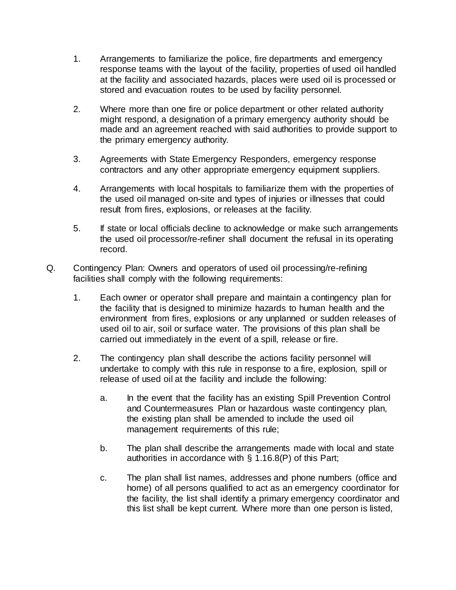- 1. Arrangements to familiarize the police, fire departments and emergency response teams with the layout of the facility, properties of used oil handled at the facility and associated hazards, places were used oil is processed or stored and evacuation routes to be used by facility personnel.
- 2. Where more than one fire or police department or other related authority might respond, a designation of a primary emergency authority should be made and an agreement reached with said authorities to provide support to the primary emergency authority.
- 3. Agreements with State Emergency Responders, emergency response contractors and any other appropriate emergency equipment suppliers.
- 4. Arrangements with local hospitals to familiarize them with the properties of the used oil managed on-site and types of injuries or illnesses that could result from fires, explosions, or releases at the facility.
- 5. If state or local officials decline to acknowledge or make such arrangements the used oil processor/re-refiner shall document the refusal in its operating record.
- Q. Contingency Plan: Owners and operators of used oil processing/re-refining facilities shall comply with the following requirements:
	- 1. Each owner or operator shall prepare and maintain a contingency plan for the facility that is designed to minimize hazards to human health and the environment from fires, explosions or any unplanned or sudden releases of used oil to air, soil or surface water. The provisions of this plan shall be carried out immediately in the event of a spill, release or fire.
	- 2. The contingency plan shall describe the actions facility personnel will undertake to comply with this rule in response to a fire, explosion, spill or release of used oil at the facility and include the following:
		- a. In the event that the facility has an existing Spill Prevention Control and Countermeasures Plan or hazardous waste contingency plan, the existing plan shall be amended to include the used oil management requirements of this rule;
		- b. The plan shall describe the arrangements made with local and state authorities in accordance with § 1.16.8(P) of this Part;
		- c. The plan shall list names, addresses and phone numbers (office and home) of all persons qualified to act as an emergency coordinator for the facility, the list shall identify a primary emergency coordinator and this list shall be kept current. Where more than one person is listed,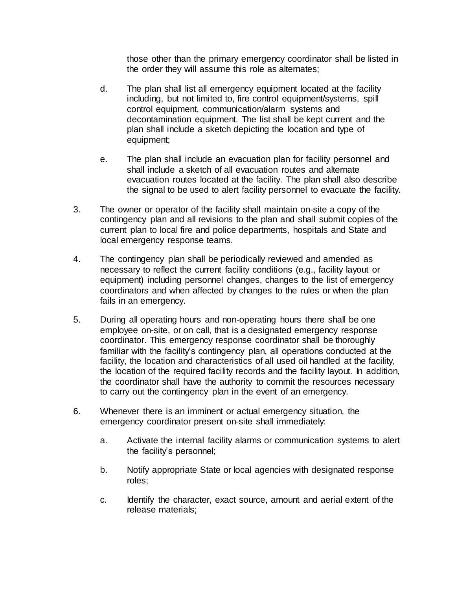those other than the primary emergency coordinator shall be listed in the order they will assume this role as alternates;

- d. The plan shall list all emergency equipment located at the facility including, but not limited to, fire control equipment/systems, spill control equipment, communication/alarm systems and decontamination equipment. The list shall be kept current and the plan shall include a sketch depicting the location and type of equipment;
- e. The plan shall include an evacuation plan for facility personnel and shall include a sketch of all evacuation routes and alternate evacuation routes located at the facility. The plan shall also describe the signal to be used to alert facility personnel to evacuate the facility.
- 3. The owner or operator of the facility shall maintain on-site a copy of the contingency plan and all revisions to the plan and shall submit copies of the current plan to local fire and police departments, hospitals and State and local emergency response teams.
- 4. The contingency plan shall be periodically reviewed and amended as necessary to reflect the current facility conditions (e.g., facility layout or equipment) including personnel changes, changes to the list of emergency coordinators and when affected by changes to the rules or when the plan fails in an emergency.
- 5. During all operating hours and non-operating hours there shall be one employee on-site, or on call, that is a designated emergency response coordinator. This emergency response coordinator shall be thoroughly familiar with the facility's contingency plan, all operations conducted at the facility, the location and characteristics of all used oil handled at the facility, the location of the required facility records and the facility layout. In addition, the coordinator shall have the authority to commit the resources necessary to carry out the contingency plan in the event of an emergency.
- 6. Whenever there is an imminent or actual emergency situation, the emergency coordinator present on-site shall immediately:
	- a. Activate the internal facility alarms or communication systems to alert the facility's personnel;
	- b. Notify appropriate State or local agencies with designated response roles;
	- c. Identify the character, exact source, amount and aerial extent of the release materials;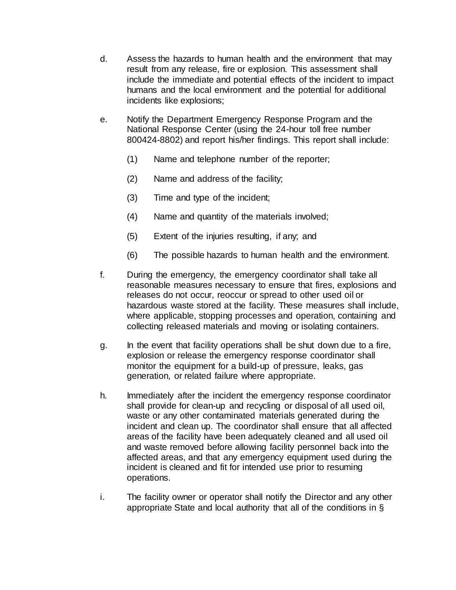- d. Assess the hazards to human health and the environment that may result from any release, fire or explosion. This assessment shall include the immediate and potential effects of the incident to impact humans and the local environment and the potential for additional incidents like explosions;
- e. Notify the Department Emergency Response Program and the National Response Center (using the 24-hour toll free number 800424-8802) and report his/her findings. This report shall include:
	- (1) Name and telephone number of the reporter;
	- (2) Name and address of the facility;
	- (3) Time and type of the incident;
	- (4) Name and quantity of the materials involved;
	- (5) Extent of the injuries resulting, if any; and
	- (6) The possible hazards to human health and the environment.
- f. During the emergency, the emergency coordinator shall take all reasonable measures necessary to ensure that fires, explosions and releases do not occur, reoccur or spread to other used oil or hazardous waste stored at the facility. These measures shall include, where applicable, stopping processes and operation, containing and collecting released materials and moving or isolating containers.
- g. In the event that facility operations shall be shut down due to a fire, explosion or release the emergency response coordinator shall monitor the equipment for a build-up of pressure, leaks, gas generation, or related failure where appropriate.
- h. Immediately after the incident the emergency response coordinator shall provide for clean-up and recycling or disposal of all used oil, waste or any other contaminated materials generated during the incident and clean up. The coordinator shall ensure that all affected areas of the facility have been adequately cleaned and all used oil and waste removed before allowing facility personnel back into the affected areas, and that any emergency equipment used during the incident is cleaned and fit for intended use prior to resuming operations.
- i. The facility owner or operator shall notify the Director and any other appropriate State and local authority that all of the conditions in §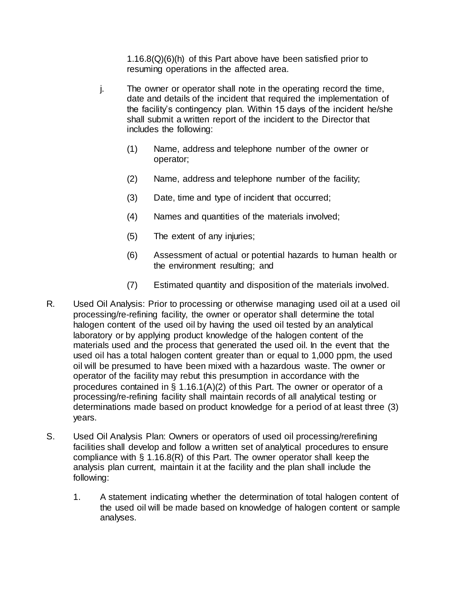1.16.8(Q)(6)(h) of this Part above have been satisfied prior to resuming operations in the affected area.

- j. The owner or operator shall note in the operating record the time, date and details of the incident that required the implementation of the facility's contingency plan. Within 15 days of the incident he/she shall submit a written report of the incident to the Director that includes the following:
	- (1) Name, address and telephone number of the owner or operator;
	- (2) Name, address and telephone number of the facility;
	- (3) Date, time and type of incident that occurred;
	- (4) Names and quantities of the materials involved;
	- (5) The extent of any injuries;
	- (6) Assessment of actual or potential hazards to human health or the environment resulting; and
	- (7) Estimated quantity and disposition of the materials involved.
- R. Used Oil Analysis: Prior to processing or otherwise managing used oil at a used oil processing/re-refining facility, the owner or operator shall determine the total halogen content of the used oil by having the used oil tested by an analytical laboratory or by applying product knowledge of the halogen content of the materials used and the process that generated the used oil. In the event that the used oil has a total halogen content greater than or equal to 1,000 ppm, the used oil will be presumed to have been mixed with a hazardous waste. The owner or operator of the facility may rebut this presumption in accordance with the procedures contained in § 1.16.1(A)(2) of this Part. The owner or operator of a processing/re-refining facility shall maintain records of all analytical testing or determinations made based on product knowledge for a period of at least three (3) years.
- S. Used Oil Analysis Plan: Owners or operators of used oil processing/rerefining facilities shall develop and follow a written set of analytical procedures to ensure compliance with § 1.16.8(R) of this Part. The owner operator shall keep the analysis plan current, maintain it at the facility and the plan shall include the following:
	- 1. A statement indicating whether the determination of total halogen content of the used oil will be made based on knowledge of halogen content or sample analyses.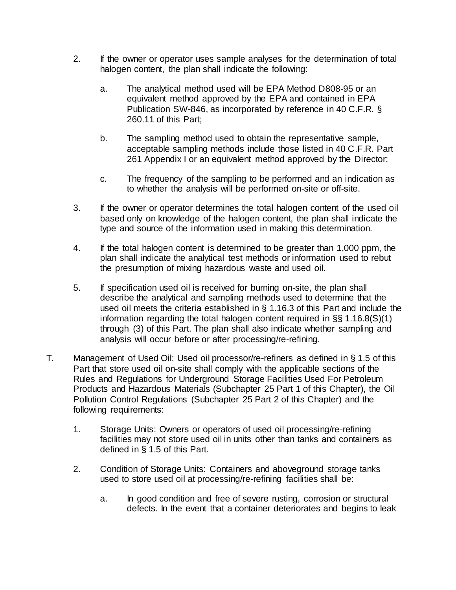- 2. If the owner or operator uses sample analyses for the determination of total halogen content, the plan shall indicate the following:
	- a. The analytical method used will be EPA Method D808-95 or an equivalent method approved by the EPA and contained in EPA Publication SW-846, as incorporated by reference in 40 C.F.R. § 260.11 of this Part;
	- b. The sampling method used to obtain the representative sample, acceptable sampling methods include those listed in 40 C.F.R. Part 261 Appendix I or an equivalent method approved by the Director;
	- c. The frequency of the sampling to be performed and an indication as to whether the analysis will be performed on-site or off-site.
- 3. If the owner or operator determines the total halogen content of the used oil based only on knowledge of the halogen content, the plan shall indicate the type and source of the information used in making this determination.
- 4. If the total halogen content is determined to be greater than 1,000 ppm, the plan shall indicate the analytical test methods or information used to rebut the presumption of mixing hazardous waste and used oil.
- 5. If specification used oil is received for burning on-site, the plan shall describe the analytical and sampling methods used to determine that the used oil meets the criteria established in § 1.16.3 of this Part and include the information regarding the total halogen content required in §§ 1.16.8(S)(1) through (3) of this Part. The plan shall also indicate whether sampling and analysis will occur before or after processing/re-refining.
- T. Management of Used Oil: Used oil processor/re-refiners as defined in § 1.5 of this Part that store used oil on-site shall comply with the applicable sections of the Rules and Regulations for Underground Storage Facilities Used For Petroleum Products and Hazardous Materials (Subchapter 25 Part [1](https://rules.sos.ri.gov/regulations/part/250-140-25-1) of this Chapter), the Oil Pollution Control Regulations (Subchapter 25 Part [2](https://rules.sos.ri.gov/regulations/part/250-140-25-2) of this Chapter) and the following requirements:
	- 1. Storage Units: Owners or operators of used oil processing/re-refining facilities may not store used oil in units other than tanks and containers as defined in § 1.5 of this Part.
	- 2. Condition of Storage Units: Containers and aboveground storage tanks used to store used oil at processing/re-refining facilities shall be:
		- a. In good condition and free of severe rusting, corrosion or structural defects. In the event that a container deteriorates and begins to leak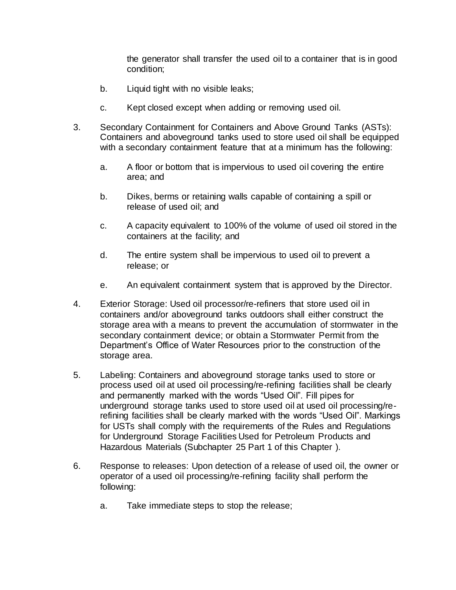the generator shall transfer the used oil to a container that is in good condition;

- b. Liquid tight with no visible leaks;
- c. Kept closed except when adding or removing used oil.
- 3. Secondary Containment for Containers and Above Ground Tanks (ASTs): Containers and aboveground tanks used to store used oil shall be equipped with a secondary containment feature that at a minimum has the following:
	- a. A floor or bottom that is impervious to used oil covering the entire area; and
	- b. Dikes, berms or retaining walls capable of containing a spill or release of used oil; and
	- c. A capacity equivalent to 100% of the volume of used oil stored in the containers at the facility; and
	- d. The entire system shall be impervious to used oil to prevent a release; or
	- e. An equivalent containment system that is approved by the Director.
- 4. Exterior Storage: Used oil processor/re-refiners that store used oil in containers and/or aboveground tanks outdoors shall either construct the storage area with a means to prevent the accumulation of stormwater in the secondary containment device; or obtain a Stormwater Permit from the Department's Office of Water Resources prior to the construction of the storage area.
- 5. Labeling: Containers and aboveground storage tanks used to store or process used oil at used oil processing/re-refining facilities shall be clearly and permanently marked with the words "Used Oil". Fill pipes for underground storage tanks used to store used oil at used oil processing/rerefining facilities shall be clearly marked with the words "Used Oil". Markings for USTs shall comply with the requirements of the Rules and Regulations for Underground Storage Facilities Used for Petroleum Products and Hazardous Materials (Subchapter 25 Part [1](https://rules.sos.ri.gov/regulations/part/250-140-25-1) of this Chapter ).
- 6. Response to releases: Upon detection of a release of used oil, the owner or operator of a used oil processing/re-refining facility shall perform the following:
	- a. Take immediate steps to stop the release;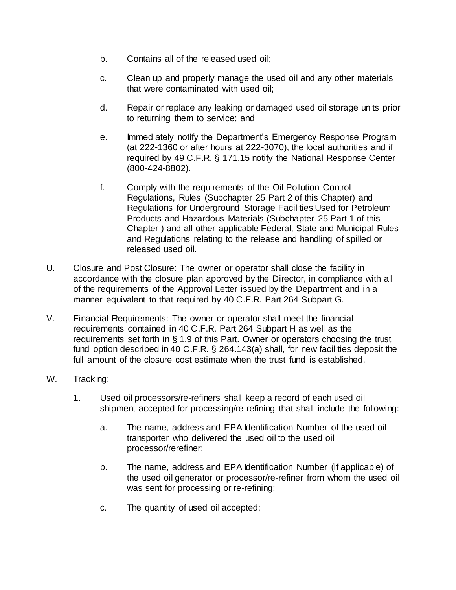- b. Contains all of the released used oil;
- c. Clean up and properly manage the used oil and any other materials that were contaminated with used oil;
- d. Repair or replace any leaking or damaged used oil storage units prior to returning them to service; and
- e. Immediately notify the Department's Emergency Response Program (at 222-1360 or after hours at 222-3070), the local authorities and if required by 49 C.F.R. § 171.15 notify the National Response Center (800-424-8802).
- f. Comply with the requirements of the Oil Pollution Control Regulations, Rules (Subchapter 25 Part [2](https://rules.sos.ri.gov/regulations/part/250-140-25-2) of this Chapter) and Regulations for Underground Storage Facilities Used for Petroleum Products and Hazardous Materials (Subchapter 25 Part [1](https://rules.sos.ri.gov/regulations/part/250-140-25-1) of this Chapter ) and all other applicable Federal, State and Municipal Rules and Regulations relating to the release and handling of spilled or released used oil.
- U. Closure and Post Closure: The owner or operator shall close the facility in accordance with the closure plan approved by the Director, in compliance with all of the requirements of the Approval Letter issued by the Department and in a manner equivalent to that required by 40 C.F.R. Part 264 Subpart G.
- V. Financial Requirements: The owner or operator shall meet the financial requirements contained in 40 C.F.R. Part 264 Subpart H as well as the requirements set forth in § 1.9 of this Part. Owner or operators choosing the trust fund option described in 40 C.F.R. § 264.143(a) shall, for new facilities deposit the full amount of the closure cost estimate when the trust fund is established.
- W. Tracking:
	- 1. Used oil processors/re-refiners shall keep a record of each used oil shipment accepted for processing/re-refining that shall include the following:
		- a. The name, address and EPA Identification Number of the used oil transporter who delivered the used oil to the used oil processor/rerefiner;
		- b. The name, address and EPA Identification Number (if applicable) of the used oil generator or processor/re-refiner from whom the used oil was sent for processing or re-refining;
		- c. The quantity of used oil accepted;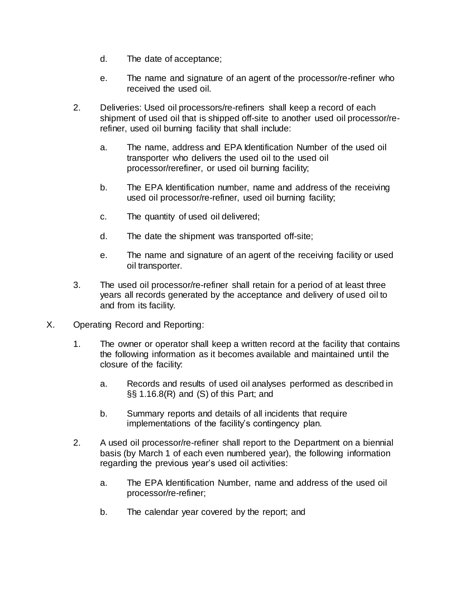- d. The date of acceptance;
- e. The name and signature of an agent of the processor/re-refiner who received the used oil.
- 2. Deliveries: Used oil processors/re-refiners shall keep a record of each shipment of used oil that is shipped off-site to another used oil processor/rerefiner, used oil burning facility that shall include:
	- a. The name, address and EPA Identification Number of the used oil transporter who delivers the used oil to the used oil processor/rerefiner, or used oil burning facility;
	- b. The EPA Identification number, name and address of the receiving used oil processor/re-refiner, used oil burning facility;
	- c. The quantity of used oil delivered;
	- d. The date the shipment was transported off-site;
	- e. The name and signature of an agent of the receiving facility or used oil transporter.
- 3. The used oil processor/re-refiner shall retain for a period of at least three years all records generated by the acceptance and delivery of used oil to and from its facility.
- X. Operating Record and Reporting:
	- 1. The owner or operator shall keep a written record at the facility that contains the following information as it becomes available and maintained until the closure of the facility:
		- a. Records and results of used oil analyses performed as described in §§ 1.16.8(R) and (S) of this Part; and
		- b. Summary reports and details of all incidents that require implementations of the facility's contingency plan.
	- 2. A used oil processor/re-refiner shall report to the Department on a biennial basis (by March 1 of each even numbered year), the following information regarding the previous year's used oil activities:
		- a. The EPA Identification Number, name and address of the used oil processor/re-refiner;
		- b. The calendar year covered by the report; and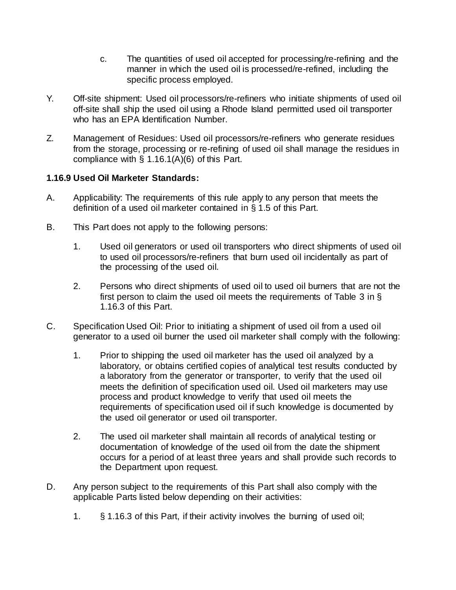- c. The quantities of used oil accepted for processing/re-refining and the manner in which the used oil is processed/re-refined, including the specific process employed.
- Y. Off-site shipment: Used oil processors/re-refiners who initiate shipments of used oil off-site shall ship the used oil using a Rhode Island permitted used oil transporter who has an EPA Identification Number.
- Z. Management of Residues: Used oil processors/re-refiners who generate residues from the storage, processing or re-refining of used oil shall manage the residues in compliance with § 1.16.1(A)(6) of this Part.

### **1.16.9 Used Oil Marketer Standards:**

- A. Applicability: The requirements of this rule apply to any person that meets the definition of a used oil marketer contained in § 1.5 of this Part.
- B. This Part does not apply to the following persons:
	- 1. Used oil generators or used oil transporters who direct shipments of used oil to used oil processors/re-refiners that burn used oil incidentally as part of the processing of the used oil.
	- 2. Persons who direct shipments of used oil to used oil burners that are not the first person to claim the used oil meets the requirements of Table 3 in § 1.16.3 of this Part.
- C. Specification Used Oil: Prior to initiating a shipment of used oil from a used oil generator to a used oil burner the used oil marketer shall comply with the following:
	- 1. Prior to shipping the used oil marketer has the used oil analyzed by a laboratory, or obtains certified copies of analytical test results conducted by a laboratory from the generator or transporter, to verify that the used oil meets the definition of specification used oil. Used oil marketers may use process and product knowledge to verify that used oil meets the requirements of specification used oil if such knowledge is documented by the used oil generator or used oil transporter.
	- 2. The used oil marketer shall maintain all records of analytical testing or documentation of knowledge of the used oil from the date the shipment occurs for a period of at least three years and shall provide such records to the Department upon request.
- D. Any person subject to the requirements of this Part shall also comply with the applicable Parts listed below depending on their activities:
	- 1. § 1.16.3 of this Part, if their activity involves the burning of used oil;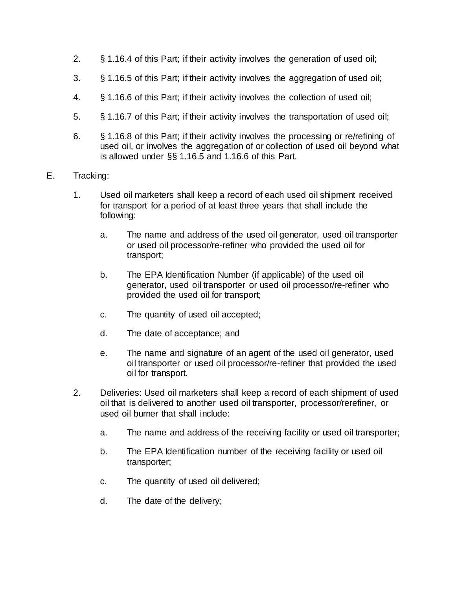- 2. § 1.16.4 of this Part; if their activity involves the generation of used oil;
- 3. § 1.16.5 of this Part; if their activity involves the aggregation of used oil;
- 4. § 1.16.6 of this Part; if their activity involves the collection of used oil;
- 5. § 1.16.7 of this Part; if their activity involves the transportation of used oil;
- 6. § 1.16.8 of this Part; if their activity involves the processing or re/refining of used oil, or involves the aggregation of or collection of used oil beyond what is allowed under §§ 1.16.5 and 1.16.6 of this Part.
- E. Tracking:
	- 1. Used oil marketers shall keep a record of each used oil shipment received for transport for a period of at least three years that shall include the following:
		- a. The name and address of the used oil generator, used oil transporter or used oil processor/re-refiner who provided the used oil for transport;
		- b. The EPA Identification Number (if applicable) of the used oil generator, used oil transporter or used oil processor/re-refiner who provided the used oil for transport;
		- c. The quantity of used oil accepted;
		- d. The date of acceptance; and
		- e. The name and signature of an agent of the used oil generator, used oil transporter or used oil processor/re-refiner that provided the used oil for transport.
	- 2. Deliveries: Used oil marketers shall keep a record of each shipment of used oil that is delivered to another used oil transporter, processor/rerefiner, or used oil burner that shall include:
		- a. The name and address of the receiving facility or used oil transporter;
		- b. The EPA Identification number of the receiving facility or used oil transporter;
		- c. The quantity of used oil delivered;
		- d. The date of the delivery;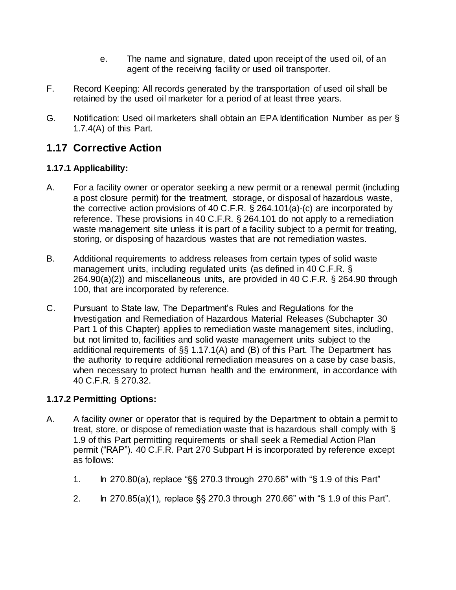- e. The name and signature, dated upon receipt of the used oil, of an agent of the receiving facility or used oil transporter.
- F. Record Keeping: All records generated by the transportation of used oil shall be retained by the used oil marketer for a period of at least three years.
- G. Notification: Used oil marketers shall obtain an EPA Identification Number as per § 1.7.4(A) of this Part.

# **1.17 Corrective Action**

## **1.17.1 Applicability:**

- A. For a facility owner or operator seeking a new permit or a renewal permit (including a post closure permit) for the treatment, storage, or disposal of hazardous waste, the corrective action provisions of 40 C.F.R. § 264.101(a)-(c) are incorporated by reference. These provisions in 40 C.F.R. § 264.101 do not apply to a remediation waste management site unless it is part of a facility subject to a permit for treating, storing, or disposing of hazardous wastes that are not remediation wastes.
- B. Additional requirements to address releases from certain types of solid waste management units, including regulated units (as defined in 40 C.F.R. § 264.90(a)(2)) and miscellaneous units, are provided in 40 C.F.R. § 264.90 through 100, that are incorporated by reference.
- C. Pursuant to State law, The Department's Rules and Regulations for the Investigation and Remediation of Hazardous Material Releases (Subchapter 30 Part [1](https://rules.sos.ri.gov/regulations/part/250-140-30-1) of this Chapter) applies to remediation waste management sites, including, but not limited to, facilities and solid waste management units subject to the additional requirements of §§ 1.17.1(A) and (B) of this Part. The Department has the authority to require additional remediation measures on a case by case basis, when necessary to protect human health and the environment, in accordance with 40 C.F.R. § 270.32.

## **1.17.2 Permitting Options:**

- A. A facility owner or operator that is required by the Department to obtain a permit to treat, store, or dispose of remediation waste that is hazardous shall comply with § 1.9 of this Part permitting requirements or shall seek a Remedial Action Plan permit ("RAP"). 40 C.F.R. Part 270 Subpart H is incorporated by reference except as follows:
	- 1. In 270.80(a), replace "§§ 270.3 through 270.66" with "§ 1.9 of this Part"
	- 2. In 270.85(a)(1), replace §§ 270.3 through 270.66" with "§ 1.9 of this Part".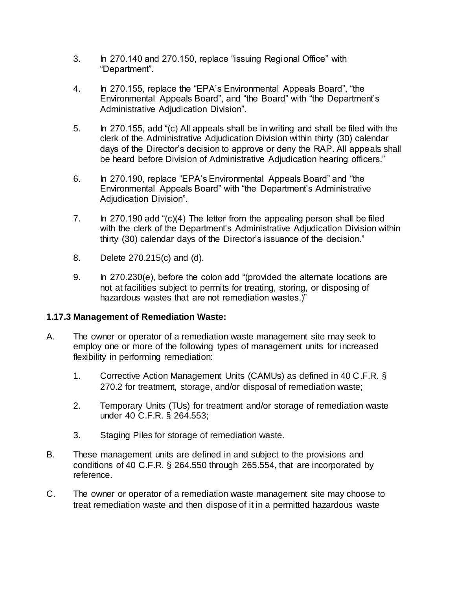- 3. In 270.140 and 270.150, replace "issuing Regional Office" with "Department".
- 4. In 270.155, replace the "EPA's Environmental Appeals Board", "the Environmental Appeals Board", and "the Board" with "the Department's Administrative Adjudication Division".
- 5. In 270.155, add "(c) All appeals shall be in writing and shall be filed with the clerk of the Administrative Adjudication Division within thirty (30) calendar days of the Director's decision to approve or deny the RAP. All appeals shall be heard before Division of Administrative Adjudication hearing officers."
- 6. In 270.190, replace "EPA's Environmental Appeals Board" and "the Environmental Appeals Board" with "the Department's Administrative Adjudication Division".
- 7. In 270.190 add "(c)(4) The letter from the appealing person shall be filed with the clerk of the Department's Administrative Adjudication Division within thirty (30) calendar days of the Director's issuance of the decision."
- 8. Delete 270.215(c) and (d).
- 9. In 270.230(e), before the colon add "(provided the alternate locations are not at facilities subject to permits for treating, storing, or disposing of hazardous wastes that are not remediation wastes.)"

#### **1.17.3 Management of Remediation Waste:**

- A. The owner or operator of a remediation waste management site may seek to employ one or more of the following types of management units for increased flexibility in performing remediation:
	- 1. Corrective Action Management Units (CAMUs) as defined in 40 C.F.R. § 270.2 for treatment, storage, and/or disposal of remediation waste;
	- 2. Temporary Units (TUs) for treatment and/or storage of remediation waste under 40 C.F.R. § 264.553;
	- 3. Staging Piles for storage of remediation waste.
- B. These management units are defined in and subject to the provisions and conditions of 40 C.F.R. § 264.550 through 265.554, that are incorporated by reference.
- C. The owner or operator of a remediation waste management site may choose to treat remediation waste and then dispose of it in a permitted hazardous waste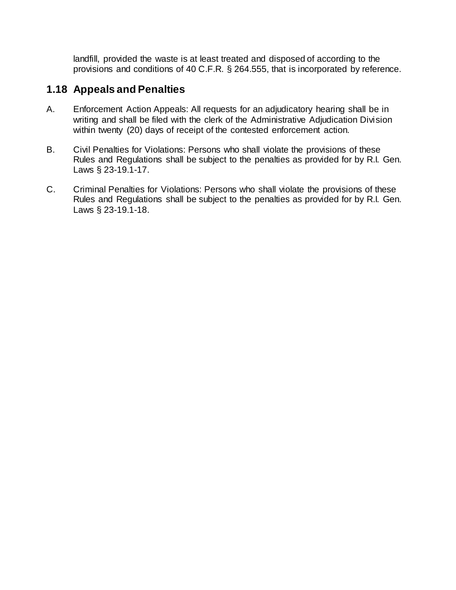landfill, provided the waste is at least treated and disposed of according to the provisions and conditions of 40 C.F.R. § 264.555, that is incorporated by reference.

# **1.18 Appeals and Penalties**

- A. Enforcement Action Appeals: All requests for an adjudicatory hearing shall be in writing and shall be filed with the clerk of the Administrative Adjudication Division within twenty (20) days of receipt of the contested enforcement action.
- B. Civil Penalties for Violations: Persons who shall violate the provisions of these Rules and Regulations shall be subject to the penalties as provided for by R.I. Gen. Laws § 23-19.1-17.
- C. Criminal Penalties for Violations: Persons who shall violate the provisions of these Rules and Regulations shall be subject to the penalties as provided for by R.I. Gen. Laws § 23-19.1-18.